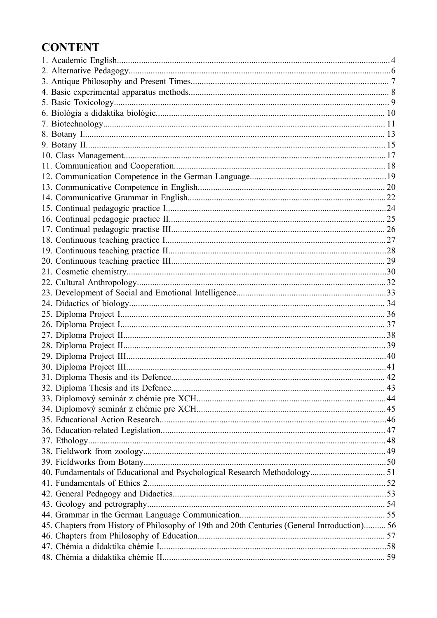# **CONTENT**

| 45. Chapters from History of Philosophy of 19th and 20th Centuries (General Introduction) 56 |  |
|----------------------------------------------------------------------------------------------|--|
|                                                                                              |  |
|                                                                                              |  |
|                                                                                              |  |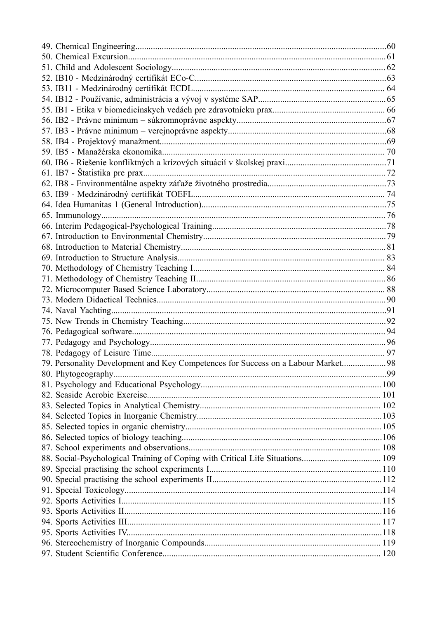| 79. Personality Development and Key Competences for Success on a Labour Market 98 |  |
|-----------------------------------------------------------------------------------|--|
|                                                                                   |  |
|                                                                                   |  |
|                                                                                   |  |
|                                                                                   |  |
|                                                                                   |  |
|                                                                                   |  |
|                                                                                   |  |
|                                                                                   |  |
|                                                                                   |  |
|                                                                                   |  |
|                                                                                   |  |
|                                                                                   |  |
|                                                                                   |  |
|                                                                                   |  |
|                                                                                   |  |
|                                                                                   |  |
|                                                                                   |  |
|                                                                                   |  |
|                                                                                   |  |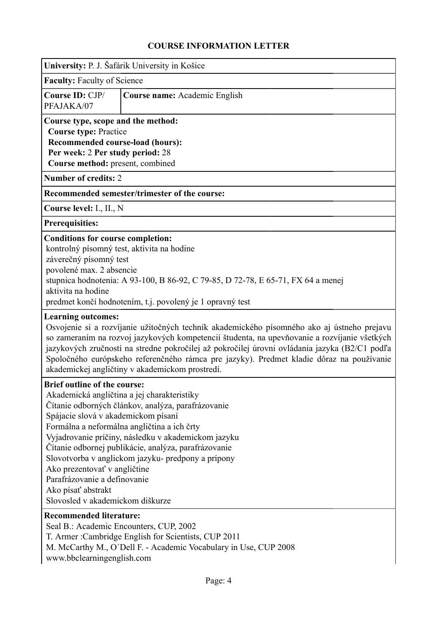<span id="page-3-0"></span>

|                                                                                                                                                                                                                                                                                                    | University: P. J. Šafárik University in Košice                                                                                                                                                                                                                                                                                                                                                                                             |  |  |  |  |  |
|----------------------------------------------------------------------------------------------------------------------------------------------------------------------------------------------------------------------------------------------------------------------------------------------------|--------------------------------------------------------------------------------------------------------------------------------------------------------------------------------------------------------------------------------------------------------------------------------------------------------------------------------------------------------------------------------------------------------------------------------------------|--|--|--|--|--|
| <b>Faculty: Faculty of Science</b>                                                                                                                                                                                                                                                                 |                                                                                                                                                                                                                                                                                                                                                                                                                                            |  |  |  |  |  |
| Course ID: CJP/<br>PFAJAKA/07                                                                                                                                                                                                                                                                      | Course name: Academic English                                                                                                                                                                                                                                                                                                                                                                                                              |  |  |  |  |  |
| Course type, scope and the method:<br><b>Course type: Practice</b><br>Recommended course-load (hours):<br>Per week: 2 Per study period: 28<br>Course method: present, combined                                                                                                                     |                                                                                                                                                                                                                                                                                                                                                                                                                                            |  |  |  |  |  |
| <b>Number of credits: 2</b>                                                                                                                                                                                                                                                                        |                                                                                                                                                                                                                                                                                                                                                                                                                                            |  |  |  |  |  |
|                                                                                                                                                                                                                                                                                                    | Recommended semester/trimester of the course:                                                                                                                                                                                                                                                                                                                                                                                              |  |  |  |  |  |
| Course level: I., II., N                                                                                                                                                                                                                                                                           |                                                                                                                                                                                                                                                                                                                                                                                                                                            |  |  |  |  |  |
| <b>Prerequisities:</b>                                                                                                                                                                                                                                                                             |                                                                                                                                                                                                                                                                                                                                                                                                                                            |  |  |  |  |  |
| <b>Conditions for course completion:</b><br>kontrolný písomný test, aktivita na hodine<br>záverečný písomný test<br>povolené max. 2 absencie<br>aktivita na hodine                                                                                                                                 | stupnica hodnotenia: A 93-100, B 86-92, C 79-85, D 72-78, E 65-71, FX 64 a menej<br>predmet končí hodnotením, t.j. povolený je 1 opravný test                                                                                                                                                                                                                                                                                              |  |  |  |  |  |
| <b>Learning outcomes:</b>                                                                                                                                                                                                                                                                          | Osvojenie si a rozvíjanie užitočných techník akademického písomného ako aj ústneho prejavu<br>so zameraním na rozvoj jazykových kompetencií študenta, na upevňovanie a rozvíjanie všetkých<br>jazykových zručností na stredne pokročilej až pokročilej úrovni ovládania jazyka (B2/C1 podľa<br>Spoločného európskeho referenčného rámca pre jazyky). Predmet kladie dôraz na používanie<br>akademickej angličtiny v akademickom prostredí. |  |  |  |  |  |
| <b>Brief outline of the course:</b><br>Akademická angličtina a jej charakteristiky<br>Spájacie slová v akademickom písaní<br>Formálna a neformálna angličtina a ich črty<br>Ako prezentovať v angličtine<br>Parafrázovanie a definovanie<br>Ako písať abstrakt<br>Slovosled v akademickom diškurze | Čítanie odborných článkov, analýza, parafrázovanie<br>Vyjadrovanie príčiny, následku v akademickom jazyku<br>Čítanie odbornej publikácie, analýza, parafrázovanie<br>Slovotvorba v anglickom jazyku- predpony a prípony                                                                                                                                                                                                                    |  |  |  |  |  |
| <b>Recommended literature:</b><br>Seal B.: Academic Encounters, CUP, 2002<br>www.bbclearningenglish.com                                                                                                                                                                                            | T. Armer: Cambridge English for Scientists, CUP 2011<br>M. McCarthy M., O'Dell F. - Academic Vocabulary in Use, CUP 2008                                                                                                                                                                                                                                                                                                                   |  |  |  |  |  |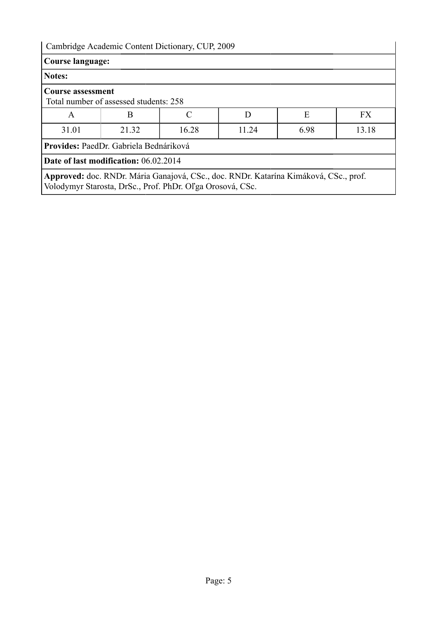| <b>Course language:</b>  |                                                                                                                                                   |       |       |      |           |
|--------------------------|---------------------------------------------------------------------------------------------------------------------------------------------------|-------|-------|------|-----------|
| Notes:                   |                                                                                                                                                   |       |       |      |           |
| <b>Course assessment</b> | Total number of assessed students: 258                                                                                                            |       |       |      |           |
| A                        | B                                                                                                                                                 |       | D     | E    | <b>FX</b> |
| 31.01                    | 21.32                                                                                                                                             | 16.28 | 11.24 | 6.98 | 13.18     |
|                          | Provides: PaedDr. Gabriela Bednáriková                                                                                                            |       |       |      |           |
|                          | <b>Date of last modification: 06.02.2014</b>                                                                                                      |       |       |      |           |
|                          | Approved: doc. RNDr. Mária Ganajová, CSc., doc. RNDr. Katarína Kimáková, CSc., prof.<br>Volodymyr Starosta, DrSc., Prof. PhDr. Oľga Orosová, CSc. |       |       |      |           |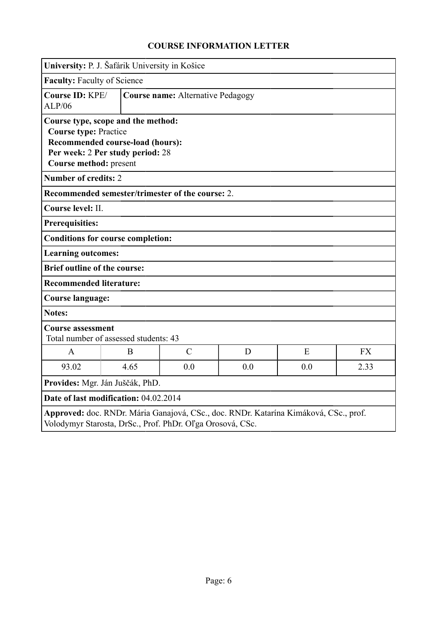<span id="page-5-0"></span>

|                                                                       | University: P. J. Šafárik University in Košice                                                                                                    |               |     |     |           |  |
|-----------------------------------------------------------------------|---------------------------------------------------------------------------------------------------------------------------------------------------|---------------|-----|-----|-----------|--|
|                                                                       | <b>Faculty: Faculty of Science</b>                                                                                                                |               |     |     |           |  |
| Course ID: KPE/<br><b>Course name: Alternative Pedagogy</b><br>ALP/06 |                                                                                                                                                   |               |     |     |           |  |
| <b>Course type: Practice</b><br>Course method: present                | Course type, scope and the method:<br>Recommended course-load (hours):<br>Per week: 2 Per study period: 28                                        |               |     |     |           |  |
| <b>Number of credits: 2</b>                                           |                                                                                                                                                   |               |     |     |           |  |
|                                                                       | Recommended semester/trimester of the course: 2.                                                                                                  |               |     |     |           |  |
| Course level: II.                                                     |                                                                                                                                                   |               |     |     |           |  |
| <b>Prerequisities:</b>                                                |                                                                                                                                                   |               |     |     |           |  |
|                                                                       | <b>Conditions for course completion:</b>                                                                                                          |               |     |     |           |  |
| <b>Learning outcomes:</b>                                             |                                                                                                                                                   |               |     |     |           |  |
| <b>Brief outline of the course:</b>                                   |                                                                                                                                                   |               |     |     |           |  |
| <b>Recommended literature:</b>                                        |                                                                                                                                                   |               |     |     |           |  |
| <b>Course language:</b>                                               |                                                                                                                                                   |               |     |     |           |  |
| <b>Notes:</b>                                                         |                                                                                                                                                   |               |     |     |           |  |
| <b>Course assessment</b>                                              | Total number of assessed students: 43                                                                                                             |               |     |     |           |  |
| $\mathbf{A}$                                                          | B                                                                                                                                                 | $\mathcal{C}$ | D   | E   | <b>FX</b> |  |
| 93.02                                                                 | 4.65                                                                                                                                              | 0.0           | 0.0 | 0.0 | 2.33      |  |
| Provides: Mgr. Ján Juščák, PhD.                                       |                                                                                                                                                   |               |     |     |           |  |
| Date of last modification: 04.02.2014                                 |                                                                                                                                                   |               |     |     |           |  |
|                                                                       | Approved: doc. RNDr. Mária Ganajová, CSc., doc. RNDr. Katarína Kimáková, CSc., prof.<br>Volodymyr Starosta, DrSc., Prof. PhDr. Oľga Orosová, CSc. |               |     |     |           |  |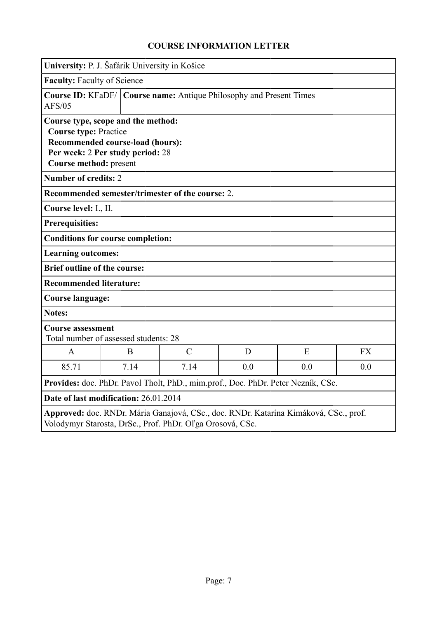<span id="page-6-0"></span>

|                                                                                                                                                   | University: P. J. Šafárik University in Košice                                                                                                                       |                                                  |   |   |           |  |  |
|---------------------------------------------------------------------------------------------------------------------------------------------------|----------------------------------------------------------------------------------------------------------------------------------------------------------------------|--------------------------------------------------|---|---|-----------|--|--|
|                                                                                                                                                   | <b>Faculty: Faculty of Science</b>                                                                                                                                   |                                                  |   |   |           |  |  |
| AFS/05                                                                                                                                            | <b>Course ID: KFaDF/</b><br><b>Course name:</b> Antique Philosophy and Present Times                                                                                 |                                                  |   |   |           |  |  |
|                                                                                                                                                   | Course type, scope and the method:<br><b>Course type: Practice</b><br>Recommended course-load (hours):<br>Per week: 2 Per study period: 28<br>Course method: present |                                                  |   |   |           |  |  |
| <b>Number of credits: 2</b>                                                                                                                       |                                                                                                                                                                      |                                                  |   |   |           |  |  |
|                                                                                                                                                   |                                                                                                                                                                      | Recommended semester/trimester of the course: 2. |   |   |           |  |  |
| Course level: I., II.                                                                                                                             |                                                                                                                                                                      |                                                  |   |   |           |  |  |
| <b>Prerequisities:</b>                                                                                                                            |                                                                                                                                                                      |                                                  |   |   |           |  |  |
| <b>Conditions for course completion:</b>                                                                                                          |                                                                                                                                                                      |                                                  |   |   |           |  |  |
| <b>Learning outcomes:</b>                                                                                                                         |                                                                                                                                                                      |                                                  |   |   |           |  |  |
| <b>Brief outline of the course:</b>                                                                                                               |                                                                                                                                                                      |                                                  |   |   |           |  |  |
| <b>Recommended literature:</b>                                                                                                                    |                                                                                                                                                                      |                                                  |   |   |           |  |  |
| Course language:                                                                                                                                  |                                                                                                                                                                      |                                                  |   |   |           |  |  |
| <b>Notes:</b>                                                                                                                                     |                                                                                                                                                                      |                                                  |   |   |           |  |  |
| <b>Course assessment</b><br>Total number of assessed students: 28                                                                                 |                                                                                                                                                                      |                                                  |   |   |           |  |  |
| $\mathsf{A}$                                                                                                                                      | B                                                                                                                                                                    | $\overline{C}$                                   | D | E | <b>FX</b> |  |  |
| 85.71                                                                                                                                             | 7.14<br>7.14<br>0.0<br>0.0<br>0.0                                                                                                                                    |                                                  |   |   |           |  |  |
| Provides: doc. PhDr. Pavol Tholt, PhD., mim.prof., Doc. PhDr. Peter Nezník, CSc.                                                                  |                                                                                                                                                                      |                                                  |   |   |           |  |  |
| Date of last modification: 26.01.2014                                                                                                             |                                                                                                                                                                      |                                                  |   |   |           |  |  |
| Approved: doc. RNDr. Mária Ganajová, CSc., doc. RNDr. Katarína Kimáková, CSc., prof.<br>Volodymyr Starosta, DrSc., Prof. PhDr. Oľga Orosová, CSc. |                                                                                                                                                                      |                                                  |   |   |           |  |  |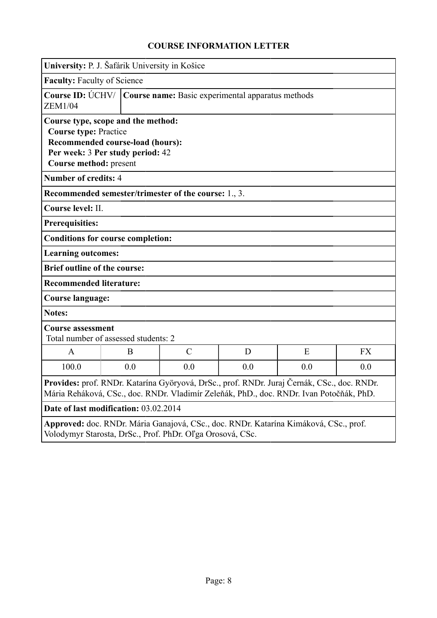<span id="page-7-0"></span>

|                                                                                                                                                                                                                                | University: P. J. Šafárik University in Košice |                                                             |   |   |           |  |
|--------------------------------------------------------------------------------------------------------------------------------------------------------------------------------------------------------------------------------|------------------------------------------------|-------------------------------------------------------------|---|---|-----------|--|
| <b>Faculty: Faculty of Science</b>                                                                                                                                                                                             |                                                |                                                             |   |   |           |  |
| Course ID: $\acute{U}$ CHV/  <br>Course name: Basic experimental apparatus methods<br><b>ZEM1/04</b>                                                                                                                           |                                                |                                                             |   |   |           |  |
| Course type, scope and the method:<br><b>Course type: Practice</b><br>Recommended course-load (hours):<br>Per week: 3 Per study period: 42<br>Course method: present                                                           |                                                |                                                             |   |   |           |  |
| <b>Number of credits: 4</b>                                                                                                                                                                                                    |                                                |                                                             |   |   |           |  |
|                                                                                                                                                                                                                                |                                                | <b>Recommended semester/trimester of the course:</b> 1., 3. |   |   |           |  |
| Course level: II.                                                                                                                                                                                                              |                                                |                                                             |   |   |           |  |
| <b>Prerequisities:</b>                                                                                                                                                                                                         |                                                |                                                             |   |   |           |  |
| <b>Conditions for course completion:</b>                                                                                                                                                                                       |                                                |                                                             |   |   |           |  |
| <b>Learning outcomes:</b>                                                                                                                                                                                                      |                                                |                                                             |   |   |           |  |
| <b>Brief outline of the course:</b>                                                                                                                                                                                            |                                                |                                                             |   |   |           |  |
| <b>Recommended literature:</b>                                                                                                                                                                                                 |                                                |                                                             |   |   |           |  |
| <b>Course language:</b>                                                                                                                                                                                                        |                                                |                                                             |   |   |           |  |
| <b>Notes:</b>                                                                                                                                                                                                                  |                                                |                                                             |   |   |           |  |
| <b>Course assessment</b><br>Total number of assessed students: 2                                                                                                                                                               |                                                |                                                             |   |   |           |  |
| A                                                                                                                                                                                                                              | B                                              | $\overline{C}$                                              | D | E | <b>FX</b> |  |
| 100.0                                                                                                                                                                                                                          | 0.0<br>0.0<br>0.0<br>0.0<br>0.0                |                                                             |   |   |           |  |
| Provides: prof. RNDr. Katarína Györyová, DrSc., prof. RNDr. Juraj Černák, CSc., doc. RNDr.<br>Mária Reháková, CSc., doc. RNDr. Vladimír Zeleňák, PhD., doc. RNDr. Ivan Potočňák, PhD.<br>Date of last modification: 03.02.2014 |                                                |                                                             |   |   |           |  |
| Approved: doc. RNDr. Mária Ganajová, CSc., doc. RNDr. Katarína Kimáková, CSc., prof.<br>Volodymyr Starosta, DrSc., Prof. PhDr. Oľga Orosová, CSc.                                                                              |                                                |                                                             |   |   |           |  |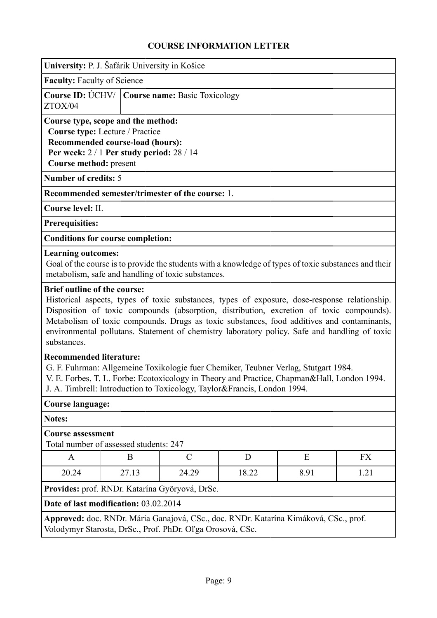<span id="page-8-0"></span>

|                                                                                                                                                                                                                                                                                                  | University: P. J. Šafárik University in Košice |   |                                                           |   |                                                                                                                                                                                                                                                                                                                                                                                          |    |  |
|--------------------------------------------------------------------------------------------------------------------------------------------------------------------------------------------------------------------------------------------------------------------------------------------------|------------------------------------------------|---|-----------------------------------------------------------|---|------------------------------------------------------------------------------------------------------------------------------------------------------------------------------------------------------------------------------------------------------------------------------------------------------------------------------------------------------------------------------------------|----|--|
| <b>Faculty: Faculty of Science</b>                                                                                                                                                                                                                                                               |                                                |   |                                                           |   |                                                                                                                                                                                                                                                                                                                                                                                          |    |  |
| Course ID: ÚCHV/   Course name: Basic Toxicology<br>ZTOX/04                                                                                                                                                                                                                                      |                                                |   |                                                           |   |                                                                                                                                                                                                                                                                                                                                                                                          |    |  |
| Course type, scope and the method:<br>Course type: Lecture / Practice<br><b>Recommended course-load (hours):</b><br>Per week: $2/1$ Per study period: $28/14$<br>Course method: present                                                                                                          |                                                |   |                                                           |   |                                                                                                                                                                                                                                                                                                                                                                                          |    |  |
| <b>Number of credits: 5</b>                                                                                                                                                                                                                                                                      |                                                |   |                                                           |   |                                                                                                                                                                                                                                                                                                                                                                                          |    |  |
|                                                                                                                                                                                                                                                                                                  |                                                |   | Recommended semester/trimester of the course: 1.          |   |                                                                                                                                                                                                                                                                                                                                                                                          |    |  |
| Course level: II.                                                                                                                                                                                                                                                                                |                                                |   |                                                           |   |                                                                                                                                                                                                                                                                                                                                                                                          |    |  |
| <b>Prerequisities:</b>                                                                                                                                                                                                                                                                           |                                                |   |                                                           |   |                                                                                                                                                                                                                                                                                                                                                                                          |    |  |
| <b>Conditions for course completion:</b>                                                                                                                                                                                                                                                         |                                                |   |                                                           |   |                                                                                                                                                                                                                                                                                                                                                                                          |    |  |
| <b>Learning outcomes:</b>                                                                                                                                                                                                                                                                        |                                                |   | metabolism, safe and handling of toxic substances.        |   | Goal of the course is to provide the students with a knowledge of types of toxic substances and their                                                                                                                                                                                                                                                                                    |    |  |
| substances.                                                                                                                                                                                                                                                                                      |                                                |   |                                                           |   | Historical aspects, types of toxic substances, types of exposure, dose-response relationship.<br>Disposition of toxic compounds (absorption, distribution, excretion of toxic compounds).<br>Metabolism of toxic compounds. Drugs as toxic substances, food additives and contaminants,<br>environmental pollutans. Statement of chemistry laboratory policy. Safe and handling of toxic |    |  |
| <b>Recommended literature:</b><br>G. F. Fuhrman: Allgemeine Toxikologie fuer Chemiker, Teubner Verlag, Stutgart 1984.<br>V. E. Forbes, T. L. Forbe: Ecotoxicology in Theory and Practice, Chapman&Hall, London 1994.<br>J. A. Timbrell: Introduction to Toxicology, Taylor&Francis, London 1994. |                                                |   |                                                           |   |                                                                                                                                                                                                                                                                                                                                                                                          |    |  |
| <b>Course language:</b>                                                                                                                                                                                                                                                                          |                                                |   |                                                           |   |                                                                                                                                                                                                                                                                                                                                                                                          |    |  |
| Notes:                                                                                                                                                                                                                                                                                           |                                                |   |                                                           |   |                                                                                                                                                                                                                                                                                                                                                                                          |    |  |
| <b>Course assessment</b><br>Total number of assessed students: 247                                                                                                                                                                                                                               |                                                |   |                                                           |   |                                                                                                                                                                                                                                                                                                                                                                                          |    |  |
| A                                                                                                                                                                                                                                                                                                |                                                | B | $\mathcal{C}$                                             | D | E                                                                                                                                                                                                                                                                                                                                                                                        | FX |  |
| 20.24                                                                                                                                                                                                                                                                                            | 24.29<br>18.22<br>8.91<br>1.21<br>27.13        |   |                                                           |   |                                                                                                                                                                                                                                                                                                                                                                                          |    |  |
|                                                                                                                                                                                                                                                                                                  |                                                |   | Provides: prof. RNDr. Katarína Györyová, DrSc.            |   |                                                                                                                                                                                                                                                                                                                                                                                          |    |  |
| Date of last modification: 03.02.2014                                                                                                                                                                                                                                                            |                                                |   |                                                           |   |                                                                                                                                                                                                                                                                                                                                                                                          |    |  |
|                                                                                                                                                                                                                                                                                                  |                                                |   | Volodymyr Starosta, DrSc., Prof. PhDr. Oľga Orosová, CSc. |   | Approved: doc. RNDr. Mária Ganajová, CSc., doc. RNDr. Katarína Kimáková, CSc., prof.                                                                                                                                                                                                                                                                                                     |    |  |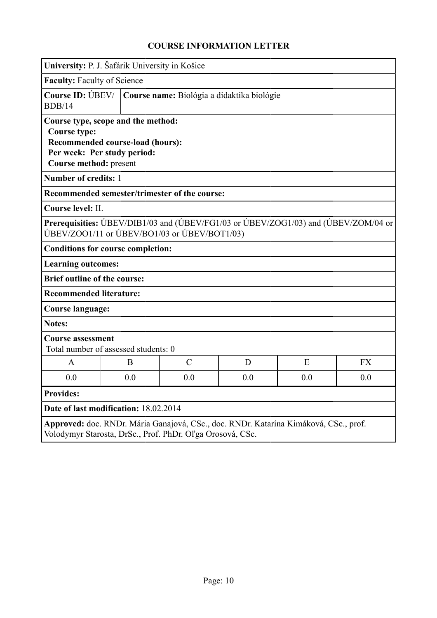<span id="page-9-0"></span>

| University: P. J. Šafárik University in Košice                                                                                                         |  |     |                                               |     |                                                                                    |           |
|--------------------------------------------------------------------------------------------------------------------------------------------------------|--|-----|-----------------------------------------------|-----|------------------------------------------------------------------------------------|-----------|
| <b>Faculty: Faculty of Science</b>                                                                                                                     |  |     |                                               |     |                                                                                    |           |
| Course ID: UBEV/<br>Course name: Biológia a didaktika biológie<br><b>BDB/14</b>                                                                        |  |     |                                               |     |                                                                                    |           |
| Course type, scope and the method:<br><b>Course type:</b><br>Recommended course-load (hours):<br>Per week: Per study period:<br>Course method: present |  |     |                                               |     |                                                                                    |           |
| Number of credits: 1                                                                                                                                   |  |     |                                               |     |                                                                                    |           |
|                                                                                                                                                        |  |     | Recommended semester/trimester of the course: |     |                                                                                    |           |
| Course level: II.                                                                                                                                      |  |     |                                               |     |                                                                                    |           |
|                                                                                                                                                        |  |     | ÚBEV/ZOO1/11 or ÚBEV/BO1/03 or ÚBEV/BOT1/03)  |     | Prerequisities: UBEV/DIB1/03 and (UBEV/FG1/03 or UBEV/ZOG1/03) and (UBEV/ZOM/04 or |           |
| <b>Conditions for course completion:</b>                                                                                                               |  |     |                                               |     |                                                                                    |           |
| <b>Learning outcomes:</b>                                                                                                                              |  |     |                                               |     |                                                                                    |           |
| <b>Brief outline of the course:</b>                                                                                                                    |  |     |                                               |     |                                                                                    |           |
| <b>Recommended literature:</b>                                                                                                                         |  |     |                                               |     |                                                                                    |           |
| <b>Course language:</b>                                                                                                                                |  |     |                                               |     |                                                                                    |           |
| <b>Notes:</b>                                                                                                                                          |  |     |                                               |     |                                                                                    |           |
| <b>Course assessment</b><br>Total number of assessed students: 0                                                                                       |  |     |                                               |     |                                                                                    |           |
| A                                                                                                                                                      |  | B   | $\mathcal{C}$                                 | D   | E                                                                                  | <b>FX</b> |
| 0.0                                                                                                                                                    |  | 0.0 | 0.0                                           | 0.0 | 0.0                                                                                | 0.0       |
| <b>Provides:</b>                                                                                                                                       |  |     |                                               |     |                                                                                    |           |
| Date of last modification: 18.02.2014                                                                                                                  |  |     |                                               |     |                                                                                    |           |
| Approved: doc. RNDr. Mária Ganajová, CSc., doc. RNDr. Katarína Kimáková, CSc., prof.<br>Volodymyr Starosta, DrSc., Prof. PhDr. Oľga Orosová, CSc.      |  |     |                                               |     |                                                                                    |           |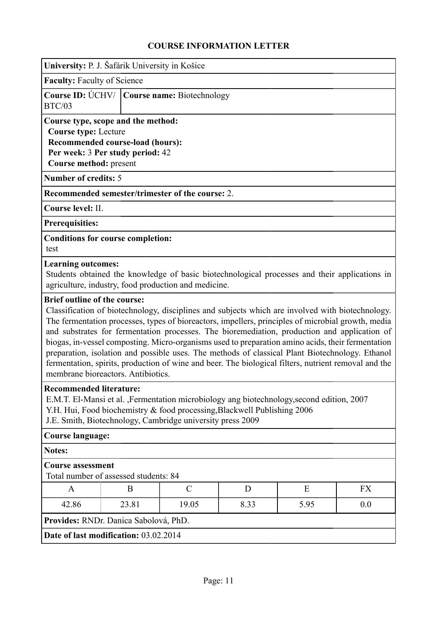<span id="page-10-0"></span>

| University: P. J. Šafárik University in Košice                                              |                                                                      |                                                                                                                                        |      |                                                                                                                                                                                                                                                                                                                                                                                                                                                                                                                                                                                                                        |           |
|---------------------------------------------------------------------------------------------|----------------------------------------------------------------------|----------------------------------------------------------------------------------------------------------------------------------------|------|------------------------------------------------------------------------------------------------------------------------------------------------------------------------------------------------------------------------------------------------------------------------------------------------------------------------------------------------------------------------------------------------------------------------------------------------------------------------------------------------------------------------------------------------------------------------------------------------------------------------|-----------|
| <b>Faculty:</b> Faculty of Science                                                          |                                                                      |                                                                                                                                        |      |                                                                                                                                                                                                                                                                                                                                                                                                                                                                                                                                                                                                                        |           |
| Course ID: UCHV/<br><b>BTC/03</b>                                                           |                                                                      | Course name: Biotechnology                                                                                                             |      |                                                                                                                                                                                                                                                                                                                                                                                                                                                                                                                                                                                                                        |           |
| Course type, scope and the method:<br><b>Course type: Lecture</b><br>Course method: present | Recommended course-load (hours):<br>Per week: 3 Per study period: 42 |                                                                                                                                        |      |                                                                                                                                                                                                                                                                                                                                                                                                                                                                                                                                                                                                                        |           |
| <b>Number of credits: 5</b>                                                                 |                                                                      |                                                                                                                                        |      |                                                                                                                                                                                                                                                                                                                                                                                                                                                                                                                                                                                                                        |           |
|                                                                                             |                                                                      | Recommended semester/trimester of the course: 2.                                                                                       |      |                                                                                                                                                                                                                                                                                                                                                                                                                                                                                                                                                                                                                        |           |
| Course level: II.                                                                           |                                                                      |                                                                                                                                        |      |                                                                                                                                                                                                                                                                                                                                                                                                                                                                                                                                                                                                                        |           |
| <b>Prerequisities:</b>                                                                      |                                                                      |                                                                                                                                        |      |                                                                                                                                                                                                                                                                                                                                                                                                                                                                                                                                                                                                                        |           |
| <b>Conditions for course completion:</b><br>test                                            |                                                                      |                                                                                                                                        |      |                                                                                                                                                                                                                                                                                                                                                                                                                                                                                                                                                                                                                        |           |
| <b>Learning outcomes:</b>                                                                   |                                                                      | agriculture, industry, food production and medicine.                                                                                   |      | Students obtained the knowledge of basic biotechnological processes and their applications in                                                                                                                                                                                                                                                                                                                                                                                                                                                                                                                          |           |
| <b>Brief outline of the course:</b>                                                         | membrane bioreactors. Antibiotics.                                   |                                                                                                                                        |      | Classification of biotechnology, disciplines and subjects which are involved with biotechnology.<br>The fermentation processes, types of bioreactors, impellers, principles of microbial growth, media<br>and substrates for fermentation processes. The bioremediation, production and application of<br>biogas, in-vessel composting. Micro-organisms used to preparation amino acids, their fermentation<br>preparation, isolation and possible uses. The methods of classical Plant Biotechnology. Ethanol<br>fermentation, spirits, production of wine and beer. The biological filters, nutrient removal and the |           |
| <b>Recommended literature:</b>                                                              |                                                                      | Y.H. Hui, Food biochemistry & food processing, Blackwell Publishing 2006<br>J.E. Smith, Biotechnology, Cambridge university press 2009 |      | E.M.T. El-Mansi et al., Fermentation microbiology ang biotechnology, second edition, 2007                                                                                                                                                                                                                                                                                                                                                                                                                                                                                                                              |           |
| <b>Course language:</b>                                                                     |                                                                      |                                                                                                                                        |      |                                                                                                                                                                                                                                                                                                                                                                                                                                                                                                                                                                                                                        |           |
| <b>Notes:</b>                                                                               |                                                                      |                                                                                                                                        |      |                                                                                                                                                                                                                                                                                                                                                                                                                                                                                                                                                                                                                        |           |
| <b>Course assessment</b>                                                                    | Total number of assessed students: 84                                |                                                                                                                                        |      |                                                                                                                                                                                                                                                                                                                                                                                                                                                                                                                                                                                                                        |           |
| $\mathbf{A}$                                                                                | B                                                                    | $\mathcal{C}$                                                                                                                          | D    | E                                                                                                                                                                                                                                                                                                                                                                                                                                                                                                                                                                                                                      | <b>FX</b> |
| 42.86                                                                                       | 23.81                                                                | 19.05                                                                                                                                  | 8.33 | 5.95                                                                                                                                                                                                                                                                                                                                                                                                                                                                                                                                                                                                                   | 0.0       |
| Provides: RNDr. Danica Sabolová, PhD.                                                       |                                                                      |                                                                                                                                        |      |                                                                                                                                                                                                                                                                                                                                                                                                                                                                                                                                                                                                                        |           |
| Date of last modification: 03.02.2014                                                       |                                                                      |                                                                                                                                        |      |                                                                                                                                                                                                                                                                                                                                                                                                                                                                                                                                                                                                                        |           |
|                                                                                             |                                                                      |                                                                                                                                        |      |                                                                                                                                                                                                                                                                                                                                                                                                                                                                                                                                                                                                                        |           |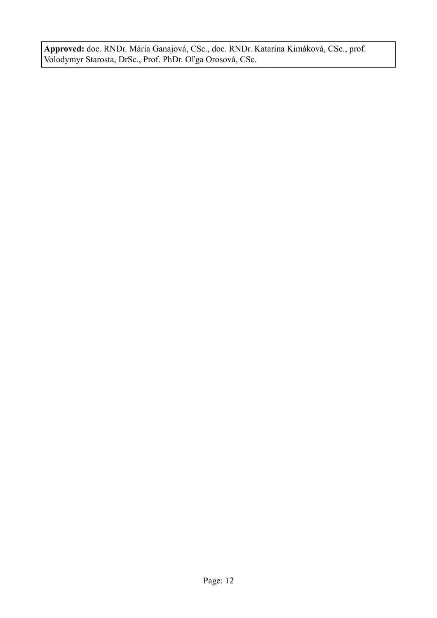**Approved:** doc. RNDr. Mária Ganajová, CSc., doc. RNDr. Katarína Kimáková, CSc., prof. Volodymyr Starosta, DrSc., Prof. PhDr. Oľga Orosová, CSc.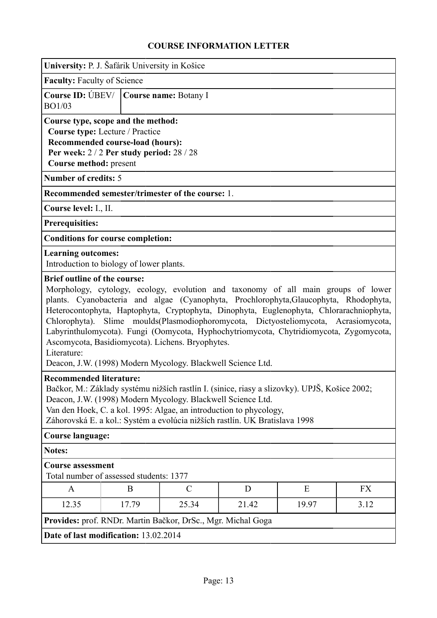<span id="page-12-0"></span>

| University: P. J. Šafárik University in Košice                                                                                                                                                                                                                                                                                                      |                                                                                                                                                                                                                                                                                                                                                                                                                                                                                                                                                                           |                                                              |       |       |      |  |  |  |
|-----------------------------------------------------------------------------------------------------------------------------------------------------------------------------------------------------------------------------------------------------------------------------------------------------------------------------------------------------|---------------------------------------------------------------------------------------------------------------------------------------------------------------------------------------------------------------------------------------------------------------------------------------------------------------------------------------------------------------------------------------------------------------------------------------------------------------------------------------------------------------------------------------------------------------------------|--------------------------------------------------------------|-------|-------|------|--|--|--|
| <b>Faculty: Faculty of Science</b>                                                                                                                                                                                                                                                                                                                  |                                                                                                                                                                                                                                                                                                                                                                                                                                                                                                                                                                           |                                                              |       |       |      |  |  |  |
| BO1/03                                                                                                                                                                                                                                                                                                                                              | Course ID: ÚBEV/   Course name: Botany I                                                                                                                                                                                                                                                                                                                                                                                                                                                                                                                                  |                                                              |       |       |      |  |  |  |
|                                                                                                                                                                                                                                                                                                                                                     | Course type, scope and the method:<br>Course type: Lecture / Practice<br>Recommended course-load (hours):<br>Per week: $2/2$ Per study period: $28/28$<br>Course method: present                                                                                                                                                                                                                                                                                                                                                                                          |                                                              |       |       |      |  |  |  |
| <b>Number of credits: 5</b>                                                                                                                                                                                                                                                                                                                         |                                                                                                                                                                                                                                                                                                                                                                                                                                                                                                                                                                           |                                                              |       |       |      |  |  |  |
|                                                                                                                                                                                                                                                                                                                                                     |                                                                                                                                                                                                                                                                                                                                                                                                                                                                                                                                                                           | Recommended semester/trimester of the course: 1.             |       |       |      |  |  |  |
| Course level: I., II.                                                                                                                                                                                                                                                                                                                               |                                                                                                                                                                                                                                                                                                                                                                                                                                                                                                                                                                           |                                                              |       |       |      |  |  |  |
| <b>Prerequisities:</b>                                                                                                                                                                                                                                                                                                                              |                                                                                                                                                                                                                                                                                                                                                                                                                                                                                                                                                                           |                                                              |       |       |      |  |  |  |
| <b>Conditions for course completion:</b>                                                                                                                                                                                                                                                                                                            |                                                                                                                                                                                                                                                                                                                                                                                                                                                                                                                                                                           |                                                              |       |       |      |  |  |  |
| <b>Learning outcomes:</b><br>Introduction to biology of lower plants.                                                                                                                                                                                                                                                                               |                                                                                                                                                                                                                                                                                                                                                                                                                                                                                                                                                                           |                                                              |       |       |      |  |  |  |
| Literature:                                                                                                                                                                                                                                                                                                                                         | Morphology, cytology, ecology, evolution and taxonomy of all main groups of lower<br>plants. Cyanobacteria and algae (Cyanophyta, Prochlorophyta, Glaucophyta, Rhodophyta,<br>Heterocontophyta, Haptophyta, Cryptophyta, Dinophyta, Euglenophyta, Chlorarachniophyta,<br>Chlorophyta). Slime moulds(Plasmodiophoromycota, Dictyosteliomycota, Acrasiomycota,<br>Labyrinthulomycota). Fungi (Oomycota, Hyphochytriomycota, Chytridiomycota, Zygomycota,<br>Ascomycota, Basidiomycota). Lichens. Bryophytes.<br>Deacon, J.W. (1998) Modern Mycology. Blackwell Science Ltd. |                                                              |       |       |      |  |  |  |
| <b>Recommended literature:</b><br>Bačkor, M.: Základy systému nižších rastlín I. (sinice, riasy a slizovky). UPJŠ, Košice 2002;<br>Deacon, J.W. (1998) Modern Mycology. Blackwell Science Ltd.<br>Van den Hoek, C. a kol. 1995: Algae, an introduction to phycology,<br>Záhorovská E. a kol.: Systém a evolúcia nižších rastlín. UK Bratislava 1998 |                                                                                                                                                                                                                                                                                                                                                                                                                                                                                                                                                                           |                                                              |       |       |      |  |  |  |
| <b>Course language:</b>                                                                                                                                                                                                                                                                                                                             |                                                                                                                                                                                                                                                                                                                                                                                                                                                                                                                                                                           |                                                              |       |       |      |  |  |  |
| Notes:                                                                                                                                                                                                                                                                                                                                              |                                                                                                                                                                                                                                                                                                                                                                                                                                                                                                                                                                           |                                                              |       |       |      |  |  |  |
| <b>Course assessment</b><br>Total number of assessed students: 1377                                                                                                                                                                                                                                                                                 |                                                                                                                                                                                                                                                                                                                                                                                                                                                                                                                                                                           |                                                              |       |       |      |  |  |  |
| A                                                                                                                                                                                                                                                                                                                                                   | B                                                                                                                                                                                                                                                                                                                                                                                                                                                                                                                                                                         | $\mathcal{C}$                                                | D     | E     | FX   |  |  |  |
| 12.35                                                                                                                                                                                                                                                                                                                                               | 17.79                                                                                                                                                                                                                                                                                                                                                                                                                                                                                                                                                                     | 25.34                                                        | 21.42 | 19.97 | 3.12 |  |  |  |
|                                                                                                                                                                                                                                                                                                                                                     |                                                                                                                                                                                                                                                                                                                                                                                                                                                                                                                                                                           | Provides: prof. RNDr. Martin Bačkor, DrSc., Mgr. Michal Goga |       |       |      |  |  |  |
| Date of last modification: 13.02.2014                                                                                                                                                                                                                                                                                                               |                                                                                                                                                                                                                                                                                                                                                                                                                                                                                                                                                                           |                                                              |       |       |      |  |  |  |
|                                                                                                                                                                                                                                                                                                                                                     |                                                                                                                                                                                                                                                                                                                                                                                                                                                                                                                                                                           |                                                              |       |       |      |  |  |  |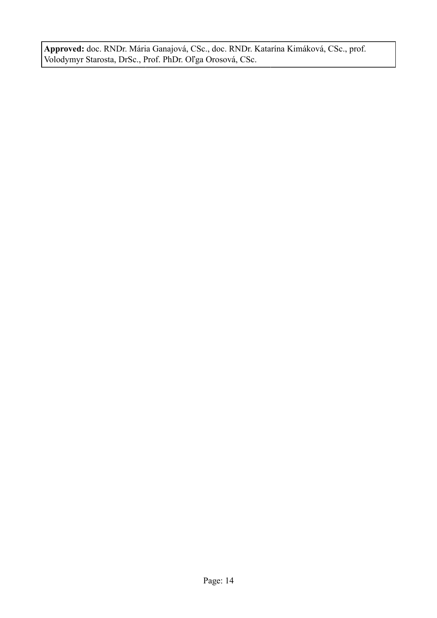**Approved:** doc. RNDr. Mária Ganajová, CSc., doc. RNDr. Katarína Kimáková, CSc., prof. Volodymyr Starosta, DrSc., Prof. PhDr. Oľga Orosová, CSc.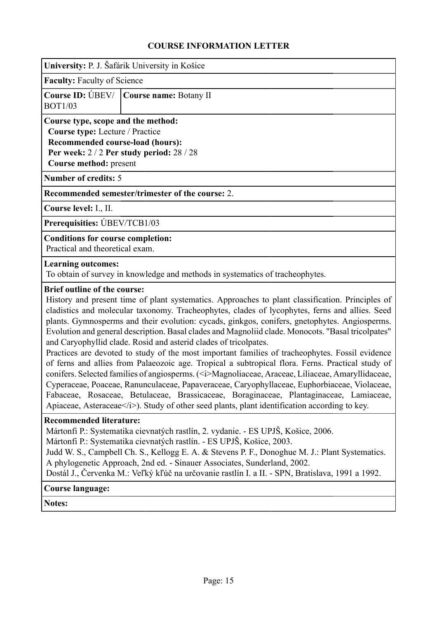<span id="page-14-0"></span>

|                                                                                                                                                                                         | University: P. J. Šafárik University in Košice |  |  |  |
|-----------------------------------------------------------------------------------------------------------------------------------------------------------------------------------------|------------------------------------------------|--|--|--|
|                                                                                                                                                                                         | <b>Faculty:</b> Faculty of Science             |  |  |  |
| Course ID: UBEV/   Course name: Botany II<br><b>BOT1/03</b>                                                                                                                             |                                                |  |  |  |
| Course type, scope and the method:<br><b>Course type:</b> Lecture / Practice<br>Recommended course-load (hours):<br>Per week: $2/2$ Per study period: $28/28$<br>Course method: present |                                                |  |  |  |
| <b>Number of credits: 5</b>                                                                                                                                                             |                                                |  |  |  |
| Recommended semester/trimester of the course: 2.                                                                                                                                        |                                                |  |  |  |

**Course level:** I., II.

**Prerequisities:** ÚBEV/TCB1/03

**Conditions for course completion:**

Practical and theoretical exam.

#### **Learning outcomes:**

To obtain of survey in knowledge and methods in systematics of tracheophytes.

#### **Brief outline of the course:**

History and present time of plant systematics. Approaches to plant classification. Principles of cladistics and molecular taxonomy. Tracheophytes, clades of lycophytes, ferns and allies. Seed plants. Gymnosperms and their evolution: cycads, ginkgos, conifers, gnetophytes. Angiosperms. Evolution and general description. Basal clades and Magnoliid clade. Monocots. "Basal tricolpates" and Caryophyllid clade. Rosid and asterid clades of tricolpates.

Practices are devoted to study of the most important families of tracheophytes. Fossil evidence of ferns and allies from Palaeozoic age. Tropical a subtropical flora. Ferns. Practical study of conifers. Selected families of angiosperms. ( $\leq i$ )Magnoliaceae, Araceae, Liliaceae, Amaryllidaceae, Cyperaceae, Poaceae, Ranunculaceae, Papaveraceae, Caryophyllaceae, Euphorbiaceae, Violaceae, Fabaceae, Rosaceae, Betulaceae, Brassicaceae, Boraginaceae, Plantaginaceae, Lamiaceae, Apiaceae, Asteraceae</i>. Study of other seed plants, plant identification according to key.

#### **Recommended literature:**

Mártonfi P.: Systematika cievnatých rastlín, 2. vydanie. - ES UPJŠ, Košice, 2006.

Mártonfi P.: Systematika cievnatých rastlín. - ES UPJŠ, Košice, 2003.

Judd W. S., Campbell Ch. S., Kellogg E. A. & Stevens P. F., Donoghue M. J.: Plant Systematics. A phylogenetic Approach, 2nd ed. - Sinauer Associates, Sunderland, 2002.

Dostál J., Červenka M.: Veľký kľúč na určovanie rastlín I. a II. - SPN, Bratislava, 1991 a 1992.

#### **Course language:**

**Notes:**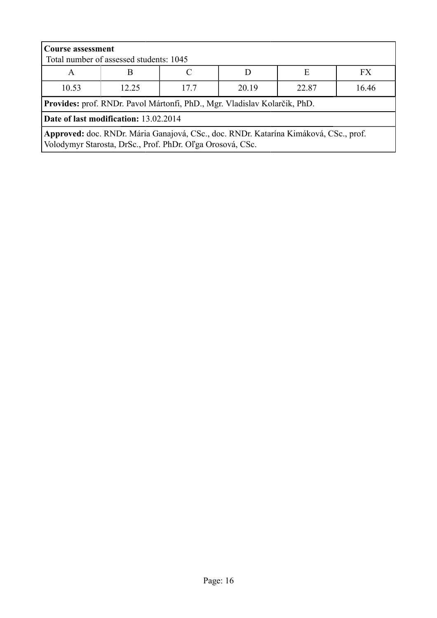| <b>Course assessment</b><br>Total number of assessed students: 1045                                                                               |       |     |       |       |       |
|---------------------------------------------------------------------------------------------------------------------------------------------------|-------|-----|-------|-------|-------|
| E<br>FX.<br>A                                                                                                                                     |       |     |       |       |       |
| 10.53                                                                                                                                             | 12.25 | 177 | 20.19 | 22.87 | 16.46 |
| Provides: prof. RNDr. Pavol Mártonfi, PhD., Mgr. Vladislav Kolarčik, PhD.                                                                         |       |     |       |       |       |
| Date of last modification: 13.02.2014                                                                                                             |       |     |       |       |       |
| Approved: doc. RNDr. Mária Ganajová, CSc., doc. RNDr. Katarína Kimáková, CSc., prof.<br>Volodymyr Starosta, DrSc., Prof. PhDr. Oľga Orosová, CSc. |       |     |       |       |       |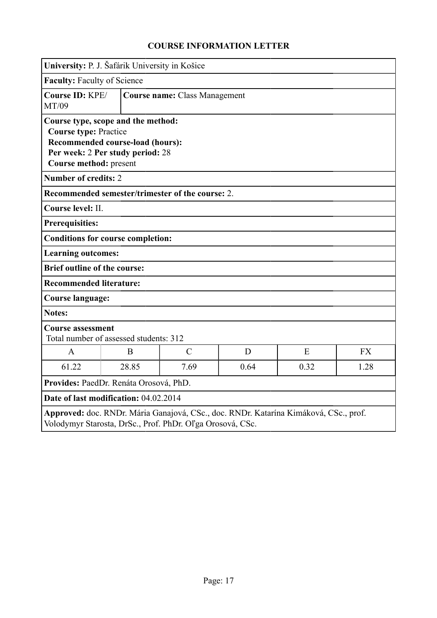<span id="page-16-0"></span>

|                                                                                                                                                                      | University: P. J. Šafárik University in Košice                     |                                                  |   |   |           |
|----------------------------------------------------------------------------------------------------------------------------------------------------------------------|--------------------------------------------------------------------|--------------------------------------------------|---|---|-----------|
|                                                                                                                                                                      | <b>Faculty: Faculty of Science</b>                                 |                                                  |   |   |           |
| Course ID: KPE/<br>MT/09                                                                                                                                             |                                                                    | <b>Course name: Class Management</b>             |   |   |           |
| Course type, scope and the method:<br><b>Course type: Practice</b><br>Recommended course-load (hours):<br>Per week: 2 Per study period: 28<br>Course method: present |                                                                    |                                                  |   |   |           |
| <b>Number of credits: 2</b>                                                                                                                                          |                                                                    |                                                  |   |   |           |
|                                                                                                                                                                      |                                                                    | Recommended semester/trimester of the course: 2. |   |   |           |
| Course level: II.                                                                                                                                                    |                                                                    |                                                  |   |   |           |
| <b>Prerequisities:</b>                                                                                                                                               |                                                                    |                                                  |   |   |           |
|                                                                                                                                                                      | <b>Conditions for course completion:</b>                           |                                                  |   |   |           |
|                                                                                                                                                                      | <b>Learning outcomes:</b>                                          |                                                  |   |   |           |
|                                                                                                                                                                      | <b>Brief outline of the course:</b>                                |                                                  |   |   |           |
| <b>Recommended literature:</b>                                                                                                                                       |                                                                    |                                                  |   |   |           |
| <b>Course language:</b>                                                                                                                                              |                                                                    |                                                  |   |   |           |
| <b>Notes:</b>                                                                                                                                                        |                                                                    |                                                  |   |   |           |
|                                                                                                                                                                      | <b>Course assessment</b><br>Total number of assessed students: 312 |                                                  |   |   |           |
| A                                                                                                                                                                    | B.                                                                 | $\mathcal{C}$                                    | D | E | <b>FX</b> |
| 61.22                                                                                                                                                                | 28.85<br>7.69<br>0.64<br>0.32<br>1.28                              |                                                  |   |   |           |
| Provides: PaedDr. Renáta Orosová, PhD.                                                                                                                               |                                                                    |                                                  |   |   |           |
| Date of last modification: 04.02.2014                                                                                                                                |                                                                    |                                                  |   |   |           |
| Approved: doc. RNDr. Mária Ganajová, CSc., doc. RNDr. Katarína Kimáková, CSc., prof.<br>Volodymyr Starosta, DrSc., Prof. PhDr. Oľga Orosová, CSc.                    |                                                                    |                                                  |   |   |           |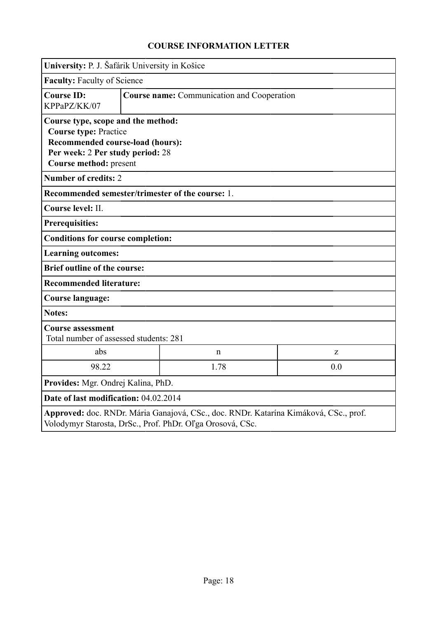<span id="page-17-0"></span>

|                                                                                                                                                   | University: P. J. Šafárik University in Košice                                                                                                                       |   |   |
|---------------------------------------------------------------------------------------------------------------------------------------------------|----------------------------------------------------------------------------------------------------------------------------------------------------------------------|---|---|
|                                                                                                                                                   | <b>Faculty: Faculty of Science</b>                                                                                                                                   |   |   |
| <b>Course ID:</b><br>KPPaPZ/KK/07                                                                                                                 | <b>Course name:</b> Communication and Cooperation                                                                                                                    |   |   |
|                                                                                                                                                   | Course type, scope and the method:<br><b>Course type: Practice</b><br>Recommended course-load (hours):<br>Per week: 2 Per study period: 28<br>Course method: present |   |   |
| <b>Number of credits: 2</b>                                                                                                                       |                                                                                                                                                                      |   |   |
| Recommended semester/trimester of the course: 1.                                                                                                  |                                                                                                                                                                      |   |   |
| Course level: II.                                                                                                                                 |                                                                                                                                                                      |   |   |
| <b>Prerequisities:</b>                                                                                                                            |                                                                                                                                                                      |   |   |
| <b>Conditions for course completion:</b>                                                                                                          |                                                                                                                                                                      |   |   |
| <b>Learning outcomes:</b>                                                                                                                         |                                                                                                                                                                      |   |   |
| <b>Brief outline of the course:</b>                                                                                                               |                                                                                                                                                                      |   |   |
| <b>Recommended literature:</b>                                                                                                                    |                                                                                                                                                                      |   |   |
| <b>Course language:</b>                                                                                                                           |                                                                                                                                                                      |   |   |
| <b>Notes:</b>                                                                                                                                     |                                                                                                                                                                      |   |   |
| <b>Course assessment</b><br>Total number of assessed students: 281                                                                                |                                                                                                                                                                      |   |   |
| abs                                                                                                                                               |                                                                                                                                                                      | n | Z |
| 98.22                                                                                                                                             | 1.78<br>0.0                                                                                                                                                          |   |   |
| Provides: Mgr. Ondrej Kalina, PhD.                                                                                                                |                                                                                                                                                                      |   |   |
| Date of last modification: 04.02.2014                                                                                                             |                                                                                                                                                                      |   |   |
| Approved: doc. RNDr. Mária Ganajová, CSc., doc. RNDr. Katarína Kimáková, CSc., prof.<br>Volodymyr Starosta, DrSc., Prof. PhDr. Oľga Orosová, CSc. |                                                                                                                                                                      |   |   |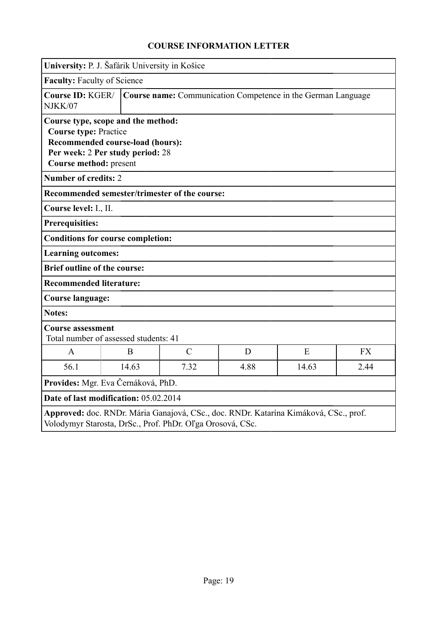<span id="page-18-0"></span>

|                                                                                                                                                                      | University: P. J. Šafárik University in Košice                    |                                                              |   |   |           |
|----------------------------------------------------------------------------------------------------------------------------------------------------------------------|-------------------------------------------------------------------|--------------------------------------------------------------|---|---|-----------|
| <b>Faculty: Faculty of Science</b>                                                                                                                                   |                                                                   |                                                              |   |   |           |
| Course ID: KGER/<br>NJKK/07                                                                                                                                          |                                                                   | Course name: Communication Competence in the German Language |   |   |           |
| Course type, scope and the method:<br><b>Course type: Practice</b><br>Recommended course-load (hours):<br>Per week: 2 Per study period: 28<br>Course method: present |                                                                   |                                                              |   |   |           |
| <b>Number of credits: 2</b>                                                                                                                                          |                                                                   |                                                              |   |   |           |
| Recommended semester/trimester of the course:                                                                                                                        |                                                                   |                                                              |   |   |           |
| Course level: I., II.                                                                                                                                                |                                                                   |                                                              |   |   |           |
| <b>Prerequisities:</b>                                                                                                                                               |                                                                   |                                                              |   |   |           |
| <b>Conditions for course completion:</b>                                                                                                                             |                                                                   |                                                              |   |   |           |
| <b>Learning outcomes:</b>                                                                                                                                            |                                                                   |                                                              |   |   |           |
| <b>Brief outline of the course:</b>                                                                                                                                  |                                                                   |                                                              |   |   |           |
| <b>Recommended literature:</b>                                                                                                                                       |                                                                   |                                                              |   |   |           |
|                                                                                                                                                                      | <b>Course language:</b>                                           |                                                              |   |   |           |
| Notes:                                                                                                                                                               |                                                                   |                                                              |   |   |           |
|                                                                                                                                                                      | <b>Course assessment</b><br>Total number of assessed students: 41 |                                                              |   |   |           |
| $\mathbf{A}$                                                                                                                                                         | B                                                                 | $\mathcal{C}$                                                | D | E | <b>FX</b> |
| 56.1                                                                                                                                                                 | 14.63<br>7.32<br>4.88<br>14.63<br>2.44                            |                                                              |   |   |           |
| Provides: Mgr. Eva Černáková, PhD.                                                                                                                                   |                                                                   |                                                              |   |   |           |
| Date of last modification: 05.02.2014                                                                                                                                |                                                                   |                                                              |   |   |           |
| Approved: doc. RNDr. Mária Ganajová, CSc., doc. RNDr. Katarína Kimáková, CSc., prof.<br>Volodymyr Starosta, DrSc., Prof. PhDr. Oľga Orosová, CSc.                    |                                                                   |                                                              |   |   |           |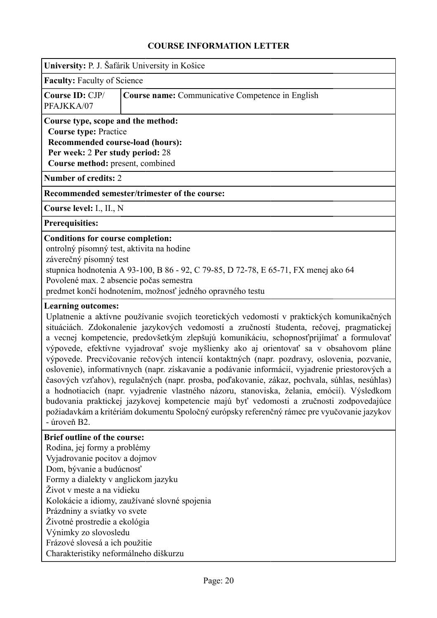<span id="page-19-0"></span>

| University: P. J. Šafárik University in Košice                                                                                                                                                                                                                                                                                                                             |                                                                                                                                                                                                                                                                                                                                                                                                                                                                                                                                                                                                                                                                                                                                                                                                                                                                                                                                                                         |  |  |  |  |
|----------------------------------------------------------------------------------------------------------------------------------------------------------------------------------------------------------------------------------------------------------------------------------------------------------------------------------------------------------------------------|-------------------------------------------------------------------------------------------------------------------------------------------------------------------------------------------------------------------------------------------------------------------------------------------------------------------------------------------------------------------------------------------------------------------------------------------------------------------------------------------------------------------------------------------------------------------------------------------------------------------------------------------------------------------------------------------------------------------------------------------------------------------------------------------------------------------------------------------------------------------------------------------------------------------------------------------------------------------------|--|--|--|--|
|                                                                                                                                                                                                                                                                                                                                                                            | <b>Faculty: Faculty of Science</b>                                                                                                                                                                                                                                                                                                                                                                                                                                                                                                                                                                                                                                                                                                                                                                                                                                                                                                                                      |  |  |  |  |
| Course ID: CJP/<br>PFAJKKA/07                                                                                                                                                                                                                                                                                                                                              | <b>Course name:</b> Communicative Competence in English                                                                                                                                                                                                                                                                                                                                                                                                                                                                                                                                                                                                                                                                                                                                                                                                                                                                                                                 |  |  |  |  |
| Course type, scope and the method:<br><b>Course type: Practice</b><br>Recommended course-load (hours):<br>Per week: 2 Per study period: 28<br>Course method: present, combined                                                                                                                                                                                             |                                                                                                                                                                                                                                                                                                                                                                                                                                                                                                                                                                                                                                                                                                                                                                                                                                                                                                                                                                         |  |  |  |  |
| <b>Number of credits: 2</b>                                                                                                                                                                                                                                                                                                                                                |                                                                                                                                                                                                                                                                                                                                                                                                                                                                                                                                                                                                                                                                                                                                                                                                                                                                                                                                                                         |  |  |  |  |
|                                                                                                                                                                                                                                                                                                                                                                            | Recommended semester/trimester of the course:                                                                                                                                                                                                                                                                                                                                                                                                                                                                                                                                                                                                                                                                                                                                                                                                                                                                                                                           |  |  |  |  |
| Course level: I., II., N                                                                                                                                                                                                                                                                                                                                                   |                                                                                                                                                                                                                                                                                                                                                                                                                                                                                                                                                                                                                                                                                                                                                                                                                                                                                                                                                                         |  |  |  |  |
| <b>Prerequisities:</b>                                                                                                                                                                                                                                                                                                                                                     |                                                                                                                                                                                                                                                                                                                                                                                                                                                                                                                                                                                                                                                                                                                                                                                                                                                                                                                                                                         |  |  |  |  |
|                                                                                                                                                                                                                                                                                                                                                                            | <b>Conditions for course completion:</b><br>ontrolný písomný test, aktivita na hodine<br>záverečný písomný test<br>stupnica hodnotenia A 93-100, B 86 - 92, C 79-85, D 72-78, E 65-71, FX menej ako 64<br>Povolené max. 2 absencie počas semestra<br>predmet končí hodnotením, možnosť jedného opravného testu                                                                                                                                                                                                                                                                                                                                                                                                                                                                                                                                                                                                                                                          |  |  |  |  |
| <b>Learning outcomes:</b><br>- úroveň B2.                                                                                                                                                                                                                                                                                                                                  | Uplatnenie a aktívne používanie svojich teoretických vedomostí v praktických komunikačných<br>situáciách. Zdokonalenie jazykových vedomostí a zručností študenta, rečovej, pragmatickej<br>a vecnej kompetencie, predovšetkým zlepšujú komunikáciu, schopnosť prijímať a formulovať<br>výpovede, efektívne vyjadrovať svoje myšlienky ako aj orientovať sa v obsahovom pláne<br>výpovede. Precvičovanie rečových intencií kontaktných (napr. pozdravy, oslovenia, pozvanie,<br>oslovenie), informatívnych (napr. získavanie a podávanie informácií, vyjadrenie priestorových a<br>časových vzťahov), regulačných (napr. prosba, poďakovanie, zákaz, pochvala, súhlas, nesúhlas)<br>a hodnotiacich (napr. vyjadrenie vlastného názoru, stanoviska, želania, emócií). Výsledkom<br>budovania praktickej jazykovej kompetencie majú byť vedomosti a zručnosti zodpovedajúce<br>požiadavkám a kritériám dokumentu Spoločný európsky referenčný rámec pre vyučovanie jazykov |  |  |  |  |
| <b>Brief outline of the course:</b><br>Rodina, jej formy a problémy<br>Vyjadrovanie pocitov a dojmov<br>Dom, bývanie a budúcnosť<br>Formy a dialekty v anglickom jazyku<br>Život v meste a na vidieku<br>Prázdniny a sviatky vo svete<br>Životné prostredie a ekológia<br>Výnimky zo slovosledu<br>Frázové slovesá a ich použitie<br>Charakteristiky neformálneho diškurzu | Kolokácie a idiomy, zaužívané slovné spojenia                                                                                                                                                                                                                                                                                                                                                                                                                                                                                                                                                                                                                                                                                                                                                                                                                                                                                                                           |  |  |  |  |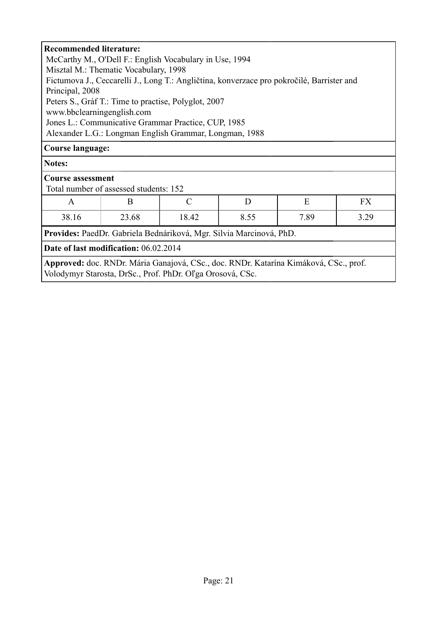| <b>Recommended literature:</b>                                                                                                                           |  |  |  |  |  |
|----------------------------------------------------------------------------------------------------------------------------------------------------------|--|--|--|--|--|
| McCarthy M., O'Dell F.: English Vocabulary in Use, 1994                                                                                                  |  |  |  |  |  |
| Misztal M.: Thematic Vocabulary, 1998                                                                                                                    |  |  |  |  |  |
|                                                                                                                                                          |  |  |  |  |  |
| Fictumova J., Ceccarelli J., Long T.: Angličtina, konverzace pro pokročilé, Barrister and                                                                |  |  |  |  |  |
| Principal, 2008                                                                                                                                          |  |  |  |  |  |
| Peters S., Gráf T.: Time to practise, Polyglot, 2007                                                                                                     |  |  |  |  |  |
| www.bbclearningenglish.com                                                                                                                               |  |  |  |  |  |
| Jones L.: Communicative Grammar Practice, CUP, 1985                                                                                                      |  |  |  |  |  |
| Alexander L.G.: Longman English Grammar, Longman, 1988                                                                                                   |  |  |  |  |  |
| <b>Course language:</b>                                                                                                                                  |  |  |  |  |  |
| Notes:                                                                                                                                                   |  |  |  |  |  |
| <b>Course assessment</b>                                                                                                                                 |  |  |  |  |  |
| Total number of assessed students: 152                                                                                                                   |  |  |  |  |  |
| $\mathcal{C}$<br>E<br><b>FX</b><br>$\mathbf{A}$<br>B<br>D                                                                                                |  |  |  |  |  |
| 7.89<br>3.29<br>38.16<br>23.68<br>18.42<br>8.55                                                                                                          |  |  |  |  |  |
| Provides: PaedDr. Gabriela Bednáriková, Mgr. Silvia Marcinová, PhD.                                                                                      |  |  |  |  |  |
| Date of last modification: 06.02.2014                                                                                                                    |  |  |  |  |  |
| <b>Approved:</b> doc. RNDr. Mária Ganajová, CSc., doc. RNDr. Katarína Kimáková, CSc., prof.<br>Volodymyr Starosta, DrSc., Prof. PhDr. Oľga Orosová, CSc. |  |  |  |  |  |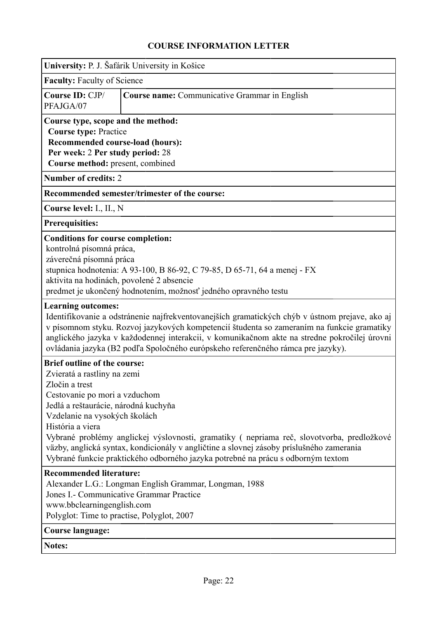<span id="page-21-0"></span>

| University: P. J. Šafárik University in Košice                                                                                                                                                                                                                                                                                                                                                                                                                                                  |                                                                                                                                                                                                                                                                                              |  |  |  |  |
|-------------------------------------------------------------------------------------------------------------------------------------------------------------------------------------------------------------------------------------------------------------------------------------------------------------------------------------------------------------------------------------------------------------------------------------------------------------------------------------------------|----------------------------------------------------------------------------------------------------------------------------------------------------------------------------------------------------------------------------------------------------------------------------------------------|--|--|--|--|
| <b>Faculty: Faculty of Science</b>                                                                                                                                                                                                                                                                                                                                                                                                                                                              |                                                                                                                                                                                                                                                                                              |  |  |  |  |
| Course ID: CJP/<br>PFAJGA/07                                                                                                                                                                                                                                                                                                                                                                                                                                                                    | Course name: Communicative Grammar in English                                                                                                                                                                                                                                                |  |  |  |  |
| Course type, scope and the method:<br><b>Course type: Practice</b><br>Recommended course-load (hours):<br>Per week: 2 Per study period: 28<br>Course method: present, combined                                                                                                                                                                                                                                                                                                                  |                                                                                                                                                                                                                                                                                              |  |  |  |  |
| <b>Number of credits: 2</b>                                                                                                                                                                                                                                                                                                                                                                                                                                                                     |                                                                                                                                                                                                                                                                                              |  |  |  |  |
|                                                                                                                                                                                                                                                                                                                                                                                                                                                                                                 | Recommended semester/trimester of the course:                                                                                                                                                                                                                                                |  |  |  |  |
| Course level: I., II., N                                                                                                                                                                                                                                                                                                                                                                                                                                                                        |                                                                                                                                                                                                                                                                                              |  |  |  |  |
| <b>Prerequisities:</b>                                                                                                                                                                                                                                                                                                                                                                                                                                                                          |                                                                                                                                                                                                                                                                                              |  |  |  |  |
|                                                                                                                                                                                                                                                                                                                                                                                                                                                                                                 | <b>Conditions for course completion:</b><br>kontrolná písomná práca,<br>záverečná písomná práca<br>stupnica hodnotenia: A 93-100, B 86-92, C 79-85, D 65-71, 64 a menej - FX<br>aktivita na hodinách, povolené 2 absencie<br>predmet je ukončený hodnotením, možnosť jedného opravného testu |  |  |  |  |
| <b>Learning outcomes:</b><br>Identifikovanie a odstránenie najfrekventovanejších gramatických chýb v ústnom prejave, ako aj<br>v písomnom styku. Rozvoj jazykových kompetencií študenta so zameraním na funkcie gramatiky<br>anglického jazyka v každodennej interakcii, v komunikačnom akte na stredne pokročilej úrovni<br>ovládania jazyka (B2 podľa Spoločného európskeho referenčného rámca pre jazyky).                                                                                   |                                                                                                                                                                                                                                                                                              |  |  |  |  |
| <b>Brief outline of the course:</b><br>Zvieratá a rastliny na zemi<br>Zločin a trest<br>Cestovanie po mori a vzduchom<br>Jedlá a reštaurácie, národná kuchyňa<br>Vzdelanie na vysokých školách<br>História a viera<br>Vybrané problémy anglickej výslovnosti, gramatiky (nepriama reč, slovotvorba, predložkové<br>väzby, anglická syntax, kondicionály v angličtine a slovnej zásoby príslušného zamerania<br>Vybrané funkcie praktického odborného jazyka potrebné na prácu s odborným textom |                                                                                                                                                                                                                                                                                              |  |  |  |  |
| <b>Recommended literature:</b><br>Alexander L.G.: Longman English Grammar, Longman, 1988<br>Jones I. - Communicative Grammar Practice<br>www.bbclearningenglish.com<br>Polyglot: Time to practise, Polyglot, 2007                                                                                                                                                                                                                                                                               |                                                                                                                                                                                                                                                                                              |  |  |  |  |
| <b>Course language:</b>                                                                                                                                                                                                                                                                                                                                                                                                                                                                         |                                                                                                                                                                                                                                                                                              |  |  |  |  |
| <b>Notes:</b>                                                                                                                                                                                                                                                                                                                                                                                                                                                                                   |                                                                                                                                                                                                                                                                                              |  |  |  |  |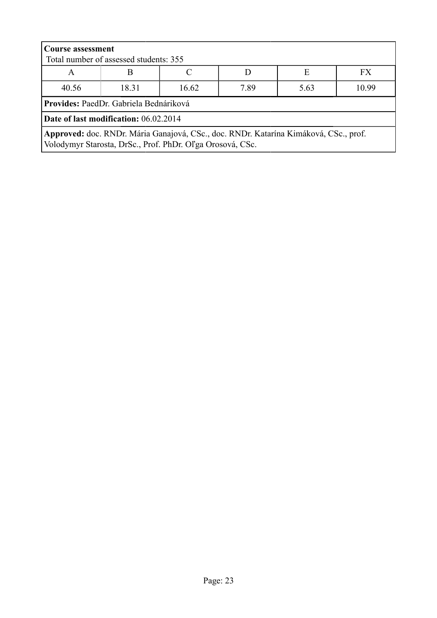| <b>Course assessment</b><br>Total number of assessed students: 355                                                                                |                                         |  |  |  |  |  |
|---------------------------------------------------------------------------------------------------------------------------------------------------|-----------------------------------------|--|--|--|--|--|
| A                                                                                                                                                 | Е<br>FX<br>B                            |  |  |  |  |  |
| 40.56                                                                                                                                             | 7.89<br>10.99<br>18 31<br>16.62<br>5.63 |  |  |  |  |  |
| Provides: PaedDr. Gabriela Bednáriková                                                                                                            |                                         |  |  |  |  |  |
| Date of last modification: 06.02.2014                                                                                                             |                                         |  |  |  |  |  |
| Approved: doc. RNDr. Mária Ganajová, CSc., doc. RNDr. Katarína Kimáková, CSc., prof.<br>Volodymyr Starosta, DrSc., Prof. PhDr. Oľga Orosová, CSc. |                                         |  |  |  |  |  |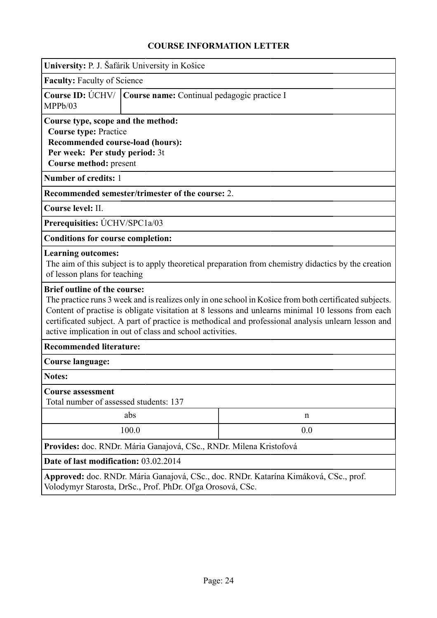<span id="page-23-0"></span>

|                                                                                                                                                                                                                                                                                                                                                                                                                        | University: P. J. Šafárik University in Košice                                                                                                                     |  |  |  |  |
|------------------------------------------------------------------------------------------------------------------------------------------------------------------------------------------------------------------------------------------------------------------------------------------------------------------------------------------------------------------------------------------------------------------------|--------------------------------------------------------------------------------------------------------------------------------------------------------------------|--|--|--|--|
|                                                                                                                                                                                                                                                                                                                                                                                                                        | <b>Faculty: Faculty of Science</b>                                                                                                                                 |  |  |  |  |
| Course ID: UCHV/<br>MPPb/03                                                                                                                                                                                                                                                                                                                                                                                            | Course name: Continual pedagogic practice I                                                                                                                        |  |  |  |  |
|                                                                                                                                                                                                                                                                                                                                                                                                                        | Course type, scope and the method:<br><b>Course type: Practice</b><br>Recommended course-load (hours):<br>Per week: Per study period: 3t<br>Course method: present |  |  |  |  |
| Number of credits: 1                                                                                                                                                                                                                                                                                                                                                                                                   |                                                                                                                                                                    |  |  |  |  |
|                                                                                                                                                                                                                                                                                                                                                                                                                        | Recommended semester/trimester of the course: 2.                                                                                                                   |  |  |  |  |
| Course level: II.                                                                                                                                                                                                                                                                                                                                                                                                      |                                                                                                                                                                    |  |  |  |  |
| Prerequisities: UCHV/SPC1a/03                                                                                                                                                                                                                                                                                                                                                                                          |                                                                                                                                                                    |  |  |  |  |
| <b>Conditions for course completion:</b>                                                                                                                                                                                                                                                                                                                                                                               |                                                                                                                                                                    |  |  |  |  |
| <b>Learning outcomes:</b>                                                                                                                                                                                                                                                                                                                                                                                              | The aim of this subject is to apply theoretical preparation from chemistry didactics by the creation<br>of lesson plans for teaching                               |  |  |  |  |
| <b>Brief outline of the course:</b><br>The practice runs 3 week and is realizes only in one school in Košice from both certificated subjects.<br>Content of practise is obligate visitation at 8 lessons and unlearns minimal 10 lessons from each<br>certificated subject. A part of practice is methodical and professional analysis unlearn lesson and<br>active implication in out of class and school activities. |                                                                                                                                                                    |  |  |  |  |
| <b>Recommended literature:</b>                                                                                                                                                                                                                                                                                                                                                                                         |                                                                                                                                                                    |  |  |  |  |
| <b>Course language:</b>                                                                                                                                                                                                                                                                                                                                                                                                |                                                                                                                                                                    |  |  |  |  |
| <b>Notes:</b>                                                                                                                                                                                                                                                                                                                                                                                                          |                                                                                                                                                                    |  |  |  |  |
| <b>Course assessment</b><br>Total number of assessed students: 137                                                                                                                                                                                                                                                                                                                                                     |                                                                                                                                                                    |  |  |  |  |
|                                                                                                                                                                                                                                                                                                                                                                                                                        | abs<br>n                                                                                                                                                           |  |  |  |  |
| 100.0<br>0.0                                                                                                                                                                                                                                                                                                                                                                                                           |                                                                                                                                                                    |  |  |  |  |
| Provides: doc. RNDr. Mária Ganajová, CSc., RNDr. Milena Kristofová                                                                                                                                                                                                                                                                                                                                                     |                                                                                                                                                                    |  |  |  |  |
| Date of last modification: 03.02.2014                                                                                                                                                                                                                                                                                                                                                                                  |                                                                                                                                                                    |  |  |  |  |
| Approved: doc. RNDr. Mária Ganajová, CSc., doc. RNDr. Katarína Kimáková, CSc., prof.<br>Volodymyr Starosta, DrSc., Prof. PhDr. Oľga Orosová, CSc.                                                                                                                                                                                                                                                                      |                                                                                                                                                                    |  |  |  |  |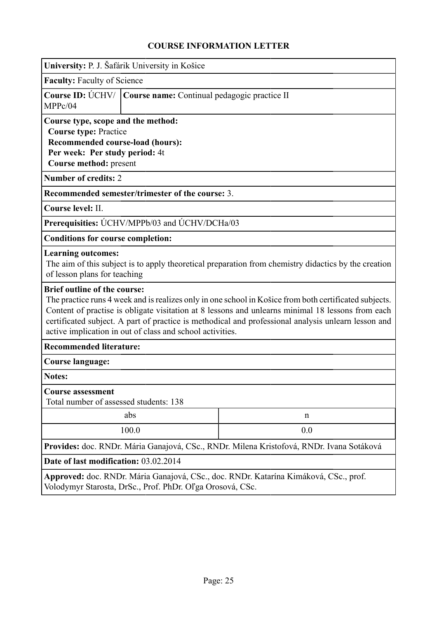<span id="page-24-0"></span>

|                                                                                                                                                                                                                                                                                                                                                                                                                        | University: P. J. Šafárik University in Košice                                                                                                                    |  |  |  |  |
|------------------------------------------------------------------------------------------------------------------------------------------------------------------------------------------------------------------------------------------------------------------------------------------------------------------------------------------------------------------------------------------------------------------------|-------------------------------------------------------------------------------------------------------------------------------------------------------------------|--|--|--|--|
| <b>Faculty: Faculty of Science</b>                                                                                                                                                                                                                                                                                                                                                                                     |                                                                                                                                                                   |  |  |  |  |
| MPPc/04                                                                                                                                                                                                                                                                                                                                                                                                                | Course ID: ÚCHV/   Course name: Continual pedagogic practice II                                                                                                   |  |  |  |  |
| Course type, scope and the method:<br><b>Course type: Practice</b><br>Recommended course-load (hours):<br>Per week: Per study period: 4t<br>Course method: present                                                                                                                                                                                                                                                     |                                                                                                                                                                   |  |  |  |  |
| <b>Number of credits: 2</b>                                                                                                                                                                                                                                                                                                                                                                                            |                                                                                                                                                                   |  |  |  |  |
|                                                                                                                                                                                                                                                                                                                                                                                                                        | Recommended semester/trimester of the course: 3.                                                                                                                  |  |  |  |  |
| Course level: II.                                                                                                                                                                                                                                                                                                                                                                                                      |                                                                                                                                                                   |  |  |  |  |
|                                                                                                                                                                                                                                                                                                                                                                                                                        | Prerequisities: UCHV/MPPb/03 and UCHV/DCHa/03                                                                                                                     |  |  |  |  |
| <b>Conditions for course completion:</b>                                                                                                                                                                                                                                                                                                                                                                               |                                                                                                                                                                   |  |  |  |  |
|                                                                                                                                                                                                                                                                                                                                                                                                                        | <b>Learning outcomes:</b><br>The aim of this subject is to apply theoretical preparation from chemistry didactics by the creation<br>of lesson plans for teaching |  |  |  |  |
| <b>Brief outline of the course:</b><br>The practice runs 4 week and is realizes only in one school in Košice from both certificated subjects.<br>Content of practise is obligate visitation at 8 lessons and unlearns minimal 18 lessons from each<br>certificated subject. A part of practice is methodical and professional analysis unlearn lesson and<br>active implication in out of class and school activities. |                                                                                                                                                                   |  |  |  |  |
| <b>Recommended literature:</b>                                                                                                                                                                                                                                                                                                                                                                                         |                                                                                                                                                                   |  |  |  |  |
| <b>Course language:</b>                                                                                                                                                                                                                                                                                                                                                                                                |                                                                                                                                                                   |  |  |  |  |
| Notes:                                                                                                                                                                                                                                                                                                                                                                                                                 |                                                                                                                                                                   |  |  |  |  |
| <b>Course assessment</b><br>Total number of assessed students: 138                                                                                                                                                                                                                                                                                                                                                     |                                                                                                                                                                   |  |  |  |  |
|                                                                                                                                                                                                                                                                                                                                                                                                                        | abs<br>n                                                                                                                                                          |  |  |  |  |
| 0.0<br>100.0                                                                                                                                                                                                                                                                                                                                                                                                           |                                                                                                                                                                   |  |  |  |  |
| Provides: doc. RNDr. Mária Ganajová, CSc., RNDr. Milena Kristofová, RNDr. Ivana Sotáková                                                                                                                                                                                                                                                                                                                               |                                                                                                                                                                   |  |  |  |  |
| Date of last modification: 03.02.2014                                                                                                                                                                                                                                                                                                                                                                                  |                                                                                                                                                                   |  |  |  |  |
| Approved: doc. RNDr. Mária Ganajová, CSc., doc. RNDr. Katarína Kimáková, CSc., prof.<br>Volodymyr Starosta, DrSc., Prof. PhDr. Oľga Orosová, CSc.                                                                                                                                                                                                                                                                      |                                                                                                                                                                   |  |  |  |  |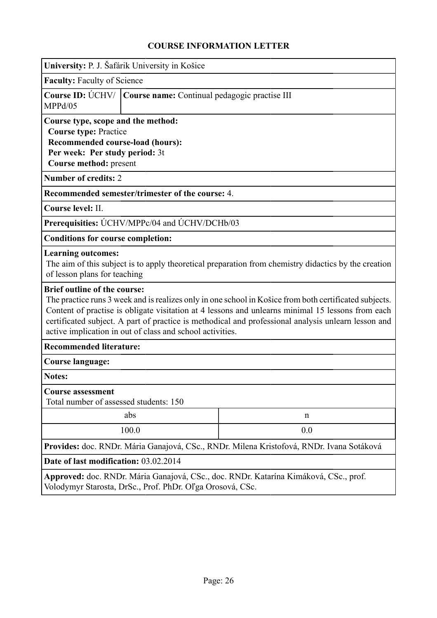<span id="page-25-0"></span>

| University: P. J. Šafárik University in Košice                                                                                                                                                                                                                                                                                                                                                                         |                                                                                                                                                                    |  |  |  |  |
|------------------------------------------------------------------------------------------------------------------------------------------------------------------------------------------------------------------------------------------------------------------------------------------------------------------------------------------------------------------------------------------------------------------------|--------------------------------------------------------------------------------------------------------------------------------------------------------------------|--|--|--|--|
|                                                                                                                                                                                                                                                                                                                                                                                                                        | <b>Faculty: Faculty of Science</b>                                                                                                                                 |  |  |  |  |
| MPPd/05                                                                                                                                                                                                                                                                                                                                                                                                                | Course ID: ÚCHV/   Course name: Continual pedagogic practise III                                                                                                   |  |  |  |  |
|                                                                                                                                                                                                                                                                                                                                                                                                                        | Course type, scope and the method:<br><b>Course type: Practice</b><br>Recommended course-load (hours):<br>Per week: Per study period: 3t<br>Course method: present |  |  |  |  |
| <b>Number of credits: 2</b>                                                                                                                                                                                                                                                                                                                                                                                            |                                                                                                                                                                    |  |  |  |  |
|                                                                                                                                                                                                                                                                                                                                                                                                                        | Recommended semester/trimester of the course: 4.                                                                                                                   |  |  |  |  |
| Course level: II.                                                                                                                                                                                                                                                                                                                                                                                                      |                                                                                                                                                                    |  |  |  |  |
|                                                                                                                                                                                                                                                                                                                                                                                                                        | Prerequisities: UCHV/MPPc/04 and UCHV/DCHb/03                                                                                                                      |  |  |  |  |
| <b>Conditions for course completion:</b>                                                                                                                                                                                                                                                                                                                                                                               |                                                                                                                                                                    |  |  |  |  |
|                                                                                                                                                                                                                                                                                                                                                                                                                        | <b>Learning outcomes:</b><br>The aim of this subject is to apply theoretical preparation from chemistry didactics by the creation<br>of lesson plans for teaching  |  |  |  |  |
| <b>Brief outline of the course:</b><br>The practice runs 3 week and is realizes only in one school in Košice from both certificated subjects.<br>Content of practise is obligate visitation at 4 lessons and unlearns minimal 15 lessons from each<br>certificated subject. A part of practice is methodical and professional analysis unlearn lesson and<br>active implication in out of class and school activities. |                                                                                                                                                                    |  |  |  |  |
| <b>Recommended literature:</b>                                                                                                                                                                                                                                                                                                                                                                                         |                                                                                                                                                                    |  |  |  |  |
| Course language:                                                                                                                                                                                                                                                                                                                                                                                                       |                                                                                                                                                                    |  |  |  |  |
| Notes:                                                                                                                                                                                                                                                                                                                                                                                                                 |                                                                                                                                                                    |  |  |  |  |
| <b>Course assessment</b><br>Total number of assessed students: 150                                                                                                                                                                                                                                                                                                                                                     |                                                                                                                                                                    |  |  |  |  |
|                                                                                                                                                                                                                                                                                                                                                                                                                        | abs<br>n                                                                                                                                                           |  |  |  |  |
| 100.0<br>0.0                                                                                                                                                                                                                                                                                                                                                                                                           |                                                                                                                                                                    |  |  |  |  |
| Provides: doc. RNDr. Mária Ganajová, CSc., RNDr. Milena Kristofová, RNDr. Ivana Sotáková                                                                                                                                                                                                                                                                                                                               |                                                                                                                                                                    |  |  |  |  |
| Date of last modification: 03.02.2014                                                                                                                                                                                                                                                                                                                                                                                  |                                                                                                                                                                    |  |  |  |  |
| Approved: doc. RNDr. Mária Ganajová, CSc., doc. RNDr. Katarína Kimáková, CSc., prof.<br>Volodymyr Starosta, DrSc., Prof. PhDr. Oľga Orosová, CSc.                                                                                                                                                                                                                                                                      |                                                                                                                                                                    |  |  |  |  |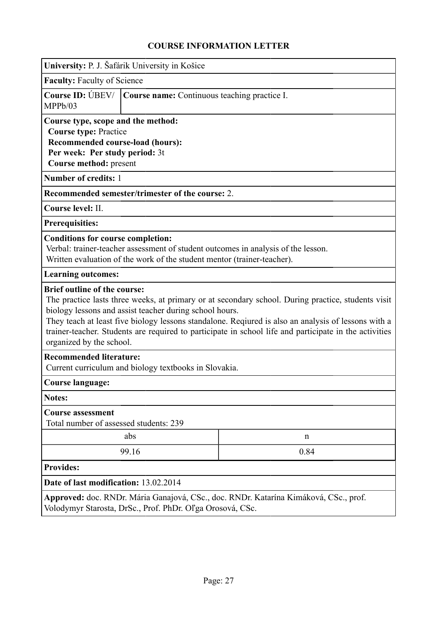<span id="page-26-0"></span>

|                                                                                                                                                                                                                                                                                                                                                                                                                                                   | University: P. J. Šafárik University in Košice                                                                                                                                                           |  |  |  |
|---------------------------------------------------------------------------------------------------------------------------------------------------------------------------------------------------------------------------------------------------------------------------------------------------------------------------------------------------------------------------------------------------------------------------------------------------|----------------------------------------------------------------------------------------------------------------------------------------------------------------------------------------------------------|--|--|--|
| <b>Faculty: Faculty of Science</b>                                                                                                                                                                                                                                                                                                                                                                                                                |                                                                                                                                                                                                          |  |  |  |
| <b>Course ID: UBEV/</b><br>MPPb/03                                                                                                                                                                                                                                                                                                                                                                                                                | Course name: Continuous teaching practice I.                                                                                                                                                             |  |  |  |
| Course type, scope and the method:<br><b>Course type: Practice</b><br>Recommended course-load (hours):<br>Per week: Per study period: 3t<br>Course method: present                                                                                                                                                                                                                                                                                |                                                                                                                                                                                                          |  |  |  |
| Number of credits: 1                                                                                                                                                                                                                                                                                                                                                                                                                              |                                                                                                                                                                                                          |  |  |  |
|                                                                                                                                                                                                                                                                                                                                                                                                                                                   | Recommended semester/trimester of the course: 2.                                                                                                                                                         |  |  |  |
| Course level: II.                                                                                                                                                                                                                                                                                                                                                                                                                                 |                                                                                                                                                                                                          |  |  |  |
| <b>Prerequisities:</b>                                                                                                                                                                                                                                                                                                                                                                                                                            |                                                                                                                                                                                                          |  |  |  |
|                                                                                                                                                                                                                                                                                                                                                                                                                                                   | <b>Conditions for course completion:</b><br>Verbal: trainer-teacher assessment of student outcomes in analysis of the lesson.<br>Written evaluation of the work of the student mentor (trainer-teacher). |  |  |  |
| <b>Learning outcomes:</b>                                                                                                                                                                                                                                                                                                                                                                                                                         |                                                                                                                                                                                                          |  |  |  |
| <b>Brief outline of the course:</b><br>The practice lasts three weeks, at primary or at secondary school. During practice, students visit<br>biology lessons and assist teacher during school hours.<br>They teach at least five biology lessons standalone. Reqiured is also an analysis of lessons with a<br>trainer-teacher. Students are required to participate in school life and participate in the activities<br>organized by the school. |                                                                                                                                                                                                          |  |  |  |
| <b>Recommended literature:</b><br>Current curriculum and biology textbooks in Slovakia.                                                                                                                                                                                                                                                                                                                                                           |                                                                                                                                                                                                          |  |  |  |
| <b>Course language:</b>                                                                                                                                                                                                                                                                                                                                                                                                                           |                                                                                                                                                                                                          |  |  |  |
| <b>Notes:</b>                                                                                                                                                                                                                                                                                                                                                                                                                                     |                                                                                                                                                                                                          |  |  |  |
| <b>Course assessment</b><br>Total number of assessed students: 239                                                                                                                                                                                                                                                                                                                                                                                |                                                                                                                                                                                                          |  |  |  |
| abs<br>n                                                                                                                                                                                                                                                                                                                                                                                                                                          |                                                                                                                                                                                                          |  |  |  |
| 99.16<br>0.84                                                                                                                                                                                                                                                                                                                                                                                                                                     |                                                                                                                                                                                                          |  |  |  |
| <b>Provides:</b>                                                                                                                                                                                                                                                                                                                                                                                                                                  |                                                                                                                                                                                                          |  |  |  |
| Date of last modification: 13.02.2014                                                                                                                                                                                                                                                                                                                                                                                                             |                                                                                                                                                                                                          |  |  |  |
| Approved: doc. RNDr. Mária Ganajová, CSc., doc. RNDr. Katarína Kimáková, CSc., prof.<br>Volodymyr Starosta, DrSc., Prof. PhDr. Oľga Orosová, CSc.                                                                                                                                                                                                                                                                                                 |                                                                                                                                                                                                          |  |  |  |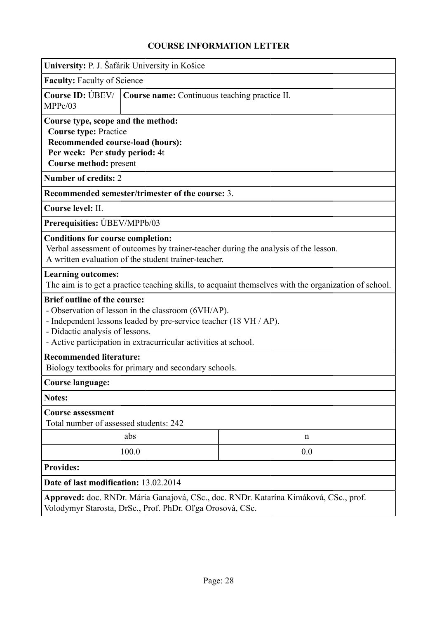<span id="page-27-0"></span>

| University: P. J. Šafárik University in Košice                                                                                                                                                                                                                       |                                                                                                                                                                    |                                                                                                       |  |  |
|----------------------------------------------------------------------------------------------------------------------------------------------------------------------------------------------------------------------------------------------------------------------|--------------------------------------------------------------------------------------------------------------------------------------------------------------------|-------------------------------------------------------------------------------------------------------|--|--|
| <b>Faculty: Faculty of Science</b>                                                                                                                                                                                                                                   |                                                                                                                                                                    |                                                                                                       |  |  |
| <b>Course ID: UBEV/</b><br>MPPc/03                                                                                                                                                                                                                                   | Course name: Continuous teaching practice II.                                                                                                                      |                                                                                                       |  |  |
|                                                                                                                                                                                                                                                                      | Course type, scope and the method:<br><b>Course type: Practice</b><br>Recommended course-load (hours):<br>Per week: Per study period: 4t<br>Course method: present |                                                                                                       |  |  |
| <b>Number of credits: 2</b>                                                                                                                                                                                                                                          |                                                                                                                                                                    |                                                                                                       |  |  |
|                                                                                                                                                                                                                                                                      | Recommended semester/trimester of the course: 3.                                                                                                                   |                                                                                                       |  |  |
| Course level: II.                                                                                                                                                                                                                                                    |                                                                                                                                                                    |                                                                                                       |  |  |
| Prerequisities: UBEV/MPPb/03                                                                                                                                                                                                                                         |                                                                                                                                                                    |                                                                                                       |  |  |
| <b>Conditions for course completion:</b>                                                                                                                                                                                                                             | A written evaluation of the student trainer-teacher.                                                                                                               | Verbal assessment of outcomes by trainer-teacher during the analysis of the lesson.                   |  |  |
| <b>Learning outcomes:</b>                                                                                                                                                                                                                                            |                                                                                                                                                                    | The aim is to get a practice teaching skills, to acquaint themselves with the organization of school. |  |  |
| <b>Brief outline of the course:</b><br>- Observation of lesson in the classroom (6VH/AP).<br>- Independent lessons leaded by pre-service teacher (18 VH / AP).<br>- Didactic analysis of lessons.<br>- Active participation in extracurricular activities at school. |                                                                                                                                                                    |                                                                                                       |  |  |
| <b>Recommended literature:</b><br>Biology textbooks for primary and secondary schools.                                                                                                                                                                               |                                                                                                                                                                    |                                                                                                       |  |  |
| <b>Course language:</b>                                                                                                                                                                                                                                              |                                                                                                                                                                    |                                                                                                       |  |  |
| <b>Notes:</b>                                                                                                                                                                                                                                                        |                                                                                                                                                                    |                                                                                                       |  |  |
| <b>Course assessment</b><br>Total number of assessed students: 242                                                                                                                                                                                                   |                                                                                                                                                                    |                                                                                                       |  |  |
|                                                                                                                                                                                                                                                                      | abs                                                                                                                                                                | n                                                                                                     |  |  |
| 100.0<br>0.0                                                                                                                                                                                                                                                         |                                                                                                                                                                    |                                                                                                       |  |  |
| <b>Provides:</b>                                                                                                                                                                                                                                                     |                                                                                                                                                                    |                                                                                                       |  |  |
| Date of last modification: 13.02.2014                                                                                                                                                                                                                                |                                                                                                                                                                    |                                                                                                       |  |  |
| Approved: doc. RNDr. Mária Ganajová, CSc., doc. RNDr. Katarína Kimáková, CSc., prof.<br>Volodymyr Starosta, DrSc., Prof. PhDr. Oľga Orosová, CSc.                                                                                                                    |                                                                                                                                                                    |                                                                                                       |  |  |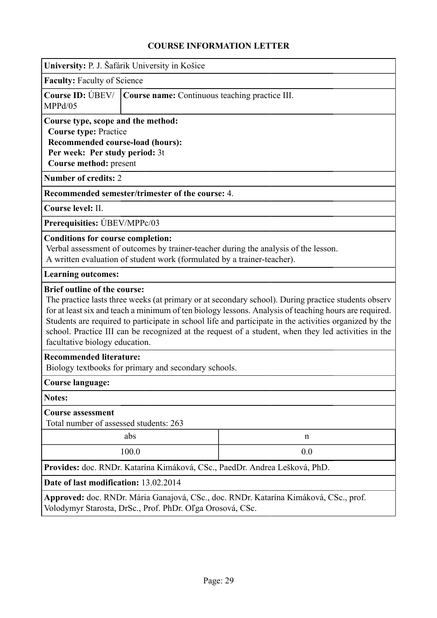<span id="page-28-0"></span>

| University: P. J. Šafárik University in Košice                                                                                                                                                                                                                                                                                                                                                                                                                                                         |                                                                                                                                                                                                            |  |  |  |
|--------------------------------------------------------------------------------------------------------------------------------------------------------------------------------------------------------------------------------------------------------------------------------------------------------------------------------------------------------------------------------------------------------------------------------------------------------------------------------------------------------|------------------------------------------------------------------------------------------------------------------------------------------------------------------------------------------------------------|--|--|--|
| <b>Faculty: Faculty of Science</b>                                                                                                                                                                                                                                                                                                                                                                                                                                                                     |                                                                                                                                                                                                            |  |  |  |
| <b>Course ID: UBEV/</b><br>MPPd/05                                                                                                                                                                                                                                                                                                                                                                                                                                                                     | Course name: Continuous teaching practice III.                                                                                                                                                             |  |  |  |
| Course type, scope and the method:<br><b>Course type: Practice</b><br>Recommended course-load (hours):<br>Per week: Per study period: 3t<br>Course method: present                                                                                                                                                                                                                                                                                                                                     |                                                                                                                                                                                                            |  |  |  |
| <b>Number of credits: 2</b>                                                                                                                                                                                                                                                                                                                                                                                                                                                                            |                                                                                                                                                                                                            |  |  |  |
|                                                                                                                                                                                                                                                                                                                                                                                                                                                                                                        | Recommended semester/trimester of the course: 4.                                                                                                                                                           |  |  |  |
| Course level: II.                                                                                                                                                                                                                                                                                                                                                                                                                                                                                      |                                                                                                                                                                                                            |  |  |  |
| Prerequisities: UBEV/MPPc/03                                                                                                                                                                                                                                                                                                                                                                                                                                                                           |                                                                                                                                                                                                            |  |  |  |
|                                                                                                                                                                                                                                                                                                                                                                                                                                                                                                        | <b>Conditions for course completion:</b><br>Verbal assessment of outcomes by trainer-teacher during the analysis of the lesson.<br>A written evaluation of student work (formulated by a trainer-teacher). |  |  |  |
| <b>Learning outcomes:</b>                                                                                                                                                                                                                                                                                                                                                                                                                                                                              |                                                                                                                                                                                                            |  |  |  |
| <b>Brief outline of the course:</b><br>The practice lasts three weeks (at primary or at secondary school). During practice students observ<br>for at least six and teach a minimum of ten biology lessons. Analysis of teaching hours are required.<br>Students are required to participate in school life and participate in the activities organized by the<br>school. Practice III can be recognized at the request of a student, when they led activities in the<br>facultative biology education. |                                                                                                                                                                                                            |  |  |  |
| <b>Recommended literature:</b><br>Biology textbooks for primary and secondary schools.                                                                                                                                                                                                                                                                                                                                                                                                                 |                                                                                                                                                                                                            |  |  |  |
| <b>Course language:</b>                                                                                                                                                                                                                                                                                                                                                                                                                                                                                |                                                                                                                                                                                                            |  |  |  |
| <b>Notes:</b>                                                                                                                                                                                                                                                                                                                                                                                                                                                                                          |                                                                                                                                                                                                            |  |  |  |
| <b>Course assessment</b><br>Total number of assessed students: 263                                                                                                                                                                                                                                                                                                                                                                                                                                     |                                                                                                                                                                                                            |  |  |  |
|                                                                                                                                                                                                                                                                                                                                                                                                                                                                                                        | abs<br>n                                                                                                                                                                                                   |  |  |  |
|                                                                                                                                                                                                                                                                                                                                                                                                                                                                                                        | 100.0<br>0.0                                                                                                                                                                                               |  |  |  |
| Provides: doc. RNDr. Katarína Kimáková, CSc., PaedDr. Andrea Lešková, PhD.                                                                                                                                                                                                                                                                                                                                                                                                                             |                                                                                                                                                                                                            |  |  |  |
| Date of last modification: 13.02.2014                                                                                                                                                                                                                                                                                                                                                                                                                                                                  |                                                                                                                                                                                                            |  |  |  |
| Approved: doc. RNDr. Mária Ganajová, CSc., doc. RNDr. Katarína Kimáková, CSc., prof.<br>Volodymyr Starosta, DrSc., Prof. PhDr. Oľga Orosová, CSc.                                                                                                                                                                                                                                                                                                                                                      |                                                                                                                                                                                                            |  |  |  |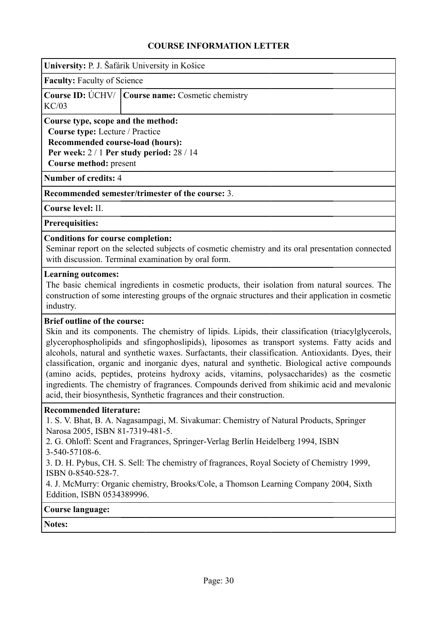<span id="page-29-0"></span>

**Faculty:** Faculty of Science

|       | <b>Course ID:</b> UCHV/ Course name: Cosmetic chemistry |
|-------|---------------------------------------------------------|
| KC/03 |                                                         |

**Course type, scope and the method:**

**Course type:** Lecture / Practice

**Recommended course-load (hours): Per week:** 2 / 1 **Per study period:** 28 / 14

**Course method:** present

**Number of credits:** 4

**Recommended semester/trimester of the course:** 3.

**Course level:** II.

**Prerequisities:**

#### **Conditions for course completion:**

Seminar report on the selected subjects of cosmetic chemistry and its oral presentation connected with discussion. Terminal examination by oral form.

#### **Learning outcomes:**

The basic chemical ingredients in cosmetic products, their isolation from natural sources. The construction of some interesting groups of the orgnaic structures and their application in cosmetic industry.

#### **Brief outline of the course:**

Skin and its components. The chemistry of lipids. Lipids, their classification (triacylglycerols, glycerophospholipids and sfingophoslipids), liposomes as transport systems. Fatty acids and alcohols, natural and synthetic waxes. Surfactants, their classification. Antioxidants. Dyes, their classification, organic and inorganic dyes, natural and synthetic. Biological active compounds (amino acids, peptides, proteins hydroxy acids, vitamins, polysaccharides) as the cosmetic ingredients. The chemistry of fragrances. Compounds derived from shikimic acid and mevalonic acid, their biosynthesis, Synthetic fragrances and their construction.

#### **Recommended literature:**

1. S. V. Bhat, B. A. Nagasampagi, M. Sivakumar: Chemistry of Natural Products, Springer Narosa 2005, ISBN 81-7319-481-5.

2. G. Ohloff: Scent and Fragrances, Springer-Verlag Berlín Heidelberg 1994, ISBN 3-540-57108-6.

3. D. H. Pybus, CH. S. Sell: The chemistry of fragrances, Royal Society of Chemistry 1999, ISBN 0-8540-528-7.

4. J. McMurry: Organic chemistry, Brooks/Cole, a Thomson Learning Company 2004, Sixth Eddition, ISBN 0534389996.

#### **Course language:**

**Notes:**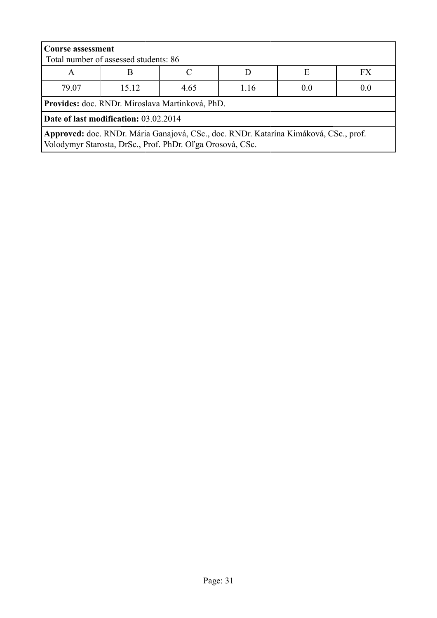| <b>Course assessment</b><br>Total number of assessed students: 86                                                                                 |       |      |      |     |     |
|---------------------------------------------------------------------------------------------------------------------------------------------------|-------|------|------|-----|-----|
| <b>FX</b><br>E<br>A                                                                                                                               |       |      |      |     |     |
| 79.07                                                                                                                                             | 15 12 | 4.65 | 1.16 | 0.0 | 0.0 |
| Provides: doc. RNDr. Miroslava Martinková, PhD.                                                                                                   |       |      |      |     |     |
| Date of last modification: 03.02.2014                                                                                                             |       |      |      |     |     |
| Approved: doc. RNDr. Mária Ganajová, CSc., doc. RNDr. Katarína Kimáková, CSc., prof.<br>Volodymyr Starosta, DrSc., Prof. PhDr. Oľga Orosová, CSc. |       |      |      |     |     |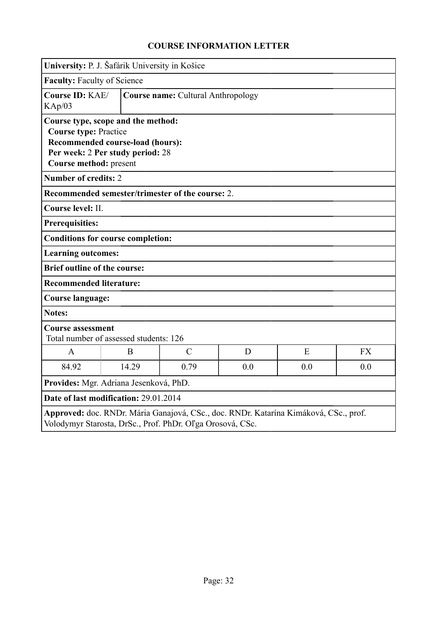<span id="page-31-0"></span>

|                                                                                                                                                                      | University: P. J. Šafárik University in Košice   |                                           |   |   |           |
|----------------------------------------------------------------------------------------------------------------------------------------------------------------------|--------------------------------------------------|-------------------------------------------|---|---|-----------|
|                                                                                                                                                                      | <b>Faculty: Faculty of Science</b>               |                                           |   |   |           |
| Course ID: KAE/<br>KAp/03                                                                                                                                            |                                                  | <b>Course name: Cultural Anthropology</b> |   |   |           |
| Course type, scope and the method:<br><b>Course type: Practice</b><br>Recommended course-load (hours):<br>Per week: 2 Per study period: 28<br>Course method: present |                                                  |                                           |   |   |           |
| <b>Number of credits: 2</b>                                                                                                                                          |                                                  |                                           |   |   |           |
|                                                                                                                                                                      | Recommended semester/trimester of the course: 2. |                                           |   |   |           |
| Course level: II.                                                                                                                                                    |                                                  |                                           |   |   |           |
| <b>Prerequisities:</b>                                                                                                                                               |                                                  |                                           |   |   |           |
|                                                                                                                                                                      | <b>Conditions for course completion:</b>         |                                           |   |   |           |
| <b>Learning outcomes:</b>                                                                                                                                            |                                                  |                                           |   |   |           |
|                                                                                                                                                                      | <b>Brief outline of the course:</b>              |                                           |   |   |           |
| <b>Recommended literature:</b>                                                                                                                                       |                                                  |                                           |   |   |           |
| <b>Course language:</b>                                                                                                                                              |                                                  |                                           |   |   |           |
| <b>Notes:</b>                                                                                                                                                        |                                                  |                                           |   |   |           |
| <b>Course assessment</b><br>Total number of assessed students: 126                                                                                                   |                                                  |                                           |   |   |           |
| $\mathbf{A}$                                                                                                                                                         | B                                                | $\mathcal{C}$                             | D | E | <b>FX</b> |
| 84.92                                                                                                                                                                | 14.29<br>0.79<br>0.0<br>0.0<br>0.0               |                                           |   |   |           |
| Provides: Mgr. Adriana Jesenková, PhD.                                                                                                                               |                                                  |                                           |   |   |           |
| Date of last modification: 29.01.2014                                                                                                                                |                                                  |                                           |   |   |           |
| Approved: doc. RNDr. Mária Ganajová, CSc., doc. RNDr. Katarína Kimáková, CSc., prof.<br>Volodymyr Starosta, DrSc., Prof. PhDr. Oľga Orosová, CSc.                    |                                                  |                                           |   |   |           |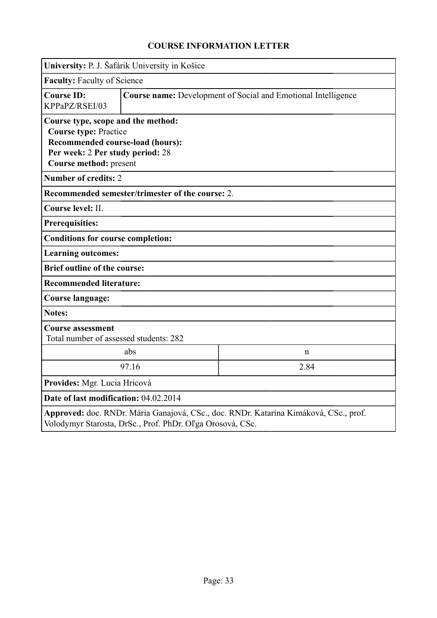<span id="page-32-0"></span>

|                                                                                                                                                                      | University: P. J. Šafárik University in Košice                       |  |  |  |
|----------------------------------------------------------------------------------------------------------------------------------------------------------------------|----------------------------------------------------------------------|--|--|--|
| <b>Faculty: Faculty of Science</b>                                                                                                                                   |                                                                      |  |  |  |
| <b>Course ID:</b><br>KPPaPZ/RSEI/03                                                                                                                                  | <b>Course name:</b> Development of Social and Emotional Intelligence |  |  |  |
| Course type, scope and the method:<br><b>Course type: Practice</b><br>Recommended course-load (hours):<br>Per week: 2 Per study period: 28<br>Course method: present |                                                                      |  |  |  |
| <b>Number of credits: 2</b>                                                                                                                                          |                                                                      |  |  |  |
|                                                                                                                                                                      | Recommended semester/trimester of the course: 2.                     |  |  |  |
| Course level: II.                                                                                                                                                    |                                                                      |  |  |  |
| <b>Prerequisities:</b>                                                                                                                                               |                                                                      |  |  |  |
| <b>Conditions for course completion:</b>                                                                                                                             |                                                                      |  |  |  |
| <b>Learning outcomes:</b>                                                                                                                                            |                                                                      |  |  |  |
|                                                                                                                                                                      | <b>Brief outline of the course:</b>                                  |  |  |  |
|                                                                                                                                                                      | <b>Recommended literature:</b>                                       |  |  |  |
| <b>Course language:</b>                                                                                                                                              |                                                                      |  |  |  |
| <b>Notes:</b>                                                                                                                                                        |                                                                      |  |  |  |
| <b>Course assessment</b><br>Total number of assessed students: 282                                                                                                   |                                                                      |  |  |  |
|                                                                                                                                                                      | abs<br>$\mathbf n$                                                   |  |  |  |
|                                                                                                                                                                      | 97.16<br>2.84                                                        |  |  |  |
| Provides: Mgr. Lucia Hricová                                                                                                                                         |                                                                      |  |  |  |
| Date of last modification: 04.02.2014                                                                                                                                |                                                                      |  |  |  |
| Approved: doc. RNDr. Mária Ganajová, CSc., doc. RNDr. Katarína Kimáková, CSc., prof.<br>Volodymyr Starosta, DrSc., Prof. PhDr. Oľga Orosová, CSc.                    |                                                                      |  |  |  |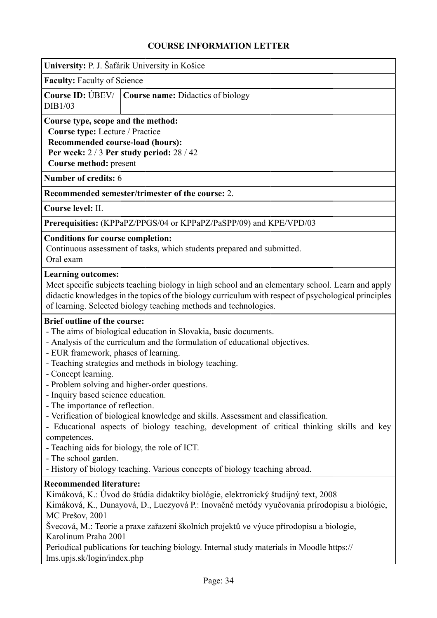<span id="page-33-0"></span>

| University: P. J. Šafárik University in Košice                                                                                                                                                                                                                                                                                                                                                                                                                                        |                                                                                                                                                                                                                                                                                                                                                                                                                                                                                                                                                                               |  |  |  |
|---------------------------------------------------------------------------------------------------------------------------------------------------------------------------------------------------------------------------------------------------------------------------------------------------------------------------------------------------------------------------------------------------------------------------------------------------------------------------------------|-------------------------------------------------------------------------------------------------------------------------------------------------------------------------------------------------------------------------------------------------------------------------------------------------------------------------------------------------------------------------------------------------------------------------------------------------------------------------------------------------------------------------------------------------------------------------------|--|--|--|
| <b>Faculty:</b> Faculty of Science                                                                                                                                                                                                                                                                                                                                                                                                                                                    |                                                                                                                                                                                                                                                                                                                                                                                                                                                                                                                                                                               |  |  |  |
| Course ID: ÚBEV/<br>DIB1/03                                                                                                                                                                                                                                                                                                                                                                                                                                                           | Course name: Didactics of biology                                                                                                                                                                                                                                                                                                                                                                                                                                                                                                                                             |  |  |  |
|                                                                                                                                                                                                                                                                                                                                                                                                                                                                                       | Course type, scope and the method:<br>Course type: Lecture / Practice<br>Recommended course-load (hours):<br>Per week: 2/3 Per study period: 28/42<br>Course method: present                                                                                                                                                                                                                                                                                                                                                                                                  |  |  |  |
| <b>Number of credits: 6</b>                                                                                                                                                                                                                                                                                                                                                                                                                                                           |                                                                                                                                                                                                                                                                                                                                                                                                                                                                                                                                                                               |  |  |  |
|                                                                                                                                                                                                                                                                                                                                                                                                                                                                                       | Recommended semester/trimester of the course: 2.                                                                                                                                                                                                                                                                                                                                                                                                                                                                                                                              |  |  |  |
| Course level: II.                                                                                                                                                                                                                                                                                                                                                                                                                                                                     |                                                                                                                                                                                                                                                                                                                                                                                                                                                                                                                                                                               |  |  |  |
|                                                                                                                                                                                                                                                                                                                                                                                                                                                                                       | Prerequisities: (KPPaPZ/PPGS/04 or KPPaPZ/PaSPP/09) and KPE/VPD/03                                                                                                                                                                                                                                                                                                                                                                                                                                                                                                            |  |  |  |
| <b>Conditions for course completion:</b><br>Oral exam                                                                                                                                                                                                                                                                                                                                                                                                                                 | Continuous assessment of tasks, which students prepared and submitted.                                                                                                                                                                                                                                                                                                                                                                                                                                                                                                        |  |  |  |
| <b>Learning outcomes:</b><br>Meet specific subjects teaching biology in high school and an elementary school. Learn and apply<br>didactic knowledges in the topics of the biology curriculum with respect of psychological principles<br>of learning. Selected biology teaching methods and technologies.                                                                                                                                                                             |                                                                                                                                                                                                                                                                                                                                                                                                                                                                                                                                                                               |  |  |  |
| <b>Brief outline of the course:</b><br>- EUR framework, phases of learning.<br>- Concept learning.<br>- Inquiry based science education.<br>- The importance of reflection.<br>competences.<br>- The school garden.                                                                                                                                                                                                                                                                   | - The aims of biological education in Slovakia, basic documents.<br>- Analysis of the curriculum and the formulation of educational objectives.<br>- Teaching strategies and methods in biology teaching.<br>- Problem solving and higher-order questions.<br>- Verification of biological knowledge and skills. Assessment and classification.<br>- Educational aspects of biology teaching, development of critical thinking skills and key<br>- Teaching aids for biology, the role of ICT.<br>- History of biology teaching. Various concepts of biology teaching abroad. |  |  |  |
| <b>Recommended literature:</b><br>Kimáková, K.: Úvod do štúdia didaktiky biológie, elektronický študijný text, 2008<br>Kimáková, K., Dunayová, D., Luczyová P.: Inovačné metódy vyučovania prírodopisu a biológie,<br>MC Prešov, 2001<br>Švecová, M.: Teorie a praxe zařazení školních projektů ve výuce přírodopisu a biologie,<br>Karolinum Praha 2001<br>Periodical publications for teaching biology. Internal study materials in Moodle https://<br>lms.upjs. sk/login/index.php |                                                                                                                                                                                                                                                                                                                                                                                                                                                                                                                                                                               |  |  |  |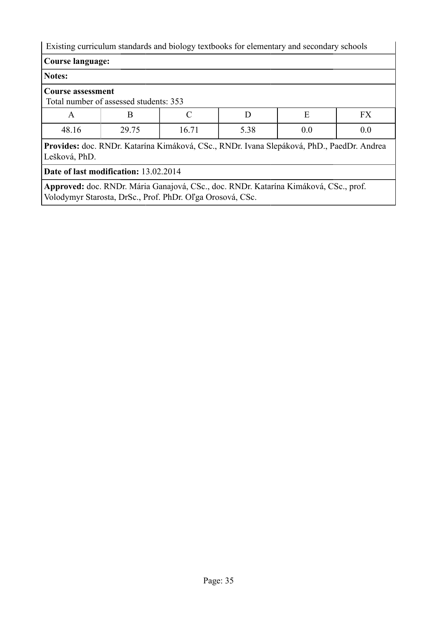Existing curriculum standards and biology textbooks for elementary and secondary schools

#### **Notes:**

#### **Course assessment**

Total number of assessed students: 353

| $\overline{ }$ | <u>.</u>      |               | <u>.</u> |     | <b>TTY</b><br><b>AA</b> |
|----------------|---------------|---------------|----------|-----|-------------------------|
| 48.16          | 2075<br>2J.1J | $-1$<br>10.11 | 5.38     | v.v | v.v                     |

**Provides:** doc. RNDr. Katarína Kimáková, CSc., RNDr. Ivana Slepáková, PhD., PaedDr. Andrea Lešková, PhD.

**Date of last modification:** 13.02.2014

**Approved:** doc. RNDr. Mária Ganajová, CSc., doc. RNDr. Katarína Kimáková, CSc., prof. Volodymyr Starosta, DrSc., Prof. PhDr. Oľga Orosová, CSc.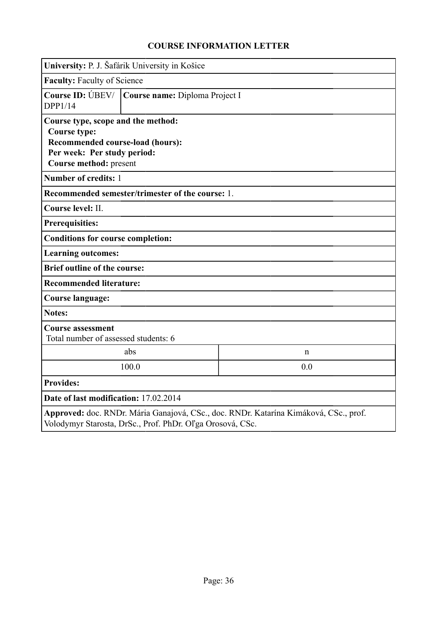<span id="page-35-0"></span>

|                                                                                                                                                        | University: P. J. Šafárik University in Košice   |  |  |  |
|--------------------------------------------------------------------------------------------------------------------------------------------------------|--------------------------------------------------|--|--|--|
|                                                                                                                                                        | <b>Faculty: Faculty of Science</b>               |  |  |  |
| Course ID: UBEV/<br>DPP1/14                                                                                                                            | Course name: Diploma Project I                   |  |  |  |
| Course type, scope and the method:<br><b>Course type:</b><br>Recommended course-load (hours):<br>Per week: Per study period:<br>Course method: present |                                                  |  |  |  |
| Number of credits: 1                                                                                                                                   |                                                  |  |  |  |
|                                                                                                                                                        | Recommended semester/trimester of the course: 1. |  |  |  |
| Course level: II.                                                                                                                                      |                                                  |  |  |  |
| <b>Prerequisities:</b>                                                                                                                                 |                                                  |  |  |  |
| <b>Conditions for course completion:</b>                                                                                                               |                                                  |  |  |  |
| <b>Learning outcomes:</b>                                                                                                                              |                                                  |  |  |  |
| <b>Brief outline of the course:</b>                                                                                                                    |                                                  |  |  |  |
| <b>Recommended literature:</b>                                                                                                                         |                                                  |  |  |  |
| Course language:                                                                                                                                       |                                                  |  |  |  |
| <b>Notes:</b>                                                                                                                                          |                                                  |  |  |  |
| <b>Course assessment</b><br>Total number of assessed students: 6                                                                                       |                                                  |  |  |  |
|                                                                                                                                                        | abs<br>$\mathbf n$                               |  |  |  |
|                                                                                                                                                        | 100.0<br>0.0                                     |  |  |  |
| <b>Provides:</b>                                                                                                                                       |                                                  |  |  |  |
| Date of last modification: 17.02.2014                                                                                                                  |                                                  |  |  |  |
| Approved: doc. RNDr. Mária Ganajová, CSc., doc. RNDr. Katarína Kimáková, CSc., prof.<br>Volodymyr Starosta, DrSc., Prof. PhDr. Oľga Orosová, CSc.      |                                                  |  |  |  |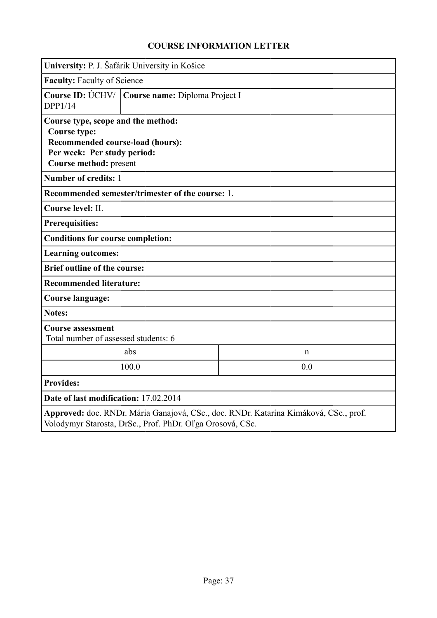|                                                                                                                                                        | University: P. J. Šafárik University in Košice    |             |  |  |  |
|--------------------------------------------------------------------------------------------------------------------------------------------------------|---------------------------------------------------|-------------|--|--|--|
| <b>Faculty: Faculty of Science</b>                                                                                                                     |                                                   |             |  |  |  |
| DPP1/14                                                                                                                                                | Course ID: ÚCHV/   Course name: Diploma Project I |             |  |  |  |
| Course type, scope and the method:<br><b>Course type:</b><br>Recommended course-load (hours):<br>Per week: Per study period:<br>Course method: present |                                                   |             |  |  |  |
| Number of credits: 1                                                                                                                                   |                                                   |             |  |  |  |
|                                                                                                                                                        | Recommended semester/trimester of the course: 1.  |             |  |  |  |
| Course level: II.                                                                                                                                      |                                                   |             |  |  |  |
| <b>Prerequisities:</b>                                                                                                                                 |                                                   |             |  |  |  |
| <b>Conditions for course completion:</b>                                                                                                               |                                                   |             |  |  |  |
| <b>Learning outcomes:</b>                                                                                                                              |                                                   |             |  |  |  |
| <b>Brief outline of the course:</b>                                                                                                                    |                                                   |             |  |  |  |
| <b>Recommended literature:</b>                                                                                                                         |                                                   |             |  |  |  |
| <b>Course language:</b>                                                                                                                                |                                                   |             |  |  |  |
| <b>Notes:</b>                                                                                                                                          |                                                   |             |  |  |  |
| <b>Course assessment</b><br>Total number of assessed students: 6                                                                                       |                                                   |             |  |  |  |
|                                                                                                                                                        | abs                                               | $\mathbf n$ |  |  |  |
|                                                                                                                                                        | 100.0<br>0.0                                      |             |  |  |  |
| <b>Provides:</b>                                                                                                                                       |                                                   |             |  |  |  |
| Date of last modification: 17.02.2014                                                                                                                  |                                                   |             |  |  |  |
| Approved: doc. RNDr. Mária Ganajová, CSc., doc. RNDr. Katarína Kimáková, CSc., prof.<br>Volodymyr Starosta, DrSc., Prof. PhDr. Oľga Orosová, CSc.      |                                                   |             |  |  |  |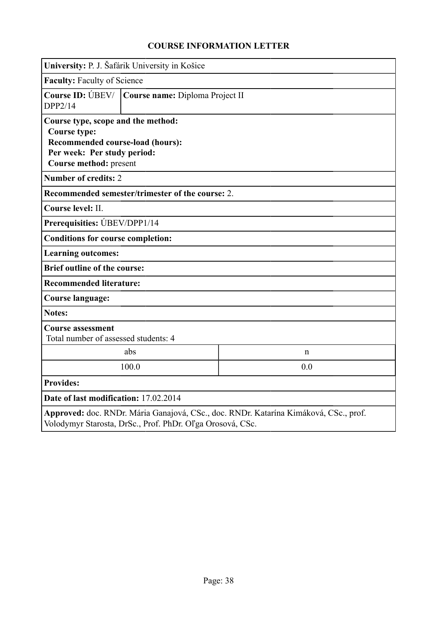| University: P. J. Šafárik University in Košice                                                                                                         |                                 |                                                                                      |  |  |  |
|--------------------------------------------------------------------------------------------------------------------------------------------------------|---------------------------------|--------------------------------------------------------------------------------------|--|--|--|
| <b>Faculty: Faculty of Science</b>                                                                                                                     |                                 |                                                                                      |  |  |  |
| Course ID: $\bigcirc$ BEV/  <br>DPP2/14                                                                                                                | Course name: Diploma Project II |                                                                                      |  |  |  |
| Course type, scope and the method:<br><b>Course type:</b><br>Recommended course-load (hours):<br>Per week: Per study period:<br>Course method: present |                                 |                                                                                      |  |  |  |
| <b>Number of credits: 2</b>                                                                                                                            |                                 |                                                                                      |  |  |  |
| Recommended semester/trimester of the course: 2.                                                                                                       |                                 |                                                                                      |  |  |  |
| Course level: II.                                                                                                                                      |                                 |                                                                                      |  |  |  |
| Prerequisities: UBEV/DPP1/14                                                                                                                           |                                 |                                                                                      |  |  |  |
| <b>Conditions for course completion:</b>                                                                                                               |                                 |                                                                                      |  |  |  |
| <b>Learning outcomes:</b>                                                                                                                              |                                 |                                                                                      |  |  |  |
| <b>Brief outline of the course:</b>                                                                                                                    |                                 |                                                                                      |  |  |  |
| <b>Recommended literature:</b>                                                                                                                         |                                 |                                                                                      |  |  |  |
| <b>Course language:</b>                                                                                                                                |                                 |                                                                                      |  |  |  |
| <b>Notes:</b>                                                                                                                                          |                                 |                                                                                      |  |  |  |
| <b>Course assessment</b><br>Total number of assessed students: 4                                                                                       |                                 |                                                                                      |  |  |  |
|                                                                                                                                                        | abs                             | n                                                                                    |  |  |  |
|                                                                                                                                                        | 100.0<br>0.0                    |                                                                                      |  |  |  |
| <b>Provides:</b>                                                                                                                                       |                                 |                                                                                      |  |  |  |
| Date of last modification: 17.02.2014                                                                                                                  |                                 |                                                                                      |  |  |  |
| Volodymyr Starosta, DrSc., Prof. PhDr. Oľga Orosová, CSc.                                                                                              |                                 | Approved: doc. RNDr. Mária Ganajová, CSc., doc. RNDr. Katarína Kimáková, CSc., prof. |  |  |  |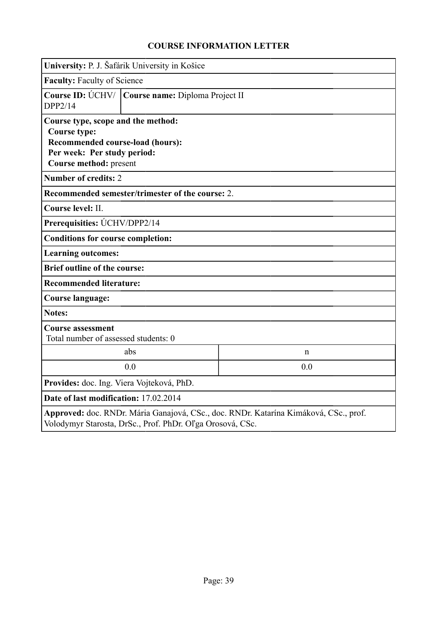|                                                                                                                                                   | University: P. J. Šafárik University in Košice                                                                                  |             |  |  |  |  |
|---------------------------------------------------------------------------------------------------------------------------------------------------|---------------------------------------------------------------------------------------------------------------------------------|-------------|--|--|--|--|
|                                                                                                                                                   | <b>Faculty: Faculty of Science</b>                                                                                              |             |  |  |  |  |
| DPP2/14                                                                                                                                           | Course ID: ÚCHV/   Course name: Diploma Project II                                                                              |             |  |  |  |  |
| <b>Course type:</b>                                                                                                                               | Course type, scope and the method:<br>Recommended course-load (hours):<br>Per week: Per study period:<br>Course method: present |             |  |  |  |  |
| <b>Number of credits: 2</b>                                                                                                                       |                                                                                                                                 |             |  |  |  |  |
|                                                                                                                                                   | Recommended semester/trimester of the course: 2.                                                                                |             |  |  |  |  |
| Course level: II.                                                                                                                                 |                                                                                                                                 |             |  |  |  |  |
| Prerequisities: UCHV/DPP2/14                                                                                                                      |                                                                                                                                 |             |  |  |  |  |
| <b>Conditions for course completion:</b>                                                                                                          |                                                                                                                                 |             |  |  |  |  |
| <b>Learning outcomes:</b>                                                                                                                         |                                                                                                                                 |             |  |  |  |  |
| <b>Brief outline of the course:</b>                                                                                                               |                                                                                                                                 |             |  |  |  |  |
| <b>Recommended literature:</b>                                                                                                                    |                                                                                                                                 |             |  |  |  |  |
| <b>Course language:</b>                                                                                                                           |                                                                                                                                 |             |  |  |  |  |
| <b>Notes:</b>                                                                                                                                     |                                                                                                                                 |             |  |  |  |  |
| <b>Course assessment</b><br>Total number of assessed students: 0                                                                                  |                                                                                                                                 |             |  |  |  |  |
|                                                                                                                                                   | abs                                                                                                                             | $\mathbf n$ |  |  |  |  |
| 0.0<br>0.0                                                                                                                                        |                                                                                                                                 |             |  |  |  |  |
| Provides: doc. Ing. Viera Vojteková, PhD.                                                                                                         |                                                                                                                                 |             |  |  |  |  |
| Date of last modification: 17.02.2014                                                                                                             |                                                                                                                                 |             |  |  |  |  |
| Approved: doc. RNDr. Mária Ganajová, CSc., doc. RNDr. Katarína Kimáková, CSc., prof.<br>Volodymyr Starosta, DrSc., Prof. PhDr. Oľga Orosová, CSc. |                                                                                                                                 |             |  |  |  |  |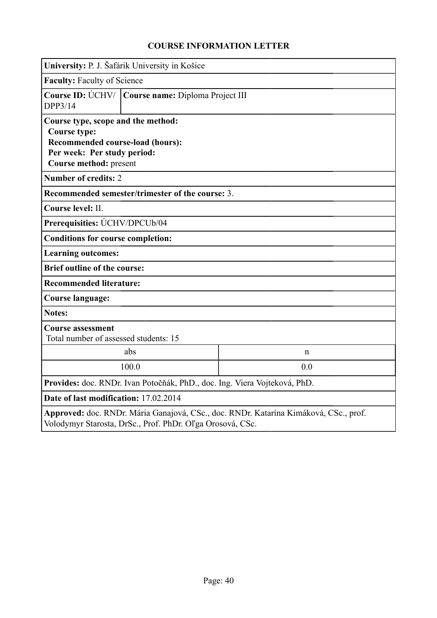|                                                                                                                                                   | University: P. J. Šafárik University in Košice                                                                                  |             |  |  |  |  |
|---------------------------------------------------------------------------------------------------------------------------------------------------|---------------------------------------------------------------------------------------------------------------------------------|-------------|--|--|--|--|
|                                                                                                                                                   | <b>Faculty: Faculty of Science</b>                                                                                              |             |  |  |  |  |
| DPP3/14                                                                                                                                           | Course ID: ÚCHV/   Course name: Diploma Project III                                                                             |             |  |  |  |  |
| <b>Course type:</b>                                                                                                                               | Course type, scope and the method:<br>Recommended course-load (hours):<br>Per week: Per study period:<br>Course method: present |             |  |  |  |  |
| <b>Number of credits: 2</b>                                                                                                                       |                                                                                                                                 |             |  |  |  |  |
|                                                                                                                                                   | Recommended semester/trimester of the course: 3.                                                                                |             |  |  |  |  |
| Course level: II.                                                                                                                                 |                                                                                                                                 |             |  |  |  |  |
| Prerequisities: UCHV/DPCUb/04                                                                                                                     |                                                                                                                                 |             |  |  |  |  |
| <b>Conditions for course completion:</b>                                                                                                          |                                                                                                                                 |             |  |  |  |  |
| <b>Learning outcomes:</b>                                                                                                                         |                                                                                                                                 |             |  |  |  |  |
| <b>Brief outline of the course:</b>                                                                                                               |                                                                                                                                 |             |  |  |  |  |
| <b>Recommended literature:</b>                                                                                                                    |                                                                                                                                 |             |  |  |  |  |
| <b>Course language:</b>                                                                                                                           |                                                                                                                                 |             |  |  |  |  |
| <b>Notes:</b>                                                                                                                                     |                                                                                                                                 |             |  |  |  |  |
| <b>Course assessment</b><br>Total number of assessed students: 15                                                                                 |                                                                                                                                 |             |  |  |  |  |
|                                                                                                                                                   | abs                                                                                                                             | $\mathbf n$ |  |  |  |  |
| 100.0<br>0.0                                                                                                                                      |                                                                                                                                 |             |  |  |  |  |
| Provides: doc. RNDr. Ivan Potočňák, PhD., doc. Ing. Viera Vojteková, PhD.                                                                         |                                                                                                                                 |             |  |  |  |  |
| Date of last modification: 17.02.2014                                                                                                             |                                                                                                                                 |             |  |  |  |  |
| Approved: doc. RNDr. Mária Ganajová, CSc., doc. RNDr. Katarína Kimáková, CSc., prof.<br>Volodymyr Starosta, DrSc., Prof. PhDr. Oľga Orosová, CSc. |                                                                                                                                 |             |  |  |  |  |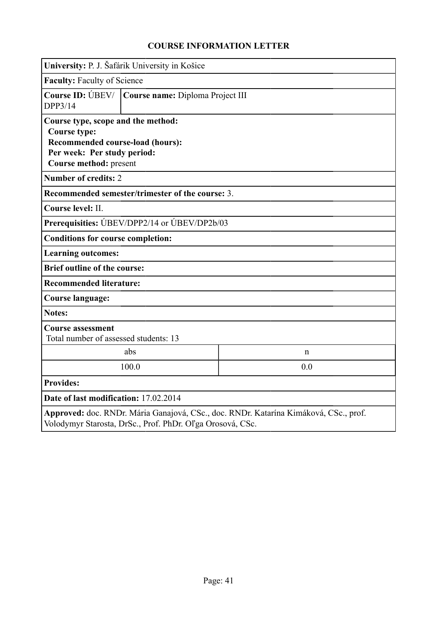| University: P. J. Šafárik University in Košice                                                                                                         |                                  |                                                                                      |  |  |  |
|--------------------------------------------------------------------------------------------------------------------------------------------------------|----------------------------------|--------------------------------------------------------------------------------------|--|--|--|
| <b>Faculty: Faculty of Science</b>                                                                                                                     |                                  |                                                                                      |  |  |  |
| Course ID: $\bigcirc$ BEV/  <br>DPP3/14                                                                                                                | Course name: Diploma Project III |                                                                                      |  |  |  |
| Course type, scope and the method:<br><b>Course type:</b><br>Recommended course-load (hours):<br>Per week: Per study period:<br>Course method: present |                                  |                                                                                      |  |  |  |
| <b>Number of credits: 2</b>                                                                                                                            |                                  |                                                                                      |  |  |  |
| Recommended semester/trimester of the course: 3.                                                                                                       |                                  |                                                                                      |  |  |  |
| Course level: II.                                                                                                                                      |                                  |                                                                                      |  |  |  |
| Prerequisities: UBEV/DPP2/14 or UBEV/DP2b/03                                                                                                           |                                  |                                                                                      |  |  |  |
| <b>Conditions for course completion:</b>                                                                                                               |                                  |                                                                                      |  |  |  |
| <b>Learning outcomes:</b>                                                                                                                              |                                  |                                                                                      |  |  |  |
| <b>Brief outline of the course:</b>                                                                                                                    |                                  |                                                                                      |  |  |  |
| <b>Recommended literature:</b>                                                                                                                         |                                  |                                                                                      |  |  |  |
| <b>Course language:</b>                                                                                                                                |                                  |                                                                                      |  |  |  |
| <b>Notes:</b>                                                                                                                                          |                                  |                                                                                      |  |  |  |
| <b>Course assessment</b><br>Total number of assessed students: 13                                                                                      |                                  |                                                                                      |  |  |  |
|                                                                                                                                                        | abs                              | n                                                                                    |  |  |  |
|                                                                                                                                                        | 100.0<br>0.0                     |                                                                                      |  |  |  |
| <b>Provides:</b>                                                                                                                                       |                                  |                                                                                      |  |  |  |
| Date of last modification: 17.02.2014                                                                                                                  |                                  |                                                                                      |  |  |  |
| Volodymyr Starosta, DrSc., Prof. PhDr. Oľga Orosová, CSc.                                                                                              |                                  | Approved: doc. RNDr. Mária Ganajová, CSc., doc. RNDr. Katarína Kimáková, CSc., prof. |  |  |  |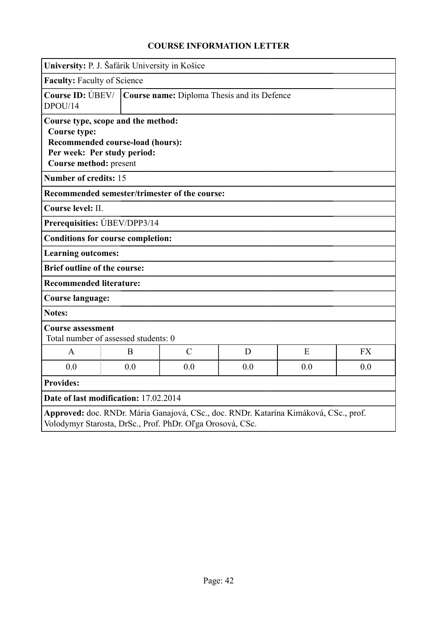|                                               | University: P. J. Šafárik University in Košice                                                        |                                                           |     |                                                                                      |           |  |
|-----------------------------------------------|-------------------------------------------------------------------------------------------------------|-----------------------------------------------------------|-----|--------------------------------------------------------------------------------------|-----------|--|
| <b>Faculty: Faculty of Science</b>            |                                                                                                       |                                                           |     |                                                                                      |           |  |
| DPOU/14                                       | Course ID: ÚBEV/<br>Course name: Diploma Thesis and its Defence                                       |                                                           |     |                                                                                      |           |  |
| <b>Course type:</b><br>Course method: present | Course type, scope and the method:<br>Recommended course-load (hours):<br>Per week: Per study period: |                                                           |     |                                                                                      |           |  |
| <b>Number of credits: 15</b>                  |                                                                                                       |                                                           |     |                                                                                      |           |  |
|                                               |                                                                                                       | Recommended semester/trimester of the course:             |     |                                                                                      |           |  |
| Course level: II.                             |                                                                                                       |                                                           |     |                                                                                      |           |  |
|                                               | Prerequisities: UBEV/DPP3/14                                                                          |                                                           |     |                                                                                      |           |  |
|                                               | <b>Conditions for course completion:</b>                                                              |                                                           |     |                                                                                      |           |  |
| <b>Learning outcomes:</b>                     |                                                                                                       |                                                           |     |                                                                                      |           |  |
| <b>Brief outline of the course:</b>           |                                                                                                       |                                                           |     |                                                                                      |           |  |
| <b>Recommended literature:</b>                |                                                                                                       |                                                           |     |                                                                                      |           |  |
| <b>Course language:</b>                       |                                                                                                       |                                                           |     |                                                                                      |           |  |
| <b>Notes:</b>                                 |                                                                                                       |                                                           |     |                                                                                      |           |  |
| <b>Course assessment</b>                      | Total number of assessed students: 0                                                                  |                                                           |     |                                                                                      |           |  |
| $\mathsf{A}$                                  | B                                                                                                     | $\mathcal{C}$                                             | D   | E                                                                                    | <b>FX</b> |  |
| 0.0                                           | 0.0                                                                                                   | 0.0                                                       | 0.0 | 0.0                                                                                  | 0.0       |  |
| <b>Provides:</b>                              |                                                                                                       |                                                           |     |                                                                                      |           |  |
|                                               | Date of last modification: 17.02.2014                                                                 |                                                           |     |                                                                                      |           |  |
|                                               |                                                                                                       | Volodymyr Starosta, DrSc., Prof. PhDr. Oľga Orosová, CSc. |     | Approved: doc. RNDr. Mária Ganajová, CSc., doc. RNDr. Katarína Kimáková, CSc., prof. |           |  |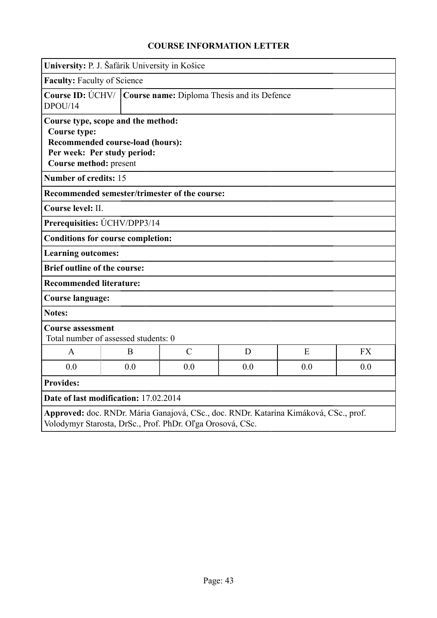|                                               | University: P. J. Šafárik University in Košice                                                        |               |     |                                                                                      |           |
|-----------------------------------------------|-------------------------------------------------------------------------------------------------------|---------------|-----|--------------------------------------------------------------------------------------|-----------|
| Faculty: Faculty of Science                   |                                                                                                       |               |     |                                                                                      |           |
| DPOU/14                                       | Course ID: ÚCHV/   Course name: Diploma Thesis and its Defence                                        |               |     |                                                                                      |           |
| <b>Course type:</b><br>Course method: present | Course type, scope and the method:<br>Recommended course-load (hours):<br>Per week: Per study period: |               |     |                                                                                      |           |
| Number of credits: 15                         |                                                                                                       |               |     |                                                                                      |           |
|                                               | Recommended semester/trimester of the course:                                                         |               |     |                                                                                      |           |
| Course level: II.                             |                                                                                                       |               |     |                                                                                      |           |
|                                               | Prerequisities: UCHV/DPP3/14                                                                          |               |     |                                                                                      |           |
|                                               | <b>Conditions for course completion:</b>                                                              |               |     |                                                                                      |           |
| <b>Learning outcomes:</b>                     |                                                                                                       |               |     |                                                                                      |           |
| <b>Brief outline of the course:</b>           |                                                                                                       |               |     |                                                                                      |           |
| <b>Recommended literature:</b>                |                                                                                                       |               |     |                                                                                      |           |
| <b>Course language:</b>                       |                                                                                                       |               |     |                                                                                      |           |
| <b>Notes:</b>                                 |                                                                                                       |               |     |                                                                                      |           |
| <b>Course assessment</b>                      | Total number of assessed students: 0                                                                  |               |     |                                                                                      |           |
| $\mathsf{A}$                                  | B                                                                                                     | $\mathcal{C}$ | D   | E                                                                                    | <b>FX</b> |
| 0.0                                           | 0.0                                                                                                   | 0.0           | 0.0 | 0.0                                                                                  | 0.0       |
| <b>Provides:</b>                              |                                                                                                       |               |     |                                                                                      |           |
|                                               | Date of last modification: 17.02.2014                                                                 |               |     |                                                                                      |           |
|                                               | Volodymyr Starosta, DrSc., Prof. PhDr. Oľga Orosová, CSc.                                             |               |     | Approved: doc. RNDr. Mária Ganajová, CSc., doc. RNDr. Katarína Kimáková, CSc., prof. |           |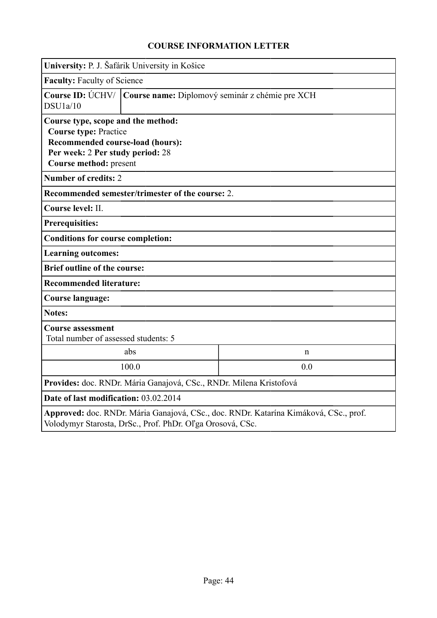|                                                                                                                                                   | University: P. J. Šafárik University in Košice                                                                                                                       |                                                 |  |  |  |  |
|---------------------------------------------------------------------------------------------------------------------------------------------------|----------------------------------------------------------------------------------------------------------------------------------------------------------------------|-------------------------------------------------|--|--|--|--|
|                                                                                                                                                   | <b>Faculty: Faculty of Science</b>                                                                                                                                   |                                                 |  |  |  |  |
| Course ID: $\acute{U}$ CHV/<br>DSU1a/10                                                                                                           |                                                                                                                                                                      | Course name: Diplomový seminár z chémie pre XCH |  |  |  |  |
|                                                                                                                                                   | Course type, scope and the method:<br><b>Course type: Practice</b><br>Recommended course-load (hours):<br>Per week: 2 Per study period: 28<br>Course method: present |                                                 |  |  |  |  |
| <b>Number of credits: 2</b>                                                                                                                       |                                                                                                                                                                      |                                                 |  |  |  |  |
|                                                                                                                                                   | Recommended semester/trimester of the course: 2.                                                                                                                     |                                                 |  |  |  |  |
| Course level: II.                                                                                                                                 |                                                                                                                                                                      |                                                 |  |  |  |  |
| <b>Prerequisities:</b>                                                                                                                            |                                                                                                                                                                      |                                                 |  |  |  |  |
| <b>Conditions for course completion:</b>                                                                                                          |                                                                                                                                                                      |                                                 |  |  |  |  |
| <b>Learning outcomes:</b>                                                                                                                         |                                                                                                                                                                      |                                                 |  |  |  |  |
| <b>Brief outline of the course:</b>                                                                                                               |                                                                                                                                                                      |                                                 |  |  |  |  |
| <b>Recommended literature:</b>                                                                                                                    |                                                                                                                                                                      |                                                 |  |  |  |  |
| Course language:                                                                                                                                  |                                                                                                                                                                      |                                                 |  |  |  |  |
| <b>Notes:</b>                                                                                                                                     |                                                                                                                                                                      |                                                 |  |  |  |  |
| <b>Course assessment</b><br>Total number of assessed students: 5                                                                                  |                                                                                                                                                                      |                                                 |  |  |  |  |
|                                                                                                                                                   | abs                                                                                                                                                                  | $\mathbf n$                                     |  |  |  |  |
| 100.0<br>0.0                                                                                                                                      |                                                                                                                                                                      |                                                 |  |  |  |  |
| Provides: doc. RNDr. Mária Ganajová, CSc., RNDr. Milena Kristofová                                                                                |                                                                                                                                                                      |                                                 |  |  |  |  |
| Date of last modification: 03.02.2014                                                                                                             |                                                                                                                                                                      |                                                 |  |  |  |  |
| Approved: doc. RNDr. Mária Ganajová, CSc., doc. RNDr. Katarína Kimáková, CSc., prof.<br>Volodymyr Starosta, DrSc., Prof. PhDr. Oľga Orosová, CSc. |                                                                                                                                                                      |                                                 |  |  |  |  |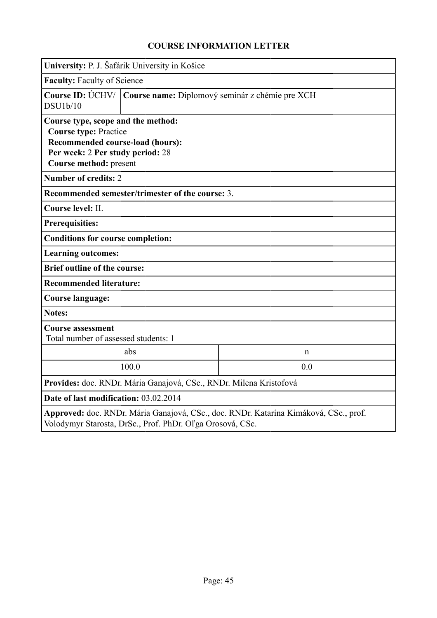|                                                                                                                                                                      | University: P. J. Šafárik University in Košice   |             |  |  |  |
|----------------------------------------------------------------------------------------------------------------------------------------------------------------------|--------------------------------------------------|-------------|--|--|--|
|                                                                                                                                                                      | <b>Faculty: Faculty of Science</b>               |             |  |  |  |
| Course ID: ÚCHV/<br>DSU1b/10                                                                                                                                         | Course name: Diplomový seminár z chémie pre XCH  |             |  |  |  |
| Course type, scope and the method:<br><b>Course type: Practice</b><br>Recommended course-load (hours):<br>Per week: 2 Per study period: 28<br>Course method: present |                                                  |             |  |  |  |
| <b>Number of credits: 2</b>                                                                                                                                          |                                                  |             |  |  |  |
|                                                                                                                                                                      | Recommended semester/trimester of the course: 3. |             |  |  |  |
| Course level: II.                                                                                                                                                    |                                                  |             |  |  |  |
| <b>Prerequisities:</b>                                                                                                                                               |                                                  |             |  |  |  |
| <b>Conditions for course completion:</b>                                                                                                                             |                                                  |             |  |  |  |
| <b>Learning outcomes:</b>                                                                                                                                            |                                                  |             |  |  |  |
| <b>Brief outline of the course:</b>                                                                                                                                  |                                                  |             |  |  |  |
| <b>Recommended literature:</b>                                                                                                                                       |                                                  |             |  |  |  |
| <b>Course language:</b>                                                                                                                                              |                                                  |             |  |  |  |
| <b>Notes:</b>                                                                                                                                                        |                                                  |             |  |  |  |
| <b>Course assessment</b><br>Total number of assessed students: 1                                                                                                     |                                                  |             |  |  |  |
|                                                                                                                                                                      | abs                                              | $\mathbf n$ |  |  |  |
|                                                                                                                                                                      | 100.0<br>0.0                                     |             |  |  |  |
| Provides: doc. RNDr. Mária Ganajová, CSc., RNDr. Milena Kristofová                                                                                                   |                                                  |             |  |  |  |
| Date of last modification: 03.02.2014                                                                                                                                |                                                  |             |  |  |  |
| Approved: doc. RNDr. Mária Ganajová, CSc., doc. RNDr. Katarína Kimáková, CSc., prof.<br>Volodymyr Starosta, DrSc., Prof. PhDr. Oľga Orosová, CSc.                    |                                                  |             |  |  |  |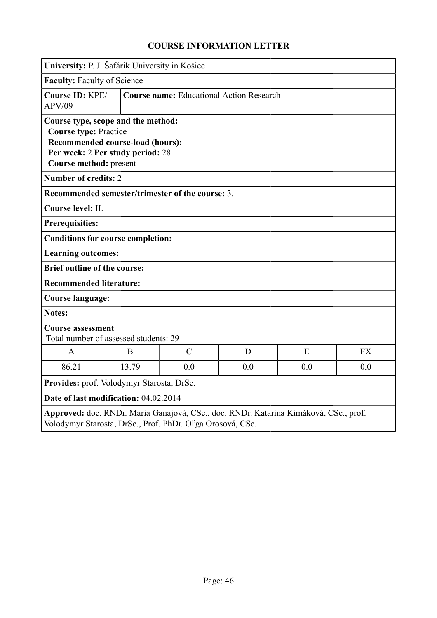|                                                                                                                                                   | University: P. J. Šafárik University in Košice                                                                    |                                                  |     |     |           |
|---------------------------------------------------------------------------------------------------------------------------------------------------|-------------------------------------------------------------------------------------------------------------------|--------------------------------------------------|-----|-----|-----------|
| Faculty: Faculty of Science                                                                                                                       |                                                                                                                   |                                                  |     |     |           |
| Course ID: KPE/<br><b>APV/09</b>                                                                                                                  |                                                                                                                   | <b>Course name:</b> Educational Action Research  |     |     |           |
| <b>Course type: Practice</b><br>Course method: present                                                                                            | Course type, scope and the method:<br><b>Recommended course-load (hours):</b><br>Per week: 2 Per study period: 28 |                                                  |     |     |           |
| <b>Number of credits: 2</b>                                                                                                                       |                                                                                                                   |                                                  |     |     |           |
|                                                                                                                                                   |                                                                                                                   | Recommended semester/trimester of the course: 3. |     |     |           |
| Course level: II.                                                                                                                                 |                                                                                                                   |                                                  |     |     |           |
| <b>Prerequisities:</b>                                                                                                                            |                                                                                                                   |                                                  |     |     |           |
|                                                                                                                                                   | <b>Conditions for course completion:</b>                                                                          |                                                  |     |     |           |
| <b>Learning outcomes:</b>                                                                                                                         |                                                                                                                   |                                                  |     |     |           |
| <b>Brief outline of the course:</b>                                                                                                               |                                                                                                                   |                                                  |     |     |           |
| <b>Recommended literature:</b>                                                                                                                    |                                                                                                                   |                                                  |     |     |           |
| <b>Course language:</b>                                                                                                                           |                                                                                                                   |                                                  |     |     |           |
| <b>Notes:</b>                                                                                                                                     |                                                                                                                   |                                                  |     |     |           |
| <b>Course assessment</b>                                                                                                                          | Total number of assessed students: 29                                                                             |                                                  |     |     |           |
| A                                                                                                                                                 | B                                                                                                                 | $\mathcal{C}$                                    | D   | E   | <b>FX</b> |
| 86.21                                                                                                                                             | 13.79                                                                                                             | 0.0                                              | 0.0 | 0.0 | 0.0       |
| Provides: prof. Volodymyr Starosta, DrSc.                                                                                                         |                                                                                                                   |                                                  |     |     |           |
| Date of last modification: 04.02.2014                                                                                                             |                                                                                                                   |                                                  |     |     |           |
| Approved: doc. RNDr. Mária Ganajová, CSc., doc. RNDr. Katarína Kimáková, CSc., prof.<br>Volodymyr Starosta, DrSc., Prof. PhDr. Oľga Orosová, CSc. |                                                                                                                   |                                                  |     |     |           |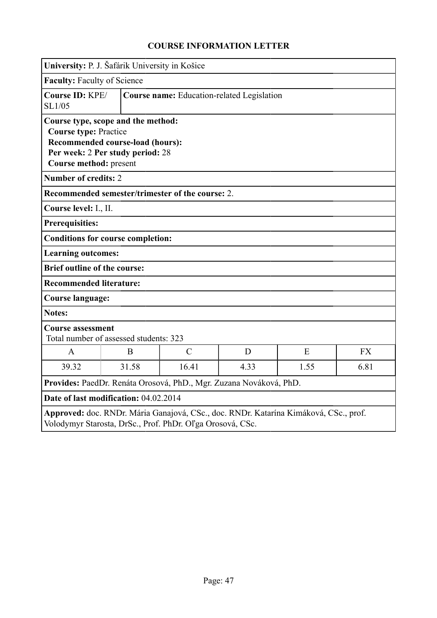|                                                        | University: P. J. Šafárik University in Košice                                                             |                                                                    |      |                                                                                      |           |  |
|--------------------------------------------------------|------------------------------------------------------------------------------------------------------------|--------------------------------------------------------------------|------|--------------------------------------------------------------------------------------|-----------|--|
| <b>Faculty: Faculty of Science</b>                     |                                                                                                            |                                                                    |      |                                                                                      |           |  |
| Course ID: KPE/<br>SL1/05                              | Course name: Education-related Legislation                                                                 |                                                                    |      |                                                                                      |           |  |
| <b>Course type: Practice</b><br>Course method: present | Course type, scope and the method:<br>Recommended course-load (hours):<br>Per week: 2 Per study period: 28 |                                                                    |      |                                                                                      |           |  |
| <b>Number of credits: 2</b>                            |                                                                                                            |                                                                    |      |                                                                                      |           |  |
|                                                        |                                                                                                            | Recommended semester/trimester of the course: 2.                   |      |                                                                                      |           |  |
| Course level: I., II.                                  |                                                                                                            |                                                                    |      |                                                                                      |           |  |
| <b>Prerequisities:</b>                                 |                                                                                                            |                                                                    |      |                                                                                      |           |  |
|                                                        | <b>Conditions for course completion:</b>                                                                   |                                                                    |      |                                                                                      |           |  |
| <b>Learning outcomes:</b>                              |                                                                                                            |                                                                    |      |                                                                                      |           |  |
| <b>Brief outline of the course:</b>                    |                                                                                                            |                                                                    |      |                                                                                      |           |  |
| <b>Recommended literature:</b>                         |                                                                                                            |                                                                    |      |                                                                                      |           |  |
| <b>Course language:</b>                                |                                                                                                            |                                                                    |      |                                                                                      |           |  |
| <b>Notes:</b>                                          |                                                                                                            |                                                                    |      |                                                                                      |           |  |
| <b>Course assessment</b>                               | Total number of assessed students: 323                                                                     |                                                                    |      |                                                                                      |           |  |
| $\mathbf{A}$                                           | B                                                                                                          | $\mathcal{C}$                                                      | D    | E                                                                                    | <b>FX</b> |  |
| 39.32                                                  | 31.58                                                                                                      | 16.41                                                              | 4.33 | 1.55                                                                                 | 6.81      |  |
|                                                        |                                                                                                            | Provides: PaedDr. Renáta Orosová, PhD., Mgr. Zuzana Nováková, PhD. |      |                                                                                      |           |  |
|                                                        | Date of last modification: 04.02.2014                                                                      |                                                                    |      |                                                                                      |           |  |
|                                                        |                                                                                                            | Volodymyr Starosta, DrSc., Prof. PhDr. Oľga Orosová, CSc.          |      | Approved: doc. RNDr. Mária Ganajová, CSc., doc. RNDr. Katarína Kimáková, CSc., prof. |           |  |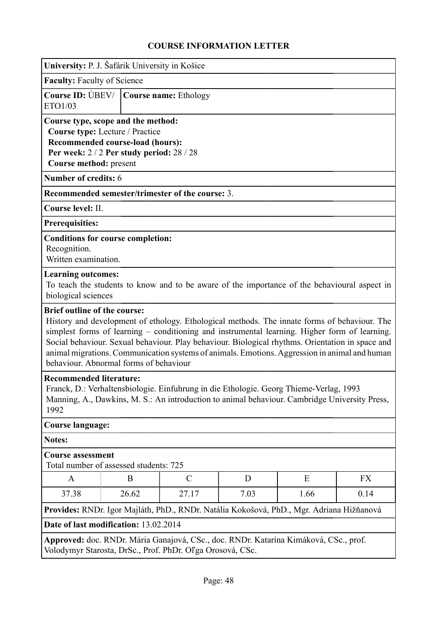|                                                                                                                                                                                                                                   | University: P. J. Šafárik University in Košice                                                                                                         |                                                           |   |                                                                                                                                                                                                                                                                                                                                                                                                    |    |  |  |  |
|-----------------------------------------------------------------------------------------------------------------------------------------------------------------------------------------------------------------------------------|--------------------------------------------------------------------------------------------------------------------------------------------------------|-----------------------------------------------------------|---|----------------------------------------------------------------------------------------------------------------------------------------------------------------------------------------------------------------------------------------------------------------------------------------------------------------------------------------------------------------------------------------------------|----|--|--|--|
| <b>Faculty: Faculty of Science</b>                                                                                                                                                                                                |                                                                                                                                                        |                                                           |   |                                                                                                                                                                                                                                                                                                                                                                                                    |    |  |  |  |
| Course ID: UBEV/<br>ETO1/03                                                                                                                                                                                                       |                                                                                                                                                        | Course name: Ethology                                     |   |                                                                                                                                                                                                                                                                                                                                                                                                    |    |  |  |  |
| Course method: present                                                                                                                                                                                                            | Course type, scope and the method:<br>Course type: Lecture / Practice<br>Recommended course-load (hours):<br>Per week: $2/2$ Per study period: $28/28$ |                                                           |   |                                                                                                                                                                                                                                                                                                                                                                                                    |    |  |  |  |
| Number of credits: 6                                                                                                                                                                                                              |                                                                                                                                                        |                                                           |   |                                                                                                                                                                                                                                                                                                                                                                                                    |    |  |  |  |
|                                                                                                                                                                                                                                   |                                                                                                                                                        | Recommended semester/trimester of the course: 3.          |   |                                                                                                                                                                                                                                                                                                                                                                                                    |    |  |  |  |
| Course level: II.                                                                                                                                                                                                                 |                                                                                                                                                        |                                                           |   |                                                                                                                                                                                                                                                                                                                                                                                                    |    |  |  |  |
| <b>Prerequisities:</b>                                                                                                                                                                                                            |                                                                                                                                                        |                                                           |   |                                                                                                                                                                                                                                                                                                                                                                                                    |    |  |  |  |
| <b>Conditions for course completion:</b><br>Recognition.<br>Written examination.                                                                                                                                                  |                                                                                                                                                        |                                                           |   |                                                                                                                                                                                                                                                                                                                                                                                                    |    |  |  |  |
| <b>Learning outcomes:</b><br>biological sciences                                                                                                                                                                                  |                                                                                                                                                        |                                                           |   | To teach the students to know and to be aware of the importance of the behavioural aspect in                                                                                                                                                                                                                                                                                                       |    |  |  |  |
| <b>Brief outline of the course:</b>                                                                                                                                                                                               | behaviour. Abnormal forms of behaviour                                                                                                                 |                                                           |   | History and development of ethology. Ethological methods. The innate forms of behaviour. The<br>simplest forms of learning – conditioning and instrumental learning. Higher form of learning.<br>Social behaviour. Sexual behaviour. Play behaviour. Biological rhythms. Orientation in space and<br>animal migrations. Communication systems of animals. Emotions. Aggression in animal and human |    |  |  |  |
| <b>Recommended literature:</b><br>Franck, D.: Verhaltensbiologie. Einfuhrung in die Ethologie. Georg Thieme-Verlag, 1993<br>Manning, A., Dawkins, M. S.: An introduction to animal behaviour. Cambridge University Press,<br>1992 |                                                                                                                                                        |                                                           |   |                                                                                                                                                                                                                                                                                                                                                                                                    |    |  |  |  |
| <b>Course language:</b>                                                                                                                                                                                                           |                                                                                                                                                        |                                                           |   |                                                                                                                                                                                                                                                                                                                                                                                                    |    |  |  |  |
| <b>Notes:</b>                                                                                                                                                                                                                     |                                                                                                                                                        |                                                           |   |                                                                                                                                                                                                                                                                                                                                                                                                    |    |  |  |  |
| <b>Course assessment</b><br>Total number of assessed students: 725                                                                                                                                                                |                                                                                                                                                        |                                                           |   |                                                                                                                                                                                                                                                                                                                                                                                                    |    |  |  |  |
| A                                                                                                                                                                                                                                 | B                                                                                                                                                      | $\mathcal{C}$                                             | D | E                                                                                                                                                                                                                                                                                                                                                                                                  | FX |  |  |  |
| 26.62<br>27.17<br>7.03<br>1.66<br>0.14<br>37.38                                                                                                                                                                                   |                                                                                                                                                        |                                                           |   |                                                                                                                                                                                                                                                                                                                                                                                                    |    |  |  |  |
| Provides: RNDr. Igor Majláth, PhD., RNDr. Natália Kokošová, PhD., Mgr. Adriana Hižňanová                                                                                                                                          |                                                                                                                                                        |                                                           |   |                                                                                                                                                                                                                                                                                                                                                                                                    |    |  |  |  |
| Date of last modification: 13.02.2014                                                                                                                                                                                             |                                                                                                                                                        |                                                           |   |                                                                                                                                                                                                                                                                                                                                                                                                    |    |  |  |  |
|                                                                                                                                                                                                                                   |                                                                                                                                                        | Volodymyr Starosta, DrSc., Prof. PhDr. Oľga Orosová, CSc. |   | Approved: doc. RNDr. Mária Ganajová, CSc., doc. RNDr. Katarína Kimáková, CSc., prof.                                                                                                                                                                                                                                                                                                               |    |  |  |  |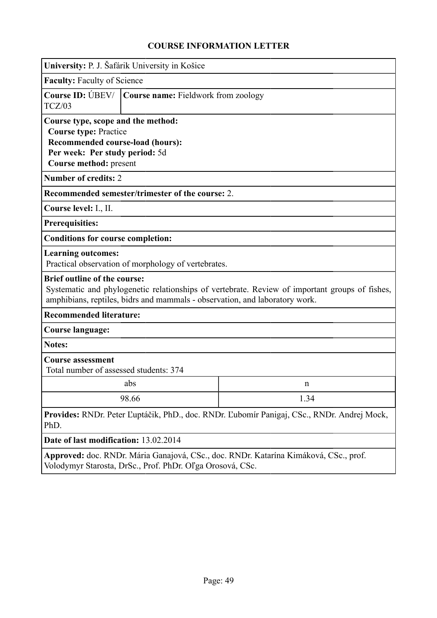|                                                                                                                                                                                                                                                                                                         | University: P. J. Šafárik University in Košice                              |                                                                                                |  |  |  |  |
|---------------------------------------------------------------------------------------------------------------------------------------------------------------------------------------------------------------------------------------------------------------------------------------------------------|-----------------------------------------------------------------------------|------------------------------------------------------------------------------------------------|--|--|--|--|
| <b>Faculty: Faculty of Science</b>                                                                                                                                                                                                                                                                      |                                                                             |                                                                                                |  |  |  |  |
| Course ID: UBEV/<br>TCZ/03                                                                                                                                                                                                                                                                              | Course name: Fieldwork from zoology                                         |                                                                                                |  |  |  |  |
| Course type, scope and the method:<br><b>Course type: Practice</b><br><b>Recommended course-load (hours):</b><br>Per week: Per study period: 5d<br>Course method: present<br><b>Number of credits: 2</b><br>Course level: I., II.<br><b>Prerequisities:</b><br><b>Conditions for course completion:</b> | Recommended semester/trimester of the course: 2.                            |                                                                                                |  |  |  |  |
| <b>Learning outcomes:</b>                                                                                                                                                                                                                                                                               | Practical observation of morphology of vertebrates.                         |                                                                                                |  |  |  |  |
| <b>Brief outline of the course:</b>                                                                                                                                                                                                                                                                     | amphibians, reptiles, bidrs and mammals - observation, and laboratory work. | Systematic and phylogenetic relationships of vertebrate. Review of important groups of fishes, |  |  |  |  |
| <b>Recommended literature:</b>                                                                                                                                                                                                                                                                          |                                                                             |                                                                                                |  |  |  |  |
| <b>Course language:</b>                                                                                                                                                                                                                                                                                 |                                                                             |                                                                                                |  |  |  |  |
| <b>Notes:</b>                                                                                                                                                                                                                                                                                           |                                                                             |                                                                                                |  |  |  |  |
| <b>Course assessment</b><br>Total number of assessed students: 374                                                                                                                                                                                                                                      |                                                                             |                                                                                                |  |  |  |  |
|                                                                                                                                                                                                                                                                                                         | abs                                                                         | n                                                                                              |  |  |  |  |
|                                                                                                                                                                                                                                                                                                         | 98.66                                                                       | 1.34                                                                                           |  |  |  |  |
| PhD.                                                                                                                                                                                                                                                                                                    |                                                                             | Provides: RNDr. Peter Ľuptáčik, PhD., doc. RNDr. Ľubomír Panigaj, CSc., RNDr. Andrej Mock,     |  |  |  |  |
| Date of last modification: 13.02.2014                                                                                                                                                                                                                                                                   |                                                                             |                                                                                                |  |  |  |  |
|                                                                                                                                                                                                                                                                                                         | Volodymyr Starosta, DrSc., Prof. PhDr. Oľga Orosová, CSc.                   | Approved: doc. RNDr. Mária Ganajová, CSc., doc. RNDr. Katarína Kimáková, CSc., prof.           |  |  |  |  |

Page: 49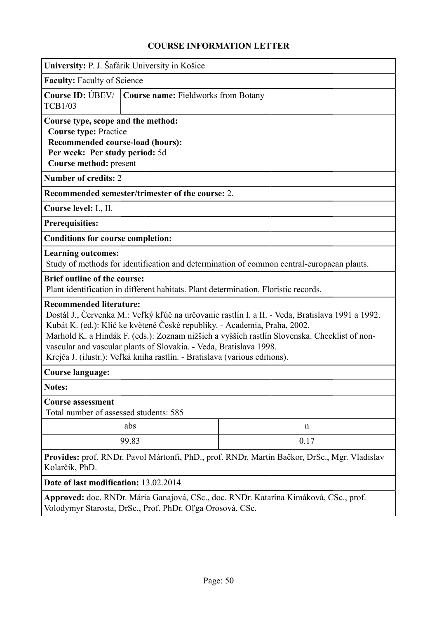| University: P. J. Šafárik University in Košice                                                                                                                     |                                                                                                                                                  |                                                                                                                                                                                                                                                                               |  |  |  |  |  |
|--------------------------------------------------------------------------------------------------------------------------------------------------------------------|--------------------------------------------------------------------------------------------------------------------------------------------------|-------------------------------------------------------------------------------------------------------------------------------------------------------------------------------------------------------------------------------------------------------------------------------|--|--|--|--|--|
| <b>Faculty: Faculty of Science</b>                                                                                                                                 |                                                                                                                                                  |                                                                                                                                                                                                                                                                               |  |  |  |  |  |
| <b>TCB1/03</b>                                                                                                                                                     | Course ID: ÚBEV/   Course name: Fieldworks from Botany                                                                                           |                                                                                                                                                                                                                                                                               |  |  |  |  |  |
| Course type, scope and the method:<br><b>Course type: Practice</b><br>Recommended course-load (hours):<br>Per week: Per study period: 5d<br>Course method: present |                                                                                                                                                  |                                                                                                                                                                                                                                                                               |  |  |  |  |  |
| <b>Number of credits: 2</b>                                                                                                                                        |                                                                                                                                                  |                                                                                                                                                                                                                                                                               |  |  |  |  |  |
|                                                                                                                                                                    | Recommended semester/trimester of the course: 2.                                                                                                 |                                                                                                                                                                                                                                                                               |  |  |  |  |  |
| Course level: I., II.                                                                                                                                              |                                                                                                                                                  |                                                                                                                                                                                                                                                                               |  |  |  |  |  |
| <b>Prerequisities:</b>                                                                                                                                             |                                                                                                                                                  |                                                                                                                                                                                                                                                                               |  |  |  |  |  |
| <b>Conditions for course completion:</b>                                                                                                                           |                                                                                                                                                  |                                                                                                                                                                                                                                                                               |  |  |  |  |  |
| <b>Learning outcomes:</b>                                                                                                                                          |                                                                                                                                                  | Study of methods for identification and determination of common central-europaean plants.                                                                                                                                                                                     |  |  |  |  |  |
| <b>Brief outline of the course:</b>                                                                                                                                |                                                                                                                                                  | Plant identification in different habitats. Plant determination. Floristic records.                                                                                                                                                                                           |  |  |  |  |  |
| <b>Recommended literature:</b>                                                                                                                                     | vascular and vascular plants of Slovakia. - Veda, Bratislava 1998.<br>Krejča J. (ilustr.): Veľká kniha rastlín. - Bratislava (various editions). | Dostál J., Červenka M.: Veľký kľúč na určovanie rastlín I. a II. - Veda, Bratislava 1991 a 1992.<br>Kubát K. (ed.): Klíč ke květeně České republiky. - Academia, Praha, 2002.<br>Marhold K. a Hindák F. (eds.): Zoznam nižších a vyšších rastlín Slovenska. Checklist of non- |  |  |  |  |  |
| <b>Course language:</b>                                                                                                                                            |                                                                                                                                                  |                                                                                                                                                                                                                                                                               |  |  |  |  |  |
| <b>Notes:</b>                                                                                                                                                      |                                                                                                                                                  |                                                                                                                                                                                                                                                                               |  |  |  |  |  |
| <b>Course assessment</b><br>Total number of assessed students: 585                                                                                                 |                                                                                                                                                  |                                                                                                                                                                                                                                                                               |  |  |  |  |  |
|                                                                                                                                                                    | abs                                                                                                                                              | $\mathbf n$                                                                                                                                                                                                                                                                   |  |  |  |  |  |
|                                                                                                                                                                    | 99.83                                                                                                                                            | 0.17                                                                                                                                                                                                                                                                          |  |  |  |  |  |
| Kolarčik, PhD.                                                                                                                                                     |                                                                                                                                                  | Provides: prof. RNDr. Pavol Mártonfi, PhD., prof. RNDr. Martin Bačkor, DrSc., Mgr. Vladislav                                                                                                                                                                                  |  |  |  |  |  |
| Date of last modification: 13.02.2014                                                                                                                              |                                                                                                                                                  |                                                                                                                                                                                                                                                                               |  |  |  |  |  |
|                                                                                                                                                                    |                                                                                                                                                  | Approved: doc. RNDr. Mária Ganajová, CSc., doc. RNDr. Katarína Kimáková, CSc., prof.                                                                                                                                                                                          |  |  |  |  |  |

Volodymyr Starosta, DrSc., Prof. PhDr. Oľga Orosová, CSc.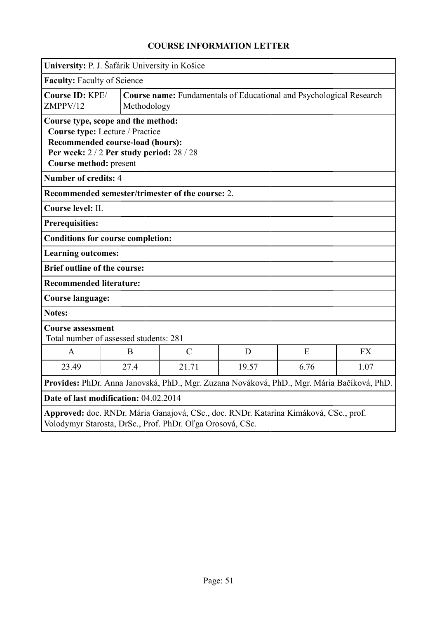| University: P. J. Šafárik University in Košice                                                                                                                               |                                                                                           |                                                  |       |      |           |  |
|------------------------------------------------------------------------------------------------------------------------------------------------------------------------------|-------------------------------------------------------------------------------------------|--------------------------------------------------|-------|------|-----------|--|
|                                                                                                                                                                              | Faculty: Faculty of Science                                                               |                                                  |       |      |           |  |
| Course ID: KPE/<br>ZMPPV/12                                                                                                                                                  | <b>Course name:</b> Fundamentals of Educational and Psychological Research<br>Methodology |                                                  |       |      |           |  |
| Course type, scope and the method:<br>Course type: Lecture / Practice<br>Recommended course-load (hours):<br>Per week: 2/2 Per study period: 28/28<br>Course method: present |                                                                                           |                                                  |       |      |           |  |
| <b>Number of credits: 4</b>                                                                                                                                                  |                                                                                           |                                                  |       |      |           |  |
|                                                                                                                                                                              |                                                                                           | Recommended semester/trimester of the course: 2. |       |      |           |  |
| Course level: II.                                                                                                                                                            |                                                                                           |                                                  |       |      |           |  |
| <b>Prerequisities:</b>                                                                                                                                                       |                                                                                           |                                                  |       |      |           |  |
|                                                                                                                                                                              | <b>Conditions for course completion:</b>                                                  |                                                  |       |      |           |  |
| <b>Learning outcomes:</b>                                                                                                                                                    |                                                                                           |                                                  |       |      |           |  |
| <b>Brief outline of the course:</b>                                                                                                                                          |                                                                                           |                                                  |       |      |           |  |
| <b>Recommended literature:</b>                                                                                                                                               |                                                                                           |                                                  |       |      |           |  |
| <b>Course language:</b>                                                                                                                                                      |                                                                                           |                                                  |       |      |           |  |
| <b>Notes:</b>                                                                                                                                                                |                                                                                           |                                                  |       |      |           |  |
| <b>Course assessment</b>                                                                                                                                                     | Total number of assessed students: 281                                                    |                                                  |       |      |           |  |
| A                                                                                                                                                                            | B                                                                                         | $\mathcal{C}$                                    | D     | E    | <b>FX</b> |  |
| 23.49                                                                                                                                                                        | 27.4                                                                                      | 21.71                                            | 19.57 | 6.76 | 1.07      |  |
| Provides: PhDr. Anna Janovská, PhD., Mgr. Zuzana Nováková, PhD., Mgr. Mária Bačíková, PhD.                                                                                   |                                                                                           |                                                  |       |      |           |  |
| Date of last modification: 04.02.2014                                                                                                                                        |                                                                                           |                                                  |       |      |           |  |
| Approved: doc. RNDr. Mária Ganajová, CSc., doc. RNDr. Katarína Kimáková, CSc., prof.<br>Volodymyr Starosta, DrSc., Prof. PhDr. Oľga Orosová, CSc.                            |                                                                                           |                                                  |       |      |           |  |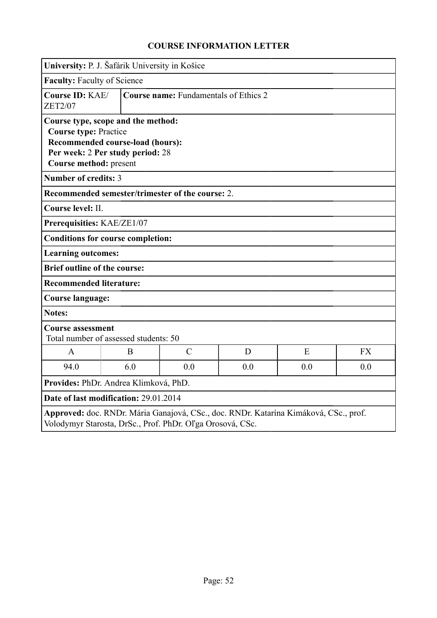| University: P. J. Šafárik University in Košice                                               |                                                                      |               |     |                                                                                      |           |  |
|----------------------------------------------------------------------------------------------|----------------------------------------------------------------------|---------------|-----|--------------------------------------------------------------------------------------|-----------|--|
| <b>Faculty: Faculty of Science</b>                                                           |                                                                      |               |     |                                                                                      |           |  |
| Course ID: KAE/<br><b>ZET2/07</b>                                                            | <b>Course name:</b> Fundamentals of Ethics 2                         |               |     |                                                                                      |           |  |
| Course type, scope and the method:<br><b>Course type: Practice</b><br>Course method: present | Recommended course-load (hours):<br>Per week: 2 Per study period: 28 |               |     |                                                                                      |           |  |
| <b>Number of credits: 3</b>                                                                  |                                                                      |               |     |                                                                                      |           |  |
| Recommended semester/trimester of the course: 2.                                             |                                                                      |               |     |                                                                                      |           |  |
| Course level: II.                                                                            |                                                                      |               |     |                                                                                      |           |  |
| Prerequisities: KAE/ZE1/07                                                                   |                                                                      |               |     |                                                                                      |           |  |
| <b>Conditions for course completion:</b>                                                     |                                                                      |               |     |                                                                                      |           |  |
| <b>Learning outcomes:</b>                                                                    |                                                                      |               |     |                                                                                      |           |  |
| <b>Brief outline of the course:</b>                                                          |                                                                      |               |     |                                                                                      |           |  |
| <b>Recommended literature:</b>                                                               |                                                                      |               |     |                                                                                      |           |  |
| Course language:                                                                             |                                                                      |               |     |                                                                                      |           |  |
| <b>Notes:</b>                                                                                |                                                                      |               |     |                                                                                      |           |  |
| <b>Course assessment</b>                                                                     | Total number of assessed students: 50                                |               |     |                                                                                      |           |  |
| $\mathbf{A}$                                                                                 | B                                                                    | $\mathcal{C}$ | D   | E                                                                                    | <b>FX</b> |  |
| 94.0                                                                                         | 6.0                                                                  | 0.0           | 0.0 | 0.0                                                                                  | 0.0       |  |
| Provides: PhDr. Andrea Klimková, PhD.                                                        |                                                                      |               |     |                                                                                      |           |  |
| Date of last modification: 29.01.2014                                                        |                                                                      |               |     |                                                                                      |           |  |
|                                                                                              | Volodymyr Starosta, DrSc., Prof. PhDr. Oľga Orosová, CSc.            |               |     | Approved: doc. RNDr. Mária Ganajová, CSc., doc. RNDr. Katarína Kimáková, CSc., prof. |           |  |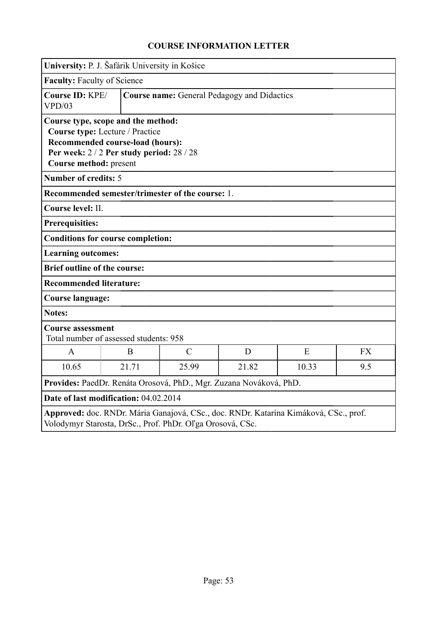|                                     | University: P. J. Šafárik University in Košice                                                                                                         |                                                                    |       |                                                                                      |           |
|-------------------------------------|--------------------------------------------------------------------------------------------------------------------------------------------------------|--------------------------------------------------------------------|-------|--------------------------------------------------------------------------------------|-----------|
| Faculty: Faculty of Science         |                                                                                                                                                        |                                                                    |       |                                                                                      |           |
| Course ID: KPE/<br>VPD/03           |                                                                                                                                                        | <b>Course name:</b> General Pedagogy and Didactics                 |       |                                                                                      |           |
| Course method: present              | Course type, scope and the method:<br>Course type: Lecture / Practice<br>Recommended course-load (hours):<br>Per week: 2 / 2 Per study period: 28 / 28 |                                                                    |       |                                                                                      |           |
| <b>Number of credits: 5</b>         |                                                                                                                                                        |                                                                    |       |                                                                                      |           |
|                                     |                                                                                                                                                        | Recommended semester/trimester of the course: 1.                   |       |                                                                                      |           |
| Course level: II.                   |                                                                                                                                                        |                                                                    |       |                                                                                      |           |
| <b>Prerequisities:</b>              |                                                                                                                                                        |                                                                    |       |                                                                                      |           |
|                                     | <b>Conditions for course completion:</b>                                                                                                               |                                                                    |       |                                                                                      |           |
| <b>Learning outcomes:</b>           |                                                                                                                                                        |                                                                    |       |                                                                                      |           |
| <b>Brief outline of the course:</b> |                                                                                                                                                        |                                                                    |       |                                                                                      |           |
| <b>Recommended literature:</b>      |                                                                                                                                                        |                                                                    |       |                                                                                      |           |
| <b>Course language:</b>             |                                                                                                                                                        |                                                                    |       |                                                                                      |           |
| <b>Notes:</b>                       |                                                                                                                                                        |                                                                    |       |                                                                                      |           |
| <b>Course assessment</b>            | Total number of assessed students: 958                                                                                                                 |                                                                    |       |                                                                                      |           |
| A                                   | B                                                                                                                                                      | $\mathcal{C}$                                                      | D     | E                                                                                    | <b>FX</b> |
| 10.65                               | 21.71                                                                                                                                                  | 25.99                                                              | 21.82 | 10.33                                                                                | 9.5       |
|                                     |                                                                                                                                                        | Provides: PaedDr. Renáta Orosová, PhD., Mgr. Zuzana Nováková, PhD. |       |                                                                                      |           |
|                                     | Date of last modification: 04.02.2014                                                                                                                  |                                                                    |       |                                                                                      |           |
|                                     |                                                                                                                                                        | Volodymyr Starosta, DrSc., Prof. PhDr. Oľga Orosová, CSc.          |       | Approved: doc. RNDr. Mária Ganajová, CSc., doc. RNDr. Katarína Kimáková, CSc., prof. |           |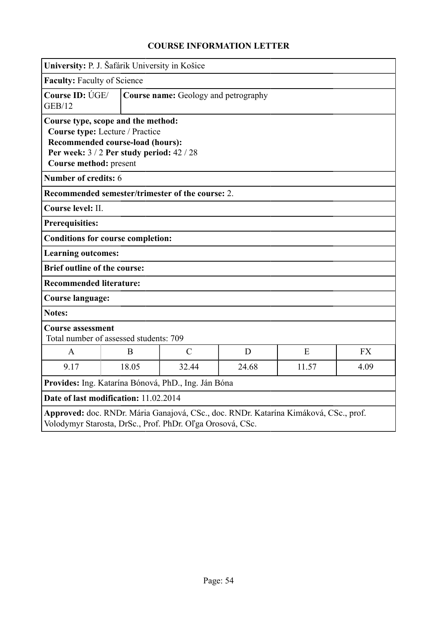|                                       | University: P. J. Šafárik University in Košice                                                                                                         |                                                           |       |                                                                                      |           |  |  |
|---------------------------------------|--------------------------------------------------------------------------------------------------------------------------------------------------------|-----------------------------------------------------------|-------|--------------------------------------------------------------------------------------|-----------|--|--|
| <b>Faculty: Faculty of Science</b>    |                                                                                                                                                        |                                                           |       |                                                                                      |           |  |  |
| <b>GEB/12</b>                         | Course ID: ÚGE/<br>Course name: Geology and petrography                                                                                                |                                                           |       |                                                                                      |           |  |  |
| Course method: present                | Course type, scope and the method:<br>Course type: Lecture / Practice<br>Recommended course-load (hours):<br>Per week: 3 / 2 Per study period: 42 / 28 |                                                           |       |                                                                                      |           |  |  |
| Number of credits: 6                  |                                                                                                                                                        |                                                           |       |                                                                                      |           |  |  |
|                                       |                                                                                                                                                        | Recommended semester/trimester of the course: 2.          |       |                                                                                      |           |  |  |
| Course level: II.                     |                                                                                                                                                        |                                                           |       |                                                                                      |           |  |  |
| <b>Prerequisities:</b>                |                                                                                                                                                        |                                                           |       |                                                                                      |           |  |  |
|                                       | <b>Conditions for course completion:</b>                                                                                                               |                                                           |       |                                                                                      |           |  |  |
| <b>Learning outcomes:</b>             |                                                                                                                                                        |                                                           |       |                                                                                      |           |  |  |
| <b>Brief outline of the course:</b>   |                                                                                                                                                        |                                                           |       |                                                                                      |           |  |  |
| <b>Recommended literature:</b>        |                                                                                                                                                        |                                                           |       |                                                                                      |           |  |  |
| <b>Course language:</b>               |                                                                                                                                                        |                                                           |       |                                                                                      |           |  |  |
| <b>Notes:</b>                         |                                                                                                                                                        |                                                           |       |                                                                                      |           |  |  |
| <b>Course assessment</b>              | Total number of assessed students: 709                                                                                                                 |                                                           |       |                                                                                      |           |  |  |
| A                                     | B                                                                                                                                                      | $\mathcal{C}$                                             | D     | E                                                                                    | <b>FX</b> |  |  |
| 9.17                                  | 18.05                                                                                                                                                  | 32.44                                                     | 24.68 | 11.57                                                                                | 4.09      |  |  |
|                                       |                                                                                                                                                        | Provides: Ing. Katarína Bónová, PhD., Ing. Ján Bóna       |       |                                                                                      |           |  |  |
| Date of last modification: 11.02.2014 |                                                                                                                                                        |                                                           |       |                                                                                      |           |  |  |
|                                       |                                                                                                                                                        | Volodymyr Starosta, DrSc., Prof. PhDr. Oľga Orosová, CSc. |       | Approved: doc. RNDr. Mária Ganajová, CSc., doc. RNDr. Katarína Kimáková, CSc., prof. |           |  |  |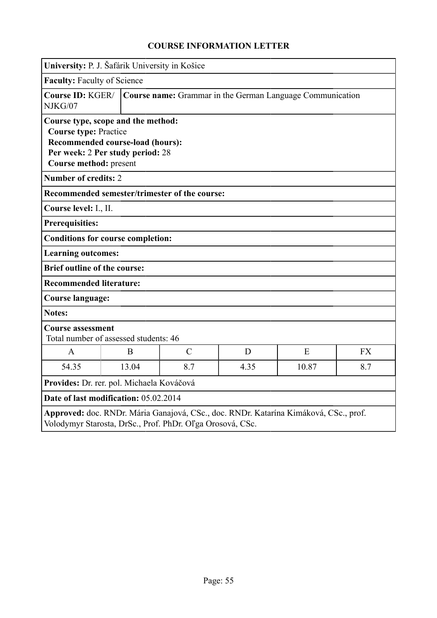|                                                                                              | University: P. J. Šafárik University in Košice                       |                                                           |      |                                                                                      |           |
|----------------------------------------------------------------------------------------------|----------------------------------------------------------------------|-----------------------------------------------------------|------|--------------------------------------------------------------------------------------|-----------|
| Faculty: Faculty of Science                                                                  |                                                                      |                                                           |      |                                                                                      |           |
| Course ID: KGER/<br>NJKG/07                                                                  |                                                                      |                                                           |      | Course name: Grammar in the German Language Communication                            |           |
| Course type, scope and the method:<br><b>Course type: Practice</b><br>Course method: present | Recommended course-load (hours):<br>Per week: 2 Per study period: 28 |                                                           |      |                                                                                      |           |
| <b>Number of credits: 2</b>                                                                  |                                                                      |                                                           |      |                                                                                      |           |
|                                                                                              |                                                                      | Recommended semester/trimester of the course:             |      |                                                                                      |           |
| Course level: I., II.                                                                        |                                                                      |                                                           |      |                                                                                      |           |
| <b>Prerequisities:</b>                                                                       |                                                                      |                                                           |      |                                                                                      |           |
| <b>Conditions for course completion:</b>                                                     |                                                                      |                                                           |      |                                                                                      |           |
| <b>Learning outcomes:</b>                                                                    |                                                                      |                                                           |      |                                                                                      |           |
| <b>Brief outline of the course:</b>                                                          |                                                                      |                                                           |      |                                                                                      |           |
| <b>Recommended literature:</b>                                                               |                                                                      |                                                           |      |                                                                                      |           |
| <b>Course language:</b>                                                                      |                                                                      |                                                           |      |                                                                                      |           |
| <b>Notes:</b>                                                                                |                                                                      |                                                           |      |                                                                                      |           |
| <b>Course assessment</b>                                                                     | Total number of assessed students: 46                                |                                                           |      |                                                                                      |           |
| $\mathbf{A}$                                                                                 | B                                                                    | $\mathcal{C}$                                             | D    | E                                                                                    | <b>FX</b> |
| 54.35                                                                                        | 13.04                                                                | 8.7                                                       | 4.35 | 10.87                                                                                | 8.7       |
| Provides: Dr. rer. pol. Michaela Kováčová                                                    |                                                                      |                                                           |      |                                                                                      |           |
| Date of last modification: 05.02.2014                                                        |                                                                      |                                                           |      |                                                                                      |           |
|                                                                                              |                                                                      | Volodymyr Starosta, DrSc., Prof. PhDr. Oľga Orosová, CSc. |      | Approved: doc. RNDr. Mária Ganajová, CSc., doc. RNDr. Katarína Kimáková, CSc., prof. |           |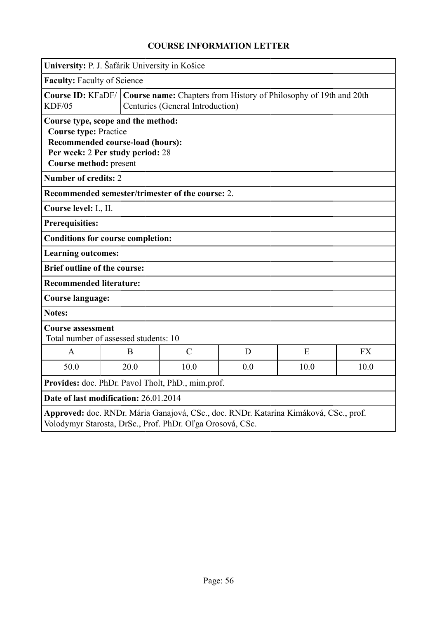| University: P. J. Šafárik University in Košice                                                                                                                              |                                                                                                       |               |     |      |           |
|-----------------------------------------------------------------------------------------------------------------------------------------------------------------------------|-------------------------------------------------------------------------------------------------------|---------------|-----|------|-----------|
| Faculty: Faculty of Science                                                                                                                                                 |                                                                                                       |               |     |      |           |
| <b>Course ID: KFaDF/</b><br><b>KDF/05</b>                                                                                                                                   | Course name: Chapters from History of Philosophy of 19th and 20th<br>Centuries (General Introduction) |               |     |      |           |
| Course type, scope and the method:<br><b>Course type: Practice</b><br><b>Recommended course-load (hours):</b><br>Per week: 2 Per study period: 28<br>Course method: present |                                                                                                       |               |     |      |           |
| <b>Number of credits: 2</b>                                                                                                                                                 |                                                                                                       |               |     |      |           |
| Recommended semester/trimester of the course: 2.                                                                                                                            |                                                                                                       |               |     |      |           |
| Course level: I., II.                                                                                                                                                       |                                                                                                       |               |     |      |           |
| Prerequisities:                                                                                                                                                             |                                                                                                       |               |     |      |           |
| <b>Conditions for course completion:</b>                                                                                                                                    |                                                                                                       |               |     |      |           |
| <b>Learning outcomes:</b>                                                                                                                                                   |                                                                                                       |               |     |      |           |
| <b>Brief outline of the course:</b>                                                                                                                                         |                                                                                                       |               |     |      |           |
| <b>Recommended literature:</b>                                                                                                                                              |                                                                                                       |               |     |      |           |
| <b>Course language:</b>                                                                                                                                                     |                                                                                                       |               |     |      |           |
| <b>Notes:</b>                                                                                                                                                               |                                                                                                       |               |     |      |           |
| <b>Course assessment</b><br>Total number of assessed students: 10                                                                                                           |                                                                                                       |               |     |      |           |
| A                                                                                                                                                                           | B                                                                                                     | $\mathcal{C}$ | D   | E    | <b>FX</b> |
| 50.0                                                                                                                                                                        | 20.0                                                                                                  | 10.0          | 0.0 | 10.0 | 10.0      |
| Provides: doc. PhDr. Pavol Tholt, PhD., mim.prof.                                                                                                                           |                                                                                                       |               |     |      |           |
| Date of last modification: 26.01.2014                                                                                                                                       |                                                                                                       |               |     |      |           |
| Approved: doc. RNDr. Mária Ganajová, CSc., doc. RNDr. Katarína Kimáková, CSc., prof.<br>Volodymyr Starosta, DrSc., Prof. PhDr. Oľga Orosová, CSc.                           |                                                                                                       |               |     |      |           |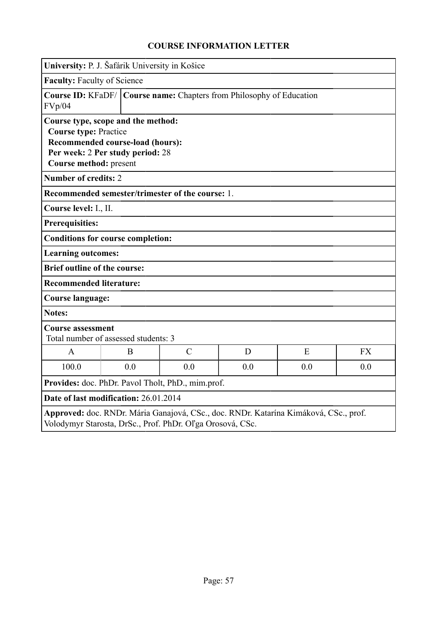| University: P. J. Šafárik University in Košice                                               |                                                                      |               |     |                                                                                      |           |  |
|----------------------------------------------------------------------------------------------|----------------------------------------------------------------------|---------------|-----|--------------------------------------------------------------------------------------|-----------|--|
| <b>Faculty: Faculty of Science</b>                                                           |                                                                      |               |     |                                                                                      |           |  |
| <b>Course ID: KFaDF/</b><br>FVp/04                                                           | Course name: Chapters from Philosophy of Education                   |               |     |                                                                                      |           |  |
| Course type, scope and the method:<br><b>Course type: Practice</b><br>Course method: present | Recommended course-load (hours):<br>Per week: 2 Per study period: 28 |               |     |                                                                                      |           |  |
| <b>Number of credits: 2</b>                                                                  |                                                                      |               |     |                                                                                      |           |  |
| Recommended semester/trimester of the course: 1.                                             |                                                                      |               |     |                                                                                      |           |  |
| Course level: I., II.                                                                        |                                                                      |               |     |                                                                                      |           |  |
| <b>Prerequisities:</b>                                                                       |                                                                      |               |     |                                                                                      |           |  |
| <b>Conditions for course completion:</b>                                                     |                                                                      |               |     |                                                                                      |           |  |
| <b>Learning outcomes:</b>                                                                    |                                                                      |               |     |                                                                                      |           |  |
| <b>Brief outline of the course:</b>                                                          |                                                                      |               |     |                                                                                      |           |  |
| <b>Recommended literature:</b>                                                               |                                                                      |               |     |                                                                                      |           |  |
| Course language:                                                                             |                                                                      |               |     |                                                                                      |           |  |
| <b>Notes:</b>                                                                                |                                                                      |               |     |                                                                                      |           |  |
| <b>Course assessment</b><br>Total number of assessed students: 3                             |                                                                      |               |     |                                                                                      |           |  |
| $\mathbf{A}$                                                                                 | B                                                                    | $\mathcal{C}$ | D   | E                                                                                    | <b>FX</b> |  |
| 100.0                                                                                        | 0.0                                                                  | 0.0           | 0.0 | 0.0                                                                                  | 0.0       |  |
| Provides: doc. PhDr. Pavol Tholt, PhD., mim.prof.                                            |                                                                      |               |     |                                                                                      |           |  |
| Date of last modification: 26.01.2014                                                        |                                                                      |               |     |                                                                                      |           |  |
| Volodymyr Starosta, DrSc., Prof. PhDr. Oľga Orosová, CSc.                                    |                                                                      |               |     | Approved: doc. RNDr. Mária Ganajová, CSc., doc. RNDr. Katarína Kimáková, CSc., prof. |           |  |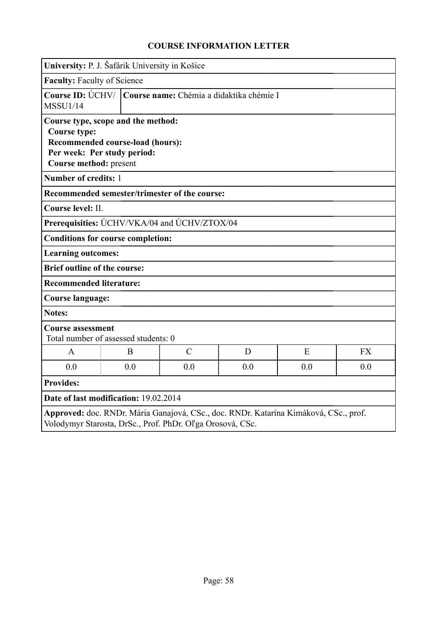|                                               | University: P. J. Šafárik University in Košice                                                        |                                                           |     |                                                                                      |           |  |  |
|-----------------------------------------------|-------------------------------------------------------------------------------------------------------|-----------------------------------------------------------|-----|--------------------------------------------------------------------------------------|-----------|--|--|
| <b>Faculty: Faculty of Science</b>            |                                                                                                       |                                                           |     |                                                                                      |           |  |  |
| <b>MSSU1/14</b>                               | Course ID: ÚCHV/   Course name: Chémia a didaktika chémie I                                           |                                                           |     |                                                                                      |           |  |  |
| <b>Course type:</b><br>Course method: present | Course type, scope and the method:<br>Recommended course-load (hours):<br>Per week: Per study period: |                                                           |     |                                                                                      |           |  |  |
| Number of credits: 1                          |                                                                                                       |                                                           |     |                                                                                      |           |  |  |
|                                               |                                                                                                       | Recommended semester/trimester of the course:             |     |                                                                                      |           |  |  |
| Course level: II.                             |                                                                                                       |                                                           |     |                                                                                      |           |  |  |
|                                               |                                                                                                       | Prerequisities: UCHV/VKA/04 and UCHV/ZTOX/04              |     |                                                                                      |           |  |  |
|                                               | <b>Conditions for course completion:</b>                                                              |                                                           |     |                                                                                      |           |  |  |
| <b>Learning outcomes:</b>                     |                                                                                                       |                                                           |     |                                                                                      |           |  |  |
| <b>Brief outline of the course:</b>           |                                                                                                       |                                                           |     |                                                                                      |           |  |  |
| <b>Recommended literature:</b>                |                                                                                                       |                                                           |     |                                                                                      |           |  |  |
| <b>Course language:</b>                       |                                                                                                       |                                                           |     |                                                                                      |           |  |  |
| <b>Notes:</b>                                 |                                                                                                       |                                                           |     |                                                                                      |           |  |  |
| <b>Course assessment</b>                      | Total number of assessed students: 0                                                                  |                                                           |     |                                                                                      |           |  |  |
| A                                             | B                                                                                                     | $\mathcal{C}$                                             | D   | E                                                                                    | <b>FX</b> |  |  |
| 0.0                                           | 0.0                                                                                                   | 0.0                                                       | 0.0 | 0.0                                                                                  | 0.0       |  |  |
| <b>Provides:</b>                              |                                                                                                       |                                                           |     |                                                                                      |           |  |  |
|                                               | Date of last modification: 19.02.2014                                                                 |                                                           |     |                                                                                      |           |  |  |
|                                               |                                                                                                       | Volodymyr Starosta, DrSc., Prof. PhDr. Oľga Orosová, CSc. |     | Approved: doc. RNDr. Mária Ganajová, CSc., doc. RNDr. Katarína Kimáková, CSc., prof. |           |  |  |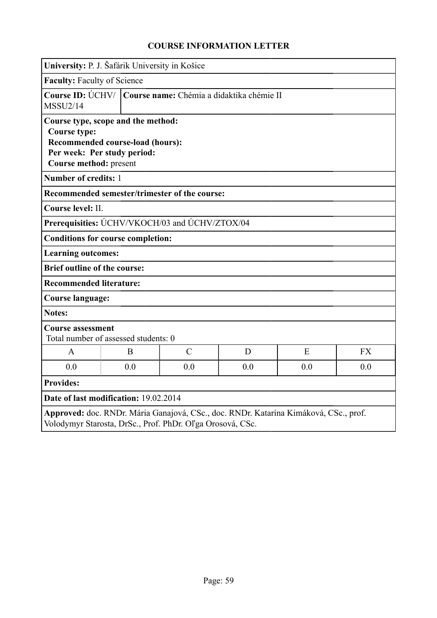|                                               | University: P. J. Šafárik University in Košice                                                        |               |     |                                                                                      |           |  |
|-----------------------------------------------|-------------------------------------------------------------------------------------------------------|---------------|-----|--------------------------------------------------------------------------------------|-----------|--|
| <b>Faculty: Faculty of Science</b>            |                                                                                                       |               |     |                                                                                      |           |  |
| <b>MSSU2/14</b>                               | Course ID: ÚCHV/   Course name: Chémia a didaktika chémie II                                          |               |     |                                                                                      |           |  |
| <b>Course type:</b><br>Course method: present | Course type, scope and the method:<br>Recommended course-load (hours):<br>Per week: Per study period: |               |     |                                                                                      |           |  |
| Number of credits: 1                          |                                                                                                       |               |     |                                                                                      |           |  |
|                                               | Recommended semester/trimester of the course:                                                         |               |     |                                                                                      |           |  |
| Course level: II.                             |                                                                                                       |               |     |                                                                                      |           |  |
|                                               | Prerequisities: ÚCHV/VKOCH/03 and ÚCHV/ZTOX/04                                                        |               |     |                                                                                      |           |  |
|                                               | <b>Conditions for course completion:</b>                                                              |               |     |                                                                                      |           |  |
| <b>Learning outcomes:</b>                     |                                                                                                       |               |     |                                                                                      |           |  |
| <b>Brief outline of the course:</b>           |                                                                                                       |               |     |                                                                                      |           |  |
| <b>Recommended literature:</b>                |                                                                                                       |               |     |                                                                                      |           |  |
| <b>Course language:</b>                       |                                                                                                       |               |     |                                                                                      |           |  |
| <b>Notes:</b>                                 |                                                                                                       |               |     |                                                                                      |           |  |
| <b>Course assessment</b>                      | Total number of assessed students: 0                                                                  |               |     |                                                                                      |           |  |
| $\mathsf{A}$                                  | B                                                                                                     | $\mathcal{C}$ | D   | E                                                                                    | <b>FX</b> |  |
| 0.0                                           | 0.0                                                                                                   | 0.0           | 0.0 | 0.0                                                                                  | 0.0       |  |
| <b>Provides:</b>                              |                                                                                                       |               |     |                                                                                      |           |  |
|                                               | Date of last modification: 19.02.2014                                                                 |               |     |                                                                                      |           |  |
|                                               | Volodymyr Starosta, DrSc., Prof. PhDr. Oľga Orosová, CSc.                                             |               |     | Approved: doc. RNDr. Mária Ganajová, CSc., doc. RNDr. Katarína Kimáková, CSc., prof. |           |  |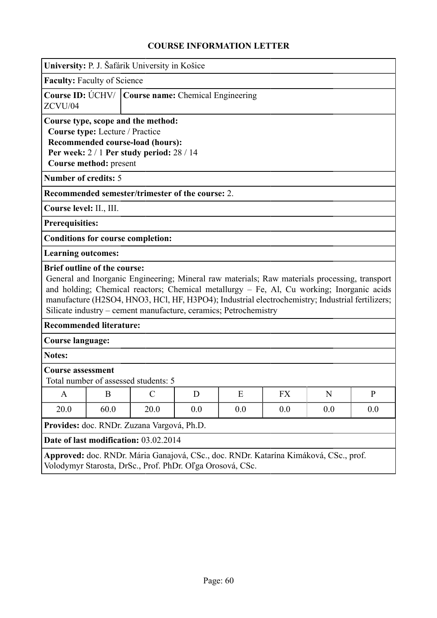|                                                                                  |                                                                                                       | University: P. J. Šafárik University in Košice                                                                                                                          |     |     |                                                                                                                                                                                                                                                                                               |     |              |
|----------------------------------------------------------------------------------|-------------------------------------------------------------------------------------------------------|-------------------------------------------------------------------------------------------------------------------------------------------------------------------------|-----|-----|-----------------------------------------------------------------------------------------------------------------------------------------------------------------------------------------------------------------------------------------------------------------------------------------------|-----|--------------|
|                                                                                  | <b>Faculty: Faculty of Science</b>                                                                    |                                                                                                                                                                         |     |     |                                                                                                                                                                                                                                                                                               |     |              |
| ZCVU/04                                                                          | Course ID: ÚCHV/   Course name: Chemical Engineering                                                  |                                                                                                                                                                         |     |     |                                                                                                                                                                                                                                                                                               |     |              |
| <b>Number of credits: 5</b><br>Course level: II., III.<br><b>Prerequisities:</b> | Course type: Lecture / Practice<br>Course method: present<br><b>Conditions for course completion:</b> | Course type, scope and the method:<br>Recommended course-load (hours):<br>Per week: $2/1$ Per study period: $28/14$<br>Recommended semester/trimester of the course: 2. |     |     |                                                                                                                                                                                                                                                                                               |     |              |
| <b>Learning outcomes:</b>                                                        |                                                                                                       |                                                                                                                                                                         |     |     |                                                                                                                                                                                                                                                                                               |     |              |
|                                                                                  | <b>Brief outline of the course:</b><br><b>Recommended literature:</b>                                 | Silicate industry – cement manufacture, ceramics; Petrochemistry                                                                                                        |     |     | General and Inorganic Engineering; Mineral raw materials; Raw materials processing, transport<br>and holding; Chemical reactors; Chemical metallurgy - Fe, Al, Cu working; Inorganic acids<br>manufacture (H2SO4, HNO3, HCl, HF, H3PO4); Industrial electrochemistry; Industrial fertilizers; |     |              |
| <b>Course language:</b>                                                          |                                                                                                       |                                                                                                                                                                         |     |     |                                                                                                                                                                                                                                                                                               |     |              |
| <b>Notes:</b>                                                                    |                                                                                                       |                                                                                                                                                                         |     |     |                                                                                                                                                                                                                                                                                               |     |              |
| <b>Course assessment</b>                                                         | Total number of assessed students: 5                                                                  |                                                                                                                                                                         |     |     |                                                                                                                                                                                                                                                                                               |     |              |
| A                                                                                | B                                                                                                     | $\mathcal{C}$                                                                                                                                                           | D   | E   | <b>FX</b>                                                                                                                                                                                                                                                                                     | N   | $\mathbf{P}$ |
| 20.0                                                                             | 60.0                                                                                                  | 20.0                                                                                                                                                                    | 0.0 | 0.0 | 0.0                                                                                                                                                                                                                                                                                           | 0.0 | 0.0          |
|                                                                                  |                                                                                                       | Provides: doc. RNDr. Zuzana Vargová, Ph.D.                                                                                                                              |     |     |                                                                                                                                                                                                                                                                                               |     |              |
|                                                                                  |                                                                                                       | Date of last modification: 03.02.2014                                                                                                                                   |     |     |                                                                                                                                                                                                                                                                                               |     |              |
|                                                                                  |                                                                                                       | Volodymyr Starosta, DrSc., Prof. PhDr. Oľga Orosová, CSc.                                                                                                               |     |     | Approved: doc. RNDr. Mária Ganajová, CSc., doc. RNDr. Katarína Kimáková, CSc., prof.                                                                                                                                                                                                          |     |              |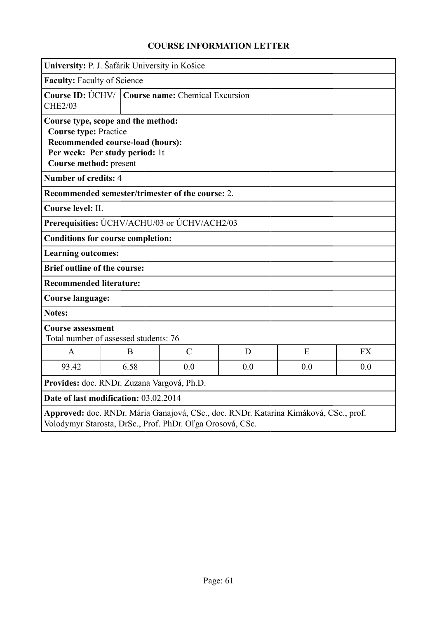|                                                                                                                                                                    |                                                                   | University: P. J. Šafárik University in Košice |     |     |           |  |
|--------------------------------------------------------------------------------------------------------------------------------------------------------------------|-------------------------------------------------------------------|------------------------------------------------|-----|-----|-----------|--|
| <b>Faculty: Faculty of Science</b>                                                                                                                                 |                                                                   |                                                |     |     |           |  |
| <b>CHE2/03</b>                                                                                                                                                     | Course ID: ÚCHV/   Course name: Chemical Excursion                |                                                |     |     |           |  |
| Course type, scope and the method:<br><b>Course type: Practice</b><br>Recommended course-load (hours):<br>Per week: Per study period: 1t<br>Course method: present |                                                                   |                                                |     |     |           |  |
| <b>Number of credits: 4</b>                                                                                                                                        |                                                                   |                                                |     |     |           |  |
|                                                                                                                                                                    | Recommended semester/trimester of the course: 2.                  |                                                |     |     |           |  |
| Course level: II.                                                                                                                                                  |                                                                   |                                                |     |     |           |  |
|                                                                                                                                                                    | Prerequisities: UCHV/ACHU/03 or UCHV/ACH2/03                      |                                                |     |     |           |  |
|                                                                                                                                                                    | <b>Conditions for course completion:</b>                          |                                                |     |     |           |  |
| <b>Learning outcomes:</b>                                                                                                                                          |                                                                   |                                                |     |     |           |  |
| <b>Brief outline of the course:</b>                                                                                                                                |                                                                   |                                                |     |     |           |  |
| <b>Recommended literature:</b>                                                                                                                                     |                                                                   |                                                |     |     |           |  |
| <b>Course language:</b>                                                                                                                                            |                                                                   |                                                |     |     |           |  |
| Notes:                                                                                                                                                             |                                                                   |                                                |     |     |           |  |
|                                                                                                                                                                    | <b>Course assessment</b><br>Total number of assessed students: 76 |                                                |     |     |           |  |
| $\mathbf{A}$                                                                                                                                                       | B                                                                 | $\mathcal{C}$                                  | D   | E   | <b>FX</b> |  |
| 93.42                                                                                                                                                              | 6.58                                                              | 0.0                                            | 0.0 | 0.0 | 0.0       |  |
| Provides: doc. RNDr. Zuzana Vargová, Ph.D.                                                                                                                         |                                                                   |                                                |     |     |           |  |
| Date of last modification: 03.02.2014                                                                                                                              |                                                                   |                                                |     |     |           |  |
| Approved: doc. RNDr. Mária Ganajová, CSc., doc. RNDr. Katarína Kimáková, CSc., prof.<br>Volodymyr Starosta, DrSc., Prof. PhDr. Oľga Orosová, CSc.                  |                                                                   |                                                |     |     |           |  |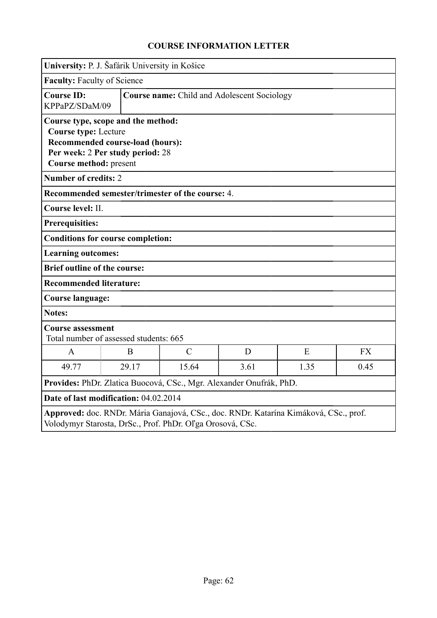|                                                                     | University: P. J. Šafárik University in Košice                                                             |                                                           |      |                                                                                      |           |  |  |
|---------------------------------------------------------------------|------------------------------------------------------------------------------------------------------------|-----------------------------------------------------------|------|--------------------------------------------------------------------------------------|-----------|--|--|
| Faculty: Faculty of Science                                         |                                                                                                            |                                                           |      |                                                                                      |           |  |  |
| <b>Course ID:</b><br>KPPaPZ/SDaM/09                                 |                                                                                                            | <b>Course name:</b> Child and Adolescent Sociology        |      |                                                                                      |           |  |  |
| <b>Course type: Lecture</b><br>Course method: present               | Course type, scope and the method:<br>Recommended course-load (hours):<br>Per week: 2 Per study period: 28 |                                                           |      |                                                                                      |           |  |  |
| <b>Number of credits: 2</b>                                         |                                                                                                            |                                                           |      |                                                                                      |           |  |  |
|                                                                     |                                                                                                            | Recommended semester/trimester of the course: 4.          |      |                                                                                      |           |  |  |
| Course level: II.                                                   |                                                                                                            |                                                           |      |                                                                                      |           |  |  |
| <b>Prerequisities:</b>                                              |                                                                                                            |                                                           |      |                                                                                      |           |  |  |
|                                                                     | <b>Conditions for course completion:</b>                                                                   |                                                           |      |                                                                                      |           |  |  |
| <b>Learning outcomes:</b>                                           |                                                                                                            |                                                           |      |                                                                                      |           |  |  |
| <b>Brief outline of the course:</b>                                 |                                                                                                            |                                                           |      |                                                                                      |           |  |  |
| <b>Recommended literature:</b>                                      |                                                                                                            |                                                           |      |                                                                                      |           |  |  |
| <b>Course language:</b>                                             |                                                                                                            |                                                           |      |                                                                                      |           |  |  |
| <b>Notes:</b>                                                       |                                                                                                            |                                                           |      |                                                                                      |           |  |  |
| <b>Course assessment</b>                                            | Total number of assessed students: 665                                                                     |                                                           |      |                                                                                      |           |  |  |
| $\mathsf{A}$                                                        | B                                                                                                          | $\mathcal{C}$                                             | D    | E                                                                                    | <b>FX</b> |  |  |
| 49.77                                                               | 29.17                                                                                                      | 15.64                                                     | 3.61 | 1.35                                                                                 | 0.45      |  |  |
| Provides: PhDr. Zlatica Buocová, CSc., Mgr. Alexander Onufrák, PhD. |                                                                                                            |                                                           |      |                                                                                      |           |  |  |
| Date of last modification: 04.02.2014                               |                                                                                                            |                                                           |      |                                                                                      |           |  |  |
|                                                                     |                                                                                                            | Volodymyr Starosta, DrSc., Prof. PhDr. Oľga Orosová, CSc. |      | Approved: doc. RNDr. Mária Ganajová, CSc., doc. RNDr. Katarína Kimáková, CSc., prof. |           |  |  |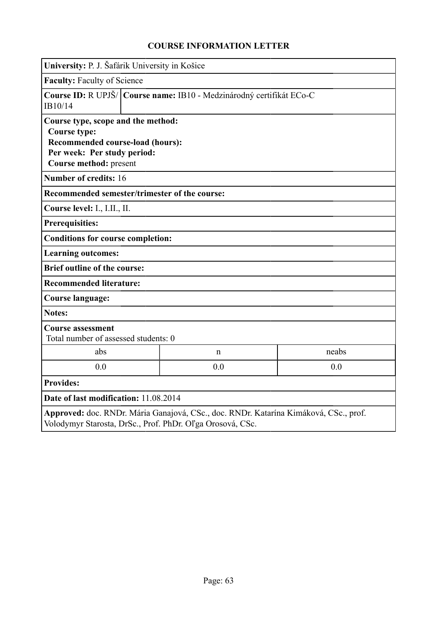|                                                                                                                                                                          | University: P. J. Šafárik University in Košice                         |             |       |  |  |
|--------------------------------------------------------------------------------------------------------------------------------------------------------------------------|------------------------------------------------------------------------|-------------|-------|--|--|
| Faculty: Faculty of Science                                                                                                                                              |                                                                        |             |       |  |  |
| IB10/14                                                                                                                                                                  | Course ID: R UPJŠ/   Course name: IB10 - Medzinárodný certifikát ECo-C |             |       |  |  |
| Course type, scope and the method:<br>Course type:<br>Recommended course-load (hours):<br>Per week: Per study period:<br>Course method: present<br>Number of credits: 16 |                                                                        |             |       |  |  |
| Recommended semester/trimester of the course:                                                                                                                            |                                                                        |             |       |  |  |
| Course level: I., I.II., II.                                                                                                                                             |                                                                        |             |       |  |  |
| <b>Prerequisities:</b>                                                                                                                                                   |                                                                        |             |       |  |  |
| <b>Conditions for course completion:</b>                                                                                                                                 |                                                                        |             |       |  |  |
| <b>Learning outcomes:</b>                                                                                                                                                |                                                                        |             |       |  |  |
| <b>Brief outline of the course:</b>                                                                                                                                      |                                                                        |             |       |  |  |
| <b>Recommended literature:</b>                                                                                                                                           |                                                                        |             |       |  |  |
| <b>Course language:</b>                                                                                                                                                  |                                                                        |             |       |  |  |
| <b>Notes:</b>                                                                                                                                                            |                                                                        |             |       |  |  |
| <b>Course assessment</b><br>Total number of assessed students: 0                                                                                                         |                                                                        |             |       |  |  |
| abs                                                                                                                                                                      |                                                                        | $\mathbf n$ | neabs |  |  |
| 0.0                                                                                                                                                                      | 0.0<br>0.0                                                             |             |       |  |  |
| <b>Provides:</b>                                                                                                                                                         |                                                                        |             |       |  |  |
| Date of last modification: 11.08.2014                                                                                                                                    |                                                                        |             |       |  |  |
| Approved: doc. RNDr. Mária Ganajová, CSc., doc. RNDr. Katarína Kimáková, CSc., prof.<br>Volodymyr Starosta, DrSc., Prof. PhDr. Oľga Orosová, CSc.                        |                                                                        |             |       |  |  |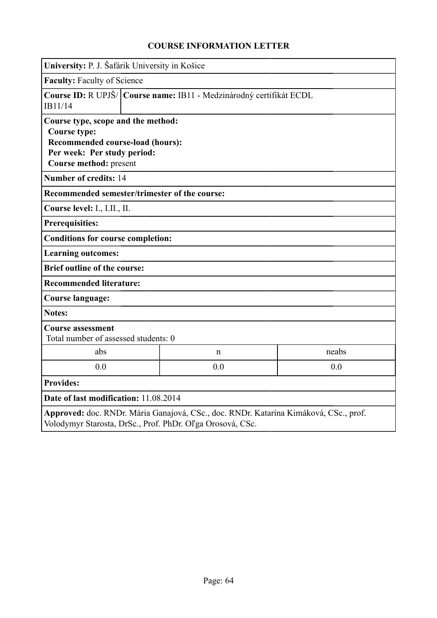| University: P. J. Šafárik University in Košice                                                                                                                                  |                                                                       |                                                           |                                                                                      |  |  |
|---------------------------------------------------------------------------------------------------------------------------------------------------------------------------------|-----------------------------------------------------------------------|-----------------------------------------------------------|--------------------------------------------------------------------------------------|--|--|
|                                                                                                                                                                                 | <b>Faculty: Faculty of Science</b>                                    |                                                           |                                                                                      |  |  |
| IB11/14                                                                                                                                                                         | Course ID: R UPJŠ/   Course name: IB11 - Medzinárodný certifikát ECDL |                                                           |                                                                                      |  |  |
| Course type, scope and the method:<br>Course type:<br>Recommended course-load (hours):<br>Per week: Per study period:<br>Course method: present<br><b>Number of credits: 14</b> |                                                                       |                                                           |                                                                                      |  |  |
| Recommended semester/trimester of the course:                                                                                                                                   |                                                                       |                                                           |                                                                                      |  |  |
| Course level: I., I.II., II.                                                                                                                                                    |                                                                       |                                                           |                                                                                      |  |  |
| <b>Prerequisities:</b>                                                                                                                                                          |                                                                       |                                                           |                                                                                      |  |  |
| <b>Conditions for course completion:</b>                                                                                                                                        |                                                                       |                                                           |                                                                                      |  |  |
| <b>Learning outcomes:</b>                                                                                                                                                       |                                                                       |                                                           |                                                                                      |  |  |
| <b>Brief outline of the course:</b>                                                                                                                                             |                                                                       |                                                           |                                                                                      |  |  |
| <b>Recommended literature:</b>                                                                                                                                                  |                                                                       |                                                           |                                                                                      |  |  |
| <b>Course language:</b>                                                                                                                                                         |                                                                       |                                                           |                                                                                      |  |  |
| <b>Notes:</b>                                                                                                                                                                   |                                                                       |                                                           |                                                                                      |  |  |
| <b>Course assessment</b><br>Total number of assessed students: 0                                                                                                                |                                                                       |                                                           |                                                                                      |  |  |
| abs                                                                                                                                                                             |                                                                       | $\mathbf n$                                               | neabs                                                                                |  |  |
| 0.0                                                                                                                                                                             | 0.0<br>0.0                                                            |                                                           |                                                                                      |  |  |
| <b>Provides:</b>                                                                                                                                                                |                                                                       |                                                           |                                                                                      |  |  |
| Date of last modification: 11.08.2014                                                                                                                                           |                                                                       |                                                           |                                                                                      |  |  |
|                                                                                                                                                                                 |                                                                       | Volodymyr Starosta, DrSc., Prof. PhDr. Oľga Orosová, CSc. | Approved: doc. RNDr. Mária Ganajová, CSc., doc. RNDr. Katarína Kimáková, CSc., prof. |  |  |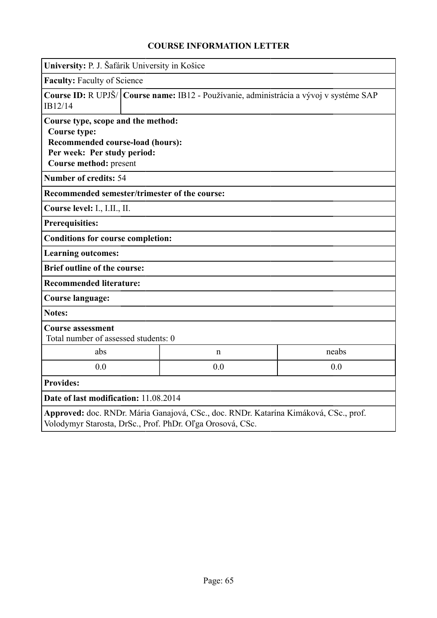|                                                                                                                                                        | University: P. J. Šafárik University in Košice                                           |   |       |  |  |
|--------------------------------------------------------------------------------------------------------------------------------------------------------|------------------------------------------------------------------------------------------|---|-------|--|--|
| <b>Faculty: Faculty of Science</b>                                                                                                                     |                                                                                          |   |       |  |  |
| IB12/14                                                                                                                                                | Course ID: R UPJŠ/   Course name: IB12 - Používanie, administrácia a vývoj v systéme SAP |   |       |  |  |
| Course type, scope and the method:<br><b>Course type:</b><br>Recommended course-load (hours):<br>Per week: Per study period:<br>Course method: present |                                                                                          |   |       |  |  |
| <b>Number of credits: 54</b>                                                                                                                           |                                                                                          |   |       |  |  |
| Recommended semester/trimester of the course:                                                                                                          |                                                                                          |   |       |  |  |
| Course level: I., I.II., II.                                                                                                                           |                                                                                          |   |       |  |  |
| <b>Prerequisities:</b>                                                                                                                                 |                                                                                          |   |       |  |  |
| <b>Conditions for course completion:</b>                                                                                                               |                                                                                          |   |       |  |  |
| <b>Learning outcomes:</b>                                                                                                                              |                                                                                          |   |       |  |  |
| <b>Brief outline of the course:</b>                                                                                                                    |                                                                                          |   |       |  |  |
| <b>Recommended literature:</b>                                                                                                                         |                                                                                          |   |       |  |  |
| <b>Course language:</b>                                                                                                                                |                                                                                          |   |       |  |  |
| <b>Notes:</b>                                                                                                                                          |                                                                                          |   |       |  |  |
| <b>Course assessment</b><br>Total number of assessed students: 0                                                                                       |                                                                                          |   |       |  |  |
| abs                                                                                                                                                    |                                                                                          | n | neabs |  |  |
| 0.0                                                                                                                                                    | 0.0<br>0.0                                                                               |   |       |  |  |
| <b>Provides:</b>                                                                                                                                       |                                                                                          |   |       |  |  |
| Date of last modification: 11.08.2014                                                                                                                  |                                                                                          |   |       |  |  |
| Approved: doc. RNDr. Mária Ganajová, CSc., doc. RNDr. Katarína Kimáková, CSc., prof.<br>Volodymyr Starosta, DrSc., Prof. PhDr. Oľga Orosová, CSc.      |                                                                                          |   |       |  |  |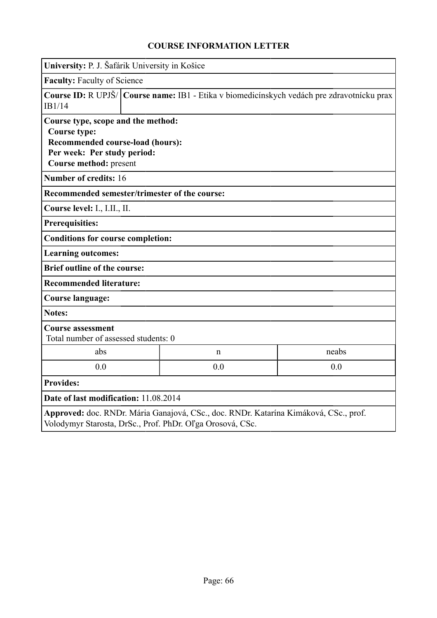|                                                                                                                                                                                 | University: P. J. Šafárik University in Košice                                             |             |       |  |  |
|---------------------------------------------------------------------------------------------------------------------------------------------------------------------------------|--------------------------------------------------------------------------------------------|-------------|-------|--|--|
| Faculty: Faculty of Science                                                                                                                                                     |                                                                                            |             |       |  |  |
| IB1/14                                                                                                                                                                          | Course ID: R UPJŠ/ Course name: IB1 - Etika v biomedicínskych vedách pre zdravotnícku prax |             |       |  |  |
| Course type, scope and the method:<br><b>Course type:</b><br>Recommended course-load (hours):<br>Per week: Per study period:<br>Course method: present<br>Number of credits: 16 |                                                                                            |             |       |  |  |
| Recommended semester/trimester of the course:                                                                                                                                   |                                                                                            |             |       |  |  |
| Course level: I., I.II., II.                                                                                                                                                    |                                                                                            |             |       |  |  |
| <b>Prerequisities:</b>                                                                                                                                                          |                                                                                            |             |       |  |  |
| <b>Conditions for course completion:</b>                                                                                                                                        |                                                                                            |             |       |  |  |
| <b>Learning outcomes:</b>                                                                                                                                                       |                                                                                            |             |       |  |  |
| <b>Brief outline of the course:</b>                                                                                                                                             |                                                                                            |             |       |  |  |
| <b>Recommended literature:</b>                                                                                                                                                  |                                                                                            |             |       |  |  |
| <b>Course language:</b>                                                                                                                                                         |                                                                                            |             |       |  |  |
| <b>Notes:</b>                                                                                                                                                                   |                                                                                            |             |       |  |  |
| <b>Course assessment</b><br>Total number of assessed students: 0                                                                                                                |                                                                                            |             |       |  |  |
| abs                                                                                                                                                                             |                                                                                            | $\mathbf n$ | neabs |  |  |
| 0.0                                                                                                                                                                             | 0.0<br>0.0                                                                                 |             |       |  |  |
| <b>Provides:</b>                                                                                                                                                                |                                                                                            |             |       |  |  |
| Date of last modification: 11.08.2014                                                                                                                                           |                                                                                            |             |       |  |  |
| Approved: doc. RNDr. Mária Ganajová, CSc., doc. RNDr. Katarína Kimáková, CSc., prof.<br>Volodymyr Starosta, DrSc., Prof. PhDr. Oľga Orosová, CSc.                               |                                                                                            |             |       |  |  |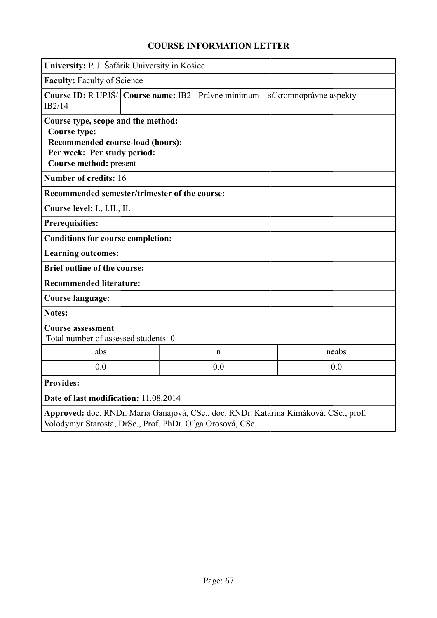|                                                                                                                                                   | University: P. J. Šafárik University in Košice                                                                                                           |             |       |  |  |  |
|---------------------------------------------------------------------------------------------------------------------------------------------------|----------------------------------------------------------------------------------------------------------------------------------------------------------|-------------|-------|--|--|--|
| <b>Faculty: Faculty of Science</b>                                                                                                                |                                                                                                                                                          |             |       |  |  |  |
| IB2/14                                                                                                                                            | Course ID: R UPJŠ/ Course name: IB2 - Právne minimum - súkromnoprávne aspekty                                                                            |             |       |  |  |  |
| <b>Course type:</b>                                                                                                                               | Course type, scope and the method:<br>Recommended course-load (hours):<br>Per week: Per study period:<br>Course method: present<br>Number of credits: 16 |             |       |  |  |  |
| Recommended semester/trimester of the course:                                                                                                     |                                                                                                                                                          |             |       |  |  |  |
| Course level: I., I.II., II.                                                                                                                      |                                                                                                                                                          |             |       |  |  |  |
| <b>Prerequisities:</b>                                                                                                                            |                                                                                                                                                          |             |       |  |  |  |
| <b>Conditions for course completion:</b>                                                                                                          |                                                                                                                                                          |             |       |  |  |  |
| <b>Learning outcomes:</b>                                                                                                                         |                                                                                                                                                          |             |       |  |  |  |
| <b>Brief outline of the course:</b>                                                                                                               |                                                                                                                                                          |             |       |  |  |  |
| <b>Recommended literature:</b>                                                                                                                    |                                                                                                                                                          |             |       |  |  |  |
| <b>Course language:</b>                                                                                                                           |                                                                                                                                                          |             |       |  |  |  |
| <b>Notes:</b>                                                                                                                                     |                                                                                                                                                          |             |       |  |  |  |
| <b>Course assessment</b>                                                                                                                          | Total number of assessed students: 0                                                                                                                     |             |       |  |  |  |
| abs                                                                                                                                               |                                                                                                                                                          | $\mathbf n$ | neabs |  |  |  |
| 0.0                                                                                                                                               |                                                                                                                                                          | 0.0         | 0.0   |  |  |  |
| <b>Provides:</b>                                                                                                                                  |                                                                                                                                                          |             |       |  |  |  |
| Date of last modification: 11.08.2014                                                                                                             |                                                                                                                                                          |             |       |  |  |  |
| Approved: doc. RNDr. Mária Ganajová, CSc., doc. RNDr. Katarína Kimáková, CSc., prof.<br>Volodymyr Starosta, DrSc., Prof. PhDr. Oľga Orosová, CSc. |                                                                                                                                                          |             |       |  |  |  |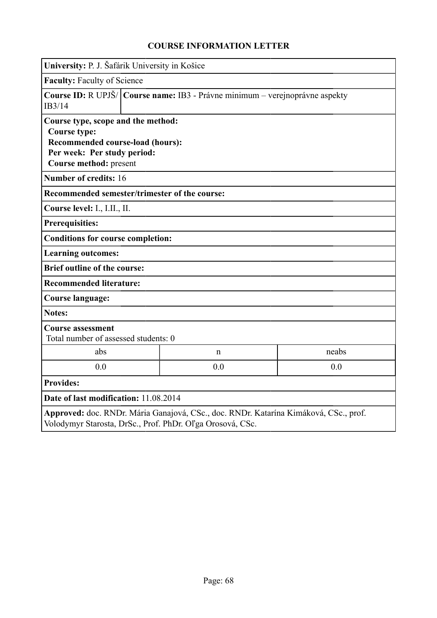|                                                                                                                                                                                 | University: P. J. Šafárik University in Košice                               |             |       |  |  |
|---------------------------------------------------------------------------------------------------------------------------------------------------------------------------------|------------------------------------------------------------------------------|-------------|-------|--|--|
| <b>Faculty: Faculty of Science</b>                                                                                                                                              |                                                                              |             |       |  |  |
| IB3/14                                                                                                                                                                          | Course ID: R UPJŠ/ Course name: IB3 - Právne minimum - verejnoprávne aspekty |             |       |  |  |
| Course type, scope and the method:<br><b>Course type:</b><br>Recommended course-load (hours):<br>Per week: Per study period:<br>Course method: present<br>Number of credits: 16 |                                                                              |             |       |  |  |
| Recommended semester/trimester of the course:                                                                                                                                   |                                                                              |             |       |  |  |
| Course level: I., I.II., II.                                                                                                                                                    |                                                                              |             |       |  |  |
| <b>Prerequisities:</b>                                                                                                                                                          |                                                                              |             |       |  |  |
| <b>Conditions for course completion:</b>                                                                                                                                        |                                                                              |             |       |  |  |
| <b>Learning outcomes:</b>                                                                                                                                                       |                                                                              |             |       |  |  |
| <b>Brief outline of the course:</b>                                                                                                                                             |                                                                              |             |       |  |  |
| <b>Recommended literature:</b>                                                                                                                                                  |                                                                              |             |       |  |  |
| <b>Course language:</b>                                                                                                                                                         |                                                                              |             |       |  |  |
| <b>Notes:</b>                                                                                                                                                                   |                                                                              |             |       |  |  |
| <b>Course assessment</b>                                                                                                                                                        | Total number of assessed students: 0                                         |             |       |  |  |
| abs                                                                                                                                                                             |                                                                              | $\mathbf n$ | neabs |  |  |
| 0.0                                                                                                                                                                             | 0.0<br>0.0                                                                   |             |       |  |  |
| <b>Provides:</b>                                                                                                                                                                |                                                                              |             |       |  |  |
| Date of last modification: 11.08.2014                                                                                                                                           |                                                                              |             |       |  |  |
| Approved: doc. RNDr. Mária Ganajová, CSc., doc. RNDr. Katarína Kimáková, CSc., prof.<br>Volodymyr Starosta, DrSc., Prof. PhDr. Oľga Orosová, CSc.                               |                                                                              |             |       |  |  |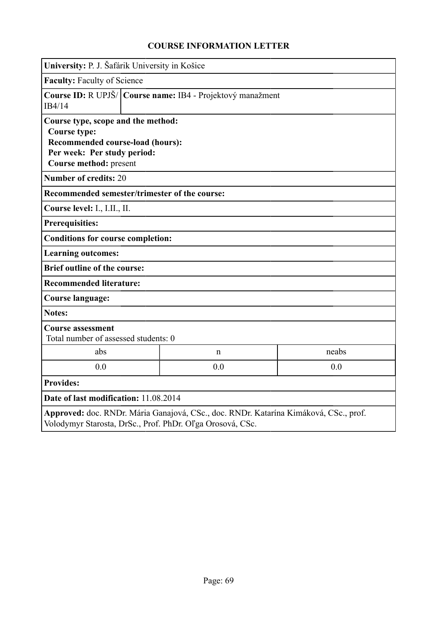| University: P. J. Šafárik University in Košice                                                                                                         |                                                              |                                                           |                                                                                      |  |  |
|--------------------------------------------------------------------------------------------------------------------------------------------------------|--------------------------------------------------------------|-----------------------------------------------------------|--------------------------------------------------------------------------------------|--|--|
| <b>Faculty: Faculty of Science</b>                                                                                                                     |                                                              |                                                           |                                                                                      |  |  |
| IB4/14                                                                                                                                                 | Course ID: R UPJŠ/   Course name: IB4 - Projektový manažment |                                                           |                                                                                      |  |  |
| Course type, scope and the method:<br><b>Course type:</b><br>Recommended course-load (hours):<br>Per week: Per study period:<br>Course method: present |                                                              |                                                           |                                                                                      |  |  |
| <b>Number of credits: 20</b>                                                                                                                           |                                                              |                                                           |                                                                                      |  |  |
| Recommended semester/trimester of the course:                                                                                                          |                                                              |                                                           |                                                                                      |  |  |
| Course level: I., I.II., II.                                                                                                                           |                                                              |                                                           |                                                                                      |  |  |
| <b>Prerequisities:</b>                                                                                                                                 |                                                              |                                                           |                                                                                      |  |  |
| <b>Conditions for course completion:</b>                                                                                                               |                                                              |                                                           |                                                                                      |  |  |
| <b>Learning outcomes:</b>                                                                                                                              |                                                              |                                                           |                                                                                      |  |  |
| <b>Brief outline of the course:</b>                                                                                                                    |                                                              |                                                           |                                                                                      |  |  |
| <b>Recommended literature:</b>                                                                                                                         |                                                              |                                                           |                                                                                      |  |  |
| Course language:                                                                                                                                       |                                                              |                                                           |                                                                                      |  |  |
| <b>Notes:</b>                                                                                                                                          |                                                              |                                                           |                                                                                      |  |  |
| <b>Course assessment</b><br>Total number of assessed students: 0                                                                                       |                                                              |                                                           |                                                                                      |  |  |
| abs                                                                                                                                                    |                                                              | $\mathbf n$                                               | neabs                                                                                |  |  |
| 0.0                                                                                                                                                    | 0.0<br>0.0                                                   |                                                           |                                                                                      |  |  |
| <b>Provides:</b>                                                                                                                                       |                                                              |                                                           |                                                                                      |  |  |
| Date of last modification: 11.08.2014                                                                                                                  |                                                              |                                                           |                                                                                      |  |  |
|                                                                                                                                                        |                                                              | Volodymyr Starosta, DrSc., Prof. PhDr. Oľga Orosová, CSc. | Approved: doc. RNDr. Mária Ganajová, CSc., doc. RNDr. Katarína Kimáková, CSc., prof. |  |  |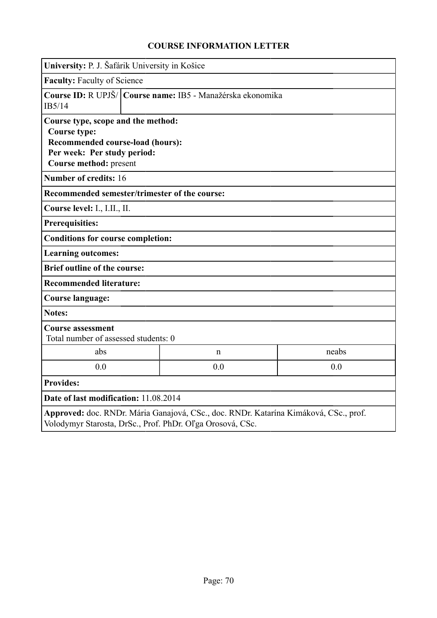| University: P. J. Šafárik University in Košice                                                                                                                                  |                                                            |                                                           |                                                                                      |  |  |
|---------------------------------------------------------------------------------------------------------------------------------------------------------------------------------|------------------------------------------------------------|-----------------------------------------------------------|--------------------------------------------------------------------------------------|--|--|
| <b>Faculty: Faculty of Science</b>                                                                                                                                              |                                                            |                                                           |                                                                                      |  |  |
| IB5/14                                                                                                                                                                          | Course ID: R UPJŠ/ Course name: IB5 - Manažérska ekonomika |                                                           |                                                                                      |  |  |
| Course type, scope and the method:<br>Course type:<br>Recommended course-load (hours):<br>Per week: Per study period:<br>Course method: present<br><b>Number of credits: 16</b> |                                                            |                                                           |                                                                                      |  |  |
| Recommended semester/trimester of the course:                                                                                                                                   |                                                            |                                                           |                                                                                      |  |  |
| Course level: I., I.II., II.                                                                                                                                                    |                                                            |                                                           |                                                                                      |  |  |
| <b>Prerequisities:</b>                                                                                                                                                          |                                                            |                                                           |                                                                                      |  |  |
| <b>Conditions for course completion:</b>                                                                                                                                        |                                                            |                                                           |                                                                                      |  |  |
| <b>Learning outcomes:</b>                                                                                                                                                       |                                                            |                                                           |                                                                                      |  |  |
| <b>Brief outline of the course:</b>                                                                                                                                             |                                                            |                                                           |                                                                                      |  |  |
| <b>Recommended literature:</b>                                                                                                                                                  |                                                            |                                                           |                                                                                      |  |  |
| <b>Course language:</b>                                                                                                                                                         |                                                            |                                                           |                                                                                      |  |  |
| <b>Notes:</b>                                                                                                                                                                   |                                                            |                                                           |                                                                                      |  |  |
| <b>Course assessment</b><br>Total number of assessed students: 0                                                                                                                |                                                            |                                                           |                                                                                      |  |  |
| abs                                                                                                                                                                             |                                                            | $\mathbf n$                                               | neabs                                                                                |  |  |
| 0.0                                                                                                                                                                             | 0.0<br>0.0                                                 |                                                           |                                                                                      |  |  |
| <b>Provides:</b>                                                                                                                                                                |                                                            |                                                           |                                                                                      |  |  |
| Date of last modification: 11.08.2014                                                                                                                                           |                                                            |                                                           |                                                                                      |  |  |
|                                                                                                                                                                                 |                                                            | Volodymyr Starosta, DrSc., Prof. PhDr. Oľga Orosová, CSc. | Approved: doc. RNDr. Mária Ganajová, CSc., doc. RNDr. Katarína Kimáková, CSc., prof. |  |  |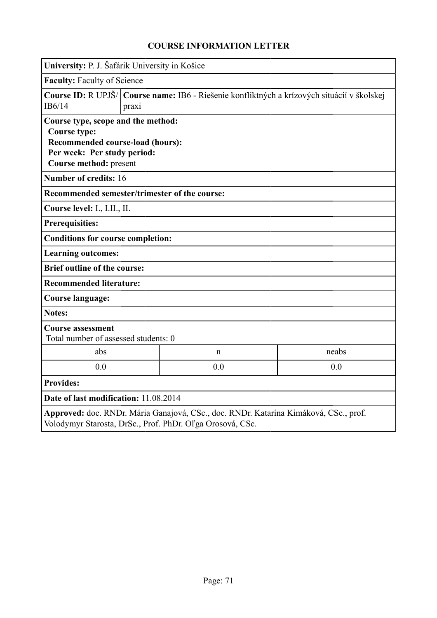| University: P. J. Šafárik University in Košice                                                                                                         |                                                                                                      |                                                           |                                                                                      |  |
|--------------------------------------------------------------------------------------------------------------------------------------------------------|------------------------------------------------------------------------------------------------------|-----------------------------------------------------------|--------------------------------------------------------------------------------------|--|
| <b>Faculty: Faculty of Science</b>                                                                                                                     |                                                                                                      |                                                           |                                                                                      |  |
| IB6/14                                                                                                                                                 | Course ID: R UPJŠ/ Course name: IB6 - Riešenie konfliktných a krízových situácií v školskej<br>praxi |                                                           |                                                                                      |  |
| Course type, scope and the method:<br><b>Course type:</b><br>Recommended course-load (hours):<br>Per week: Per study period:<br>Course method: present |                                                                                                      |                                                           |                                                                                      |  |
| <b>Number of credits: 16</b>                                                                                                                           |                                                                                                      |                                                           |                                                                                      |  |
| Recommended semester/trimester of the course:                                                                                                          |                                                                                                      |                                                           |                                                                                      |  |
| Course level: I., I.II., II.                                                                                                                           |                                                                                                      |                                                           |                                                                                      |  |
| <b>Prerequisities:</b>                                                                                                                                 |                                                                                                      |                                                           |                                                                                      |  |
| <b>Conditions for course completion:</b>                                                                                                               |                                                                                                      |                                                           |                                                                                      |  |
| <b>Learning outcomes:</b>                                                                                                                              |                                                                                                      |                                                           |                                                                                      |  |
| <b>Brief outline of the course:</b>                                                                                                                    |                                                                                                      |                                                           |                                                                                      |  |
| <b>Recommended literature:</b>                                                                                                                         |                                                                                                      |                                                           |                                                                                      |  |
| <b>Course language:</b>                                                                                                                                |                                                                                                      |                                                           |                                                                                      |  |
| <b>Notes:</b>                                                                                                                                          |                                                                                                      |                                                           |                                                                                      |  |
| <b>Course assessment</b><br>Total number of assessed students: 0                                                                                       |                                                                                                      |                                                           |                                                                                      |  |
| abs                                                                                                                                                    |                                                                                                      | n                                                         | neabs                                                                                |  |
| 0.0                                                                                                                                                    |                                                                                                      | 0.0                                                       | 0.0                                                                                  |  |
| <b>Provides:</b>                                                                                                                                       |                                                                                                      |                                                           |                                                                                      |  |
| Date of last modification: 11.08.2014                                                                                                                  |                                                                                                      |                                                           |                                                                                      |  |
|                                                                                                                                                        |                                                                                                      | Volodymyr Starosta, DrSc., Prof. PhDr. Oľga Orosová, CSc. | Approved: doc. RNDr. Mária Ganajová, CSc., doc. RNDr. Katarína Kimáková, CSc., prof. |  |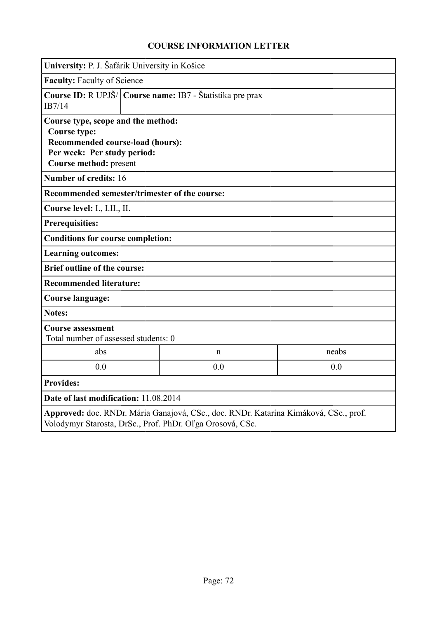| University: P. J. Šafárik University in Košice                                                                                                         |                                                           |                                                           |                                                                                      |  |  |
|--------------------------------------------------------------------------------------------------------------------------------------------------------|-----------------------------------------------------------|-----------------------------------------------------------|--------------------------------------------------------------------------------------|--|--|
| <b>Faculty: Faculty of Science</b>                                                                                                                     |                                                           |                                                           |                                                                                      |  |  |
| IB7/14                                                                                                                                                 | Course ID: R UPJŠ/ Course name: IB7 - Štatistika pre prax |                                                           |                                                                                      |  |  |
| Course type, scope and the method:<br><b>Course type:</b><br>Recommended course-load (hours):<br>Per week: Per study period:<br>Course method: present |                                                           |                                                           |                                                                                      |  |  |
| Number of credits: 16                                                                                                                                  |                                                           |                                                           |                                                                                      |  |  |
| Recommended semester/trimester of the course:                                                                                                          |                                                           |                                                           |                                                                                      |  |  |
| Course level: I., I.II., II.                                                                                                                           |                                                           |                                                           |                                                                                      |  |  |
| <b>Prerequisities:</b>                                                                                                                                 |                                                           |                                                           |                                                                                      |  |  |
| <b>Conditions for course completion:</b>                                                                                                               |                                                           |                                                           |                                                                                      |  |  |
| <b>Learning outcomes:</b>                                                                                                                              |                                                           |                                                           |                                                                                      |  |  |
| <b>Brief outline of the course:</b>                                                                                                                    |                                                           |                                                           |                                                                                      |  |  |
| <b>Recommended literature:</b>                                                                                                                         |                                                           |                                                           |                                                                                      |  |  |
| <b>Course language:</b>                                                                                                                                |                                                           |                                                           |                                                                                      |  |  |
| <b>Notes:</b>                                                                                                                                          |                                                           |                                                           |                                                                                      |  |  |
| <b>Course assessment</b><br>Total number of assessed students: 0                                                                                       |                                                           |                                                           |                                                                                      |  |  |
| abs                                                                                                                                                    |                                                           | $\mathbf n$                                               | neabs                                                                                |  |  |
| 0.0                                                                                                                                                    | 0.0<br>0.0                                                |                                                           |                                                                                      |  |  |
| <b>Provides:</b>                                                                                                                                       |                                                           |                                                           |                                                                                      |  |  |
| Date of last modification: 11.08.2014                                                                                                                  |                                                           |                                                           |                                                                                      |  |  |
|                                                                                                                                                        |                                                           | Volodymyr Starosta, DrSc., Prof. PhDr. Oľga Orosová, CSc. | Approved: doc. RNDr. Mária Ganajová, CSc., doc. RNDr. Katarína Kimáková, CSc., prof. |  |  |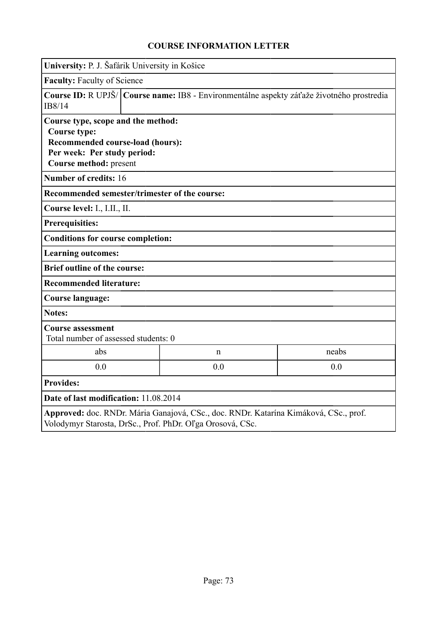| University: P. J. Šafárik University in Košice                                                                                                                                  |                                                                                             |             |       |  |  |  |
|---------------------------------------------------------------------------------------------------------------------------------------------------------------------------------|---------------------------------------------------------------------------------------------|-------------|-------|--|--|--|
|                                                                                                                                                                                 | Faculty: Faculty of Science                                                                 |             |       |  |  |  |
| IB8/14                                                                                                                                                                          | Course ID: R UPJŠ/   Course name: IB8 - Environmentálne aspekty záťaže životného prostredia |             |       |  |  |  |
| Course type, scope and the method:<br><b>Course type:</b><br>Recommended course-load (hours):<br>Per week: Per study period:<br>Course method: present<br>Number of credits: 16 |                                                                                             |             |       |  |  |  |
| Recommended semester/trimester of the course:                                                                                                                                   |                                                                                             |             |       |  |  |  |
| Course level: I., I.II., II.                                                                                                                                                    |                                                                                             |             |       |  |  |  |
| <b>Prerequisities:</b>                                                                                                                                                          |                                                                                             |             |       |  |  |  |
| <b>Conditions for course completion:</b>                                                                                                                                        |                                                                                             |             |       |  |  |  |
| <b>Learning outcomes:</b>                                                                                                                                                       |                                                                                             |             |       |  |  |  |
| <b>Brief outline of the course:</b>                                                                                                                                             |                                                                                             |             |       |  |  |  |
| <b>Recommended literature:</b>                                                                                                                                                  |                                                                                             |             |       |  |  |  |
| <b>Course language:</b>                                                                                                                                                         |                                                                                             |             |       |  |  |  |
| <b>Notes:</b>                                                                                                                                                                   |                                                                                             |             |       |  |  |  |
| <b>Course assessment</b><br>Total number of assessed students: 0                                                                                                                |                                                                                             |             |       |  |  |  |
| abs                                                                                                                                                                             |                                                                                             | $\mathbf n$ | neabs |  |  |  |
| 0.0                                                                                                                                                                             |                                                                                             | 0.0         | 0.0   |  |  |  |
| <b>Provides:</b>                                                                                                                                                                |                                                                                             |             |       |  |  |  |
| Date of last modification: 11.08.2014                                                                                                                                           |                                                                                             |             |       |  |  |  |
| Approved: doc. RNDr. Mária Ganajová, CSc., doc. RNDr. Katarína Kimáková, CSc., prof.<br>Volodymyr Starosta, DrSc., Prof. PhDr. Oľga Orosová, CSc.                               |                                                                                             |             |       |  |  |  |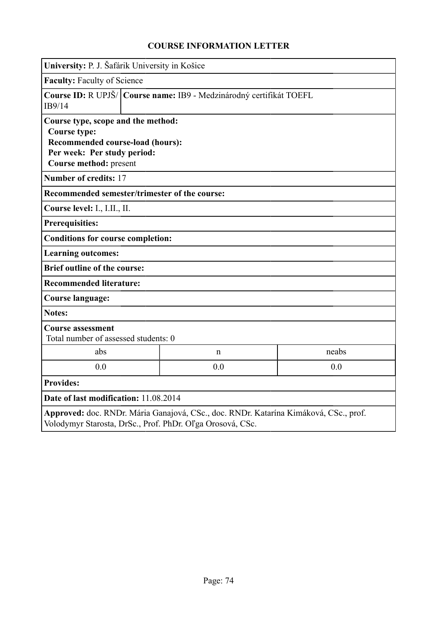|                                                                                                                                                                                 | University: P. J. Šafárik University in Košice |                                                                       |                                                                                      |  |  |  |
|---------------------------------------------------------------------------------------------------------------------------------------------------------------------------------|------------------------------------------------|-----------------------------------------------------------------------|--------------------------------------------------------------------------------------|--|--|--|
|                                                                                                                                                                                 | <b>Faculty: Faculty of Science</b>             |                                                                       |                                                                                      |  |  |  |
| IB9/14                                                                                                                                                                          |                                                | Course ID: R UPJŠ/   Course name: IB9 - Medzinárodný certifikát TOEFL |                                                                                      |  |  |  |
| Course type, scope and the method:<br>Course type:<br>Recommended course-load (hours):<br>Per week: Per study period:<br>Course method: present<br><b>Number of credits: 17</b> |                                                |                                                                       |                                                                                      |  |  |  |
| Recommended semester/trimester of the course:                                                                                                                                   |                                                |                                                                       |                                                                                      |  |  |  |
| Course level: I., I.II., II.                                                                                                                                                    |                                                |                                                                       |                                                                                      |  |  |  |
| <b>Prerequisities:</b>                                                                                                                                                          |                                                |                                                                       |                                                                                      |  |  |  |
| <b>Conditions for course completion:</b>                                                                                                                                        |                                                |                                                                       |                                                                                      |  |  |  |
| <b>Learning outcomes:</b>                                                                                                                                                       |                                                |                                                                       |                                                                                      |  |  |  |
| <b>Brief outline of the course:</b>                                                                                                                                             |                                                |                                                                       |                                                                                      |  |  |  |
| <b>Recommended literature:</b>                                                                                                                                                  |                                                |                                                                       |                                                                                      |  |  |  |
| <b>Course language:</b>                                                                                                                                                         |                                                |                                                                       |                                                                                      |  |  |  |
| <b>Notes:</b>                                                                                                                                                                   |                                                |                                                                       |                                                                                      |  |  |  |
| <b>Course assessment</b><br>Total number of assessed students: 0                                                                                                                |                                                |                                                                       |                                                                                      |  |  |  |
| abs                                                                                                                                                                             |                                                | $\mathbf n$                                                           | neabs                                                                                |  |  |  |
| 0.0                                                                                                                                                                             |                                                | 0.0                                                                   | 0.0                                                                                  |  |  |  |
| <b>Provides:</b>                                                                                                                                                                |                                                |                                                                       |                                                                                      |  |  |  |
| Date of last modification: 11.08.2014                                                                                                                                           |                                                |                                                                       |                                                                                      |  |  |  |
|                                                                                                                                                                                 |                                                | Volodymyr Starosta, DrSc., Prof. PhDr. Oľga Orosová, CSc.             | Approved: doc. RNDr. Mária Ganajová, CSc., doc. RNDr. Katarína Kimáková, CSc., prof. |  |  |  |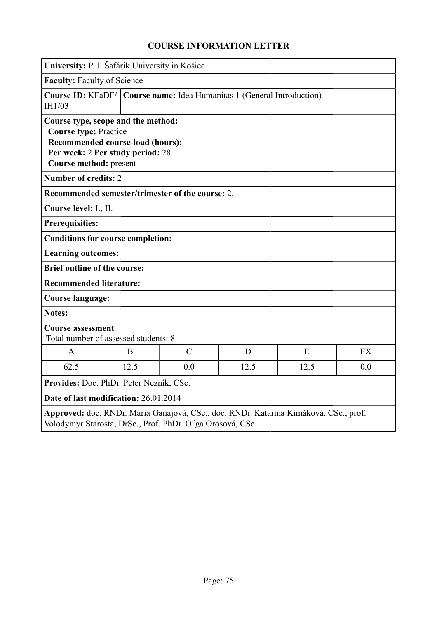|                                                                                                                                                   | University: P. J. Šafárik University in Košice                                                             |                                                  |      |      |           |  |
|---------------------------------------------------------------------------------------------------------------------------------------------------|------------------------------------------------------------------------------------------------------------|--------------------------------------------------|------|------|-----------|--|
| <b>Faculty: Faculty of Science</b>                                                                                                                |                                                                                                            |                                                  |      |      |           |  |
| IH1/03                                                                                                                                            | <b>Course ID:</b> KFaDF/ Course name: Idea Humanitas 1 (General Introduction)                              |                                                  |      |      |           |  |
| <b>Course type: Practice</b><br>Course method: present                                                                                            | Course type, scope and the method:<br>Recommended course-load (hours):<br>Per week: 2 Per study period: 28 |                                                  |      |      |           |  |
| <b>Number of credits: 2</b>                                                                                                                       |                                                                                                            |                                                  |      |      |           |  |
|                                                                                                                                                   |                                                                                                            | Recommended semester/trimester of the course: 2. |      |      |           |  |
| Course level: I., II.                                                                                                                             |                                                                                                            |                                                  |      |      |           |  |
| <b>Prerequisities:</b>                                                                                                                            |                                                                                                            |                                                  |      |      |           |  |
|                                                                                                                                                   | <b>Conditions for course completion:</b>                                                                   |                                                  |      |      |           |  |
| <b>Learning outcomes:</b>                                                                                                                         |                                                                                                            |                                                  |      |      |           |  |
| <b>Brief outline of the course:</b>                                                                                                               |                                                                                                            |                                                  |      |      |           |  |
| <b>Recommended literature:</b>                                                                                                                    |                                                                                                            |                                                  |      |      |           |  |
| <b>Course language:</b>                                                                                                                           |                                                                                                            |                                                  |      |      |           |  |
| Notes:                                                                                                                                            |                                                                                                            |                                                  |      |      |           |  |
| <b>Course assessment</b>                                                                                                                          | Total number of assessed students: 8                                                                       |                                                  |      |      |           |  |
| $\mathbf{A}$                                                                                                                                      | B                                                                                                          | $\mathcal{C}$                                    | D    | E    | <b>FX</b> |  |
| 62.5                                                                                                                                              | 12.5                                                                                                       | 0.0                                              | 12.5 | 12.5 | 0.0       |  |
| Provides: Doc. PhDr. Peter Nezník, CSc.                                                                                                           |                                                                                                            |                                                  |      |      |           |  |
| Date of last modification: 26.01.2014                                                                                                             |                                                                                                            |                                                  |      |      |           |  |
| Approved: doc. RNDr. Mária Ganajová, CSc., doc. RNDr. Katarína Kimáková, CSc., prof.<br>Volodymyr Starosta, DrSc., Prof. PhDr. Oľga Orosová, CSc. |                                                                                                            |                                                  |      |      |           |  |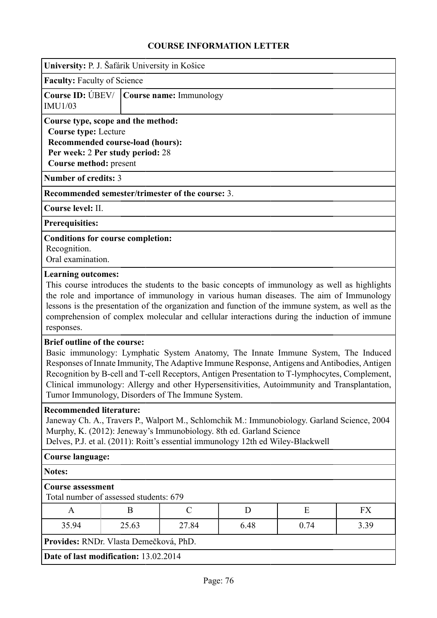| University: P. J. Šafárik University in Košice                                                                                                                                                                                                                                           |                                                                                                                                                                                                                                                                                                                                                                                                                                                                                                                         |                                                   |      |                                                                                                                                                                                                                                                                                                |      |  |  |  |
|------------------------------------------------------------------------------------------------------------------------------------------------------------------------------------------------------------------------------------------------------------------------------------------|-------------------------------------------------------------------------------------------------------------------------------------------------------------------------------------------------------------------------------------------------------------------------------------------------------------------------------------------------------------------------------------------------------------------------------------------------------------------------------------------------------------------------|---------------------------------------------------|------|------------------------------------------------------------------------------------------------------------------------------------------------------------------------------------------------------------------------------------------------------------------------------------------------|------|--|--|--|
| <b>Faculty: Faculty of Science</b>                                                                                                                                                                                                                                                       |                                                                                                                                                                                                                                                                                                                                                                                                                                                                                                                         |                                                   |      |                                                                                                                                                                                                                                                                                                |      |  |  |  |
| <b>Course ID: UBEV/</b><br><b>IMU1/03</b>                                                                                                                                                                                                                                                |                                                                                                                                                                                                                                                                                                                                                                                                                                                                                                                         | Course name: Immunology                           |      |                                                                                                                                                                                                                                                                                                |      |  |  |  |
| Course type, scope and the method:<br><b>Course type: Lecture</b><br>Recommended course-load (hours):<br>Per week: 2 Per study period: 28<br>Course method: present                                                                                                                      |                                                                                                                                                                                                                                                                                                                                                                                                                                                                                                                         |                                                   |      |                                                                                                                                                                                                                                                                                                |      |  |  |  |
| <b>Number of credits: 3</b>                                                                                                                                                                                                                                                              |                                                                                                                                                                                                                                                                                                                                                                                                                                                                                                                         |                                                   |      |                                                                                                                                                                                                                                                                                                |      |  |  |  |
|                                                                                                                                                                                                                                                                                          |                                                                                                                                                                                                                                                                                                                                                                                                                                                                                                                         | Recommended semester/trimester of the course: 3.  |      |                                                                                                                                                                                                                                                                                                |      |  |  |  |
| Course level: II.                                                                                                                                                                                                                                                                        |                                                                                                                                                                                                                                                                                                                                                                                                                                                                                                                         |                                                   |      |                                                                                                                                                                                                                                                                                                |      |  |  |  |
| <b>Prerequisities:</b>                                                                                                                                                                                                                                                                   |                                                                                                                                                                                                                                                                                                                                                                                                                                                                                                                         |                                                   |      |                                                                                                                                                                                                                                                                                                |      |  |  |  |
| <b>Conditions for course completion:</b><br>Recognition.<br>Oral examination.                                                                                                                                                                                                            |                                                                                                                                                                                                                                                                                                                                                                                                                                                                                                                         |                                                   |      |                                                                                                                                                                                                                                                                                                |      |  |  |  |
| responses.                                                                                                                                                                                                                                                                               | This course introduces the students to the basic concepts of immunology as well as highlights<br>the role and importance of immunology in various human diseases. The aim of Immunology<br>lessons is the presentation of the organization and function of the immune system, as well as the<br>comprehension of complex molecular and cellular interactions during the induction of immune<br><b>Brief outline of the course:</b><br>Basic immunology: Lymphatic System Anatomy, The Innate Immune System, The Induced |                                                   |      |                                                                                                                                                                                                                                                                                                |      |  |  |  |
|                                                                                                                                                                                                                                                                                          |                                                                                                                                                                                                                                                                                                                                                                                                                                                                                                                         | Tumor Immunology, Disorders of The Immune System. |      | Responses of Innate Immunity, The Adaptive Immune Response, Antigens and Antibodies, Antigen<br>Recognition by B-cell and T-cell Receptors, Antigen Presentation to T-lymphocytes, Complement,<br>Clinical immunology: Allergy and other Hypersensitivities, Autoimmunity and Transplantation, |      |  |  |  |
| <b>Recommended literature:</b><br>Janeway Ch. A., Travers P., Walport M., Schlomchik M.: Immunobiology. Garland Science, 2004<br>Murphy, K. (2012): Jeneway's Immunobiology. 8th ed. Garland Science<br>Delves, P.J. et al. (2011): Roitt's essential immunology 12th ed Wiley-Blackwell |                                                                                                                                                                                                                                                                                                                                                                                                                                                                                                                         |                                                   |      |                                                                                                                                                                                                                                                                                                |      |  |  |  |
| <b>Course language:</b>                                                                                                                                                                                                                                                                  |                                                                                                                                                                                                                                                                                                                                                                                                                                                                                                                         |                                                   |      |                                                                                                                                                                                                                                                                                                |      |  |  |  |
| <b>Notes:</b>                                                                                                                                                                                                                                                                            |                                                                                                                                                                                                                                                                                                                                                                                                                                                                                                                         |                                                   |      |                                                                                                                                                                                                                                                                                                |      |  |  |  |
| <b>Course assessment</b><br>Total number of assessed students: 679                                                                                                                                                                                                                       |                                                                                                                                                                                                                                                                                                                                                                                                                                                                                                                         |                                                   |      |                                                                                                                                                                                                                                                                                                |      |  |  |  |
| $\mathbf{A}$                                                                                                                                                                                                                                                                             | $\mathcal{C}$<br>B<br>D<br>E<br>FX                                                                                                                                                                                                                                                                                                                                                                                                                                                                                      |                                                   |      |                                                                                                                                                                                                                                                                                                |      |  |  |  |
| 35.94                                                                                                                                                                                                                                                                                    | 25.63                                                                                                                                                                                                                                                                                                                                                                                                                                                                                                                   | 27.84                                             | 6.48 | 0.74                                                                                                                                                                                                                                                                                           | 3.39 |  |  |  |
| Provides: RNDr. Vlasta Demečková, PhD.                                                                                                                                                                                                                                                   |                                                                                                                                                                                                                                                                                                                                                                                                                                                                                                                         |                                                   |      |                                                                                                                                                                                                                                                                                                |      |  |  |  |
| Date of last modification: 13.02.2014                                                                                                                                                                                                                                                    |                                                                                                                                                                                                                                                                                                                                                                                                                                                                                                                         |                                                   |      |                                                                                                                                                                                                                                                                                                |      |  |  |  |
|                                                                                                                                                                                                                                                                                          |                                                                                                                                                                                                                                                                                                                                                                                                                                                                                                                         |                                                   |      |                                                                                                                                                                                                                                                                                                |      |  |  |  |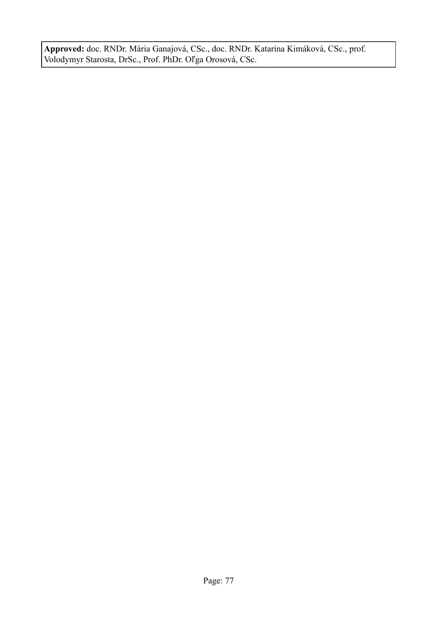**Approved:** doc. RNDr. Mária Ganajová, CSc., doc. RNDr. Katarína Kimáková, CSc., prof. Volodymyr Starosta, DrSc., Prof. PhDr. Oľga Orosová, CSc.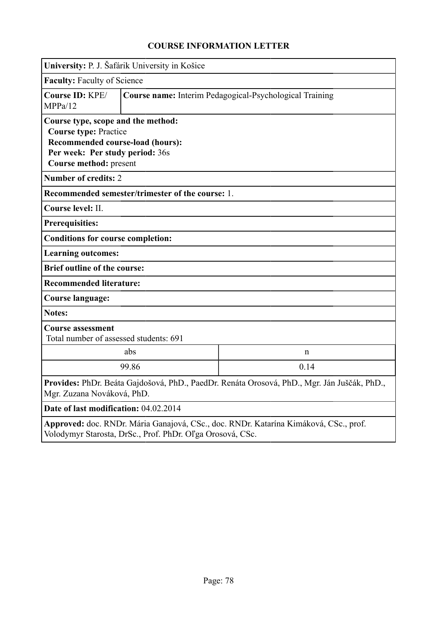|                                                                                                                                                                     | University: P. J. Šafárik University in Košice   |                                                         |  |  |  |  |
|---------------------------------------------------------------------------------------------------------------------------------------------------------------------|--------------------------------------------------|---------------------------------------------------------|--|--|--|--|
| <b>Faculty: Faculty of Science</b>                                                                                                                                  |                                                  |                                                         |  |  |  |  |
| Course ID: KPE/<br>MPPa/12                                                                                                                                          |                                                  | Course name: Interim Pedagogical-Psychological Training |  |  |  |  |
| Course type, scope and the method:<br><b>Course type: Practice</b><br>Recommended course-load (hours):<br>Per week: Per study period: 36s<br>Course method: present |                                                  |                                                         |  |  |  |  |
| <b>Number of credits: 2</b>                                                                                                                                         |                                                  |                                                         |  |  |  |  |
|                                                                                                                                                                     | Recommended semester/trimester of the course: 1. |                                                         |  |  |  |  |
| Course level: II.                                                                                                                                                   |                                                  |                                                         |  |  |  |  |
| <b>Prerequisities:</b>                                                                                                                                              |                                                  |                                                         |  |  |  |  |
| <b>Conditions for course completion:</b>                                                                                                                            |                                                  |                                                         |  |  |  |  |
| <b>Learning outcomes:</b>                                                                                                                                           |                                                  |                                                         |  |  |  |  |
| <b>Brief outline of the course:</b>                                                                                                                                 |                                                  |                                                         |  |  |  |  |
| <b>Recommended literature:</b>                                                                                                                                      |                                                  |                                                         |  |  |  |  |
| <b>Course language:</b>                                                                                                                                             |                                                  |                                                         |  |  |  |  |
| <b>Notes:</b>                                                                                                                                                       |                                                  |                                                         |  |  |  |  |
| <b>Course assessment</b>                                                                                                                                            | Total number of assessed students: 691           |                                                         |  |  |  |  |
|                                                                                                                                                                     | abs                                              | n                                                       |  |  |  |  |
| 99.86<br>0.14                                                                                                                                                       |                                                  |                                                         |  |  |  |  |
| Provides: PhDr. Beáta Gajdošová, PhD., PaedDr. Renáta Orosová, PhD., Mgr. Ján Juščák, PhD.<br>Mgr. Zuzana Nováková, PhD.                                            |                                                  |                                                         |  |  |  |  |
| Date of last modification: 04.02.2014                                                                                                                               |                                                  |                                                         |  |  |  |  |
| Approved: doc. RNDr. Mária Ganajová, CSc., doc. RNDr. Katarína Kimáková, CSc., prof.<br>Volodymyr Starosta, DrSc., Prof. PhDr. Oľga Orosová, CSc.                   |                                                  |                                                         |  |  |  |  |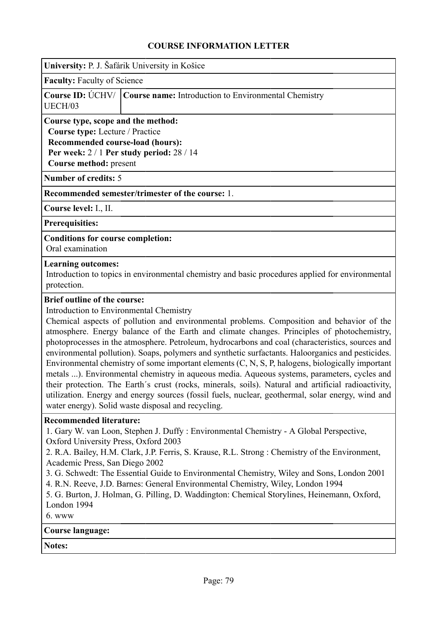| University: P. J. Šafárik University in Košice |  |  |  |  |
|------------------------------------------------|--|--|--|--|
|                                                |  |  |  |  |

**Faculty:** Faculty of Science

|         | <b>Course ID:</b> UCHV/ <b>Course name:</b> Introduction to Environmental Chemistry |
|---------|-------------------------------------------------------------------------------------|
| UECH/03 |                                                                                     |

**Course type, scope and the method: Course type:** Lecture / Practice **Recommended course-load (hours): Per week:** 2 / 1 **Per study period:** 28 / 14 **Course method:** present

**Number of credits:** 5

**Recommended semester/trimester of the course:** 1.

**Course level:** I., II.

**Prerequisities:**

**Conditions for course completion:**

Oral examination

#### **Learning outcomes:**

Introduction to topics in environmental chemistry and basic procedures applied for environmental protection.

#### **Brief outline of the course:**

Introduction to Environmental Chemistry

Chemical aspects of pollution and environmental problems. Composition and behavior of the atmosphere. Energy balance of the Earth and climate changes. Principles of photochemistry, photoprocesses in the atmosphere. Petroleum, hydrocarbons and coal (characteristics, sources and environmental pollution). Soaps, polymers and synthetic surfactants. Haloorganics and pesticides. Environmental chemistry of some important elements (C, N, S, P, halogens, biologically important metals ...). Environmental chemistry in aqueous media. Aqueous systems, parameters, cycles and their protection. The Earth´s crust (rocks, minerals, soils). Natural and artificial radioactivity, utilization. Energy and energy sources (fossil fuels, nuclear, geothermal, solar energy, wind and water energy). Solid waste disposal and recycling.

#### **Recommended literature:**

1. Gary W. van Loon, Stephen J. Duffy : Environmental Chemistry - A Global Perspective, Oxford University Press, Oxford 2003

2. R.A. Bailey, H.M. Clark, J.P. Ferris, S. Krause, R.L. Strong : Chemistry of the Environment, Academic Press, San Diego 2002

- 3. G. Schwedt: The Essential Guide to Environmental Chemistry, Wiley and Sons, London 2001
- 4. R.N. Reeve, J.D. Barnes: General Environmental Chemistry, Wiley, London 1994

5. G. Burton, J. Holman, G. Pilling, D. Waddington: Chemical Storylines, Heinemann, Oxford, London 1994

6. www

### **Course language:**

**Notes:**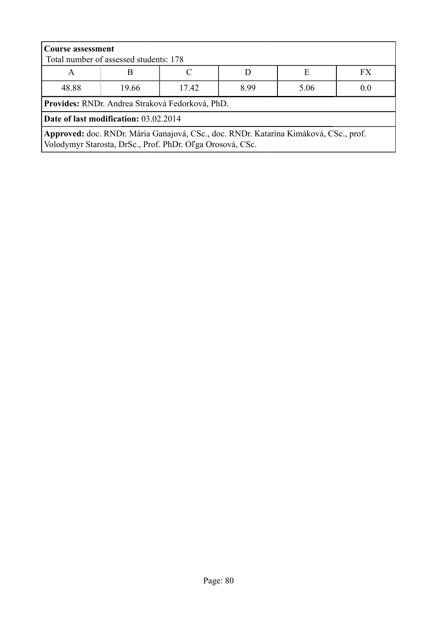| <b>Course assessment</b><br>Total number of assessed students: 178                                                                                |                                                 |  |  |  |  |  |  |  |
|---------------------------------------------------------------------------------------------------------------------------------------------------|-------------------------------------------------|--|--|--|--|--|--|--|
| Е<br>FX<br>B<br>A                                                                                                                                 |                                                 |  |  |  |  |  |  |  |
| 48.88<br>19.66<br>17.42<br>899<br>5.06<br>0.0                                                                                                     |                                                 |  |  |  |  |  |  |  |
|                                                                                                                                                   | Provides: RNDr. Andrea Straková Fedorková, PhD. |  |  |  |  |  |  |  |
| Date of last modification: 03.02.2014                                                                                                             |                                                 |  |  |  |  |  |  |  |
| Approved: doc. RNDr. Mária Ganajová, CSc., doc. RNDr. Katarína Kimáková, CSc., prof.<br>Volodymyr Starosta, DrSc., Prof. PhDr. Oľga Orosová, CSc. |                                                 |  |  |  |  |  |  |  |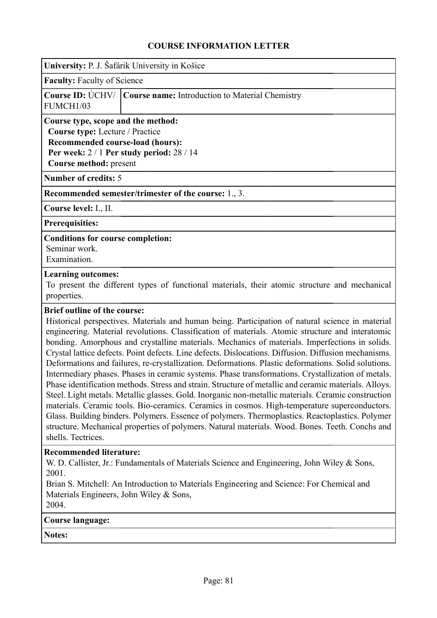| University: P. J. Šafárik University in Košice |  |  |  |  |
|------------------------------------------------|--|--|--|--|
|                                                |  |  |  |  |

**Faculty:** Faculty of Science

|           | <b>Course ID:</b> UCHV/ <b>Course name:</b> Introduction to Material Chemistry |
|-----------|--------------------------------------------------------------------------------|
| FUMCH1/03 |                                                                                |

**Course type, scope and the method: Course type:** Lecture / Practice **Recommended course-load (hours): Per week:** 2 / 1 **Per study period:** 28 / 14 **Course method:** present

**Number of credits:** 5

**Recommended semester/trimester of the course:** 1., 3.

**Course level:** I., II.

**Prerequisities:**

#### **Conditions for course completion:**

Seminar work.

### Examination. **Learning outcomes:**

To present the different types of functional materials, their atomic structure and mechanical properties.

#### **Brief outline of the course:**

Historical perspectives. Materials and human being. Participation of natural science in material engineering. Material revolutions. Classification of materials. Atomic structure and interatomic bonding. Amorphous and crystalline materials. Mechanics of materials. Imperfections in solids. Crystal lattice defects. Point defects. Line defects. Dislocations. Diffusion. Diffusion mechanisms. Deformations and failures, re-crystallization. Deformations. Plastic deformations. Solid solutions. Intermediary phases. Phases in ceramic systems. Phase transformations. Crystallization of metals. Phase identification methods. Stress and strain. Structure of metallic and ceramic materials. Alloys. Steel. Light metals. Metallic glasses. Gold. Inorganic non-metallic materials. Ceramic construction materials. Ceramic tools. Bio-ceramics. Ceramics in cosmos. High-temperature superconductors. Glass. Building binders. Polymers. Essence of polymers. Thermoplastics. Reactoplastics. Polymer structure. Mechanical properties of polymers. Natural materials. Wood. Bones. Teeth. Conchs and shells. Tectrices.

#### **Recommended literature:**

W. D. Callister, Jr.: Fundamentals of Materials Science and Engineering, John Wiley & Sons, 2001.

Brian S. Mitchell: An Introduction to Materials Engineering and Science: For Chemical and Materials Engineers, John Wiley & Sons, 2004.

#### **Course language:**

**Notes:**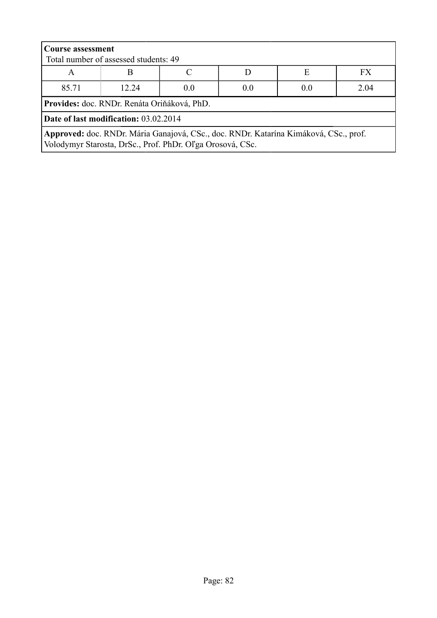| <b>Course assessment</b><br>Total number of assessed students: 49                                                                                 |                                    |  |  |  |  |  |  |  |  |
|---------------------------------------------------------------------------------------------------------------------------------------------------|------------------------------------|--|--|--|--|--|--|--|--|
| <b>FX</b><br>Е<br>A                                                                                                                               |                                    |  |  |  |  |  |  |  |  |
| 85.71                                                                                                                                             | 2.04<br>12 24<br>0.0<br>0.0<br>0.0 |  |  |  |  |  |  |  |  |
| Provides: doc. RNDr. Renáta Oriňáková, PhD.                                                                                                       |                                    |  |  |  |  |  |  |  |  |
| Date of last modification: 03.02.2014                                                                                                             |                                    |  |  |  |  |  |  |  |  |
| Approved: doc. RNDr. Mária Ganajová, CSc., doc. RNDr. Katarína Kimáková, CSc., prof.<br>Volodymyr Starosta, DrSc., Prof. PhDr. Oľga Orosová, CSc. |                                    |  |  |  |  |  |  |  |  |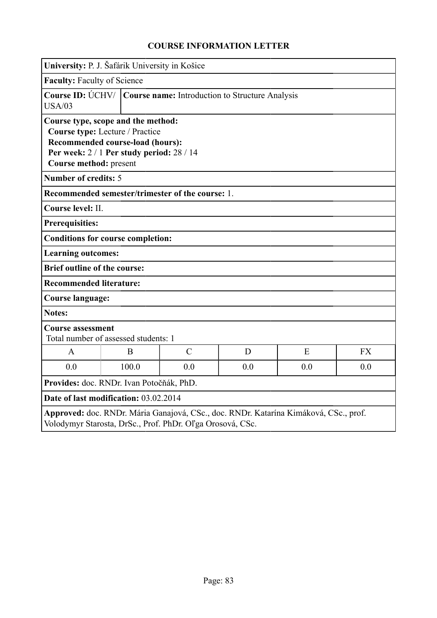|                                                              | University: P. J. Šafárik University in Košice                                                                   |               |     |                                                                                      |           |  |
|--------------------------------------------------------------|------------------------------------------------------------------------------------------------------------------|---------------|-----|--------------------------------------------------------------------------------------|-----------|--|
|                                                              | <b>Faculty: Faculty of Science</b>                                                                               |               |     |                                                                                      |           |  |
| <b>USA/03</b>                                                | Course ID: UCHV/   Course name: Introduction to Structure Analysis                                               |               |     |                                                                                      |           |  |
| Course type, scope and the method:<br>Course method: present | Course type: Lecture / Practice<br>Recommended course-load (hours):<br>Per week: 2 / 1 Per study period: 28 / 14 |               |     |                                                                                      |           |  |
| <b>Number of credits: 5</b>                                  |                                                                                                                  |               |     |                                                                                      |           |  |
| Recommended semester/trimester of the course: 1.             |                                                                                                                  |               |     |                                                                                      |           |  |
| Course level: II.                                            |                                                                                                                  |               |     |                                                                                      |           |  |
| <b>Prerequisities:</b>                                       |                                                                                                                  |               |     |                                                                                      |           |  |
| <b>Conditions for course completion:</b>                     |                                                                                                                  |               |     |                                                                                      |           |  |
| <b>Learning outcomes:</b>                                    |                                                                                                                  |               |     |                                                                                      |           |  |
| <b>Brief outline of the course:</b>                          |                                                                                                                  |               |     |                                                                                      |           |  |
| <b>Recommended literature:</b>                               |                                                                                                                  |               |     |                                                                                      |           |  |
| <b>Course language:</b>                                      |                                                                                                                  |               |     |                                                                                      |           |  |
| <b>Notes:</b>                                                |                                                                                                                  |               |     |                                                                                      |           |  |
|                                                              | <b>Course assessment</b><br>Total number of assessed students: 1                                                 |               |     |                                                                                      |           |  |
| $\mathbf{A}$                                                 | B                                                                                                                | $\mathcal{C}$ | D   | E                                                                                    | <b>FX</b> |  |
| 0.0                                                          | 100.0                                                                                                            | 0.0           | 0.0 | 0.0                                                                                  | 0.0       |  |
| Provides: doc. RNDr. Ivan Potočňák, PhD.                     |                                                                                                                  |               |     |                                                                                      |           |  |
| Date of last modification: 03.02.2014                        |                                                                                                                  |               |     |                                                                                      |           |  |
| Volodymyr Starosta, DrSc., Prof. PhDr. Oľga Orosová, CSc.    |                                                                                                                  |               |     | Approved: doc. RNDr. Mária Ganajová, CSc., doc. RNDr. Katarína Kimáková, CSc., prof. |           |  |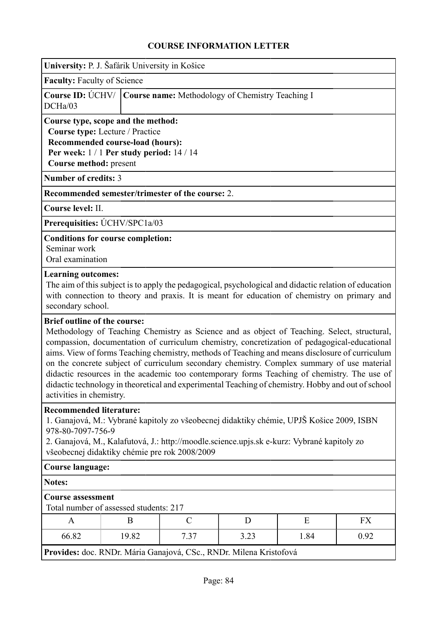| University: P. J. Šafárik University in Košice |  |  |  |  |
|------------------------------------------------|--|--|--|--|
|                                                |  |  |  |  |

**Faculty:** Faculty of Science

|         | Course ID: UCHV/ Course name: Methodology of Chemistry Teaching I |
|---------|-------------------------------------------------------------------|
| DCHa/03 |                                                                   |

**Course type, scope and the method: Course type:** Lecture / Practice **Recommended course-load (hours): Per week:** 1 / 1 **Per study period:** 14 / 14

**Course method:** present

**Number of credits:** 3

**Recommended semester/trimester of the course:** 2.

**Course level:** II.

**Prerequisities:** ÚCHV/SPC1a/03

#### **Conditions for course completion:**

Seminar work

Oral examination

#### **Learning outcomes:**

The aim of this subject is to apply the pedagogical, psychological and didactic relation of education with connection to theory and praxis. It is meant for education of chemistry on primary and secondary school.

#### **Brief outline of the course:**

Methodology of Teaching Chemistry as Science and as object of Teaching. Select, structural, compassion, documentation of curriculum chemistry, concretization of pedagogical-educational aims. View of forms Teaching chemistry, methods of Teaching and means disclosure of curriculum on the concrete subject of curriculum secondary chemistry. Complex summary of use material didactic resources in the academic too contemporary forms Teaching of chemistry. The use of didactic technology in theoretical and experimental Teaching of chemistry. Hobby and out of school activities in chemistry.

#### **Recommended literature:**

1. Ganajová, M.: Vybrané kapitoly zo všeobecnej didaktiky chémie, UPJŠ Košice 2009, ISBN 978-80-7097-756-9

2. Ganajová, M., Kalafutová, J.: http://moodle.science.upjs.sk e-kurz: Vybrané kapitoly zo všeobecnej didaktiky chémie pre rok 2008/2009

#### **Course language:**

**Notes:**

### **Course assessment**

Total number of assessed students: 217

| $\mathbf{r}$ |       |                      |              |      | <b>TIXI</b> |
|--------------|-------|----------------------|--------------|------|-------------|
| 66.82        | 19.82 | $\sqrt{2}$<br>ر ر. ا | 2.22<br>J.LJ | 1.84 | 0.92        |

**Provides:** doc. RNDr. Mária Ganajová, CSc., RNDr. Milena Kristofová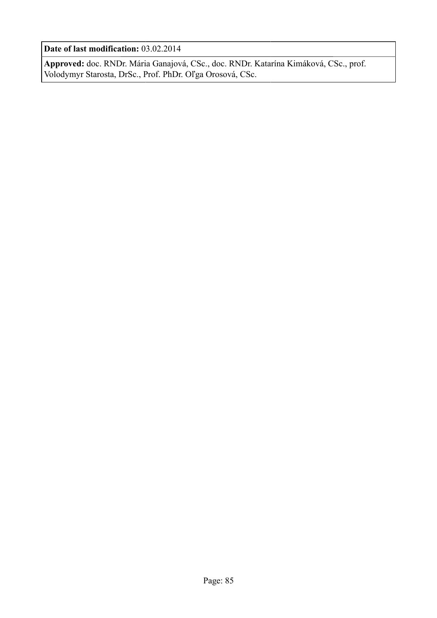**Date of last modification:** 03.02.2014

**Approved:** doc. RNDr. Mária Ganajová, CSc., doc. RNDr. Katarína Kimáková, CSc., prof. Volodymyr Starosta, DrSc., Prof. PhDr. Oľga Orosová, CSc.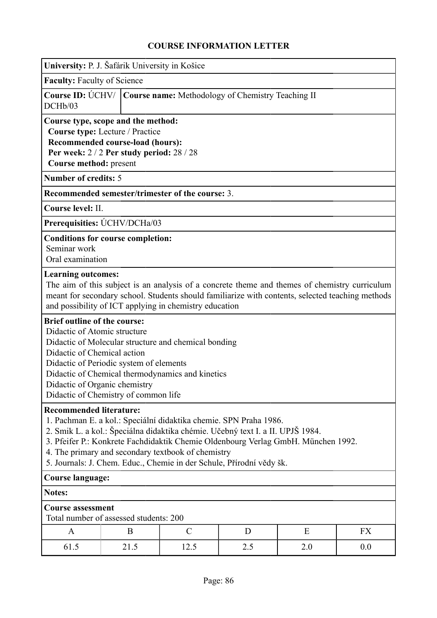|                                                                                                                                                                                                                                                                                                                                                                                                          | University: P. J. Šafárik University in Košice                                                                                                                                              |               |                                                                                                                                                                                                   |     |     |  |
|----------------------------------------------------------------------------------------------------------------------------------------------------------------------------------------------------------------------------------------------------------------------------------------------------------------------------------------------------------------------------------------------------------|---------------------------------------------------------------------------------------------------------------------------------------------------------------------------------------------|---------------|---------------------------------------------------------------------------------------------------------------------------------------------------------------------------------------------------|-----|-----|--|
| <b>Faculty: Faculty of Science</b>                                                                                                                                                                                                                                                                                                                                                                       |                                                                                                                                                                                             |               |                                                                                                                                                                                                   |     |     |  |
| DCHb/03                                                                                                                                                                                                                                                                                                                                                                                                  | Course ID: ÚCHV/<br>Course name: Methodology of Chemistry Teaching II                                                                                                                       |               |                                                                                                                                                                                                   |     |     |  |
| Course type, scope and the method:<br>Course type: Lecture / Practice<br>Recommended course-load (hours):<br>Per week: $2/2$ Per study period: $28/28$<br>Course method: present                                                                                                                                                                                                                         |                                                                                                                                                                                             |               |                                                                                                                                                                                                   |     |     |  |
| <b>Number of credits: 5</b>                                                                                                                                                                                                                                                                                                                                                                              |                                                                                                                                                                                             |               |                                                                                                                                                                                                   |     |     |  |
|                                                                                                                                                                                                                                                                                                                                                                                                          | Recommended semester/trimester of the course: 3.                                                                                                                                            |               |                                                                                                                                                                                                   |     |     |  |
| Course level: II.                                                                                                                                                                                                                                                                                                                                                                                        |                                                                                                                                                                                             |               |                                                                                                                                                                                                   |     |     |  |
|                                                                                                                                                                                                                                                                                                                                                                                                          | Prerequisities: ÚCHV/DCHa/03                                                                                                                                                                |               |                                                                                                                                                                                                   |     |     |  |
| Seminar work<br>Oral examination                                                                                                                                                                                                                                                                                                                                                                         | <b>Conditions for course completion:</b>                                                                                                                                                    |               |                                                                                                                                                                                                   |     |     |  |
| <b>Learning outcomes:</b>                                                                                                                                                                                                                                                                                                                                                                                | and possibility of ICT applying in chemistry education                                                                                                                                      |               | The aim of this subject is an analysis of a concrete theme and themes of chemistry curriculum<br>meant for secondary school. Students should familiarize with contents, selected teaching methods |     |     |  |
| <b>Brief outline of the course:</b><br>Didactic of Atomic structure<br>Didactic of Chemical action<br>Didactic of Organic chemistry                                                                                                                                                                                                                                                                      | Didactic of Molecular structure and chemical bonding<br>Didactic of Periodic system of elements<br>Didactic of Chemical thermodynamics and kinetics<br>Didactic of Chemistry of common life |               |                                                                                                                                                                                                   |     |     |  |
| <b>Recommended literature:</b><br>1. Pachman E. a kol.: Speciální didaktika chemie. SPN Praha 1986.<br>2. Smik L. a kol.: Špeciálna didaktika chémie. Učebný text I. a II. UPJŠ 1984.<br>3. Pfeifer P.: Konkrete Fachdidaktik Chemie Oldenbourg Verlag GmbH. München 1992.<br>4. The primary and secondary textbook of chemistry<br>5. Journals: J. Chem. Educ., Chemie in der Schule, Přírodní vědy šk. |                                                                                                                                                                                             |               |                                                                                                                                                                                                   |     |     |  |
|                                                                                                                                                                                                                                                                                                                                                                                                          | <b>Course language:</b>                                                                                                                                                                     |               |                                                                                                                                                                                                   |     |     |  |
| <b>Notes:</b>                                                                                                                                                                                                                                                                                                                                                                                            |                                                                                                                                                                                             |               |                                                                                                                                                                                                   |     |     |  |
| <b>Course assessment</b>                                                                                                                                                                                                                                                                                                                                                                                 | Total number of assessed students: 200                                                                                                                                                      |               |                                                                                                                                                                                                   |     |     |  |
| A                                                                                                                                                                                                                                                                                                                                                                                                        | B                                                                                                                                                                                           | $\mathcal{C}$ | D                                                                                                                                                                                                 | E   | FX  |  |
| 61.5                                                                                                                                                                                                                                                                                                                                                                                                     | 21.5                                                                                                                                                                                        | 12.5          | 2.5                                                                                                                                                                                               | 2.0 | 0.0 |  |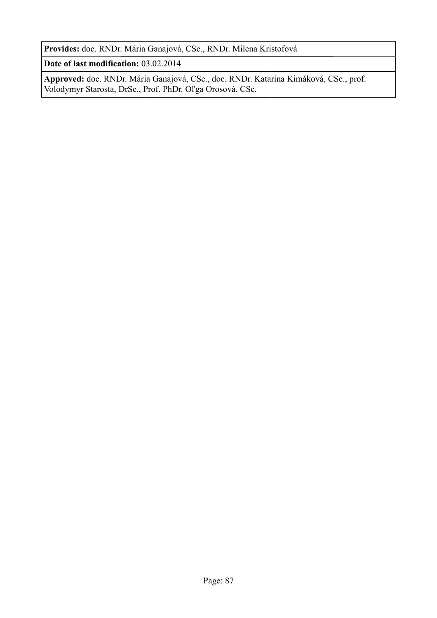**Provides:** doc. RNDr. Mária Ganajová, CSc., RNDr. Milena Kristofová

**Date of last modification:** 03.02.2014

**Approved:** doc. RNDr. Mária Ganajová, CSc., doc. RNDr. Katarína Kimáková, CSc., prof. Volodymyr Starosta, DrSc., Prof. PhDr. Oľga Orosová, CSc.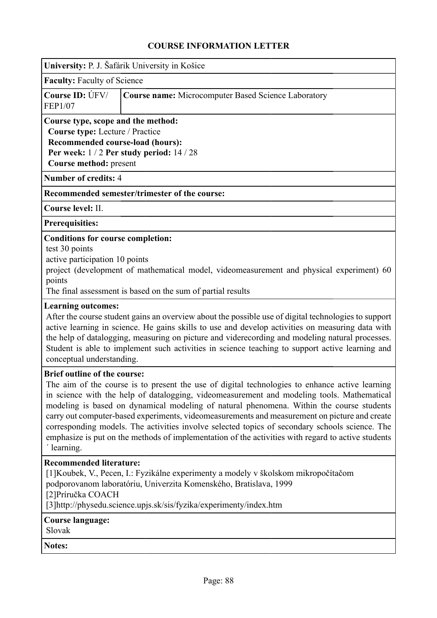| University: P. J. Šafárik University in Košice<br><b>Faculty: Faculty of Science</b><br>Course ID: ÚFV/<br><b>Course name:</b> Microcomputer Based Science Laboratory<br><b>FEP1/07</b><br>Course type, scope and the method:<br>Course type: Lecture / Practice<br>Recommended course-load (hours):<br>Per week: $1/2$ Per study period: $14/28$<br>Course method: present<br><b>Number of credits: 4</b><br>Recommended semester/trimester of the course:<br>Course level: II.<br>Prerequisities:<br><b>Conditions for course completion:</b><br>test 30 points<br>active participation 10 points<br>project (development of mathematical model, videomeasurement and physical experiment) 60<br>points<br>The final assessment is based on the sum of partial results<br><b>Learning outcomes:</b><br>After the course student gains an overview about the possible use of digital technologies to support<br>active learning in science. He gains skills to use and develop activities on measuring data with<br>the help of datalogging, measuring on picture and viderecording and modeling natural processes.<br>Student is able to implement such activities in science teaching to support active learning and<br>conceptual understanding.<br><b>Brief outline of the course:</b><br>The aim of the course is to present the use of digital technologies to enhance active learning<br>in science with the help of datalogging, videomeasurement and modeling tools. Mathematical<br>modeling is based on dynamical modeling of natural phenomena. Within the course students<br>carry out computer-based experiments, videomeasurements and measurement on picture and create<br>corresponding models. The activities involve selected topics of secondary schools science. The<br>emphasize is put on the methods of implementation of the activities with regard to active students<br>learning.<br><b>Recommended literature:</b><br>[1] Koubek, V., Pecen, I.: Fyzikálne experimenty a modely v školskom mikropočítačom<br>podporovanom laboratóriu, Univerzita Komenského, Bratislava, 1999<br>[2] Príručka COACH<br>[3] http://physedu.science.upjs.sk/sis/fyzika/experimenty/index.htm<br>Course language:<br>Slovak<br><b>Notes:</b> |  |
|---------------------------------------------------------------------------------------------------------------------------------------------------------------------------------------------------------------------------------------------------------------------------------------------------------------------------------------------------------------------------------------------------------------------------------------------------------------------------------------------------------------------------------------------------------------------------------------------------------------------------------------------------------------------------------------------------------------------------------------------------------------------------------------------------------------------------------------------------------------------------------------------------------------------------------------------------------------------------------------------------------------------------------------------------------------------------------------------------------------------------------------------------------------------------------------------------------------------------------------------------------------------------------------------------------------------------------------------------------------------------------------------------------------------------------------------------------------------------------------------------------------------------------------------------------------------------------------------------------------------------------------------------------------------------------------------------------------------------------------------------------------------------------------------------------------------------------------------------------------------------------------------------------------------------------------------------------------------------------------------------------------------------------------------------------------------------------------------------------------------------------------------------------------------------------------------------------------------------------------------------------|--|
|                                                                                                                                                                                                                                                                                                                                                                                                                                                                                                                                                                                                                                                                                                                                                                                                                                                                                                                                                                                                                                                                                                                                                                                                                                                                                                                                                                                                                                                                                                                                                                                                                                                                                                                                                                                                                                                                                                                                                                                                                                                                                                                                                                                                                                                         |  |
|                                                                                                                                                                                                                                                                                                                                                                                                                                                                                                                                                                                                                                                                                                                                                                                                                                                                                                                                                                                                                                                                                                                                                                                                                                                                                                                                                                                                                                                                                                                                                                                                                                                                                                                                                                                                                                                                                                                                                                                                                                                                                                                                                                                                                                                         |  |
|                                                                                                                                                                                                                                                                                                                                                                                                                                                                                                                                                                                                                                                                                                                                                                                                                                                                                                                                                                                                                                                                                                                                                                                                                                                                                                                                                                                                                                                                                                                                                                                                                                                                                                                                                                                                                                                                                                                                                                                                                                                                                                                                                                                                                                                         |  |
|                                                                                                                                                                                                                                                                                                                                                                                                                                                                                                                                                                                                                                                                                                                                                                                                                                                                                                                                                                                                                                                                                                                                                                                                                                                                                                                                                                                                                                                                                                                                                                                                                                                                                                                                                                                                                                                                                                                                                                                                                                                                                                                                                                                                                                                         |  |
|                                                                                                                                                                                                                                                                                                                                                                                                                                                                                                                                                                                                                                                                                                                                                                                                                                                                                                                                                                                                                                                                                                                                                                                                                                                                                                                                                                                                                                                                                                                                                                                                                                                                                                                                                                                                                                                                                                                                                                                                                                                                                                                                                                                                                                                         |  |
|                                                                                                                                                                                                                                                                                                                                                                                                                                                                                                                                                                                                                                                                                                                                                                                                                                                                                                                                                                                                                                                                                                                                                                                                                                                                                                                                                                                                                                                                                                                                                                                                                                                                                                                                                                                                                                                                                                                                                                                                                                                                                                                                                                                                                                                         |  |
|                                                                                                                                                                                                                                                                                                                                                                                                                                                                                                                                                                                                                                                                                                                                                                                                                                                                                                                                                                                                                                                                                                                                                                                                                                                                                                                                                                                                                                                                                                                                                                                                                                                                                                                                                                                                                                                                                                                                                                                                                                                                                                                                                                                                                                                         |  |
|                                                                                                                                                                                                                                                                                                                                                                                                                                                                                                                                                                                                                                                                                                                                                                                                                                                                                                                                                                                                                                                                                                                                                                                                                                                                                                                                                                                                                                                                                                                                                                                                                                                                                                                                                                                                                                                                                                                                                                                                                                                                                                                                                                                                                                                         |  |
|                                                                                                                                                                                                                                                                                                                                                                                                                                                                                                                                                                                                                                                                                                                                                                                                                                                                                                                                                                                                                                                                                                                                                                                                                                                                                                                                                                                                                                                                                                                                                                                                                                                                                                                                                                                                                                                                                                                                                                                                                                                                                                                                                                                                                                                         |  |
|                                                                                                                                                                                                                                                                                                                                                                                                                                                                                                                                                                                                                                                                                                                                                                                                                                                                                                                                                                                                                                                                                                                                                                                                                                                                                                                                                                                                                                                                                                                                                                                                                                                                                                                                                                                                                                                                                                                                                                                                                                                                                                                                                                                                                                                         |  |
|                                                                                                                                                                                                                                                                                                                                                                                                                                                                                                                                                                                                                                                                                                                                                                                                                                                                                                                                                                                                                                                                                                                                                                                                                                                                                                                                                                                                                                                                                                                                                                                                                                                                                                                                                                                                                                                                                                                                                                                                                                                                                                                                                                                                                                                         |  |
|                                                                                                                                                                                                                                                                                                                                                                                                                                                                                                                                                                                                                                                                                                                                                                                                                                                                                                                                                                                                                                                                                                                                                                                                                                                                                                                                                                                                                                                                                                                                                                                                                                                                                                                                                                                                                                                                                                                                                                                                                                                                                                                                                                                                                                                         |  |
|                                                                                                                                                                                                                                                                                                                                                                                                                                                                                                                                                                                                                                                                                                                                                                                                                                                                                                                                                                                                                                                                                                                                                                                                                                                                                                                                                                                                                                                                                                                                                                                                                                                                                                                                                                                                                                                                                                                                                                                                                                                                                                                                                                                                                                                         |  |
|                                                                                                                                                                                                                                                                                                                                                                                                                                                                                                                                                                                                                                                                                                                                                                                                                                                                                                                                                                                                                                                                                                                                                                                                                                                                                                                                                                                                                                                                                                                                                                                                                                                                                                                                                                                                                                                                                                                                                                                                                                                                                                                                                                                                                                                         |  |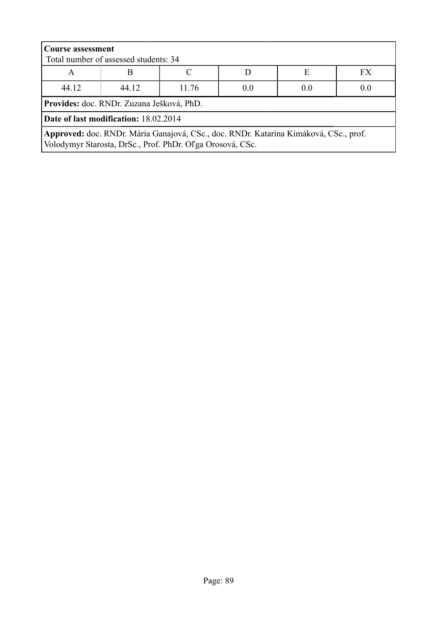| <b>Course assessment</b><br>Total number of assessed students: 34                                                                                 |                                           |  |  |  |  |  |  |  |
|---------------------------------------------------------------------------------------------------------------------------------------------------|-------------------------------------------|--|--|--|--|--|--|--|
| Е<br>FX<br>A                                                                                                                                      |                                           |  |  |  |  |  |  |  |
| 44.12                                                                                                                                             | 44.12<br>0.0<br>0.0<br>0.0<br>11.76       |  |  |  |  |  |  |  |
|                                                                                                                                                   | Provides: doc. RNDr. Zuzana Ješková, PhD. |  |  |  |  |  |  |  |
| Date of last modification: 18.02.2014                                                                                                             |                                           |  |  |  |  |  |  |  |
| Approved: doc. RNDr. Mária Ganajová, CSc., doc. RNDr. Katarína Kimáková, CSc., prof.<br>Volodymyr Starosta, DrSc., Prof. PhDr. Oľga Orosová, CSc. |                                           |  |  |  |  |  |  |  |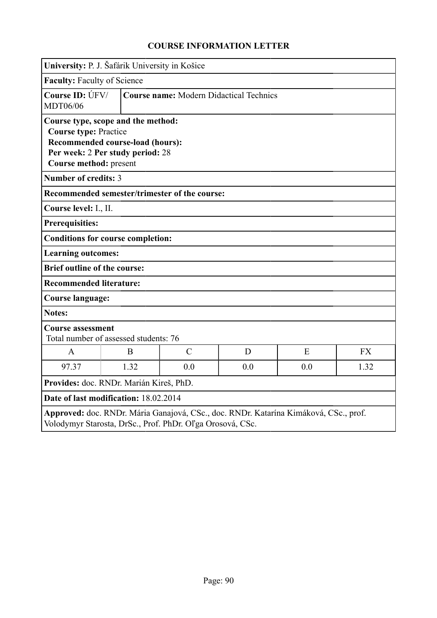| University: P. J. Šafárik University in Košice                                               |                                                                      |               |                                                |                                                                                      |           |
|----------------------------------------------------------------------------------------------|----------------------------------------------------------------------|---------------|------------------------------------------------|--------------------------------------------------------------------------------------|-----------|
| Faculty: Faculty of Science                                                                  |                                                                      |               |                                                |                                                                                      |           |
| Course ID: ÚFV/<br>MDT06/06                                                                  |                                                                      |               | <b>Course name: Modern Didactical Technics</b> |                                                                                      |           |
| Course type, scope and the method:<br><b>Course type: Practice</b><br>Course method: present | Recommended course-load (hours):<br>Per week: 2 Per study period: 28 |               |                                                |                                                                                      |           |
| <b>Number of credits: 3</b>                                                                  |                                                                      |               |                                                |                                                                                      |           |
| Recommended semester/trimester of the course:                                                |                                                                      |               |                                                |                                                                                      |           |
| Course level: I., II.                                                                        |                                                                      |               |                                                |                                                                                      |           |
| <b>Prerequisities:</b>                                                                       |                                                                      |               |                                                |                                                                                      |           |
| <b>Conditions for course completion:</b>                                                     |                                                                      |               |                                                |                                                                                      |           |
| <b>Learning outcomes:</b>                                                                    |                                                                      |               |                                                |                                                                                      |           |
| <b>Brief outline of the course:</b>                                                          |                                                                      |               |                                                |                                                                                      |           |
| <b>Recommended literature:</b>                                                               |                                                                      |               |                                                |                                                                                      |           |
| Course language:                                                                             |                                                                      |               |                                                |                                                                                      |           |
| <b>Notes:</b>                                                                                |                                                                      |               |                                                |                                                                                      |           |
| <b>Course assessment</b><br>Total number of assessed students: 76                            |                                                                      |               |                                                |                                                                                      |           |
| $\mathbf{A}$                                                                                 | B                                                                    | $\mathcal{C}$ | D                                              | E                                                                                    | <b>FX</b> |
| 97.37                                                                                        | 1.32                                                                 | 0.0           | 0.0                                            | 0.0                                                                                  | 1.32      |
|                                                                                              | Provides: doc. RNDr. Marián Kireš, PhD.                              |               |                                                |                                                                                      |           |
| Date of last modification: 18.02.2014                                                        |                                                                      |               |                                                |                                                                                      |           |
| Volodymyr Starosta, DrSc., Prof. PhDr. Oľga Orosová, CSc.                                    |                                                                      |               |                                                | Approved: doc. RNDr. Mária Ganajová, CSc., doc. RNDr. Katarína Kimáková, CSc., prof. |           |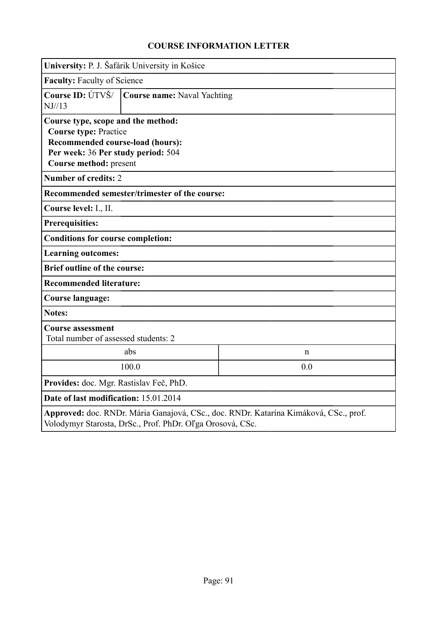|                                                                                                                                                                        | University: P. J. Šafárik University in Košice |             |  |  |  |
|------------------------------------------------------------------------------------------------------------------------------------------------------------------------|------------------------------------------------|-------------|--|--|--|
|                                                                                                                                                                        | <b>Faculty: Faculty of Science</b>             |             |  |  |  |
| Course ID: ÚTVŠ/<br>NJ//13                                                                                                                                             | <b>Course name: Naval Yachting</b>             |             |  |  |  |
| Course type, scope and the method:<br><b>Course type: Practice</b><br>Recommended course-load (hours):<br>Per week: 36 Per study period: 504<br>Course method: present |                                                |             |  |  |  |
| <b>Number of credits: 2</b>                                                                                                                                            |                                                |             |  |  |  |
| Recommended semester/trimester of the course:                                                                                                                          |                                                |             |  |  |  |
| Course level: I., II.                                                                                                                                                  |                                                |             |  |  |  |
| <b>Prerequisities:</b>                                                                                                                                                 |                                                |             |  |  |  |
| <b>Conditions for course completion:</b>                                                                                                                               |                                                |             |  |  |  |
| <b>Learning outcomes:</b>                                                                                                                                              |                                                |             |  |  |  |
| <b>Brief outline of the course:</b>                                                                                                                                    |                                                |             |  |  |  |
| <b>Recommended literature:</b>                                                                                                                                         |                                                |             |  |  |  |
| <b>Course language:</b>                                                                                                                                                |                                                |             |  |  |  |
| <b>Notes:</b>                                                                                                                                                          |                                                |             |  |  |  |
| <b>Course assessment</b><br>Total number of assessed students: 2                                                                                                       |                                                |             |  |  |  |
|                                                                                                                                                                        | abs                                            | $\mathbf n$ |  |  |  |
|                                                                                                                                                                        | 100.0<br>0.0                                   |             |  |  |  |
| Provides: doc. Mgr. Rastislav Feč, PhD.                                                                                                                                |                                                |             |  |  |  |
| Date of last modification: 15.01.2014                                                                                                                                  |                                                |             |  |  |  |
| Approved: doc. RNDr. Mária Ganajová, CSc., doc. RNDr. Katarína Kimáková, CSc., prof.<br>Volodymyr Starosta, DrSc., Prof. PhDr. Oľga Orosová, CSc.                      |                                                |             |  |  |  |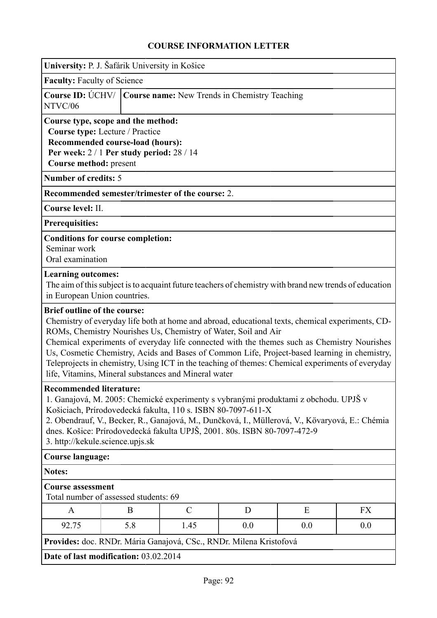|                                     |                                                                          | VUNSE INFONMATION LETTE                                                  |     |                                                                                                        |           |  |  |
|-------------------------------------|--------------------------------------------------------------------------|--------------------------------------------------------------------------|-----|--------------------------------------------------------------------------------------------------------|-----------|--|--|
|                                     | University: P. J. Šafárik University in Košice                           |                                                                          |     |                                                                                                        |           |  |  |
|                                     | <b>Faculty: Faculty of Science</b>                                       |                                                                          |     |                                                                                                        |           |  |  |
| NTVC/06                             | Course ID: ÚCHV/<br><b>Course name:</b> New Trends in Chemistry Teaching |                                                                          |     |                                                                                                        |           |  |  |
|                                     | Course type, scope and the method:                                       |                                                                          |     |                                                                                                        |           |  |  |
|                                     | Course type: Lecture / Practice                                          |                                                                          |     |                                                                                                        |           |  |  |
|                                     | Recommended course-load (hours):                                         |                                                                          |     |                                                                                                        |           |  |  |
| Course method: present              | Per week: $2/1$ Per study period: $28/14$                                |                                                                          |     |                                                                                                        |           |  |  |
| <b>Number of credits: 5</b>         |                                                                          |                                                                          |     |                                                                                                        |           |  |  |
|                                     |                                                                          | Recommended semester/trimester of the course: 2.                         |     |                                                                                                        |           |  |  |
|                                     |                                                                          |                                                                          |     |                                                                                                        |           |  |  |
| Course level: II.                   |                                                                          |                                                                          |     |                                                                                                        |           |  |  |
| <b>Prerequisities:</b>              |                                                                          |                                                                          |     |                                                                                                        |           |  |  |
|                                     | <b>Conditions for course completion:</b>                                 |                                                                          |     |                                                                                                        |           |  |  |
| Seminar work<br>Oral examination    |                                                                          |                                                                          |     |                                                                                                        |           |  |  |
|                                     |                                                                          |                                                                          |     |                                                                                                        |           |  |  |
| <b>Learning outcomes:</b>           |                                                                          |                                                                          |     |                                                                                                        |           |  |  |
| in European Union countries.        |                                                                          |                                                                          |     | The aim of this subject is to acquaint future teachers of chemistry with brand new trends of education |           |  |  |
|                                     |                                                                          |                                                                          |     |                                                                                                        |           |  |  |
| <b>Brief outline of the course:</b> |                                                                          |                                                                          |     |                                                                                                        |           |  |  |
|                                     |                                                                          | ROMs, Chemistry Nourishes Us, Chemistry of Water, Soil and Air           |     | Chemistry of everyday life both at home and abroad, educational texts, chemical experiments, CD-       |           |  |  |
|                                     |                                                                          |                                                                          |     | Chemical experiments of everyday life connected with the themes such as Chemistry Nourishes            |           |  |  |
|                                     |                                                                          |                                                                          |     | Us, Cosmetic Chemistry, Acids and Bases of Common Life, Project-based learning in chemistry,           |           |  |  |
|                                     |                                                                          |                                                                          |     | Teleprojects in chemistry, Using ICT in the teaching of themes: Chemical experiments of everyday       |           |  |  |
|                                     |                                                                          | life, Vitamins, Mineral substances and Mineral water                     |     |                                                                                                        |           |  |  |
| <b>Recommended literature:</b>      |                                                                          |                                                                          |     |                                                                                                        |           |  |  |
|                                     |                                                                          |                                                                          |     | 1. Ganajová, M. 2005: Chemické experimenty s vybranými produktami z obchodu. UPJŠ v                    |           |  |  |
|                                     |                                                                          | Košiciach, Prírodovedecká fakulta, 110 s. ISBN 80-7097-611-X             |     |                                                                                                        |           |  |  |
|                                     |                                                                          |                                                                          |     | 2. Obendrauf, V., Becker, R., Ganajová, M., Dunčková, I., Müllerová, V., Kövaryová, E.: Chémia         |           |  |  |
|                                     |                                                                          | dnes. Košice: Prírodovedecká fakulta UPJŠ, 2001. 80s. ISBN 80-7097-472-9 |     |                                                                                                        |           |  |  |
| 3. http://kekule.science.upjs.sk    |                                                                          |                                                                          |     |                                                                                                        |           |  |  |
| <b>Course language:</b>             |                                                                          |                                                                          |     |                                                                                                        |           |  |  |
| <b>Notes:</b>                       |                                                                          |                                                                          |     |                                                                                                        |           |  |  |
| <b>Course assessment</b>            | Total number of assessed students: 69                                    |                                                                          |     |                                                                                                        |           |  |  |
| A                                   | B                                                                        | $\mathcal{C}$                                                            | D   | E                                                                                                      | <b>FX</b> |  |  |
| 92.75                               | 5.8                                                                      | 1.45                                                                     | 0.0 | 0.0                                                                                                    | 0.0       |  |  |
|                                     |                                                                          | Provides: doc. RNDr. Mária Ganajová, CSc., RNDr. Milena Kristofová       |     |                                                                                                        |           |  |  |
|                                     | Date of last modification: 03.02.2014                                    |                                                                          |     |                                                                                                        |           |  |  |
|                                     |                                                                          |                                                                          |     |                                                                                                        |           |  |  |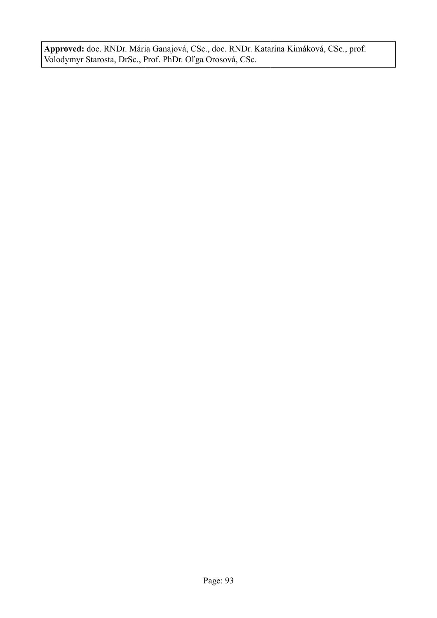**Approved:** doc. RNDr. Mária Ganajová, CSc., doc. RNDr. Katarína Kimáková, CSc., prof. Volodymyr Starosta, DrSc., Prof. PhDr. Oľga Orosová, CSc.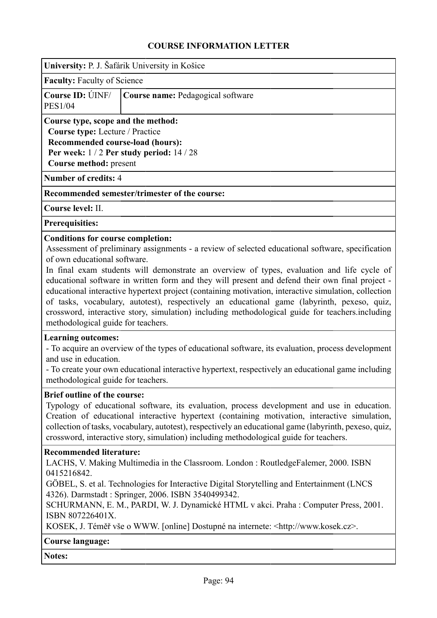|                                                                                                                                                                      | <b>COURSE INFORMATION LETTER</b>                                                                                                                                                                                                                                                                                                                                                                                                                                                                                                                                                                                                                                                                                                                                                                                        |
|----------------------------------------------------------------------------------------------------------------------------------------------------------------------|-------------------------------------------------------------------------------------------------------------------------------------------------------------------------------------------------------------------------------------------------------------------------------------------------------------------------------------------------------------------------------------------------------------------------------------------------------------------------------------------------------------------------------------------------------------------------------------------------------------------------------------------------------------------------------------------------------------------------------------------------------------------------------------------------------------------------|
|                                                                                                                                                                      | University: P. J. Šafárik University in Košice                                                                                                                                                                                                                                                                                                                                                                                                                                                                                                                                                                                                                                                                                                                                                                          |
| <b>Faculty: Faculty of Science</b>                                                                                                                                   |                                                                                                                                                                                                                                                                                                                                                                                                                                                                                                                                                                                                                                                                                                                                                                                                                         |
| Course ID: UNF/<br><b>PES1/04</b>                                                                                                                                    | Course name: Pedagogical software                                                                                                                                                                                                                                                                                                                                                                                                                                                                                                                                                                                                                                                                                                                                                                                       |
| Course type, scope and the method:<br>Course type: Lecture / Practice<br>Recommended course-load (hours):<br>Course method: present                                  | Per week: $1/2$ Per study period: $14/28$                                                                                                                                                                                                                                                                                                                                                                                                                                                                                                                                                                                                                                                                                                                                                                               |
| <b>Number of credits: 4</b>                                                                                                                                          |                                                                                                                                                                                                                                                                                                                                                                                                                                                                                                                                                                                                                                                                                                                                                                                                                         |
|                                                                                                                                                                      | Recommended semester/trimester of the course:                                                                                                                                                                                                                                                                                                                                                                                                                                                                                                                                                                                                                                                                                                                                                                           |
| Course level: II.                                                                                                                                                    |                                                                                                                                                                                                                                                                                                                                                                                                                                                                                                                                                                                                                                                                                                                                                                                                                         |
| <b>Prerequisities:</b>                                                                                                                                               |                                                                                                                                                                                                                                                                                                                                                                                                                                                                                                                                                                                                                                                                                                                                                                                                                         |
| <b>Conditions for course completion:</b><br>of own educational software.<br>methodological guide for teachers.<br><b>Learning outcomes:</b><br>and use in education. | Assessment of preliminary assignments - a review of selected educational software, specification<br>In final exam students will demonstrate an overview of types, evaluation and life cycle of<br>educational software in written form and they will present and defend their own final project -<br>educational interactive hypertext project (containing motivation, interactive simulation, collection<br>of tasks, vocabulary, autotest), respectively an educational game (labyrinth, pexeso, quiz,<br>crossword, interactive story, simulation) including methodological guide for teachers.including<br>- To acquire an overview of the types of educational software, its evaluation, process development<br>- To create your own educational interactive hypertext, respectively an educational game including |
| methodological guide for teachers.<br><b>Brief outline of the course:</b>                                                                                            | Typology of educational software, its evaluation, process development and use in education.<br>Creation of educational interactive hypertext (containing motivation, interactive simulation,<br>collection of tasks, vocabulary, autotest), respectively an educational game (labyrinth, pexeso, quiz,<br>crossword, interactive story, simulation) including methodological guide for teachers.                                                                                                                                                                                                                                                                                                                                                                                                                        |
| <b>Recommended literature:</b><br>0415216842.<br>ISBN 807226401X.                                                                                                    | LACHS, V. Making Multimedia in the Classroom. London : RoutledgeFalemer, 2000. ISBN<br>GÖBEL, S. et al. Technologies for Interactive Digital Storytelling and Entertainment (LNCS<br>4326). Darmstadt: Springer, 2006. ISBN 3540499342.<br>SCHURMANN, E. M., PARDI, W. J. Dynamické HTML v akci. Praha : Computer Press, 2001.<br>KOSEK, J. Téměř vše o WWW. [online] Dostupné na internete: <http: www.kosek.cz="">.</http:>                                                                                                                                                                                                                                                                                                                                                                                           |
| <b>Course language:</b>                                                                                                                                              |                                                                                                                                                                                                                                                                                                                                                                                                                                                                                                                                                                                                                                                                                                                                                                                                                         |
| <b>Notes:</b>                                                                                                                                                        |                                                                                                                                                                                                                                                                                                                                                                                                                                                                                                                                                                                                                                                                                                                                                                                                                         |
|                                                                                                                                                                      |                                                                                                                                                                                                                                                                                                                                                                                                                                                                                                                                                                                                                                                                                                                                                                                                                         |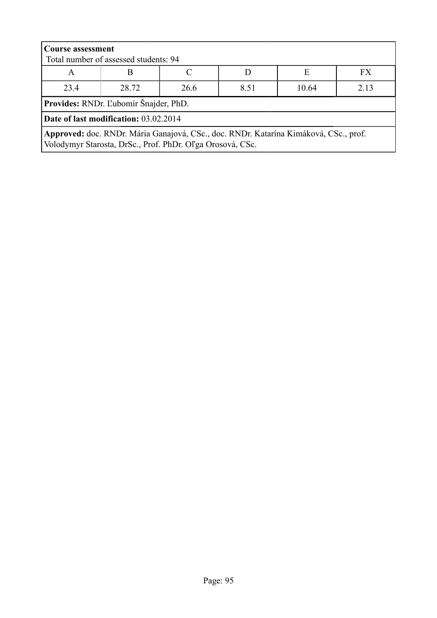| <b>Course assessment</b><br>Total number of assessed students: 94                                                                                 |                                        |  |  |  |  |  |  |  |
|---------------------------------------------------------------------------------------------------------------------------------------------------|----------------------------------------|--|--|--|--|--|--|--|
| FX.<br>E<br>R<br>A                                                                                                                                |                                        |  |  |  |  |  |  |  |
| 23.4                                                                                                                                              | 2.13<br>28.72<br>26.6<br>10.64<br>8.51 |  |  |  |  |  |  |  |
| <b>Provides:</b> RNDr. L'ubomír Šnajder, PhD.                                                                                                     |                                        |  |  |  |  |  |  |  |
| Date of last modification: 03.02.2014                                                                                                             |                                        |  |  |  |  |  |  |  |
| Approved: doc. RNDr. Mária Ganajová, CSc., doc. RNDr. Katarína Kimáková, CSc., prof.<br>Volodymyr Starosta, DrSc., Prof. PhDr. Oľga Orosová, CSc. |                                        |  |  |  |  |  |  |  |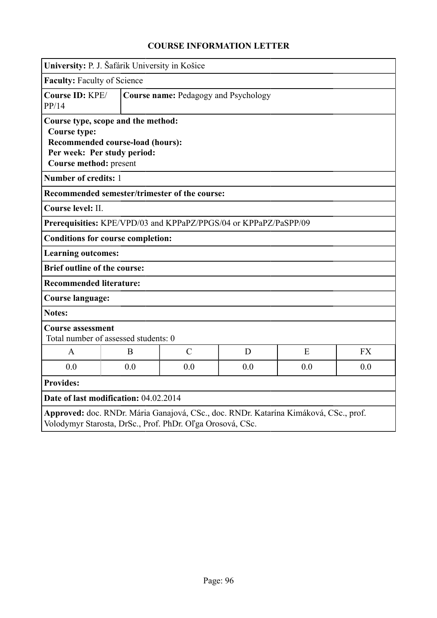|                                               | University: P. J. Šafárik University in Košice                                                        |                                                                  |     |                                                                                      |           |  |
|-----------------------------------------------|-------------------------------------------------------------------------------------------------------|------------------------------------------------------------------|-----|--------------------------------------------------------------------------------------|-----------|--|
| <b>Faculty: Faculty of Science</b>            |                                                                                                       |                                                                  |     |                                                                                      |           |  |
| PP/14                                         | Course ID: KPE/<br>Course name: Pedagogy and Psychology                                               |                                                                  |     |                                                                                      |           |  |
| <b>Course type:</b><br>Course method: present | Course type, scope and the method:<br>Recommended course-load (hours):<br>Per week: Per study period: |                                                                  |     |                                                                                      |           |  |
| Number of credits: 1                          |                                                                                                       |                                                                  |     |                                                                                      |           |  |
|                                               |                                                                                                       | Recommended semester/trimester of the course:                    |     |                                                                                      |           |  |
| Course level: II.                             |                                                                                                       |                                                                  |     |                                                                                      |           |  |
|                                               |                                                                                                       | Prerequisities: KPE/VPD/03 and KPPaPZ/PPGS/04 or KPPaPZ/PaSPP/09 |     |                                                                                      |           |  |
|                                               | <b>Conditions for course completion:</b>                                                              |                                                                  |     |                                                                                      |           |  |
| <b>Learning outcomes:</b>                     |                                                                                                       |                                                                  |     |                                                                                      |           |  |
| <b>Brief outline of the course:</b>           |                                                                                                       |                                                                  |     |                                                                                      |           |  |
| <b>Recommended literature:</b>                |                                                                                                       |                                                                  |     |                                                                                      |           |  |
| Course language:                              |                                                                                                       |                                                                  |     |                                                                                      |           |  |
| <b>Notes:</b>                                 |                                                                                                       |                                                                  |     |                                                                                      |           |  |
| <b>Course assessment</b>                      | Total number of assessed students: 0                                                                  |                                                                  |     |                                                                                      |           |  |
| A                                             | B                                                                                                     | $\mathcal{C}$                                                    | D   | E                                                                                    | <b>FX</b> |  |
| 0.0                                           | 0.0                                                                                                   | 0.0                                                              | 0.0 | 0.0                                                                                  | 0.0       |  |
| <b>Provides:</b>                              |                                                                                                       |                                                                  |     |                                                                                      |           |  |
|                                               | Date of last modification: 04.02.2014                                                                 |                                                                  |     |                                                                                      |           |  |
|                                               |                                                                                                       | Volodymyr Starosta, DrSc., Prof. PhDr. Oľga Orosová, CSc.        |     | Approved: doc. RNDr. Mária Ganajová, CSc., doc. RNDr. Katarína Kimáková, CSc., prof. |           |  |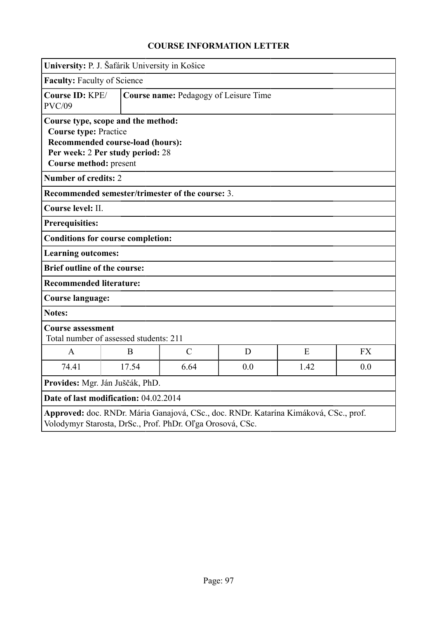|                                                        | University: P. J. Šafárik University in Košice                                                             |                                              |     |                                                                                      |           |  |  |
|--------------------------------------------------------|------------------------------------------------------------------------------------------------------------|----------------------------------------------|-----|--------------------------------------------------------------------------------------|-----------|--|--|
|                                                        | <b>Faculty: Faculty of Science</b>                                                                         |                                              |     |                                                                                      |           |  |  |
| Course ID: KPE/<br><b>PVC/09</b>                       |                                                                                                            | <b>Course name: Pedagogy of Leisure Time</b> |     |                                                                                      |           |  |  |
| <b>Course type: Practice</b><br>Course method: present | Course type, scope and the method:<br>Recommended course-load (hours):<br>Per week: 2 Per study period: 28 |                                              |     |                                                                                      |           |  |  |
| <b>Number of credits: 2</b>                            |                                                                                                            |                                              |     |                                                                                      |           |  |  |
|                                                        | Recommended semester/trimester of the course: 3.                                                           |                                              |     |                                                                                      |           |  |  |
| Course level: II.                                      |                                                                                                            |                                              |     |                                                                                      |           |  |  |
| <b>Prerequisities:</b>                                 |                                                                                                            |                                              |     |                                                                                      |           |  |  |
|                                                        | <b>Conditions for course completion:</b>                                                                   |                                              |     |                                                                                      |           |  |  |
| <b>Learning outcomes:</b>                              |                                                                                                            |                                              |     |                                                                                      |           |  |  |
| <b>Brief outline of the course:</b>                    |                                                                                                            |                                              |     |                                                                                      |           |  |  |
| <b>Recommended literature:</b>                         |                                                                                                            |                                              |     |                                                                                      |           |  |  |
| Course language:                                       |                                                                                                            |                                              |     |                                                                                      |           |  |  |
| <b>Notes:</b>                                          |                                                                                                            |                                              |     |                                                                                      |           |  |  |
|                                                        | <b>Course assessment</b><br>Total number of assessed students: 211                                         |                                              |     |                                                                                      |           |  |  |
| $\mathbf{A}$                                           | B                                                                                                          | $\overline{C}$                               | D   | E                                                                                    | <b>FX</b> |  |  |
| 74.41                                                  | 17.54                                                                                                      | 6.64                                         | 0.0 | 1.42                                                                                 | 0.0       |  |  |
|                                                        | Provides: Mgr. Ján Juščák, PhD.                                                                            |                                              |     |                                                                                      |           |  |  |
| Date of last modification: 04.02.2014                  |                                                                                                            |                                              |     |                                                                                      |           |  |  |
|                                                        | Volodymyr Starosta, DrSc., Prof. PhDr. Oľga Orosová, CSc.                                                  |                                              |     | Approved: doc. RNDr. Mária Ganajová, CSc., doc. RNDr. Katarína Kimáková, CSc., prof. |           |  |  |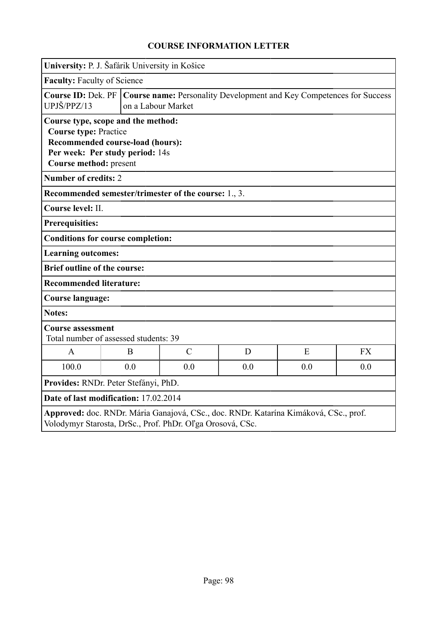| University: P. J. Šafárik University in Košice                                                                                                                      |  |                                                                                                                 |               |     |     |           |  |
|---------------------------------------------------------------------------------------------------------------------------------------------------------------------|--|-----------------------------------------------------------------------------------------------------------------|---------------|-----|-----|-----------|--|
| <b>Faculty: Faculty of Science</b>                                                                                                                                  |  |                                                                                                                 |               |     |     |           |  |
| UPJŠ/PPZ/13                                                                                                                                                         |  | Course ID: Dek. PF   Course name: Personality Development and Key Competences for Success<br>on a Labour Market |               |     |     |           |  |
| Course type, scope and the method:<br><b>Course type: Practice</b><br>Recommended course-load (hours):<br>Per week: Per study period: 14s<br>Course method: present |  |                                                                                                                 |               |     |     |           |  |
| <b>Number of credits: 2</b>                                                                                                                                         |  |                                                                                                                 |               |     |     |           |  |
| Recommended semester/trimester of the course: 1., 3.                                                                                                                |  |                                                                                                                 |               |     |     |           |  |
| Course level: II.                                                                                                                                                   |  |                                                                                                                 |               |     |     |           |  |
| <b>Prerequisities:</b>                                                                                                                                              |  |                                                                                                                 |               |     |     |           |  |
| <b>Conditions for course completion:</b>                                                                                                                            |  |                                                                                                                 |               |     |     |           |  |
| <b>Learning outcomes:</b>                                                                                                                                           |  |                                                                                                                 |               |     |     |           |  |
| <b>Brief outline of the course:</b>                                                                                                                                 |  |                                                                                                                 |               |     |     |           |  |
| <b>Recommended literature:</b>                                                                                                                                      |  |                                                                                                                 |               |     |     |           |  |
| <b>Course language:</b>                                                                                                                                             |  |                                                                                                                 |               |     |     |           |  |
| <b>Notes:</b>                                                                                                                                                       |  |                                                                                                                 |               |     |     |           |  |
| <b>Course assessment</b><br>Total number of assessed students: 39                                                                                                   |  |                                                                                                                 |               |     |     |           |  |
| $\mathbf{A}$                                                                                                                                                        |  | B                                                                                                               | $\mathcal{C}$ | D   | E   | <b>FX</b> |  |
| 100.0                                                                                                                                                               |  | 0.0                                                                                                             | 0.0           | 0.0 | 0.0 | 0.0       |  |
| Provides: RNDr. Peter Stefányi, PhD.                                                                                                                                |  |                                                                                                                 |               |     |     |           |  |
| Date of last modification: 17.02.2014                                                                                                                               |  |                                                                                                                 |               |     |     |           |  |
| Approved: doc. RNDr. Mária Ganajová, CSc., doc. RNDr. Katarína Kimáková, CSc., prof.<br>Volodymyr Starosta, DrSc., Prof. PhDr. Oľga Orosová, CSc.                   |  |                                                                                                                 |               |     |     |           |  |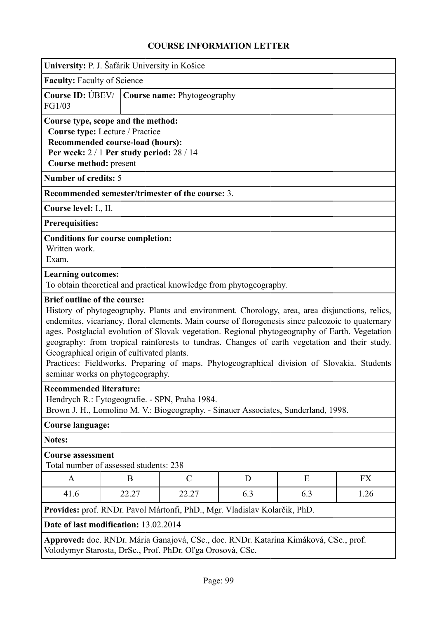|                                                                                                                                                                                                                                                                                                                                                                                                                                                                                                                                                                                                                              | University: P. J. Šafárik University in Košice |                                                                    |   |   |           |  |
|------------------------------------------------------------------------------------------------------------------------------------------------------------------------------------------------------------------------------------------------------------------------------------------------------------------------------------------------------------------------------------------------------------------------------------------------------------------------------------------------------------------------------------------------------------------------------------------------------------------------------|------------------------------------------------|--------------------------------------------------------------------|---|---|-----------|--|
| <b>Faculty: Faculty of Science</b>                                                                                                                                                                                                                                                                                                                                                                                                                                                                                                                                                                                           |                                                |                                                                    |   |   |           |  |
| Course ID: UBEV/<br>FG1/03                                                                                                                                                                                                                                                                                                                                                                                                                                                                                                                                                                                                   |                                                | Course name: Phytogeography                                        |   |   |           |  |
| Course type, scope and the method:<br>Course type: Lecture / Practice<br><b>Recommended course-load (hours):</b><br>Per week: $2/1$ Per study period: $28/14$<br>Course method: present                                                                                                                                                                                                                                                                                                                                                                                                                                      |                                                |                                                                    |   |   |           |  |
| <b>Number of credits: 5</b>                                                                                                                                                                                                                                                                                                                                                                                                                                                                                                                                                                                                  |                                                |                                                                    |   |   |           |  |
|                                                                                                                                                                                                                                                                                                                                                                                                                                                                                                                                                                                                                              |                                                | Recommended semester/trimester of the course: 3.                   |   |   |           |  |
| Course level: I., II.                                                                                                                                                                                                                                                                                                                                                                                                                                                                                                                                                                                                        |                                                |                                                                    |   |   |           |  |
| Prerequisities:                                                                                                                                                                                                                                                                                                                                                                                                                                                                                                                                                                                                              |                                                |                                                                    |   |   |           |  |
| Written work.<br>Exam.                                                                                                                                                                                                                                                                                                                                                                                                                                                                                                                                                                                                       | <b>Conditions for course completion:</b>       |                                                                    |   |   |           |  |
| <b>Learning outcomes:</b>                                                                                                                                                                                                                                                                                                                                                                                                                                                                                                                                                                                                    |                                                | To obtain theoretical and practical knowledge from phytogeography. |   |   |           |  |
| <b>Brief outline of the course:</b><br>History of phytogeography. Plants and environment. Chorology, area, area disjunctions, relics,<br>endemites, vicariancy, floral elements. Main course of florogenesis since paleozoic to quaternary<br>ages. Postglacial evolution of Slovak vegetation. Regional phytogeography of Earth. Vegetation<br>geography: from tropical rainforests to tundras. Changes of earth vegetation and their study.<br>Geographical origin of cultivated plants.<br>Practices: Fieldworks. Preparing of maps. Phytogeographical division of Slovakia. Students<br>seminar works on phytogeography. |                                                |                                                                    |   |   |           |  |
| <b>Recommended literature:</b><br>Hendrych R.: Fytogeografie. - SPN, Praha 1984.<br>Brown J. H., Lomolino M. V.: Biogeography. - Sinauer Associates, Sunderland, 1998.                                                                                                                                                                                                                                                                                                                                                                                                                                                       |                                                |                                                                    |   |   |           |  |
| <b>Course language:</b>                                                                                                                                                                                                                                                                                                                                                                                                                                                                                                                                                                                                      |                                                |                                                                    |   |   |           |  |
| <b>Notes:</b>                                                                                                                                                                                                                                                                                                                                                                                                                                                                                                                                                                                                                |                                                |                                                                    |   |   |           |  |
| <b>Course assessment</b><br>Total number of assessed students: 238                                                                                                                                                                                                                                                                                                                                                                                                                                                                                                                                                           |                                                |                                                                    |   |   |           |  |
| A                                                                                                                                                                                                                                                                                                                                                                                                                                                                                                                                                                                                                            | B                                              | $\mathcal{C}$                                                      | D | E | <b>FX</b> |  |
| 41.6                                                                                                                                                                                                                                                                                                                                                                                                                                                                                                                                                                                                                         | 22.27<br>6.3<br>22.27<br>6.3<br>1.26           |                                                                    |   |   |           |  |
| Provides: prof. RNDr. Pavol Mártonfi, PhD., Mgr. Vladislav Kolarčik, PhD.                                                                                                                                                                                                                                                                                                                                                                                                                                                                                                                                                    |                                                |                                                                    |   |   |           |  |
| Date of last modification: 13.02.2014                                                                                                                                                                                                                                                                                                                                                                                                                                                                                                                                                                                        |                                                |                                                                    |   |   |           |  |
| Approved: doc. RNDr. Mária Ganajová, CSc., doc. RNDr. Katarína Kimáková, CSc., prof.<br>Volodymyr Starosta, DrSc., Prof. PhDr. Oľga Orosová, CSc.                                                                                                                                                                                                                                                                                                                                                                                                                                                                            |                                                |                                                                    |   |   |           |  |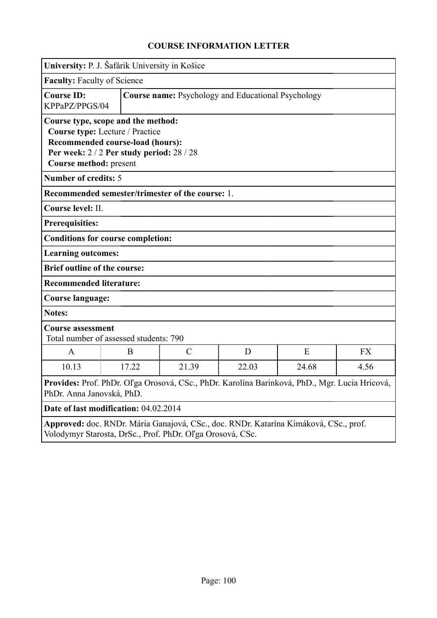|                                                                                                                                                                              | University: P. J. Šafárik University in Košice                     |                                                           |       |       |           |  |
|------------------------------------------------------------------------------------------------------------------------------------------------------------------------------|--------------------------------------------------------------------|-----------------------------------------------------------|-------|-------|-----------|--|
| <b>Faculty: Faculty of Science</b>                                                                                                                                           |                                                                    |                                                           |       |       |           |  |
| <b>Course ID:</b><br>KPPaPZ/PPGS/04                                                                                                                                          |                                                                    | <b>Course name:</b> Psychology and Educational Psychology |       |       |           |  |
| Course type, scope and the method:<br>Course type: Lecture / Practice<br>Recommended course-load (hours):<br>Per week: 2/2 Per study period: 28/28<br>Course method: present |                                                                    |                                                           |       |       |           |  |
| <b>Number of credits: 5</b>                                                                                                                                                  |                                                                    |                                                           |       |       |           |  |
|                                                                                                                                                                              | Recommended semester/trimester of the course: 1.                   |                                                           |       |       |           |  |
| Course level: II.                                                                                                                                                            |                                                                    |                                                           |       |       |           |  |
| <b>Prerequisities:</b>                                                                                                                                                       |                                                                    |                                                           |       |       |           |  |
|                                                                                                                                                                              | <b>Conditions for course completion:</b>                           |                                                           |       |       |           |  |
| <b>Learning outcomes:</b>                                                                                                                                                    |                                                                    |                                                           |       |       |           |  |
| <b>Brief outline of the course:</b>                                                                                                                                          |                                                                    |                                                           |       |       |           |  |
| <b>Recommended literature:</b>                                                                                                                                               |                                                                    |                                                           |       |       |           |  |
| <b>Course language:</b>                                                                                                                                                      |                                                                    |                                                           |       |       |           |  |
| <b>Notes:</b>                                                                                                                                                                |                                                                    |                                                           |       |       |           |  |
|                                                                                                                                                                              | <b>Course assessment</b><br>Total number of assessed students: 790 |                                                           |       |       |           |  |
| A                                                                                                                                                                            | B                                                                  | $\mathcal{C}$                                             | D     | E     | <b>FX</b> |  |
| 10.13                                                                                                                                                                        | 17.22                                                              | 21.39                                                     | 22.03 | 24.68 | 4.56      |  |
| Provides: Prof. PhDr. Oľga Orosová, CSc., PhDr. Karolína Barinková, PhD., Mgr. Lucia Hricová,<br>PhDr. Anna Janovská, PhD.                                                   |                                                                    |                                                           |       |       |           |  |
| Date of last modification: 04.02.2014                                                                                                                                        |                                                                    |                                                           |       |       |           |  |
| Approved: doc. RNDr. Mária Ganajová, CSc., doc. RNDr. Katarína Kimáková, CSc., prof.<br>Volodymyr Starosta, DrSc., Prof. PhDr. Oľga Orosová, CSc.                            |                                                                    |                                                           |       |       |           |  |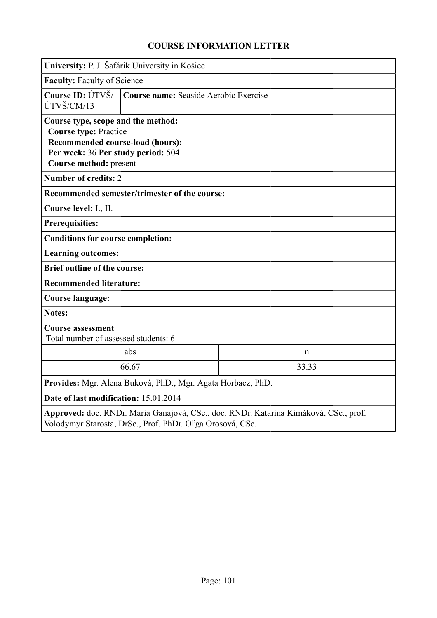|                                                                                                                                                                        | University: P. J. Šafárik University in Košice |                                       |  |  |  |  |
|------------------------------------------------------------------------------------------------------------------------------------------------------------------------|------------------------------------------------|---------------------------------------|--|--|--|--|
|                                                                                                                                                                        | <b>Faculty: Faculty of Science</b>             |                                       |  |  |  |  |
| Course ID: ÚTVŠ/<br>ÚTVŠ/CM/13                                                                                                                                         |                                                | Course name: Seaside Aerobic Exercise |  |  |  |  |
| Course type, scope and the method:<br><b>Course type: Practice</b><br>Recommended course-load (hours):<br>Per week: 36 Per study period: 504<br>Course method: present |                                                |                                       |  |  |  |  |
| <b>Number of credits: 2</b>                                                                                                                                            |                                                |                                       |  |  |  |  |
|                                                                                                                                                                        | Recommended semester/trimester of the course:  |                                       |  |  |  |  |
| Course level: I., II.                                                                                                                                                  |                                                |                                       |  |  |  |  |
| <b>Prerequisities:</b>                                                                                                                                                 |                                                |                                       |  |  |  |  |
| <b>Conditions for course completion:</b>                                                                                                                               |                                                |                                       |  |  |  |  |
| <b>Learning outcomes:</b>                                                                                                                                              |                                                |                                       |  |  |  |  |
| <b>Brief outline of the course:</b>                                                                                                                                    |                                                |                                       |  |  |  |  |
| <b>Recommended literature:</b>                                                                                                                                         |                                                |                                       |  |  |  |  |
| Course language:                                                                                                                                                       |                                                |                                       |  |  |  |  |
| <b>Notes:</b>                                                                                                                                                          |                                                |                                       |  |  |  |  |
| <b>Course assessment</b>                                                                                                                                               | Total number of assessed students: 6           |                                       |  |  |  |  |
|                                                                                                                                                                        | abs                                            | $\mathbf n$                           |  |  |  |  |
|                                                                                                                                                                        | 66.67<br>33.33                                 |                                       |  |  |  |  |
| Provides: Mgr. Alena Buková, PhD., Mgr. Agata Horbacz, PhD.                                                                                                            |                                                |                                       |  |  |  |  |
| Date of last modification: 15.01.2014                                                                                                                                  |                                                |                                       |  |  |  |  |
| Approved: doc. RNDr. Mária Ganajová, CSc., doc. RNDr. Katarína Kimáková, CSc., prof.<br>Volodymyr Starosta, DrSc., Prof. PhDr. Oľga Orosová, CSc.                      |                                                |                                       |  |  |  |  |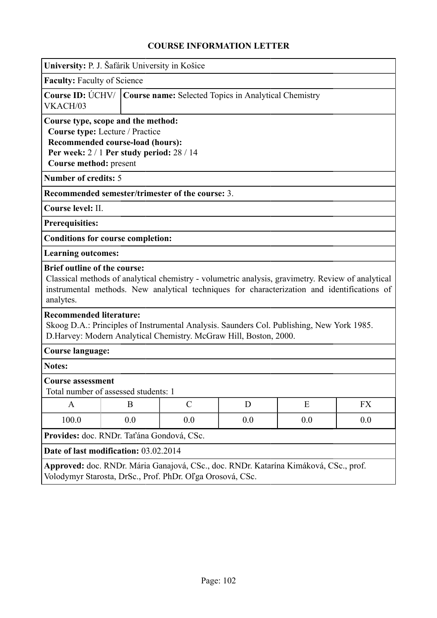| University: P. J. Šafárik University in Košice                                                                                                                                                   |     |                                                      |                                                  |     |                                                                                                                                                                                                  |           |
|--------------------------------------------------------------------------------------------------------------------------------------------------------------------------------------------------|-----|------------------------------------------------------|--------------------------------------------------|-----|--------------------------------------------------------------------------------------------------------------------------------------------------------------------------------------------------|-----------|
| <b>Faculty: Faculty of Science</b>                                                                                                                                                               |     |                                                      |                                                  |     |                                                                                                                                                                                                  |           |
| <b>Course ID: ÚCHV/</b><br>VKACH/03                                                                                                                                                              |     | Course name: Selected Topics in Analytical Chemistry |                                                  |     |                                                                                                                                                                                                  |           |
| Course type, scope and the method:<br>Course type: Lecture / Practice<br>Recommended course-load (hours):<br>Per week: $2/1$ Per study period: $28/14$<br>Course method: present                 |     |                                                      |                                                  |     |                                                                                                                                                                                                  |           |
| <b>Number of credits: 5</b>                                                                                                                                                                      |     |                                                      |                                                  |     |                                                                                                                                                                                                  |           |
|                                                                                                                                                                                                  |     |                                                      | Recommended semester/trimester of the course: 3. |     |                                                                                                                                                                                                  |           |
| Course level: II.                                                                                                                                                                                |     |                                                      |                                                  |     |                                                                                                                                                                                                  |           |
| <b>Prerequisities:</b>                                                                                                                                                                           |     |                                                      |                                                  |     |                                                                                                                                                                                                  |           |
| <b>Conditions for course completion:</b>                                                                                                                                                         |     |                                                      |                                                  |     |                                                                                                                                                                                                  |           |
| <b>Learning outcomes:</b>                                                                                                                                                                        |     |                                                      |                                                  |     |                                                                                                                                                                                                  |           |
| <b>Brief outline of the course:</b><br>analytes.                                                                                                                                                 |     |                                                      |                                                  |     | Classical methods of analytical chemistry - volumetric analysis, gravimetry. Review of analytical<br>instrumental methods. New analytical techniques for characterization and identifications of |           |
| <b>Recommended literature:</b><br>Skoog D.A.: Principles of Instrumental Analysis. Saunders Col. Publishing, New York 1985.<br>D.Harvey: Modern Analytical Chemistry. McGraw Hill, Boston, 2000. |     |                                                      |                                                  |     |                                                                                                                                                                                                  |           |
| <b>Course language:</b>                                                                                                                                                                          |     |                                                      |                                                  |     |                                                                                                                                                                                                  |           |
| <b>Notes:</b>                                                                                                                                                                                    |     |                                                      |                                                  |     |                                                                                                                                                                                                  |           |
| <b>Course assessment</b><br>Total number of assessed students: 1                                                                                                                                 |     |                                                      |                                                  |     |                                                                                                                                                                                                  |           |
| A                                                                                                                                                                                                | B   |                                                      | $\mathcal{C}$                                    | D   | E                                                                                                                                                                                                | <b>FX</b> |
| 100.0                                                                                                                                                                                            | 0.0 |                                                      | 0.0                                              | 0.0 | 0.0                                                                                                                                                                                              | 0.0       |
| Provides: doc. RNDr. Taťána Gondová, CSc.                                                                                                                                                        |     |                                                      |                                                  |     |                                                                                                                                                                                                  |           |
| Date of last modification: 03.02.2014                                                                                                                                                            |     |                                                      |                                                  |     |                                                                                                                                                                                                  |           |
| Approved: doc. RNDr. Mária Ganajová, CSc., doc. RNDr. Katarína Kimáková, CSc., prof.<br>Volodymyr Starosta, DrSc., Prof. PhDr. Oľga Orosová, CSc.                                                |     |                                                      |                                                  |     |                                                                                                                                                                                                  |           |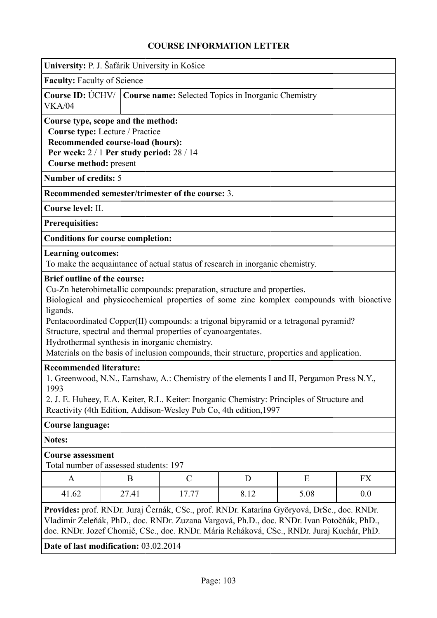|                                                                                                                                                                                                                                                                                                         | University: P. J. Šafárik University in Košice                                                                                                                                                                                                                                                                                                                                                                                                                                 |                                                                        |                                                                               |  |  |  |  |
|---------------------------------------------------------------------------------------------------------------------------------------------------------------------------------------------------------------------------------------------------------------------------------------------------------|--------------------------------------------------------------------------------------------------------------------------------------------------------------------------------------------------------------------------------------------------------------------------------------------------------------------------------------------------------------------------------------------------------------------------------------------------------------------------------|------------------------------------------------------------------------|-------------------------------------------------------------------------------|--|--|--|--|
| <b>Faculty: Faculty of Science</b>                                                                                                                                                                                                                                                                      |                                                                                                                                                                                                                                                                                                                                                                                                                                                                                |                                                                        |                                                                               |  |  |  |  |
| VKA/04                                                                                                                                                                                                                                                                                                  |                                                                                                                                                                                                                                                                                                                                                                                                                                                                                | Course ID: ÚCHV/   Course name: Selected Topics in Inorganic Chemistry |                                                                               |  |  |  |  |
| Course type, scope and the method:<br>Course type: Lecture / Practice<br>Recommended course-load (hours):<br>Per week: $2/1$ Per study period: $28/14$<br>Course method: present                                                                                                                        |                                                                                                                                                                                                                                                                                                                                                                                                                                                                                |                                                                        |                                                                               |  |  |  |  |
| <b>Number of credits: 5</b>                                                                                                                                                                                                                                                                             |                                                                                                                                                                                                                                                                                                                                                                                                                                                                                |                                                                        |                                                                               |  |  |  |  |
|                                                                                                                                                                                                                                                                                                         |                                                                                                                                                                                                                                                                                                                                                                                                                                                                                |                                                                        | Recommended semester/trimester of the course: 3.                              |  |  |  |  |
| Course level: II.                                                                                                                                                                                                                                                                                       |                                                                                                                                                                                                                                                                                                                                                                                                                                                                                |                                                                        |                                                                               |  |  |  |  |
| <b>Prerequisities:</b>                                                                                                                                                                                                                                                                                  |                                                                                                                                                                                                                                                                                                                                                                                                                                                                                |                                                                        |                                                                               |  |  |  |  |
| <b>Conditions for course completion:</b>                                                                                                                                                                                                                                                                |                                                                                                                                                                                                                                                                                                                                                                                                                                                                                |                                                                        |                                                                               |  |  |  |  |
| <b>Learning outcomes:</b>                                                                                                                                                                                                                                                                               |                                                                                                                                                                                                                                                                                                                                                                                                                                                                                |                                                                        | To make the acquaintance of actual status of research in inorganic chemistry. |  |  |  |  |
| ligands.                                                                                                                                                                                                                                                                                                | Cu-Zn heterobimetallic compounds: preparation, structure and properties.<br>Biological and physicochemical properties of some zinc komplex compounds with bioactive<br>Pentacoordinated Copper(II) compounds: a trigonal bipyramid or a tetragonal pyramid?<br>Structure, spectral and thermal properties of cyanoargentates.<br>Hydrothermal synthesis in inorganic chemistry.<br>Materials on the basis of inclusion compounds, their structure, properties and application. |                                                                        |                                                                               |  |  |  |  |
| <b>Recommended literature:</b><br>1. Greenwood, N.N., Earnshaw, A.: Chemistry of the elements I and II, Pergamon Press N.Y.<br>1993<br>2. J. E. Huheey, E.A. Keiter, R.L. Keiter: Inorganic Chemistry: Principles of Structure and<br>Reactivity (4th Edition, Addison-Wesley Pub Co, 4th edition, 1997 |                                                                                                                                                                                                                                                                                                                                                                                                                                                                                |                                                                        |                                                                               |  |  |  |  |
| <b>Course language:</b>                                                                                                                                                                                                                                                                                 |                                                                                                                                                                                                                                                                                                                                                                                                                                                                                |                                                                        |                                                                               |  |  |  |  |
| <b>Notes:</b>                                                                                                                                                                                                                                                                                           |                                                                                                                                                                                                                                                                                                                                                                                                                                                                                |                                                                        |                                                                               |  |  |  |  |
| <b>Course assessment</b><br>Total number of assessed students: 197                                                                                                                                                                                                                                      |                                                                                                                                                                                                                                                                                                                                                                                                                                                                                |                                                                        |                                                                               |  |  |  |  |
| A                                                                                                                                                                                                                                                                                                       |                                                                                                                                                                                                                                                                                                                                                                                                                                                                                | $\mathcal{C}$<br>E<br><b>FX</b><br>B<br>D                              |                                                                               |  |  |  |  |
| 41.62                                                                                                                                                                                                                                                                                                   | 27.41<br>17.77<br>8.12<br>5.08<br>0.0                                                                                                                                                                                                                                                                                                                                                                                                                                          |                                                                        |                                                                               |  |  |  |  |
| Provides: prof. RNDr. Juraj Černák, CSc., prof. RNDr. Katarína Györyová, DrSc., doc. RNDr.<br>Vladimír Zeleňák, PhD., doc. RNDr. Zuzana Vargová, Ph.D., doc. RNDr. Ivan Potočňák, PhD.,<br>doc. RNDr. Jozef Chomič, CSc., doc. RNDr. Mária Reháková, CSc., RNDr. Juraj Kuchár, PhD.                     |                                                                                                                                                                                                                                                                                                                                                                                                                                                                                |                                                                        |                                                                               |  |  |  |  |
|                                                                                                                                                                                                                                                                                                         | Date of last modification: 03.02.2014                                                                                                                                                                                                                                                                                                                                                                                                                                          |                                                                        |                                                                               |  |  |  |  |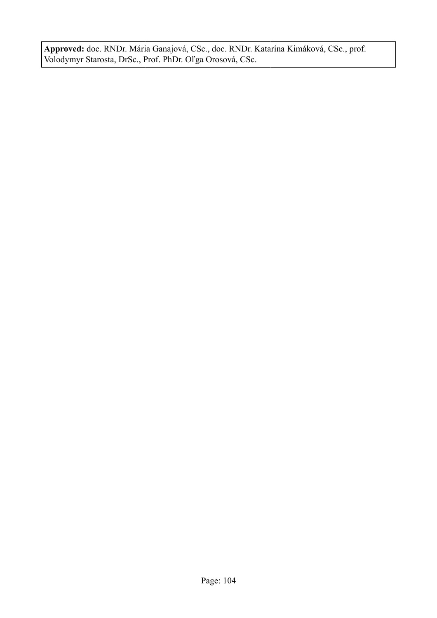**Approved:** doc. RNDr. Mária Ganajová, CSc., doc. RNDr. Katarína Kimáková, CSc., prof. Volodymyr Starosta, DrSc., Prof. PhDr. Oľga Orosová, CSc.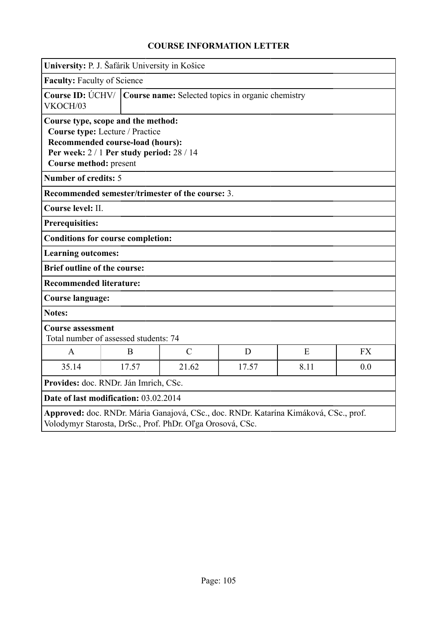| University: P. J. Šafárik University in Košice                                                                                                    |                                                                                                                  |                                                                      |       |      |           |  |
|---------------------------------------------------------------------------------------------------------------------------------------------------|------------------------------------------------------------------------------------------------------------------|----------------------------------------------------------------------|-------|------|-----------|--|
| <b>Faculty: Faculty of Science</b>                                                                                                                |                                                                                                                  |                                                                      |       |      |           |  |
| VKOCH/03                                                                                                                                          |                                                                                                                  | Course ID: ÚCHV/   Course name: Selected topics in organic chemistry |       |      |           |  |
| Course type, scope and the method:<br>Course method: present                                                                                      | Course type: Lecture / Practice<br>Recommended course-load (hours):<br>Per week: $2/1$ Per study period: $28/14$ |                                                                      |       |      |           |  |
| <b>Number of credits: 5</b>                                                                                                                       |                                                                                                                  |                                                                      |       |      |           |  |
|                                                                                                                                                   |                                                                                                                  | Recommended semester/trimester of the course: 3.                     |       |      |           |  |
| Course level: II.                                                                                                                                 |                                                                                                                  |                                                                      |       |      |           |  |
| <b>Prerequisities:</b>                                                                                                                            |                                                                                                                  |                                                                      |       |      |           |  |
| <b>Conditions for course completion:</b>                                                                                                          |                                                                                                                  |                                                                      |       |      |           |  |
| <b>Learning outcomes:</b>                                                                                                                         |                                                                                                                  |                                                                      |       |      |           |  |
| <b>Brief outline of the course:</b>                                                                                                               |                                                                                                                  |                                                                      |       |      |           |  |
| <b>Recommended literature:</b>                                                                                                                    |                                                                                                                  |                                                                      |       |      |           |  |
|                                                                                                                                                   | <b>Course language:</b>                                                                                          |                                                                      |       |      |           |  |
| <b>Notes:</b>                                                                                                                                     |                                                                                                                  |                                                                      |       |      |           |  |
| <b>Course assessment</b><br>Total number of assessed students: 74                                                                                 |                                                                                                                  |                                                                      |       |      |           |  |
| $\mathbf{A}$                                                                                                                                      | B                                                                                                                | $\mathcal{C}$                                                        | D     | E    | <b>FX</b> |  |
| 35.14                                                                                                                                             | 17.57                                                                                                            | 21.62                                                                | 17.57 | 8.11 | 0.0       |  |
|                                                                                                                                                   | Provides: doc. RNDr. Ján Imrich, CSc.                                                                            |                                                                      |       |      |           |  |
| Date of last modification: 03.02.2014                                                                                                             |                                                                                                                  |                                                                      |       |      |           |  |
| Approved: doc. RNDr. Mária Ganajová, CSc., doc. RNDr. Katarína Kimáková, CSc., prof.<br>Volodymyr Starosta, DrSc., Prof. PhDr. Oľga Orosová, CSc. |                                                                                                                  |                                                                      |       |      |           |  |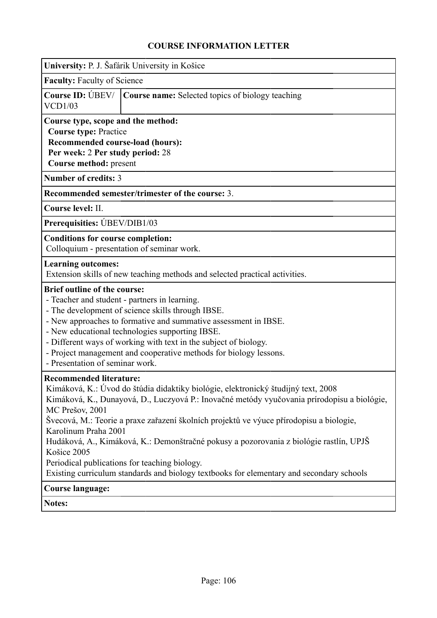| University: P. J. Šafárik University in Košice                                                                                                                       |                                                                                                                                                                                                                                                                                                                                                                                                                                                                   |
|----------------------------------------------------------------------------------------------------------------------------------------------------------------------|-------------------------------------------------------------------------------------------------------------------------------------------------------------------------------------------------------------------------------------------------------------------------------------------------------------------------------------------------------------------------------------------------------------------------------------------------------------------|
| <b>Faculty: Faculty of Science</b>                                                                                                                                   |                                                                                                                                                                                                                                                                                                                                                                                                                                                                   |
| Course ID: UBEV/<br>VCD1/03                                                                                                                                          | <b>Course name:</b> Selected topics of biology teaching                                                                                                                                                                                                                                                                                                                                                                                                           |
| Course type, scope and the method:<br><b>Course type: Practice</b><br>Recommended course-load (hours):<br>Per week: 2 Per study period: 28<br>Course method: present |                                                                                                                                                                                                                                                                                                                                                                                                                                                                   |
| <b>Number of credits: 3</b>                                                                                                                                          |                                                                                                                                                                                                                                                                                                                                                                                                                                                                   |
|                                                                                                                                                                      | Recommended semester/trimester of the course: 3.                                                                                                                                                                                                                                                                                                                                                                                                                  |
| Course level: II.                                                                                                                                                    |                                                                                                                                                                                                                                                                                                                                                                                                                                                                   |
| Prerequisities: UBEV/DIB1/03                                                                                                                                         |                                                                                                                                                                                                                                                                                                                                                                                                                                                                   |
| <b>Conditions for course completion:</b><br>Colloquium - presentation of seminar work.                                                                               |                                                                                                                                                                                                                                                                                                                                                                                                                                                                   |
| <b>Learning outcomes:</b>                                                                                                                                            | Extension skills of new teaching methods and selected practical activities.                                                                                                                                                                                                                                                                                                                                                                                       |
| <b>Brief outline of the course:</b><br>- Teacher and student - partners in learning.<br>- Presentation of seminar work.                                              | - The development of science skills through IBSE.<br>- New approaches to formative and summative assessment in IBSE.<br>- New educational technologies supporting IBSE.<br>- Different ways of working with text in the subject of biology.<br>- Project management and cooperative methods for biology lessons.                                                                                                                                                  |
| <b>Recommended literature:</b><br>MC Prešov, 2001<br>Karolinum Praha 2001<br>Košice 2005<br>Periodical publications for teaching biology.                            | Kimáková, K.: Úvod do štúdia didaktiky biológie, elektronický študijný text, 2008<br>Kimáková, K., Dunayová, D., Luczyová P.: Inovačné metódy vyučovania prírodopisu a biológie,<br>Švecová, M.: Teorie a praxe zařazení školních projektů ve výuce přírodopisu a biologie,<br>Hudáková, A., Kimáková, K.: Demonštračné pokusy a pozorovania z biológie rastlín, UPJŠ<br>Existing curriculum standards and biology textbooks for elementary and secondary schools |
| <b>Course language:</b>                                                                                                                                              |                                                                                                                                                                                                                                                                                                                                                                                                                                                                   |
| Notes:                                                                                                                                                               |                                                                                                                                                                                                                                                                                                                                                                                                                                                                   |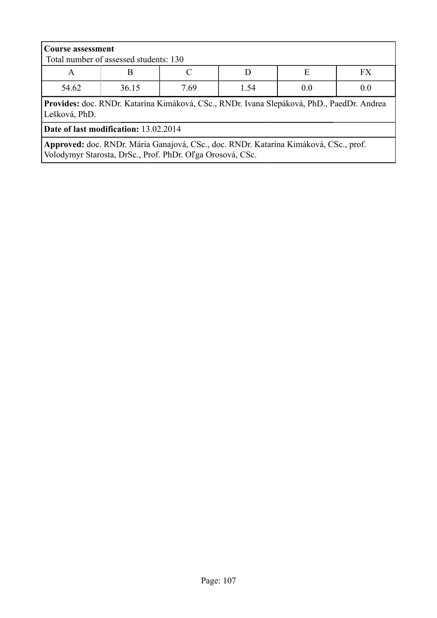| <b>Course assessment</b><br>Total number of assessed students: 130                                         |  |  |  |  |  |  |
|------------------------------------------------------------------------------------------------------------|--|--|--|--|--|--|
| FX.<br>E<br>A                                                                                              |  |  |  |  |  |  |
| 54.62<br>36.15<br>7.69<br>1.54<br>0.0<br>0.0                                                               |  |  |  |  |  |  |
| Provides: doc. RNDr. Katarína Kimáková, CSc., RNDr. Ivana Slepáková, PhD., PaedDr. Andrea<br>Lešková, PhD. |  |  |  |  |  |  |
| Date of last modification: 13.02.2014                                                                      |  |  |  |  |  |  |
| Approved: doc. RNDr. Mária Ganajová, CSc., doc. RNDr. Katarína Kimáková, CSc., prof.                       |  |  |  |  |  |  |

Volodymyr Starosta, DrSc., Prof. PhDr. Oľga Orosová, CSc.

Page: 107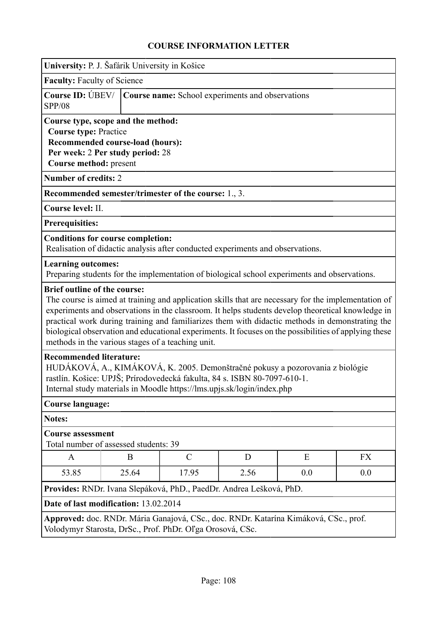| University: P. J. Šafárik University in Košice                                                                                                                                                                                                                        |                                                  |                                                                                                                                                                                                                                                                                                                                                                                                                                                                           |   |   |    |  |  |
|-----------------------------------------------------------------------------------------------------------------------------------------------------------------------------------------------------------------------------------------------------------------------|--------------------------------------------------|---------------------------------------------------------------------------------------------------------------------------------------------------------------------------------------------------------------------------------------------------------------------------------------------------------------------------------------------------------------------------------------------------------------------------------------------------------------------------|---|---|----|--|--|
| <b>Faculty: Faculty of Science</b>                                                                                                                                                                                                                                    |                                                  |                                                                                                                                                                                                                                                                                                                                                                                                                                                                           |   |   |    |  |  |
| Course ID: UBEV/<br><b>SPP/08</b>                                                                                                                                                                                                                                     | Course name: School experiments and observations |                                                                                                                                                                                                                                                                                                                                                                                                                                                                           |   |   |    |  |  |
| Course type, scope and the method:<br><b>Course type: Practice</b><br>Recommended course-load (hours):<br>Per week: 2 Per study period: 28<br>Course method: present                                                                                                  |                                                  |                                                                                                                                                                                                                                                                                                                                                                                                                                                                           |   |   |    |  |  |
| <b>Number of credits: 2</b>                                                                                                                                                                                                                                           |                                                  |                                                                                                                                                                                                                                                                                                                                                                                                                                                                           |   |   |    |  |  |
|                                                                                                                                                                                                                                                                       |                                                  | Recommended semester/trimester of the course: 1., 3.                                                                                                                                                                                                                                                                                                                                                                                                                      |   |   |    |  |  |
| Course level: II.                                                                                                                                                                                                                                                     |                                                  |                                                                                                                                                                                                                                                                                                                                                                                                                                                                           |   |   |    |  |  |
| Prerequisities:                                                                                                                                                                                                                                                       |                                                  |                                                                                                                                                                                                                                                                                                                                                                                                                                                                           |   |   |    |  |  |
| <b>Conditions for course completion:</b>                                                                                                                                                                                                                              |                                                  | Realisation of didactic analysis after conducted experiments and observations.                                                                                                                                                                                                                                                                                                                                                                                            |   |   |    |  |  |
| <b>Learning outcomes:</b>                                                                                                                                                                                                                                             |                                                  | Preparing students for the implementation of biological school experiments and observations.                                                                                                                                                                                                                                                                                                                                                                              |   |   |    |  |  |
| <b>Brief outline of the course:</b>                                                                                                                                                                                                                                   |                                                  | The course is aimed at training and application skills that are necessary for the implementation of<br>experiments and observations in the classroom. It helps students develop theoretical knowledge in<br>practical work during training and familiarizes them with didactic methods in demonstrating the<br>biological observation and educational experiments. It focuses on the possibilities of applying these<br>methods in the various stages of a teaching unit. |   |   |    |  |  |
| <b>Recommended literature:</b><br>HUDÁKOVÁ, A., KIMÁKOVÁ, K. 2005. Demonštračné pokusy a pozorovania z biológie<br>rastlín. Košice: UPJŠ; Prírodovedecká fakulta, 84 s. ISBN 80-7097-610-1.<br>Internal study materials in Moodle https://lms.upjs.sk/login/index.php |                                                  |                                                                                                                                                                                                                                                                                                                                                                                                                                                                           |   |   |    |  |  |
| Course language:                                                                                                                                                                                                                                                      |                                                  |                                                                                                                                                                                                                                                                                                                                                                                                                                                                           |   |   |    |  |  |
| <b>Notes:</b>                                                                                                                                                                                                                                                         |                                                  |                                                                                                                                                                                                                                                                                                                                                                                                                                                                           |   |   |    |  |  |
| <b>Course assessment</b><br>Total number of assessed students: 39                                                                                                                                                                                                     |                                                  |                                                                                                                                                                                                                                                                                                                                                                                                                                                                           |   |   |    |  |  |
| A                                                                                                                                                                                                                                                                     | B                                                | $\mathcal{C}$                                                                                                                                                                                                                                                                                                                                                                                                                                                             | D | E | FX |  |  |
| 53.85                                                                                                                                                                                                                                                                 | 17.95<br>2.56<br>25.64<br>0.0<br>0.0             |                                                                                                                                                                                                                                                                                                                                                                                                                                                                           |   |   |    |  |  |
| Provides: RNDr. Ivana Slepáková, PhD., PaedDr. Andrea Lešková, PhD.                                                                                                                                                                                                   |                                                  |                                                                                                                                                                                                                                                                                                                                                                                                                                                                           |   |   |    |  |  |
|                                                                                                                                                                                                                                                                       | Date of last modification: 13.02.2014            |                                                                                                                                                                                                                                                                                                                                                                                                                                                                           |   |   |    |  |  |
|                                                                                                                                                                                                                                                                       |                                                  | Approved: doc. RNDr. Mária Ganajová, CSc., doc. RNDr. Katarína Kimáková, CSc., prof.<br>Volodymyr Starosta, DrSc., Prof. PhDr. Oľga Orosová, CSc.                                                                                                                                                                                                                                                                                                                         |   |   |    |  |  |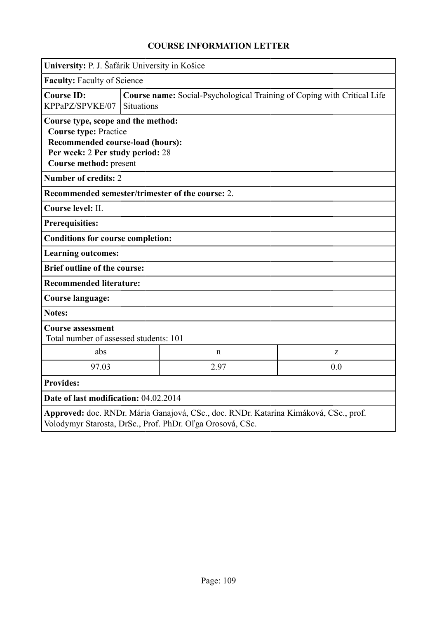|                                                                                                                                                                      | University: P. J. Šafárik University in Košice |                                                                         |     |  |  |
|----------------------------------------------------------------------------------------------------------------------------------------------------------------------|------------------------------------------------|-------------------------------------------------------------------------|-----|--|--|
|                                                                                                                                                                      | <b>Faculty: Faculty of Science</b>             |                                                                         |     |  |  |
| <b>Course ID:</b><br>KPPaPZ/SPVKE/07                                                                                                                                 | <b>Situations</b>                              | Course name: Social-Psychological Training of Coping with Critical Life |     |  |  |
| Course type, scope and the method:<br><b>Course type: Practice</b><br>Recommended course-load (hours):<br>Per week: 2 Per study period: 28<br>Course method: present |                                                |                                                                         |     |  |  |
| <b>Number of credits: 2</b>                                                                                                                                          |                                                |                                                                         |     |  |  |
| Recommended semester/trimester of the course: 2.                                                                                                                     |                                                |                                                                         |     |  |  |
| Course level: II.                                                                                                                                                    |                                                |                                                                         |     |  |  |
| <b>Prerequisities:</b>                                                                                                                                               |                                                |                                                                         |     |  |  |
| <b>Conditions for course completion:</b>                                                                                                                             |                                                |                                                                         |     |  |  |
| <b>Learning outcomes:</b>                                                                                                                                            |                                                |                                                                         |     |  |  |
| <b>Brief outline of the course:</b>                                                                                                                                  |                                                |                                                                         |     |  |  |
| <b>Recommended literature:</b>                                                                                                                                       |                                                |                                                                         |     |  |  |
| <b>Course language:</b>                                                                                                                                              |                                                |                                                                         |     |  |  |
| <b>Notes:</b>                                                                                                                                                        |                                                |                                                                         |     |  |  |
| <b>Course assessment</b><br>Total number of assessed students: 101                                                                                                   |                                                |                                                                         |     |  |  |
| abs                                                                                                                                                                  |                                                | $\mathbf n$                                                             | Z   |  |  |
| 97.03                                                                                                                                                                |                                                | 2.97                                                                    | 0.0 |  |  |
| <b>Provides:</b>                                                                                                                                                     |                                                |                                                                         |     |  |  |
| Date of last modification: 04.02.2014                                                                                                                                |                                                |                                                                         |     |  |  |
| Approved: doc. RNDr. Mária Ganajová, CSc., doc. RNDr. Katarína Kimáková, CSc., prof.<br>Volodymyr Starosta, DrSc., Prof. PhDr. Oľga Orosová, CSc.                    |                                                |                                                                         |     |  |  |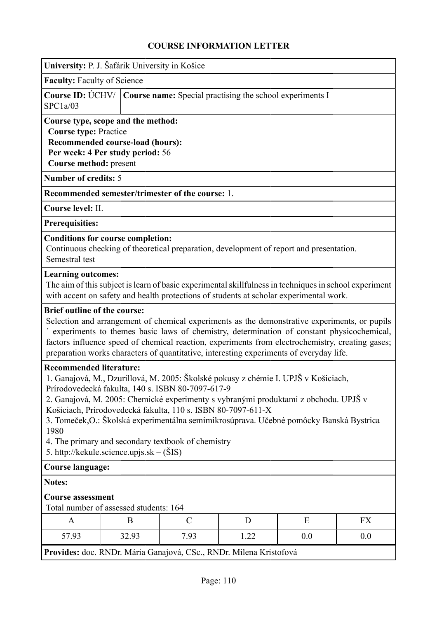| University: P. J. Šafárik University in Košice                                                                                                                                                                                                                                                                                                                                                                                                                                                                                          |                                                                                                                                                                                                                                                                                                                                                                                                                                  |               |      |                                                                                                                                                                                                  |     |  |
|-----------------------------------------------------------------------------------------------------------------------------------------------------------------------------------------------------------------------------------------------------------------------------------------------------------------------------------------------------------------------------------------------------------------------------------------------------------------------------------------------------------------------------------------|----------------------------------------------------------------------------------------------------------------------------------------------------------------------------------------------------------------------------------------------------------------------------------------------------------------------------------------------------------------------------------------------------------------------------------|---------------|------|--------------------------------------------------------------------------------------------------------------------------------------------------------------------------------------------------|-----|--|
|                                                                                                                                                                                                                                                                                                                                                                                                                                                                                                                                         | <b>Faculty: Faculty of Science</b>                                                                                                                                                                                                                                                                                                                                                                                               |               |      |                                                                                                                                                                                                  |     |  |
| Course ID: UCHV/<br>SPC1a/03                                                                                                                                                                                                                                                                                                                                                                                                                                                                                                            | <b>Course name:</b> Special practising the school experiments I                                                                                                                                                                                                                                                                                                                                                                  |               |      |                                                                                                                                                                                                  |     |  |
| Course type, scope and the method:<br><b>Course type: Practice</b><br>Recommended course-load (hours):<br>Per week: 4 Per study period: 56<br>Course method: present<br><b>Number of credits: 5</b><br>Recommended semester/trimester of the course: 1.<br>Course level: II.<br><b>Prerequisities:</b><br><b>Conditions for course completion:</b>                                                                                                                                                                                      |                                                                                                                                                                                                                                                                                                                                                                                                                                  |               |      |                                                                                                                                                                                                  |     |  |
| Semestral test<br><b>Learning outcomes:</b>                                                                                                                                                                                                                                                                                                                                                                                                                                                                                             |                                                                                                                                                                                                                                                                                                                                                                                                                                  |               |      | Continuous checking of theoretical preparation, development of report and presentation.                                                                                                          |     |  |
|                                                                                                                                                                                                                                                                                                                                                                                                                                                                                                                                         |                                                                                                                                                                                                                                                                                                                                                                                                                                  |               |      | The aim of this subject is learn of basic experimental skillfulness in techniques in school experiment<br>with accent on safety and health protections of students at scholar experimental work. |     |  |
|                                                                                                                                                                                                                                                                                                                                                                                                                                                                                                                                         | <b>Brief outline of the course:</b><br>Selection and arrangement of chemical experiments as the demonstrative experiments, or pupils<br>experiments to themes basic laws of chemistry, determination of constant physicochemical,<br>factors influence speed of chemical reaction, experiments from electrochemistry, creating gases;<br>preparation works characters of quantitative, interesting experiments of everyday life. |               |      |                                                                                                                                                                                                  |     |  |
| <b>Recommended literature:</b><br>1. Ganajová, M., Dzurillová, M. 2005: Školské pokusy z chémie I. UPJŠ v Košiciach,<br>Prírodovedecká fakulta, 140 s. ISBN 80-7097-617-9<br>2. Ganajová, M. 2005: Chemické experimenty s vybranými produktami z obchodu. UPJŠ v<br>Košiciach, Prírodovedecká fakulta, 110 s. ISBN 80-7097-611-X<br>3. Tomeček, O.: Školská experimentálna semimikrosúprava. Učebné pomôcky Banská Bystrica<br>1980<br>4. The primary and secondary textbook of chemistry<br>5. http://kekule.science.upjs.sk – $(SIS)$ |                                                                                                                                                                                                                                                                                                                                                                                                                                  |               |      |                                                                                                                                                                                                  |     |  |
| <b>Course language:</b>                                                                                                                                                                                                                                                                                                                                                                                                                                                                                                                 |                                                                                                                                                                                                                                                                                                                                                                                                                                  |               |      |                                                                                                                                                                                                  |     |  |
| <b>Notes:</b>                                                                                                                                                                                                                                                                                                                                                                                                                                                                                                                           |                                                                                                                                                                                                                                                                                                                                                                                                                                  |               |      |                                                                                                                                                                                                  |     |  |
|                                                                                                                                                                                                                                                                                                                                                                                                                                                                                                                                         | <b>Course assessment</b><br>Total number of assessed students: 164                                                                                                                                                                                                                                                                                                                                                               |               |      |                                                                                                                                                                                                  |     |  |
| A                                                                                                                                                                                                                                                                                                                                                                                                                                                                                                                                       | B                                                                                                                                                                                                                                                                                                                                                                                                                                | $\mathcal{C}$ | D    | E                                                                                                                                                                                                | FX  |  |
| 57.93                                                                                                                                                                                                                                                                                                                                                                                                                                                                                                                                   | 32.93                                                                                                                                                                                                                                                                                                                                                                                                                            | 7.93          | 1.22 | 0.0                                                                                                                                                                                              | 0.0 |  |
| Provides: doc. RNDr. Mária Ganajová, CSc., RNDr. Milena Kristofová                                                                                                                                                                                                                                                                                                                                                                                                                                                                      |                                                                                                                                                                                                                                                                                                                                                                                                                                  |               |      |                                                                                                                                                                                                  |     |  |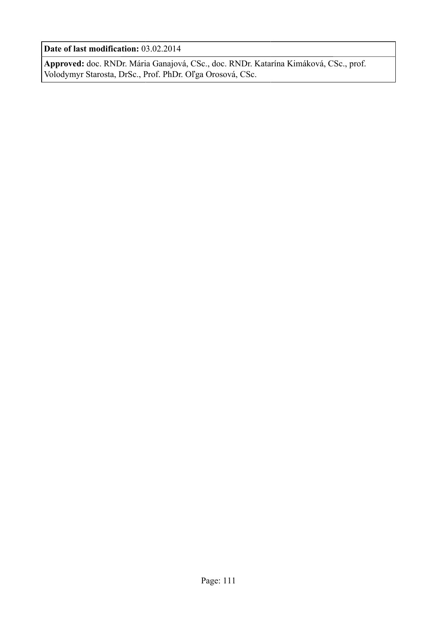**Date of last modification:** 03.02.2014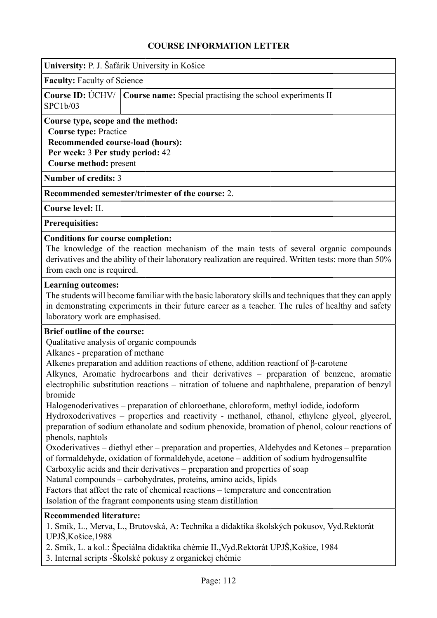**University:** P. J. Šafárik University in Košice

**Faculty:** Faculty of Science

|          | <b>Course ID:</b> UCHV/ Course name: Special practising the school experiments II |
|----------|-----------------------------------------------------------------------------------|
| SPC1b/03 |                                                                                   |

**Course type, scope and the method: Course type:** Practice **Recommended course-load (hours): Per week:** 3 **Per study period:** 42 **Course method:** present

**Number of credits:** 3

**Recommended semester/trimester of the course:** 2.

**Course level:** II.

**Prerequisities:**

#### **Conditions for course completion:**

The knowledge of the reaction mechanism of the main tests of several organic compounds derivatives and the ability of their laboratory realization are required. Written tests: more than 50% from each one is required.

#### **Learning outcomes:**

The students will become familiar with the basic laboratory skills and techniques that they can apply in demonstrating experiments in their future career as a teacher. The rules of healthy and safety laboratory work are emphasised.

#### **Brief outline of the course:**

Qualitative analysis of organic compounds

Alkanes - preparation of methane

Alkenes preparation and addition reactions of ethene, addition reactionf of β-carotene

Alkynes, Aromatic hydrocarbons and their derivatives – preparation of benzene, aromatic electrophilic substitution reactions – nitration of toluene and naphthalene, preparation of benzyl bromide

Halogenoderivatives – preparation of chloroethane, chloroform, methyl iodide, iodoform

Hydroxoderivatives – properties and reactivity - methanol, ethanol, ethylene glycol, glycerol, preparation of sodium ethanolate and sodium phenoxide, bromation of phenol, colour reactions of phenols, naphtols

Oxoderivatives – diethyl ether – preparation and properties, Aldehydes and Ketones – preparation of formaldehyde, oxidation of formaldehyde, acetone – addition of sodium hydrogensulfite

Carboxylic acids and their derivatives – preparation and properties of soap

Natural compounds – carbohydrates, proteins, amino acids, lipids

Factors that affect the rate of chemical reactions – temperature and concentration

Isolation of the fragrant components using steam distillation

#### **Recommended literature:**

1. Smik, L., Merva, L., Brutovská, A: Technika a didaktika školských pokusov, Vyd.Rektorát UPJŠ,Košice,1988

2. Smik, L. a kol.: Špeciálna didaktika chémie II.,Vyd.Rektorát UPJŠ,Košice, 1984

3. Internal scripts -Školské pokusy z organickej chémie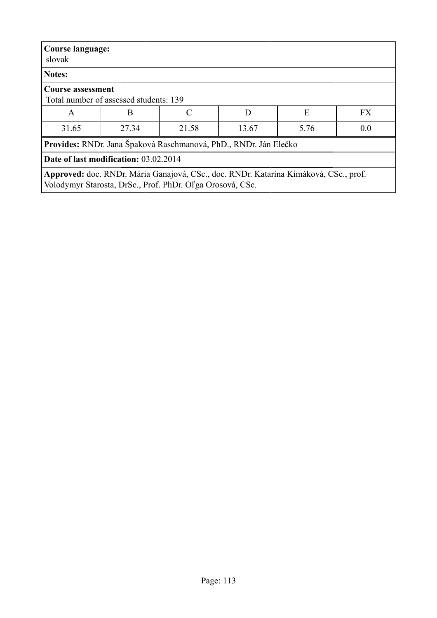| <b>Course language:</b><br>slovak                                                                                                                 |                                                                  |                     |  |  |  |  |
|---------------------------------------------------------------------------------------------------------------------------------------------------|------------------------------------------------------------------|---------------------|--|--|--|--|
| Notes:                                                                                                                                            |                                                                  |                     |  |  |  |  |
| <b>Course assessment</b>                                                                                                                          | Total number of assessed students: 139                           |                     |  |  |  |  |
| A                                                                                                                                                 | B                                                                | <b>FX</b><br>Ε<br>D |  |  |  |  |
| 31.65                                                                                                                                             | 27.34<br>5.76<br>0.0<br>21.58<br>13.67                           |                     |  |  |  |  |
|                                                                                                                                                   | Provides: RNDr. Jana Špaková Raschmanová, PhD., RNDr. Ján Elečko |                     |  |  |  |  |
| <b>Date of last modification: 03.02.2014</b>                                                                                                      |                                                                  |                     |  |  |  |  |
| Approved: doc. RNDr. Mária Ganajová, CSc., doc. RNDr. Katarína Kimáková, CSc., prof.<br>Volodymyr Starosta, DrSc., Prof. PhDr. Oľga Orosová, CSc. |                                                                  |                     |  |  |  |  |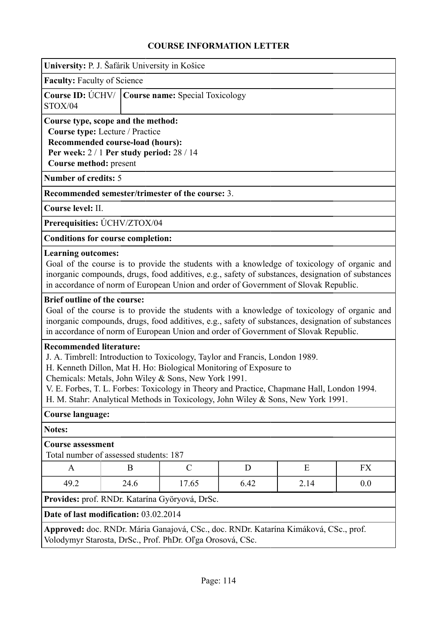|                                                                                                                                                                                                                                                                                                                                                                                                                                                                                                                       | University: P. J. Šafárik University in Košice                                                                                                         |                                                           |   |                                                                                                                                                                                                                                                                                         |    |  |
|-----------------------------------------------------------------------------------------------------------------------------------------------------------------------------------------------------------------------------------------------------------------------------------------------------------------------------------------------------------------------------------------------------------------------------------------------------------------------------------------------------------------------|--------------------------------------------------------------------------------------------------------------------------------------------------------|-----------------------------------------------------------|---|-----------------------------------------------------------------------------------------------------------------------------------------------------------------------------------------------------------------------------------------------------------------------------------------|----|--|
|                                                                                                                                                                                                                                                                                                                                                                                                                                                                                                                       | <b>Faculty: Faculty of Science</b>                                                                                                                     |                                                           |   |                                                                                                                                                                                                                                                                                         |    |  |
| STOX/04                                                                                                                                                                                                                                                                                                                                                                                                                                                                                                               | Course ID: UCHV/<br><b>Course name: Special Toxicology</b>                                                                                             |                                                           |   |                                                                                                                                                                                                                                                                                         |    |  |
| Course method: present                                                                                                                                                                                                                                                                                                                                                                                                                                                                                                | Course type, scope and the method:<br>Course type: Lecture / Practice<br>Recommended course-load (hours):<br>Per week: $2/1$ Per study period: $28/14$ |                                                           |   |                                                                                                                                                                                                                                                                                         |    |  |
| <b>Number of credits: 5</b>                                                                                                                                                                                                                                                                                                                                                                                                                                                                                           |                                                                                                                                                        |                                                           |   |                                                                                                                                                                                                                                                                                         |    |  |
|                                                                                                                                                                                                                                                                                                                                                                                                                                                                                                                       |                                                                                                                                                        | Recommended semester/trimester of the course: 3.          |   |                                                                                                                                                                                                                                                                                         |    |  |
| Course level: II.                                                                                                                                                                                                                                                                                                                                                                                                                                                                                                     |                                                                                                                                                        |                                                           |   |                                                                                                                                                                                                                                                                                         |    |  |
|                                                                                                                                                                                                                                                                                                                                                                                                                                                                                                                       | Prerequisities: ÚCHV/ZTOX/04                                                                                                                           |                                                           |   |                                                                                                                                                                                                                                                                                         |    |  |
|                                                                                                                                                                                                                                                                                                                                                                                                                                                                                                                       | <b>Conditions for course completion:</b>                                                                                                               |                                                           |   |                                                                                                                                                                                                                                                                                         |    |  |
| <b>Learning outcomes:</b>                                                                                                                                                                                                                                                                                                                                                                                                                                                                                             |                                                                                                                                                        |                                                           |   | Goal of the course is to provide the students with a knowledge of toxicology of organic and<br>inorganic compounds, drugs, food additives, e.g., safety of substances, designation of substances<br>in accordance of norm of European Union and order of Government of Slovak Republic. |    |  |
| <b>Brief outline of the course:</b>                                                                                                                                                                                                                                                                                                                                                                                                                                                                                   |                                                                                                                                                        |                                                           |   | Goal of the course is to provide the students with a knowledge of toxicology of organic and<br>inorganic compounds, drugs, food additives, e.g., safety of substances, designation of substances                                                                                        |    |  |
| in accordance of norm of European Union and order of Government of Slovak Republic.<br><b>Recommended literature:</b><br>J. A. Timbrell: Introduction to Toxicology, Taylor and Francis, London 1989.<br>H. Kenneth Dillon, Mat H. Ho: Biological Monitoring of Exposure to<br>Chemicals: Metals, John Wiley & Sons, New York 1991.<br>V. E. Forbes, T. L. Forbes: Toxicology in Theory and Practice, Chapmane Hall, London 1994.<br>H. M. Stahr: Analytical Methods in Toxicology, John Wiley & Sons, New York 1991. |                                                                                                                                                        |                                                           |   |                                                                                                                                                                                                                                                                                         |    |  |
| <b>Course language:</b>                                                                                                                                                                                                                                                                                                                                                                                                                                                                                               |                                                                                                                                                        |                                                           |   |                                                                                                                                                                                                                                                                                         |    |  |
| <b>Notes:</b>                                                                                                                                                                                                                                                                                                                                                                                                                                                                                                         |                                                                                                                                                        |                                                           |   |                                                                                                                                                                                                                                                                                         |    |  |
| <b>Course assessment</b><br>Total number of assessed students: 187                                                                                                                                                                                                                                                                                                                                                                                                                                                    |                                                                                                                                                        |                                                           |   |                                                                                                                                                                                                                                                                                         |    |  |
| A                                                                                                                                                                                                                                                                                                                                                                                                                                                                                                                     | B                                                                                                                                                      | $\mathcal{C}$                                             | D | E                                                                                                                                                                                                                                                                                       | FX |  |
| 49.2                                                                                                                                                                                                                                                                                                                                                                                                                                                                                                                  | 24.6<br>17.65<br>0.0<br>6.42<br>2.14                                                                                                                   |                                                           |   |                                                                                                                                                                                                                                                                                         |    |  |
|                                                                                                                                                                                                                                                                                                                                                                                                                                                                                                                       |                                                                                                                                                        | Provides: prof. RNDr. Katarína Györyová, DrSc.            |   |                                                                                                                                                                                                                                                                                         |    |  |
|                                                                                                                                                                                                                                                                                                                                                                                                                                                                                                                       | Date of last modification: 03.02.2014                                                                                                                  |                                                           |   |                                                                                                                                                                                                                                                                                         |    |  |
|                                                                                                                                                                                                                                                                                                                                                                                                                                                                                                                       |                                                                                                                                                        | Volodymyr Starosta, DrSc., Prof. PhDr. Oľga Orosová, CSc. |   | Approved: doc. RNDr. Mária Ganajová, CSc., doc. RNDr. Katarína Kimáková, CSc., prof.                                                                                                                                                                                                    |    |  |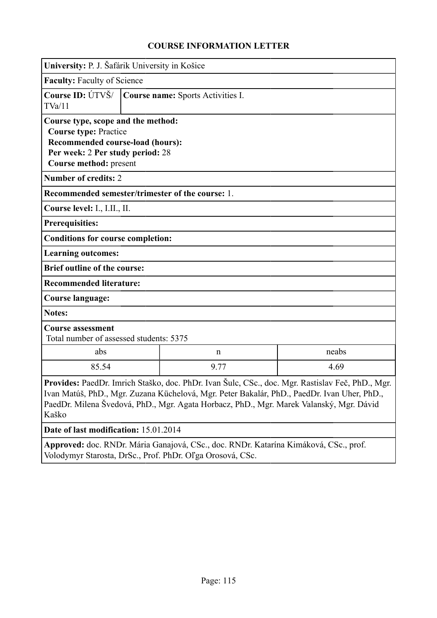| University: P. J. Šafárik University in Košice                                                                                                                                                                                                                                                      |                                    |             |       |
|-----------------------------------------------------------------------------------------------------------------------------------------------------------------------------------------------------------------------------------------------------------------------------------------------------|------------------------------------|-------------|-------|
|                                                                                                                                                                                                                                                                                                     | <b>Faculty: Faculty of Science</b> |             |       |
| Course ID: ÚTVŠ/<br>TVa/11                                                                                                                                                                                                                                                                          | Course name: Sports Activities I.  |             |       |
| Course type, scope and the method:<br><b>Course type: Practice</b><br><b>Recommended course-load (hours):</b>                                                                                                                                                                                       |                                    |             |       |
| Per week: 2 Per study period: 28<br>Course method: present                                                                                                                                                                                                                                          |                                    |             |       |
| <b>Number of credits: 2</b>                                                                                                                                                                                                                                                                         |                                    |             |       |
| Recommended semester/trimester of the course: 1.                                                                                                                                                                                                                                                    |                                    |             |       |
| Course level: I., I.II., II.                                                                                                                                                                                                                                                                        |                                    |             |       |
| <b>Prerequisities:</b>                                                                                                                                                                                                                                                                              |                                    |             |       |
| <b>Conditions for course completion:</b>                                                                                                                                                                                                                                                            |                                    |             |       |
| <b>Learning outcomes:</b>                                                                                                                                                                                                                                                                           |                                    |             |       |
| <b>Brief outline of the course:</b>                                                                                                                                                                                                                                                                 |                                    |             |       |
| <b>Recommended literature:</b>                                                                                                                                                                                                                                                                      |                                    |             |       |
| <b>Course language:</b>                                                                                                                                                                                                                                                                             |                                    |             |       |
| <b>Notes:</b>                                                                                                                                                                                                                                                                                       |                                    |             |       |
| <b>Course assessment</b><br>Total number of assessed students: 5375                                                                                                                                                                                                                                 |                                    |             |       |
| abs                                                                                                                                                                                                                                                                                                 |                                    | $\mathbf n$ | neabs |
| 85.54                                                                                                                                                                                                                                                                                               | 4.69<br>9.77                       |             |       |
| Provides: PaedDr. Imrich Staško, doc. PhDr. Ivan Šulc, CSc., doc. Mgr. Rastislav Feč, PhD., Mgr.<br>Ivan Matúš, PhD., Mgr. Zuzana Küchelová, Mgr. Peter Bakalár, PhD., PaedDr. Ivan Uher, PhD.,<br>PaedDr. Milena Švedová, PhD., Mgr. Agata Horbacz, PhD., Mgr. Marek Valanský, Mgr. Dávid<br>Kaško |                                    |             |       |
|                                                                                                                                                                                                                                                                                                     |                                    |             |       |
| Date of last modification: 15.01.2014                                                                                                                                                                                                                                                               |                                    |             |       |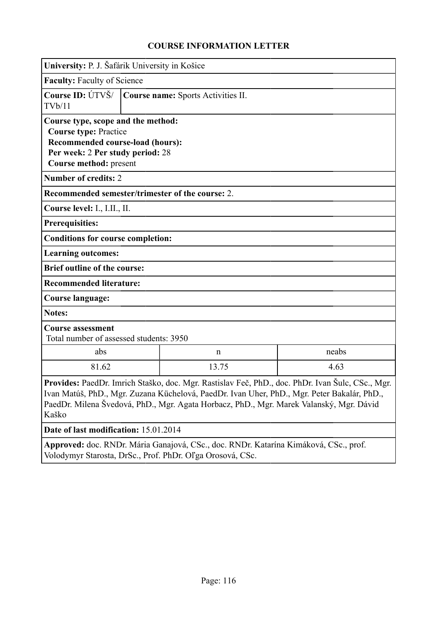|                                                                                                                                                                                                                                                                                                     | University: P. J. Šafárik University in Košice |              |       |  |  |
|-----------------------------------------------------------------------------------------------------------------------------------------------------------------------------------------------------------------------------------------------------------------------------------------------------|------------------------------------------------|--------------|-------|--|--|
|                                                                                                                                                                                                                                                                                                     | <b>Faculty: Faculty of Science</b>             |              |       |  |  |
| Course ID: ÚTVŠ/<br>TVb/11                                                                                                                                                                                                                                                                          | Course name: Sports Activities II.             |              |       |  |  |
| Course type, scope and the method:<br><b>Course type: Practice</b><br>Recommended course-load (hours):<br>Per week: 2 Per study period: 28<br>Course method: present                                                                                                                                |                                                |              |       |  |  |
| <b>Number of credits: 2</b>                                                                                                                                                                                                                                                                         |                                                |              |       |  |  |
| Recommended semester/trimester of the course: 2.                                                                                                                                                                                                                                                    |                                                |              |       |  |  |
| Course level: I., I.II., II.                                                                                                                                                                                                                                                                        |                                                |              |       |  |  |
| <b>Prerequisities:</b>                                                                                                                                                                                                                                                                              |                                                |              |       |  |  |
| <b>Conditions for course completion:</b>                                                                                                                                                                                                                                                            |                                                |              |       |  |  |
| <b>Learning outcomes:</b>                                                                                                                                                                                                                                                                           |                                                |              |       |  |  |
| <b>Brief outline of the course:</b>                                                                                                                                                                                                                                                                 |                                                |              |       |  |  |
| <b>Recommended literature:</b>                                                                                                                                                                                                                                                                      |                                                |              |       |  |  |
| <b>Course language:</b>                                                                                                                                                                                                                                                                             |                                                |              |       |  |  |
| <b>Notes:</b>                                                                                                                                                                                                                                                                                       |                                                |              |       |  |  |
| <b>Course assessment</b><br>Total number of assessed students: 3950                                                                                                                                                                                                                                 |                                                |              |       |  |  |
| abs                                                                                                                                                                                                                                                                                                 |                                                | $\mathsf{n}$ | neabs |  |  |
| 81.62                                                                                                                                                                                                                                                                                               | 13.75<br>4.63                                  |              |       |  |  |
| Provides: PaedDr. Imrich Staško, doc. Mgr. Rastislav Feč, PhD., doc. PhDr. Ivan Šulc, CSc., Mgr.<br>Ivan Matúš, PhD., Mgr. Zuzana Küchelová, PaedDr. Ivan Uher, PhD., Mgr. Peter Bakalár, PhD.,<br>PaedDr. Milena Švedová, PhD., Mgr. Agata Horbacz, PhD., Mgr. Marek Valanský, Mgr. Dávid<br>Kaško |                                                |              |       |  |  |
| Date of last modification: 15.01.2014                                                                                                                                                                                                                                                               |                                                |              |       |  |  |
|                                                                                                                                                                                                                                                                                                     |                                                |              |       |  |  |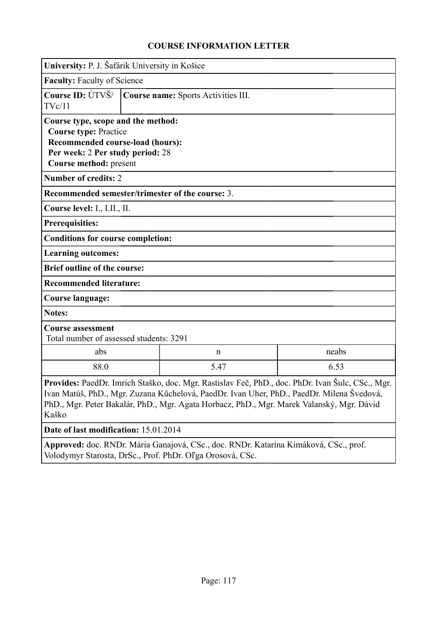|                                                                     | University: P. J. Šafárik University in Košice                                                                                                                       |                                                                                                                                                                                                                                                                                                   |       |  |  |  |
|---------------------------------------------------------------------|----------------------------------------------------------------------------------------------------------------------------------------------------------------------|---------------------------------------------------------------------------------------------------------------------------------------------------------------------------------------------------------------------------------------------------------------------------------------------------|-------|--|--|--|
|                                                                     | <b>Faculty: Faculty of Science</b>                                                                                                                                   |                                                                                                                                                                                                                                                                                                   |       |  |  |  |
| Course ID: ÚTVŠ/<br>TVc/11                                          | Course name: Sports Activities III.                                                                                                                                  |                                                                                                                                                                                                                                                                                                   |       |  |  |  |
|                                                                     | Course type, scope and the method:<br><b>Course type: Practice</b><br>Recommended course-load (hours):<br>Per week: 2 Per study period: 28<br>Course method: present |                                                                                                                                                                                                                                                                                                   |       |  |  |  |
| <b>Number of credits: 2</b>                                         |                                                                                                                                                                      |                                                                                                                                                                                                                                                                                                   |       |  |  |  |
| Recommended semester/trimester of the course: 3.                    |                                                                                                                                                                      |                                                                                                                                                                                                                                                                                                   |       |  |  |  |
| Course level: I., I.II., II.                                        |                                                                                                                                                                      |                                                                                                                                                                                                                                                                                                   |       |  |  |  |
| <b>Prerequisities:</b>                                              |                                                                                                                                                                      |                                                                                                                                                                                                                                                                                                   |       |  |  |  |
| <b>Conditions for course completion:</b>                            |                                                                                                                                                                      |                                                                                                                                                                                                                                                                                                   |       |  |  |  |
| <b>Learning outcomes:</b>                                           |                                                                                                                                                                      |                                                                                                                                                                                                                                                                                                   |       |  |  |  |
| <b>Brief outline of the course:</b>                                 |                                                                                                                                                                      |                                                                                                                                                                                                                                                                                                   |       |  |  |  |
| <b>Recommended literature:</b>                                      |                                                                                                                                                                      |                                                                                                                                                                                                                                                                                                   |       |  |  |  |
| <b>Course language:</b>                                             |                                                                                                                                                                      |                                                                                                                                                                                                                                                                                                   |       |  |  |  |
| <b>Notes:</b>                                                       |                                                                                                                                                                      |                                                                                                                                                                                                                                                                                                   |       |  |  |  |
| <b>Course assessment</b><br>Total number of assessed students: 3291 |                                                                                                                                                                      |                                                                                                                                                                                                                                                                                                   |       |  |  |  |
| abs                                                                 |                                                                                                                                                                      | $\mathbf n$                                                                                                                                                                                                                                                                                       | neabs |  |  |  |
| 88.0                                                                | 5.47<br>6.53                                                                                                                                                         |                                                                                                                                                                                                                                                                                                   |       |  |  |  |
| Kaško                                                               |                                                                                                                                                                      | <b>Provides:</b> PaedDr. Imrich Staško, doc. Mgr. Rastislav Feč, PhD., doc. PhDr. Ivan Šulc, CSc., Mgr.<br>Ivan Matúš, PhD., Mgr. Zuzana Küchelová, PaedDr. Ivan Uher, PhD., PaedDr. Milena Švedová,<br>PhD., Mgr. Peter Bakalár, PhD., Mgr. Agata Horbacz, PhD., Mgr. Marek Valanský, Mgr. Dávid |       |  |  |  |
| Date of last modification: 15.01.2014                               |                                                                                                                                                                      |                                                                                                                                                                                                                                                                                                   |       |  |  |  |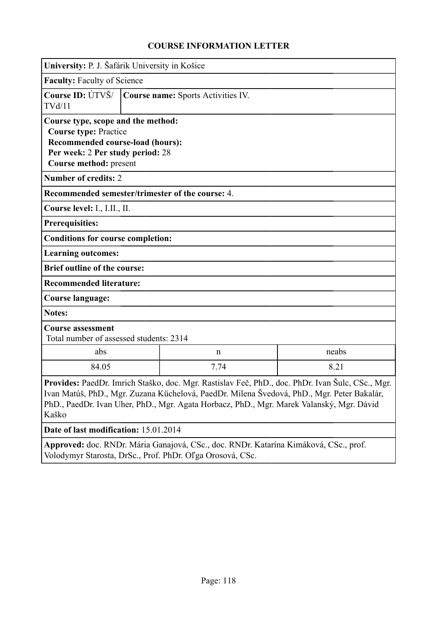|                                                                                                                                                                      | University: P. J. Šafárik University in Košice |                                                                                                                                                                                                                                                                                                   |       |  |  |
|----------------------------------------------------------------------------------------------------------------------------------------------------------------------|------------------------------------------------|---------------------------------------------------------------------------------------------------------------------------------------------------------------------------------------------------------------------------------------------------------------------------------------------------|-------|--|--|
|                                                                                                                                                                      | <b>Faculty: Faculty of Science</b>             |                                                                                                                                                                                                                                                                                                   |       |  |  |
| Course ID: ÚTVŠ/<br>TVd/11                                                                                                                                           | Course name: Sports Activities IV.             |                                                                                                                                                                                                                                                                                                   |       |  |  |
| Course type, scope and the method:<br><b>Course type: Practice</b><br>Recommended course-load (hours):<br>Per week: 2 Per study period: 28<br>Course method: present |                                                |                                                                                                                                                                                                                                                                                                   |       |  |  |
| <b>Number of credits: 2</b>                                                                                                                                          |                                                |                                                                                                                                                                                                                                                                                                   |       |  |  |
| Recommended semester/trimester of the course: 4.                                                                                                                     |                                                |                                                                                                                                                                                                                                                                                                   |       |  |  |
| Course level: I., I.II., II.                                                                                                                                         |                                                |                                                                                                                                                                                                                                                                                                   |       |  |  |
| <b>Prerequisities:</b>                                                                                                                                               |                                                |                                                                                                                                                                                                                                                                                                   |       |  |  |
| <b>Conditions for course completion:</b>                                                                                                                             |                                                |                                                                                                                                                                                                                                                                                                   |       |  |  |
| <b>Learning outcomes:</b>                                                                                                                                            |                                                |                                                                                                                                                                                                                                                                                                   |       |  |  |
| <b>Brief outline of the course:</b>                                                                                                                                  |                                                |                                                                                                                                                                                                                                                                                                   |       |  |  |
| <b>Recommended literature:</b>                                                                                                                                       |                                                |                                                                                                                                                                                                                                                                                                   |       |  |  |
| <b>Course language:</b>                                                                                                                                              |                                                |                                                                                                                                                                                                                                                                                                   |       |  |  |
| <b>Notes:</b>                                                                                                                                                        |                                                |                                                                                                                                                                                                                                                                                                   |       |  |  |
| <b>Course assessment</b><br>Total number of assessed students: 2314                                                                                                  |                                                |                                                                                                                                                                                                                                                                                                   |       |  |  |
| abs                                                                                                                                                                  |                                                | $\mathbf n$                                                                                                                                                                                                                                                                                       | neabs |  |  |
| 84.05                                                                                                                                                                | 7.74<br>8.21                                   |                                                                                                                                                                                                                                                                                                   |       |  |  |
| Kaško                                                                                                                                                                |                                                | <b>Provides:</b> PaedDr. Imrich Staško, doc. Mgr. Rastislav Feč, PhD., doc. PhDr. Ivan Šulc, CSc., Mgr.<br>Ivan Matúš, PhD., Mgr. Zuzana Küchelová, PaedDr. Milena Švedová, PhD., Mgr. Peter Bakalár,<br>PhD., PaedDr. Ivan Uher, PhD., Mgr. Agata Horbacz, PhD., Mgr. Marek Valanský, Mgr. Dávid |       |  |  |
| Date of last modification: 15.01.2014                                                                                                                                |                                                |                                                                                                                                                                                                                                                                                                   |       |  |  |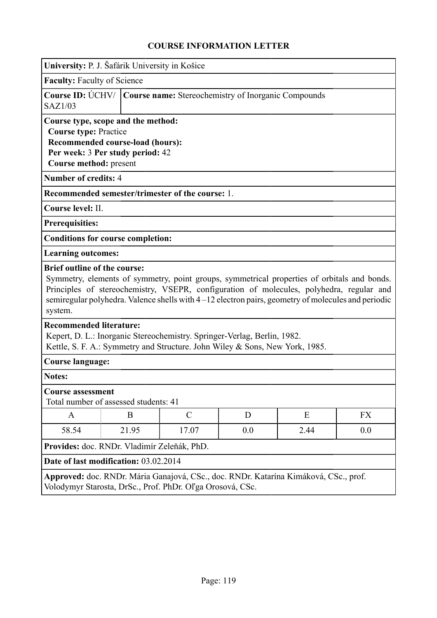| University: P. J. Šafárik University in Košice                                                                                                                                                                                                                                                                                                  |                                                                                                                                                                                            |               |     |      |     |
|-------------------------------------------------------------------------------------------------------------------------------------------------------------------------------------------------------------------------------------------------------------------------------------------------------------------------------------------------|--------------------------------------------------------------------------------------------------------------------------------------------------------------------------------------------|---------------|-----|------|-----|
|                                                                                                                                                                                                                                                                                                                                                 | <b>Faculty: Faculty of Science</b>                                                                                                                                                         |               |     |      |     |
| Course ID: ÚCHV/<br>SAZ1/03                                                                                                                                                                                                                                                                                                                     | Course name: Stereochemistry of Inorganic Compounds                                                                                                                                        |               |     |      |     |
| Course type, scope and the method:<br><b>Course type: Practice</b><br>Recommended course-load (hours):<br>Per week: 3 Per study period: 42<br>Course method: present                                                                                                                                                                            |                                                                                                                                                                                            |               |     |      |     |
| <b>Number of credits: 4</b>                                                                                                                                                                                                                                                                                                                     |                                                                                                                                                                                            |               |     |      |     |
| Recommended semester/trimester of the course: 1.                                                                                                                                                                                                                                                                                                |                                                                                                                                                                                            |               |     |      |     |
| Course level: II.                                                                                                                                                                                                                                                                                                                               |                                                                                                                                                                                            |               |     |      |     |
| <b>Prerequisities:</b>                                                                                                                                                                                                                                                                                                                          |                                                                                                                                                                                            |               |     |      |     |
| <b>Conditions for course completion:</b>                                                                                                                                                                                                                                                                                                        |                                                                                                                                                                                            |               |     |      |     |
| <b>Learning outcomes:</b>                                                                                                                                                                                                                                                                                                                       |                                                                                                                                                                                            |               |     |      |     |
| <b>Brief outline of the course:</b><br>Symmetry, elements of symmetry, point groups, symmetrical properties of orbitals and bonds.<br>Principles of stereochemistry, VSEPR, configuration of molecules, polyhedra, regular and<br>semiregular polyhedra. Valence shells with 4–12 electron pairs, geometry of molecules and periodic<br>system. |                                                                                                                                                                                            |               |     |      |     |
|                                                                                                                                                                                                                                                                                                                                                 | <b>Recommended literature:</b><br>Kepert, D. L.: Inorganic Stereochemistry. Springer-Verlag, Berlin, 1982.<br>Kettle, S. F. A.: Symmetry and Structure. John Wiley & Sons, New York, 1985. |               |     |      |     |
| <b>Course language:</b>                                                                                                                                                                                                                                                                                                                         |                                                                                                                                                                                            |               |     |      |     |
| <b>Notes:</b>                                                                                                                                                                                                                                                                                                                                   |                                                                                                                                                                                            |               |     |      |     |
|                                                                                                                                                                                                                                                                                                                                                 | <b>Course assessment</b><br>Total number of assessed students: 41                                                                                                                          |               |     |      |     |
| A                                                                                                                                                                                                                                                                                                                                               | B                                                                                                                                                                                          | $\mathcal{C}$ | D   | Ε    | FX  |
| 58.54                                                                                                                                                                                                                                                                                                                                           | 21.95                                                                                                                                                                                      | 17.07         | 0.0 | 2.44 | 0.0 |
|                                                                                                                                                                                                                                                                                                                                                 | Provides: doc. RNDr. Vladimír Zeleňák, PhD.                                                                                                                                                |               |     |      |     |
| Date of last modification: 03.02.2014                                                                                                                                                                                                                                                                                                           |                                                                                                                                                                                            |               |     |      |     |
| Approved: doc. RNDr. Mária Ganajová, CSc., doc. RNDr. Katarína Kimáková, CSc., prof.<br>Volodymyr Starosta, DrSc., Prof. PhDr. Oľga Orosová, CSc.                                                                                                                                                                                               |                                                                                                                                                                                            |               |     |      |     |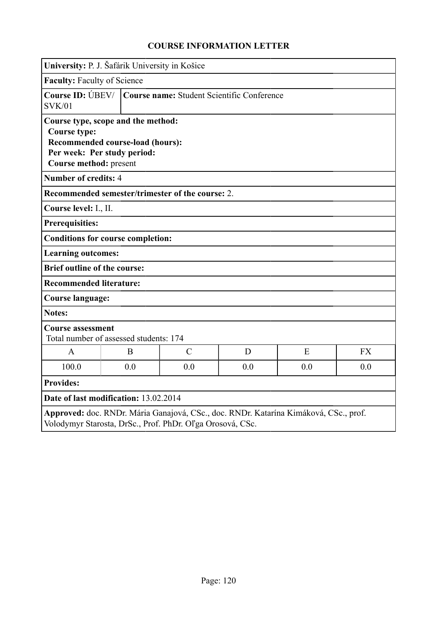| University: P. J. Šafárik University in Košice                                                                                                         |     |                                            |     |     |           |  |
|--------------------------------------------------------------------------------------------------------------------------------------------------------|-----|--------------------------------------------|-----|-----|-----------|--|
| <b>Faculty: Faculty of Science</b>                                                                                                                     |     |                                            |     |     |           |  |
| Course ID: $\bigcirc$ BEV/  <br><b>SVK/01</b>                                                                                                          |     | Course name: Student Scientific Conference |     |     |           |  |
| Course type, scope and the method:<br><b>Course type:</b><br>Recommended course-load (hours):<br>Per week: Per study period:<br>Course method: present |     |                                            |     |     |           |  |
| <b>Number of credits: 4</b>                                                                                                                            |     |                                            |     |     |           |  |
| Recommended semester/trimester of the course: 2.                                                                                                       |     |                                            |     |     |           |  |
| Course level: I., II.                                                                                                                                  |     |                                            |     |     |           |  |
| <b>Prerequisities:</b>                                                                                                                                 |     |                                            |     |     |           |  |
| <b>Conditions for course completion:</b>                                                                                                               |     |                                            |     |     |           |  |
| <b>Learning outcomes:</b>                                                                                                                              |     |                                            |     |     |           |  |
| <b>Brief outline of the course:</b>                                                                                                                    |     |                                            |     |     |           |  |
| <b>Recommended literature:</b>                                                                                                                         |     |                                            |     |     |           |  |
| <b>Course language:</b>                                                                                                                                |     |                                            |     |     |           |  |
| <b>Notes:</b>                                                                                                                                          |     |                                            |     |     |           |  |
| <b>Course assessment</b><br>Total number of assessed students: 174                                                                                     |     |                                            |     |     |           |  |
| $\mathbf{A}$                                                                                                                                           | B   | $\mathcal{C}$                              | D   | E   | <b>FX</b> |  |
| 100.0                                                                                                                                                  | 0.0 | 0.0                                        | 0.0 | 0.0 | 0.0       |  |
| <b>Provides:</b>                                                                                                                                       |     |                                            |     |     |           |  |
| Date of last modification: 13.02.2014                                                                                                                  |     |                                            |     |     |           |  |
| Approved: doc. RNDr. Mária Ganajová, CSc., doc. RNDr. Katarína Kimáková, CSc., prof.<br>Volodymyr Starosta, DrSc., Prof. PhDr. Oľga Orosová, CSc.      |     |                                            |     |     |           |  |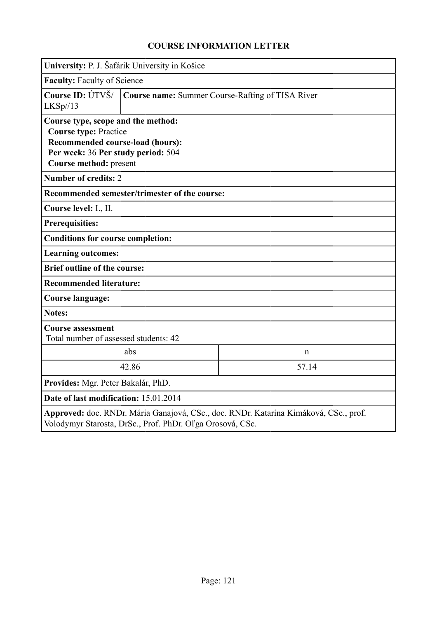|                                                                                                                                                                        | University: P. J. Šafárik University in Košice   |   |  |
|------------------------------------------------------------------------------------------------------------------------------------------------------------------------|--------------------------------------------------|---|--|
|                                                                                                                                                                        | <b>Faculty: Faculty of Science</b>               |   |  |
| Course ID: ÚTVŠ/<br>LKSp//13                                                                                                                                           | Course name: Summer Course-Rafting of TISA River |   |  |
| Course type, scope and the method:<br><b>Course type: Practice</b><br>Recommended course-load (hours):<br>Per week: 36 Per study period: 504<br>Course method: present |                                                  |   |  |
| <b>Number of credits: 2</b>                                                                                                                                            |                                                  |   |  |
|                                                                                                                                                                        | Recommended semester/trimester of the course:    |   |  |
| Course level: I., II.                                                                                                                                                  |                                                  |   |  |
| <b>Prerequisities:</b>                                                                                                                                                 |                                                  |   |  |
| <b>Conditions for course completion:</b>                                                                                                                               |                                                  |   |  |
| <b>Learning outcomes:</b>                                                                                                                                              |                                                  |   |  |
| <b>Brief outline of the course:</b>                                                                                                                                    |                                                  |   |  |
| <b>Recommended literature:</b>                                                                                                                                         |                                                  |   |  |
| <b>Course language:</b>                                                                                                                                                |                                                  |   |  |
| <b>Notes:</b>                                                                                                                                                          |                                                  |   |  |
| <b>Course assessment</b><br>Total number of assessed students: 42                                                                                                      |                                                  |   |  |
|                                                                                                                                                                        | abs                                              | n |  |
|                                                                                                                                                                        | 42.86<br>57.14                                   |   |  |
| Provides: Mgr. Peter Bakalár, PhD.                                                                                                                                     |                                                  |   |  |
| Date of last modification: 15.01.2014                                                                                                                                  |                                                  |   |  |
| Approved: doc. RNDr. Mária Ganajová, CSc., doc. RNDr. Katarína Kimáková, CSc., prof.<br>Volodymyr Starosta, DrSc., Prof. PhDr. Oľga Orosová, CSc.                      |                                                  |   |  |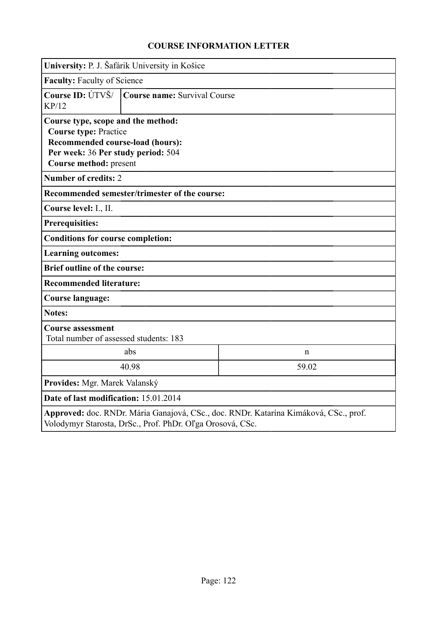| University: P. J. Šafárik University in Košice                                                                                                                         |                              |                                                                                      |  |  |  |
|------------------------------------------------------------------------------------------------------------------------------------------------------------------------|------------------------------|--------------------------------------------------------------------------------------|--|--|--|
| <b>Faculty: Faculty of Science</b>                                                                                                                                     |                              |                                                                                      |  |  |  |
| Course ID: ÚTVŠ/<br>KP/12                                                                                                                                              | Course name: Survival Course |                                                                                      |  |  |  |
| Course type, scope and the method:<br><b>Course type: Practice</b><br>Recommended course-load (hours):<br>Per week: 36 Per study period: 504<br>Course method: present |                              |                                                                                      |  |  |  |
| <b>Number of credits: 2</b>                                                                                                                                            |                              |                                                                                      |  |  |  |
| Recommended semester/trimester of the course:                                                                                                                          |                              |                                                                                      |  |  |  |
| Course level: I., II.                                                                                                                                                  |                              |                                                                                      |  |  |  |
| <b>Prerequisities:</b>                                                                                                                                                 |                              |                                                                                      |  |  |  |
| <b>Conditions for course completion:</b>                                                                                                                               |                              |                                                                                      |  |  |  |
| <b>Learning outcomes:</b>                                                                                                                                              |                              |                                                                                      |  |  |  |
| <b>Brief outline of the course:</b>                                                                                                                                    |                              |                                                                                      |  |  |  |
| <b>Recommended literature:</b>                                                                                                                                         |                              |                                                                                      |  |  |  |
| Course language:                                                                                                                                                       |                              |                                                                                      |  |  |  |
| <b>Notes:</b>                                                                                                                                                          |                              |                                                                                      |  |  |  |
| <b>Course assessment</b><br>Total number of assessed students: 183                                                                                                     |                              |                                                                                      |  |  |  |
|                                                                                                                                                                        | abs                          | n                                                                                    |  |  |  |
|                                                                                                                                                                        | 40.98<br>59.02               |                                                                                      |  |  |  |
| Provides: Mgr. Marek Valanský                                                                                                                                          |                              |                                                                                      |  |  |  |
| Date of last modification: 15.01.2014                                                                                                                                  |                              |                                                                                      |  |  |  |
| Volodymyr Starosta, DrSc., Prof. PhDr. Oľga Orosová, CSc.                                                                                                              |                              | Approved: doc. RNDr. Mária Ganajová, CSc., doc. RNDr. Katarína Kimáková, CSc., prof. |  |  |  |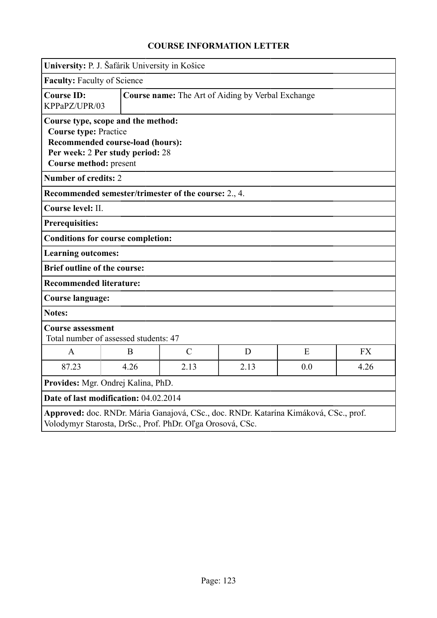|                                                        | University: P. J. Šafárik University in Košice                                                             |               |                                                   |                                                                                      |           |
|--------------------------------------------------------|------------------------------------------------------------------------------------------------------------|---------------|---------------------------------------------------|--------------------------------------------------------------------------------------|-----------|
| <b>Faculty: Faculty of Science</b>                     |                                                                                                            |               |                                                   |                                                                                      |           |
| <b>Course ID:</b><br>KPPaPZ/UPR/03                     |                                                                                                            |               | Course name: The Art of Aiding by Verbal Exchange |                                                                                      |           |
| <b>Course type: Practice</b><br>Course method: present | Course type, scope and the method:<br>Recommended course-load (hours):<br>Per week: 2 Per study period: 28 |               |                                                   |                                                                                      |           |
| <b>Number of credits: 2</b>                            |                                                                                                            |               |                                                   |                                                                                      |           |
|                                                        | Recommended semester/trimester of the course: 2., 4.                                                       |               |                                                   |                                                                                      |           |
| Course level: II.                                      |                                                                                                            |               |                                                   |                                                                                      |           |
| <b>Prerequisities:</b>                                 |                                                                                                            |               |                                                   |                                                                                      |           |
|                                                        | <b>Conditions for course completion:</b>                                                                   |               |                                                   |                                                                                      |           |
| <b>Learning outcomes:</b>                              |                                                                                                            |               |                                                   |                                                                                      |           |
| <b>Brief outline of the course:</b>                    |                                                                                                            |               |                                                   |                                                                                      |           |
| <b>Recommended literature:</b>                         |                                                                                                            |               |                                                   |                                                                                      |           |
| <b>Course language:</b>                                |                                                                                                            |               |                                                   |                                                                                      |           |
| <b>Notes:</b>                                          |                                                                                                            |               |                                                   |                                                                                      |           |
| <b>Course assessment</b>                               | Total number of assessed students: 47                                                                      |               |                                                   |                                                                                      |           |
| $\mathsf{A}$                                           | B                                                                                                          | $\mathcal{C}$ | D                                                 | E                                                                                    | <b>FX</b> |
| 87.23                                                  | 4.26                                                                                                       | 2.13          | 2.13                                              | 0.0                                                                                  | 4.26      |
|                                                        | Provides: Mgr. Ondrej Kalina, PhD.                                                                         |               |                                                   |                                                                                      |           |
|                                                        | Date of last modification: 04.02.2014                                                                      |               |                                                   |                                                                                      |           |
|                                                        | Volodymyr Starosta, DrSc., Prof. PhDr. Oľga Orosová, CSc.                                                  |               |                                                   | Approved: doc. RNDr. Mária Ganajová, CSc., doc. RNDr. Katarína Kimáková, CSc., prof. |           |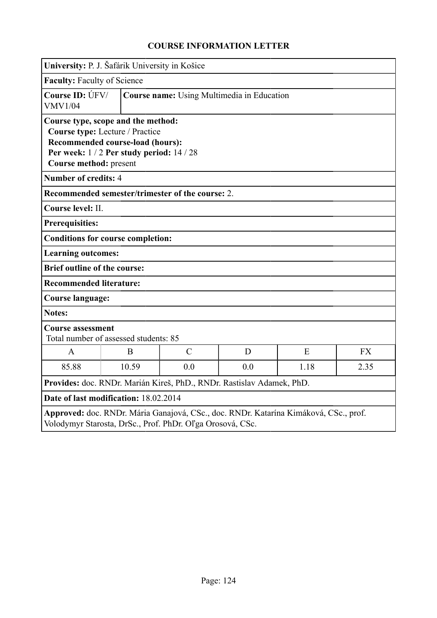|                                                                       | University: P. J. Šafárik University in Košice                                                                                                     |                                                   |   |                                                                                      |           |  |  |
|-----------------------------------------------------------------------|----------------------------------------------------------------------------------------------------------------------------------------------------|---------------------------------------------------|---|--------------------------------------------------------------------------------------|-----------|--|--|
| <b>Faculty: Faculty of Science</b>                                    |                                                                                                                                                    |                                                   |   |                                                                                      |           |  |  |
| Course ID: ÚFV/<br><b>VMV1/04</b>                                     |                                                                                                                                                    | <b>Course name:</b> Using Multimedia in Education |   |                                                                                      |           |  |  |
| Course method: present                                                | Course type, scope and the method:<br>Course type: Lecture / Practice<br>Recommended course-load (hours):<br>Per week: 1/2 Per study period: 14/28 |                                                   |   |                                                                                      |           |  |  |
| <b>Number of credits: 4</b>                                           |                                                                                                                                                    |                                                   |   |                                                                                      |           |  |  |
|                                                                       | Recommended semester/trimester of the course: 2.                                                                                                   |                                                   |   |                                                                                      |           |  |  |
| Course level: II.                                                     |                                                                                                                                                    |                                                   |   |                                                                                      |           |  |  |
| <b>Prerequisities:</b>                                                |                                                                                                                                                    |                                                   |   |                                                                                      |           |  |  |
|                                                                       | <b>Conditions for course completion:</b>                                                                                                           |                                                   |   |                                                                                      |           |  |  |
| <b>Learning outcomes:</b>                                             |                                                                                                                                                    |                                                   |   |                                                                                      |           |  |  |
| <b>Brief outline of the course:</b>                                   |                                                                                                                                                    |                                                   |   |                                                                                      |           |  |  |
| <b>Recommended literature:</b>                                        |                                                                                                                                                    |                                                   |   |                                                                                      |           |  |  |
| <b>Course language:</b>                                               |                                                                                                                                                    |                                                   |   |                                                                                      |           |  |  |
| <b>Notes:</b>                                                         |                                                                                                                                                    |                                                   |   |                                                                                      |           |  |  |
| <b>Course assessment</b>                                              | Total number of assessed students: 85                                                                                                              |                                                   |   |                                                                                      |           |  |  |
| A                                                                     | B                                                                                                                                                  | $\mathcal{C}$                                     | D | E                                                                                    | <b>FX</b> |  |  |
| 85.88                                                                 | 10.59<br>0.0<br>0.0<br>1.18<br>2.35                                                                                                                |                                                   |   |                                                                                      |           |  |  |
| Provides: doc. RNDr. Marián Kireš, PhD., RNDr. Rastislav Adamek, PhD. |                                                                                                                                                    |                                                   |   |                                                                                      |           |  |  |
|                                                                       | Date of last modification: 18.02.2014                                                                                                              |                                                   |   |                                                                                      |           |  |  |
|                                                                       | Volodymyr Starosta, DrSc., Prof. PhDr. Oľga Orosová, CSc.                                                                                          |                                                   |   | Approved: doc. RNDr. Mária Ganajová, CSc., doc. RNDr. Katarína Kimáková, CSc., prof. |           |  |  |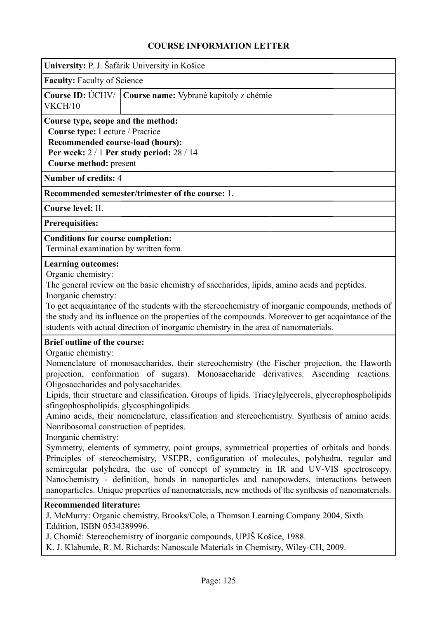| University: P. J. Šafárik University in Košice |
|------------------------------------------------|
|------------------------------------------------|

**Faculty:** Faculty of Science

|         | Course ID: ÚCHV/   Course name: Vybrané kapitoly z chémie |
|---------|-----------------------------------------------------------|
| VKCH/10 |                                                           |

**Course type, scope and the method: Course type:** Lecture / Practice **Recommended course-load (hours):**

**Per week:** 2 / 1 **Per study period:** 28 / 14

**Course method:** present

**Number of credits:** 4

**Recommended semester/trimester of the course:** 1.

**Course level:** II.

**Prerequisities:**

**Conditions for course completion:**

Terminal examination by written form.

#### **Learning outcomes:**

Organic chemistry:

The general review on the basic chemistry of saccharides, lipids, amino acids and peptides. Inorganic chemstry:

To get acquaintance of the students with the stereochemistry of inorganic compounds, methods of the study and its influence on the properties of the compounds. Moreover to get acqaintance of the students with actual direction of inorganic chemistry in the area of nanomaterials.

#### **Brief outline of the course:**

Organic chemistry:

Nomenclature of monosaccharides, their stereochemistry (the Fischer projection, the Haworth projection, conformation of sugars). Monosaccharide derivatives. Ascending reactions. Oligosaccharides and polysaccharides.

Lipids, their structure and classification. Groups of lipids. Triacylglycerols, glycerophospholipids sfingophospholipids, glycosphingolipids.

Amino acids, their nomenclature, classification and stereochemistry. Synthesis of amino acids. Nonribosomal construction of peptides.

Inorganic chemistry:

Symmetry, elements of symmetry, point groups, symmetrical properties of orbitals and bonds. Principles of stereochemistry, VSEPR, configuration of molecules, polyhedra, regular and semiregular polyhedra, the use of concept of symmetry in IR and UV-VIS spectroscopy. Nanochemistry - definition, bonds in nanoparticles and nanopowders, interactions between nanoparticles. Unique properties of nanomaterials, new methods of the synthesis of nanomaterials.

#### **Recommended literature:**

J. McMurry: Organic chemistry, Brooks/Cole, a Thomson Learning Company 2004, Sixth Eddition, ISBN 0534389996.

J. Chomič: Stereochemistry of inorganic compounds, UPJŠ Košice, 1988.

K. J. Klabunde, R. M. Richards: Nanoscale Materials in Chemistry, Wiley-CH, 2009.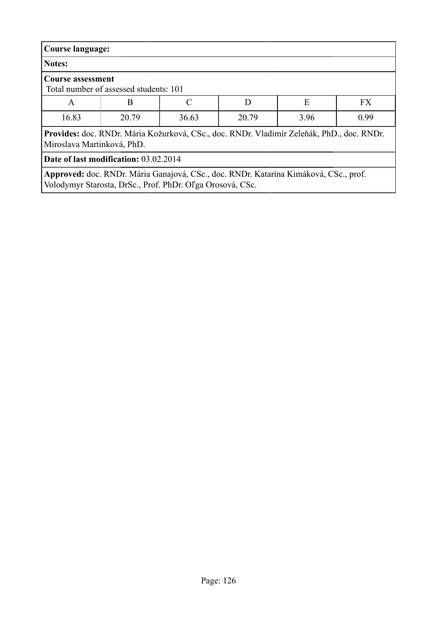| Course language:                                                                                                        |                                                                                      |       |       |      |      |  |  |
|-------------------------------------------------------------------------------------------------------------------------|--------------------------------------------------------------------------------------|-------|-------|------|------|--|--|
| Notes:                                                                                                                  |                                                                                      |       |       |      |      |  |  |
| <b>Course assessment</b><br>Total number of assessed students: 101                                                      |                                                                                      |       |       |      |      |  |  |
| A                                                                                                                       | E<br><b>FX</b><br>C<br>D<br>B                                                        |       |       |      |      |  |  |
| 16.83                                                                                                                   | 20.79                                                                                | 36.63 | 20.79 | 3.96 | 0.99 |  |  |
| Provides: doc. RNDr. Mária Kožurková, CSc., doc. RNDr. Vladimír Zeleňák, PhD., doc. RNDr.<br>Miroslava Martinková, PhD. |                                                                                      |       |       |      |      |  |  |
| Date of last modification: 03.02.2014                                                                                   |                                                                                      |       |       |      |      |  |  |
|                                                                                                                         | Approved: doc. RNDr. Mária Ganajová, CSc., doc. RNDr. Katarína Kimáková, CSc., prof. |       |       |      |      |  |  |

Volodymyr Starosta, DrSc., Prof. PhDr. Oľga Orosová, CSc.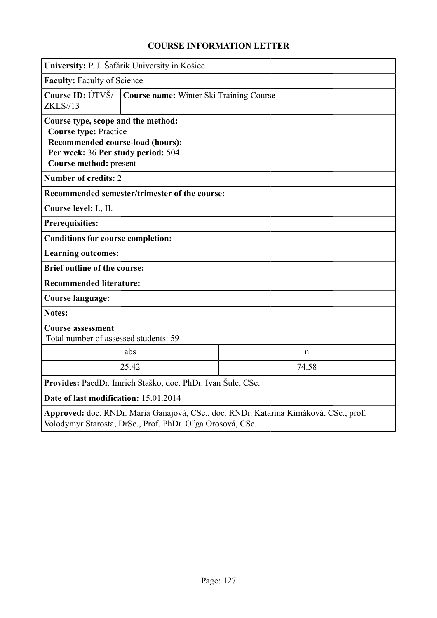|                                                                                                                                                                        | University: P. J. Šafárik University in Košice |             |  |  |  |
|------------------------------------------------------------------------------------------------------------------------------------------------------------------------|------------------------------------------------|-------------|--|--|--|
| <b>Faculty: Faculty of Science</b>                                                                                                                                     |                                                |             |  |  |  |
| Course ID: $\hat{U}$ TVŠ/ $\parallel$<br><b>ZKLS//13</b>                                                                                                               | Course name: Winter Ski Training Course        |             |  |  |  |
| Course type, scope and the method:<br><b>Course type: Practice</b><br>Recommended course-load (hours):<br>Per week: 36 Per study period: 504<br>Course method: present |                                                |             |  |  |  |
| <b>Number of credits: 2</b>                                                                                                                                            |                                                |             |  |  |  |
|                                                                                                                                                                        | Recommended semester/trimester of the course:  |             |  |  |  |
| Course level: I., II.                                                                                                                                                  |                                                |             |  |  |  |
| <b>Prerequisities:</b>                                                                                                                                                 |                                                |             |  |  |  |
| <b>Conditions for course completion:</b>                                                                                                                               |                                                |             |  |  |  |
| <b>Learning outcomes:</b>                                                                                                                                              |                                                |             |  |  |  |
| <b>Brief outline of the course:</b>                                                                                                                                    |                                                |             |  |  |  |
| <b>Recommended literature:</b>                                                                                                                                         |                                                |             |  |  |  |
| Course language:                                                                                                                                                       |                                                |             |  |  |  |
| <b>Notes:</b>                                                                                                                                                          |                                                |             |  |  |  |
| <b>Course assessment</b><br>Total number of assessed students: 59                                                                                                      |                                                |             |  |  |  |
|                                                                                                                                                                        | abs                                            | $\mathbf n$ |  |  |  |
| 25.42<br>74.58                                                                                                                                                         |                                                |             |  |  |  |
| Provides: PaedDr. Imrich Staško, doc. PhDr. Ivan Šulc, CSc.                                                                                                            |                                                |             |  |  |  |
| Date of last modification: 15.01.2014                                                                                                                                  |                                                |             |  |  |  |
| Approved: doc. RNDr. Mária Ganajová, CSc., doc. RNDr. Katarína Kimáková, CSc., prof.<br>Volodymyr Starosta, DrSc., Prof. PhDr. Oľga Orosová, CSc.                      |                                                |             |  |  |  |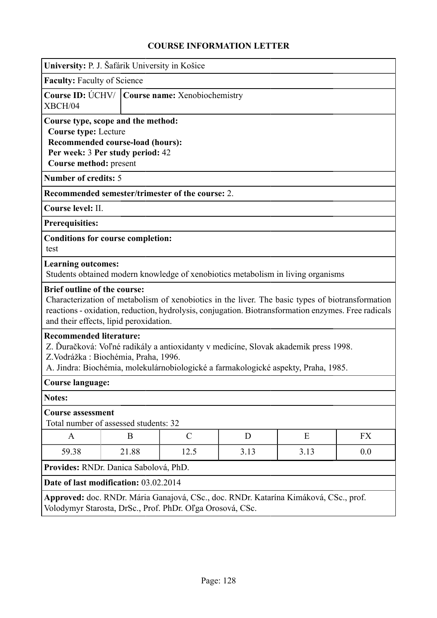|                                                                                                                                                                                                                                                    | University: P. J. Šafárik University in Košice                    |                                                                                                                                                                                                         |      |      |     |  |  |
|----------------------------------------------------------------------------------------------------------------------------------------------------------------------------------------------------------------------------------------------------|-------------------------------------------------------------------|---------------------------------------------------------------------------------------------------------------------------------------------------------------------------------------------------------|------|------|-----|--|--|
| <b>Faculty: Faculty of Science</b>                                                                                                                                                                                                                 |                                                                   |                                                                                                                                                                                                         |      |      |     |  |  |
| Course ID: ÚCHV/   Course name: Xenobiochemistry<br>XBCH/04                                                                                                                                                                                        |                                                                   |                                                                                                                                                                                                         |      |      |     |  |  |
| Course type, scope and the method:<br><b>Course type: Lecture</b><br>Recommended course-load (hours):<br>Per week: 3 Per study period: 42<br>Course method: present                                                                                |                                                                   |                                                                                                                                                                                                         |      |      |     |  |  |
| <b>Number of credits: 5</b>                                                                                                                                                                                                                        |                                                                   |                                                                                                                                                                                                         |      |      |     |  |  |
|                                                                                                                                                                                                                                                    |                                                                   | Recommended semester/trimester of the course: 2.                                                                                                                                                        |      |      |     |  |  |
| Course level: II.                                                                                                                                                                                                                                  |                                                                   |                                                                                                                                                                                                         |      |      |     |  |  |
| <b>Prerequisities:</b>                                                                                                                                                                                                                             |                                                                   |                                                                                                                                                                                                         |      |      |     |  |  |
| test                                                                                                                                                                                                                                               | <b>Conditions for course completion:</b>                          |                                                                                                                                                                                                         |      |      |     |  |  |
| <b>Learning outcomes:</b>                                                                                                                                                                                                                          |                                                                   | Students obtained modern knowledge of xenobiotics metabolism in living organisms                                                                                                                        |      |      |     |  |  |
| <b>Brief outline of the course:</b>                                                                                                                                                                                                                | and their effects, lipid peroxidation.                            | Characterization of metabolism of xenobiotics in the liver. The basic types of biotransformation<br>reactions - oxidation, reduction, hydrolysis, conjugation. Biotransformation enzymes. Free radicals |      |      |     |  |  |
| <b>Recommended literature:</b><br>Z. Ďuračková: Voľné radikály a antioxidanty v medicíne, Slovak akademik press 1998.<br>Z.Vodrážka: Biochémia, Praha, 1996.<br>A. Jindra: Biochémia, molekulárnobiologické a farmakologické aspekty, Praha, 1985. |                                                                   |                                                                                                                                                                                                         |      |      |     |  |  |
| <b>Course language:</b>                                                                                                                                                                                                                            |                                                                   |                                                                                                                                                                                                         |      |      |     |  |  |
| <b>Notes:</b>                                                                                                                                                                                                                                      |                                                                   |                                                                                                                                                                                                         |      |      |     |  |  |
|                                                                                                                                                                                                                                                    | <b>Course assessment</b><br>Total number of assessed students: 32 |                                                                                                                                                                                                         |      |      |     |  |  |
| A                                                                                                                                                                                                                                                  | B                                                                 | $\mathcal{C}$                                                                                                                                                                                           | D    | Ε    | FX  |  |  |
| 59.38                                                                                                                                                                                                                                              | 21.88                                                             | 12.5                                                                                                                                                                                                    | 3.13 | 3.13 | 0.0 |  |  |
| Provides: RNDr. Danica Sabolová, PhD.                                                                                                                                                                                                              |                                                                   |                                                                                                                                                                                                         |      |      |     |  |  |
| Date of last modification: 03.02.2014                                                                                                                                                                                                              |                                                                   |                                                                                                                                                                                                         |      |      |     |  |  |
| Approved: doc. RNDr. Mária Ganajová, CSc., doc. RNDr. Katarína Kimáková, CSc., prof.<br>Volodymyr Starosta, DrSc., Prof. PhDr. Oľga Orosová, CSc.                                                                                                  |                                                                   |                                                                                                                                                                                                         |      |      |     |  |  |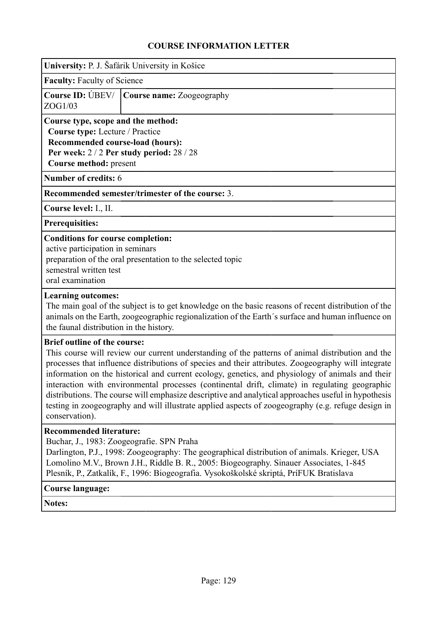|                                                                                                                                                                                         | University: P. J. Šafárik University in Košice    |  |  |  |  |  |
|-----------------------------------------------------------------------------------------------------------------------------------------------------------------------------------------|---------------------------------------------------|--|--|--|--|--|
|                                                                                                                                                                                         | <b>Faculty:</b> Faculty of Science                |  |  |  |  |  |
| ZOG1/03                                                                                                                                                                                 | <b>Course ID:</b> UBEV/ Course name: Zoogeography |  |  |  |  |  |
| Course type, scope and the method:<br>Course type: Lecture / Practice<br>Recommended course-load (hours):<br>Per week: $2/2$ Per study period: $28/28$<br><b>Course method:</b> present |                                                   |  |  |  |  |  |
| <b>Number of credits: 6</b>                                                                                                                                                             |                                                   |  |  |  |  |  |
| Recommended semester/trimester of the course: 3.                                                                                                                                        |                                                   |  |  |  |  |  |
| Course level: I., II.                                                                                                                                                                   |                                                   |  |  |  |  |  |
| <b>Prerequisities:</b>                                                                                                                                                                  |                                                   |  |  |  |  |  |
| <b>Conditions for course completion:</b><br>active participation in seminars<br>preparation of the oral presentation to the selected topic                                              |                                                   |  |  |  |  |  |

semestral written test

oral examination

#### **Learning outcomes:**

The main goal of the subject is to get knowledge on the basic reasons of recent distribution of the animals on the Earth, zoogeographic regionalization of the Earth´s surface and human influence on the faunal distribution in the history.

#### **Brief outline of the course:**

This course will review our current understanding of the patterns of animal distribution and the processes that influence distributions of species and their attributes. Zoogeography will integrate information on the historical and current ecology, genetics, and physiology of animals and their interaction with environmental processes (continental drift, climate) in regulating geographic distributions. The course will emphasize descriptive and analytical approaches useful in hypothesis testing in zoogeography and will illustrate applied aspects of zoogeography (e.g. refuge design in conservation).

#### **Recommended literature:**

Buchar, J., 1983: Zoogeografie. SPN Praha

Darlington, P.J., 1998: Zoogeography: The geographical distribution of animals. Krieger, USA Lomolino M.V., Brown J.H., Riddle B. R., 2005: Biogeography. Sinauer Associates, 1-845 Plesník, P., Zatkalík, F., 1996: Biogeografia. Vysokoškolské skriptá, PríFUK Bratislava

#### **Course language:**

**Notes:**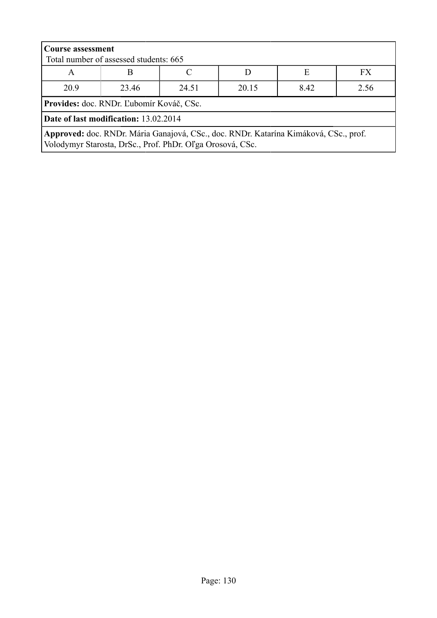| <b>Course assessment</b>                 | Total number of assessed students: 665                    |  |                                                                                      |   |    |  |  |  |
|------------------------------------------|-----------------------------------------------------------|--|--------------------------------------------------------------------------------------|---|----|--|--|--|
| A                                        | B                                                         |  |                                                                                      | Е | FX |  |  |  |
| 20.9                                     | 2.56<br>23.46<br>20.15<br>8.42<br>24.51                   |  |                                                                                      |   |    |  |  |  |
| Provides: doc. RNDr. Ľubomír Kováč, CSc. |                                                           |  |                                                                                      |   |    |  |  |  |
| Date of last modification: 13.02.2014    |                                                           |  |                                                                                      |   |    |  |  |  |
|                                          | Volodymyr Starosta, DrSc., Prof. PhDr. Oľga Orosová, CSc. |  | Approved: doc. RNDr. Mária Ganajová, CSc., doc. RNDr. Katarína Kimáková, CSc., prof. |   |    |  |  |  |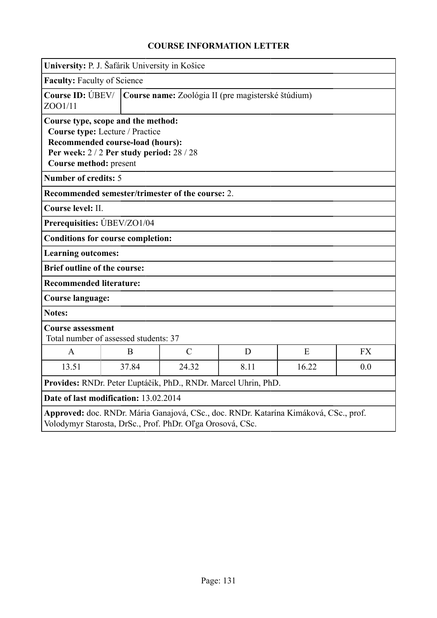|                                                                                                                                                                                  | University: P. J. Šafárik University in Košice                         |                                                           |      |                                                                                      |           |  |  |
|----------------------------------------------------------------------------------------------------------------------------------------------------------------------------------|------------------------------------------------------------------------|-----------------------------------------------------------|------|--------------------------------------------------------------------------------------|-----------|--|--|
| <b>Faculty: Faculty of Science</b>                                                                                                                                               |                                                                        |                                                           |      |                                                                                      |           |  |  |
| ZOO1/11                                                                                                                                                                          | Course ID: UBEV/<br>Course name: Zoológia II (pre magisterské štúdium) |                                                           |      |                                                                                      |           |  |  |
| Course type, scope and the method:<br>Course type: Lecture / Practice<br>Recommended course-load (hours):<br>Per week: $2/2$ Per study period: $28/28$<br>Course method: present |                                                                        |                                                           |      |                                                                                      |           |  |  |
| <b>Number of credits: 5</b>                                                                                                                                                      |                                                                        |                                                           |      |                                                                                      |           |  |  |
| Recommended semester/trimester of the course: 2.                                                                                                                                 |                                                                        |                                                           |      |                                                                                      |           |  |  |
| Course level: II.                                                                                                                                                                |                                                                        |                                                           |      |                                                                                      |           |  |  |
| Prerequisities: UBEV/ZO1/04                                                                                                                                                      |                                                                        |                                                           |      |                                                                                      |           |  |  |
| <b>Conditions for course completion:</b>                                                                                                                                         |                                                                        |                                                           |      |                                                                                      |           |  |  |
| <b>Learning outcomes:</b>                                                                                                                                                        |                                                                        |                                                           |      |                                                                                      |           |  |  |
| <b>Brief outline of the course:</b>                                                                                                                                              |                                                                        |                                                           |      |                                                                                      |           |  |  |
| <b>Recommended literature:</b>                                                                                                                                                   |                                                                        |                                                           |      |                                                                                      |           |  |  |
| <b>Course language:</b>                                                                                                                                                          |                                                                        |                                                           |      |                                                                                      |           |  |  |
| <b>Notes:</b>                                                                                                                                                                    |                                                                        |                                                           |      |                                                                                      |           |  |  |
| <b>Course assessment</b><br>Total number of assessed students: 37                                                                                                                |                                                                        |                                                           |      |                                                                                      |           |  |  |
| $\mathbf{A}$                                                                                                                                                                     | B                                                                      | $\mathcal{C}$                                             | D    | E                                                                                    | <b>FX</b> |  |  |
| 13.51                                                                                                                                                                            | 37.84                                                                  | 24.32                                                     | 8.11 | 16.22                                                                                | 0.0       |  |  |
| Provides: RNDr. Peter Ľuptáčik, PhD., RNDr. Marcel Uhrin, PhD.                                                                                                                   |                                                                        |                                                           |      |                                                                                      |           |  |  |
|                                                                                                                                                                                  | Date of last modification: 13.02.2014                                  |                                                           |      |                                                                                      |           |  |  |
|                                                                                                                                                                                  |                                                                        | Volodymyr Starosta, DrSc., Prof. PhDr. Oľga Orosová, CSc. |      | Approved: doc. RNDr. Mária Ganajová, CSc., doc. RNDr. Katarína Kimáková, CSc., prof. |           |  |  |